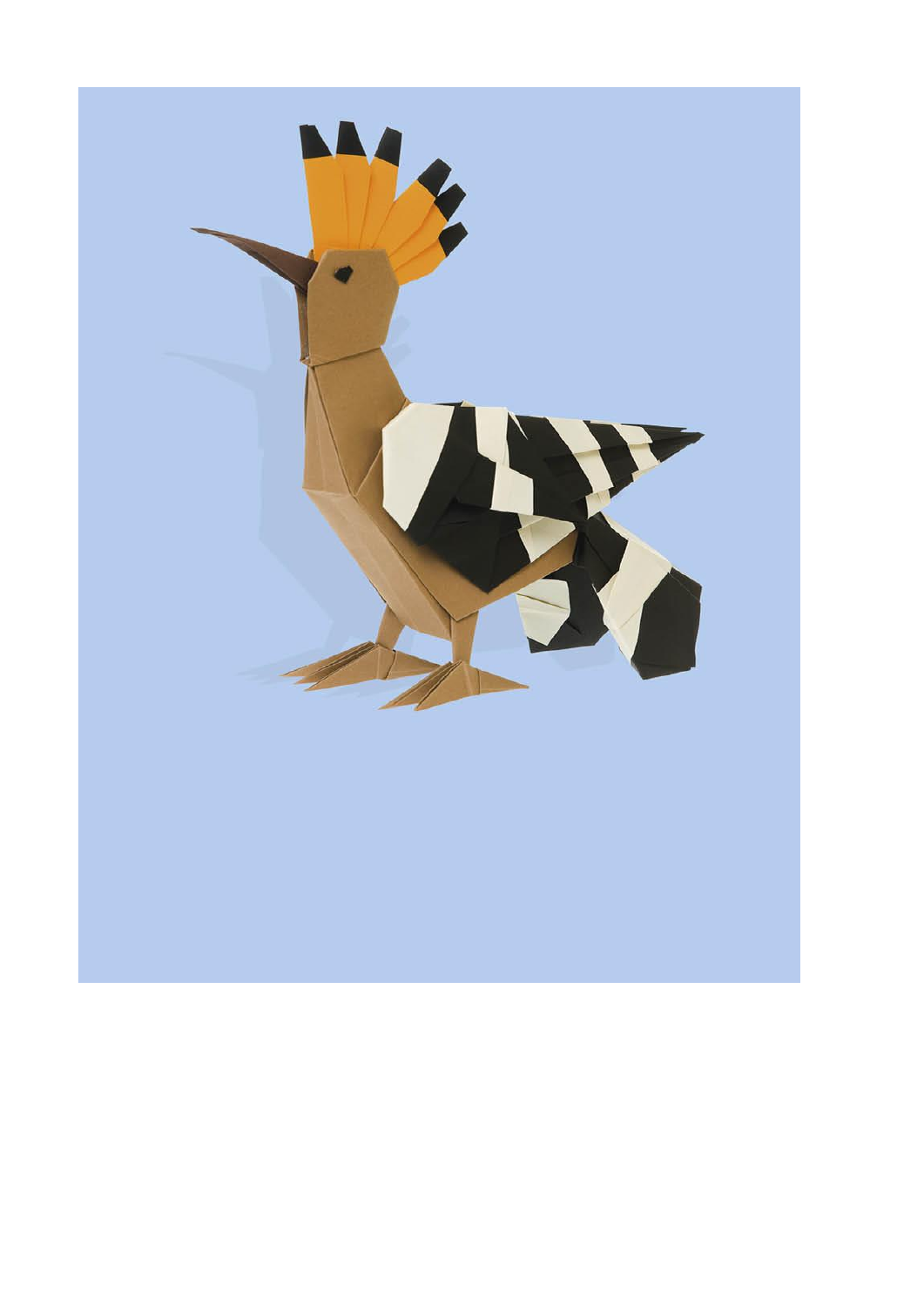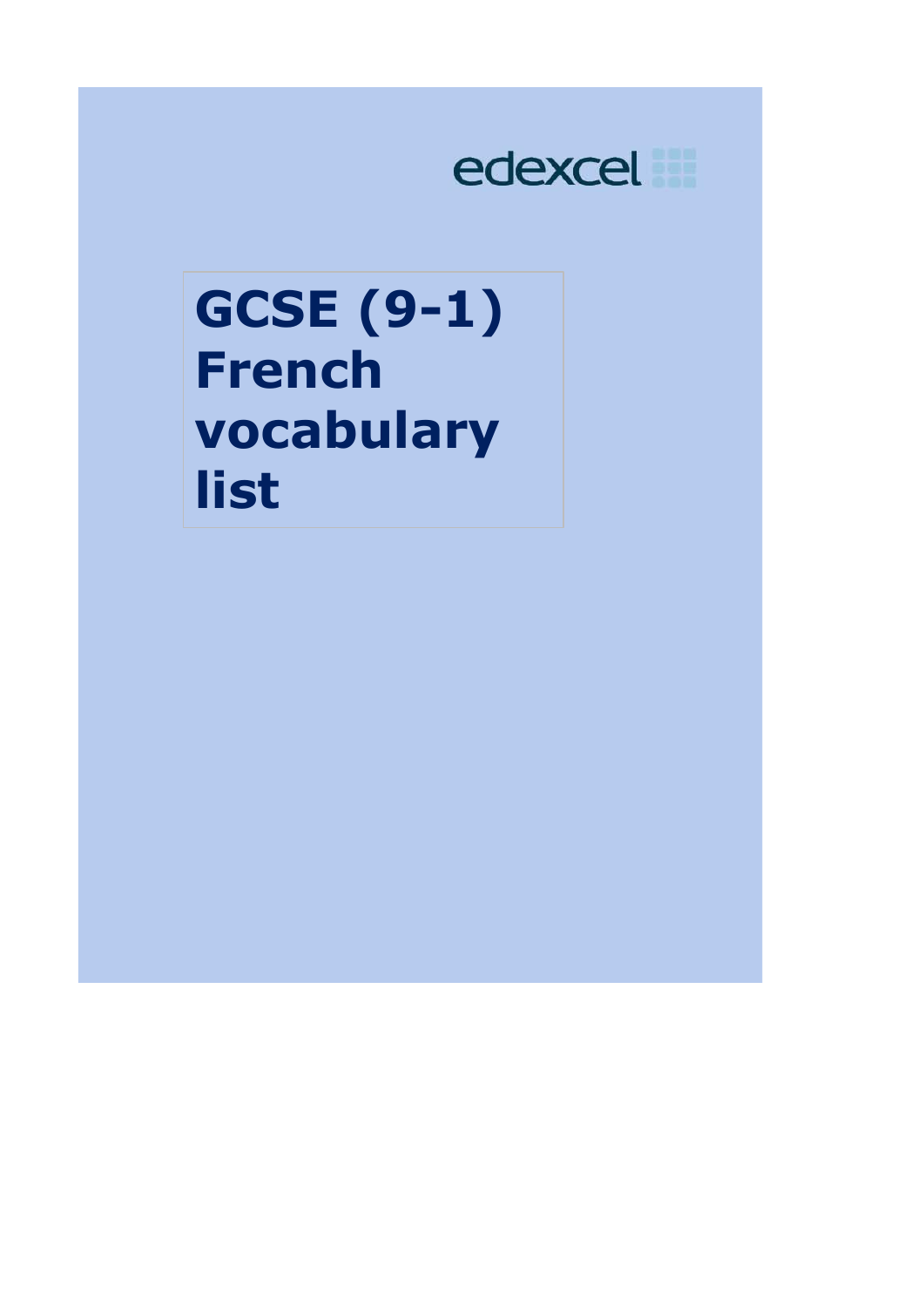

**GCSE (9-1) French vocabulary list**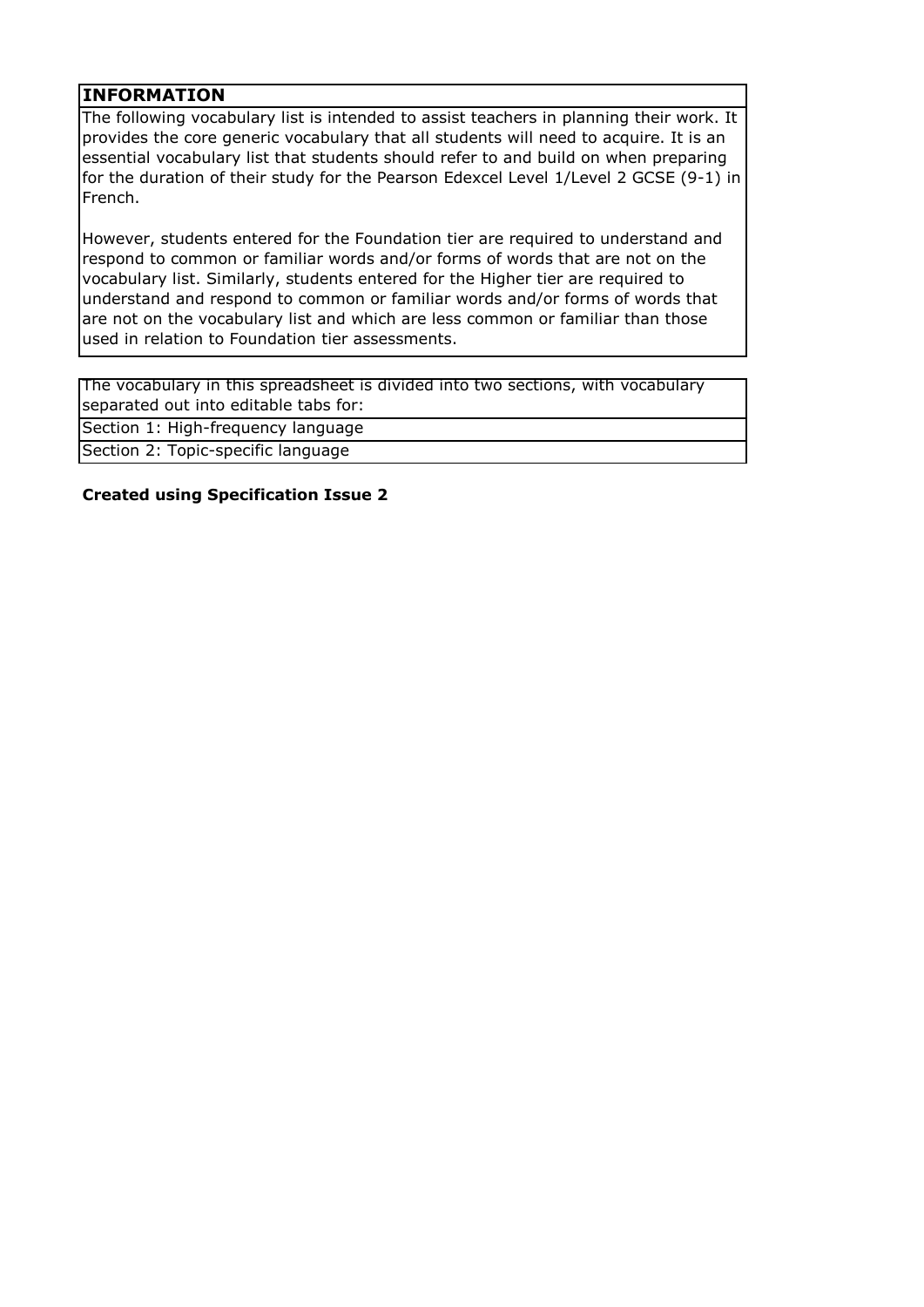#### **INFORMATION**

The following vocabulary list is intended to assist teachers in planning their work. It provides the core generic vocabulary that all students will need to acquire. It is an essential vocabulary list that students should refer to and build on when preparing for the duration of their study for the Pearson Edexcel Level 1/Level 2 GCSE (9-1) in French.

However, students entered for the Foundation tier are required to understand and respond to common or familiar words and/or forms of words that are not on the vocabulary list. Similarly, students entered for the Higher tier are required to understand and respond to common or familiar words and/or forms of words that are not on the vocabulary list and which are less common or familiar than those used in relation to Foundation tier assessments.

The vocabulary in this spreadsheet is divided into two sections, with vocabulary separated out into editable tabs for:

Section 1: High-frequency language

Section 2: Topic-specific language

#### **Created using Specification Issue 2**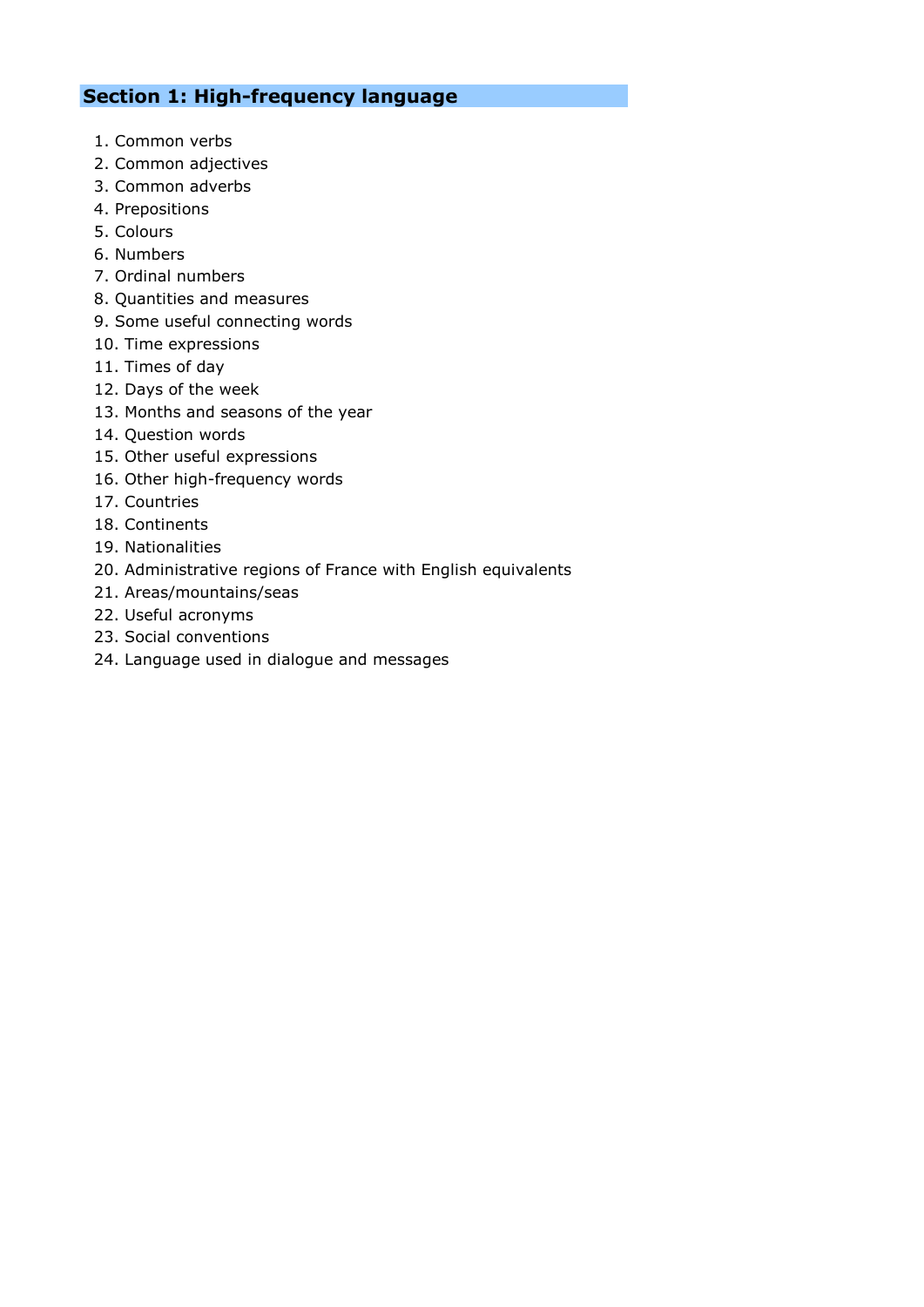#### **Section 1: High-frequency language**

- 1. Common verbs
- 2. Common adjectives
- 3. Common adverbs
- 4. Prepositions
- 5. Colours
- 6. Numbers
- 7. Ordinal numbers
- 8. Quantities and measures
- 9. Some useful connecting words
- 10. Time expressions
- 11. Times of day
- 12. Days of the week
- 13. Months and seasons of the year
- 14. Question words
- 15. Other useful expressions
- 16. Other high-frequency words
- 17. Countries
- 18. Continents
- 19. Nationalities
- 20. Administrative regions of France with English equivalents
- 21. Areas/mountains/seas
- 22. Useful acronyms
- 23. Social conventions
- 24. Language used in dialogue and messages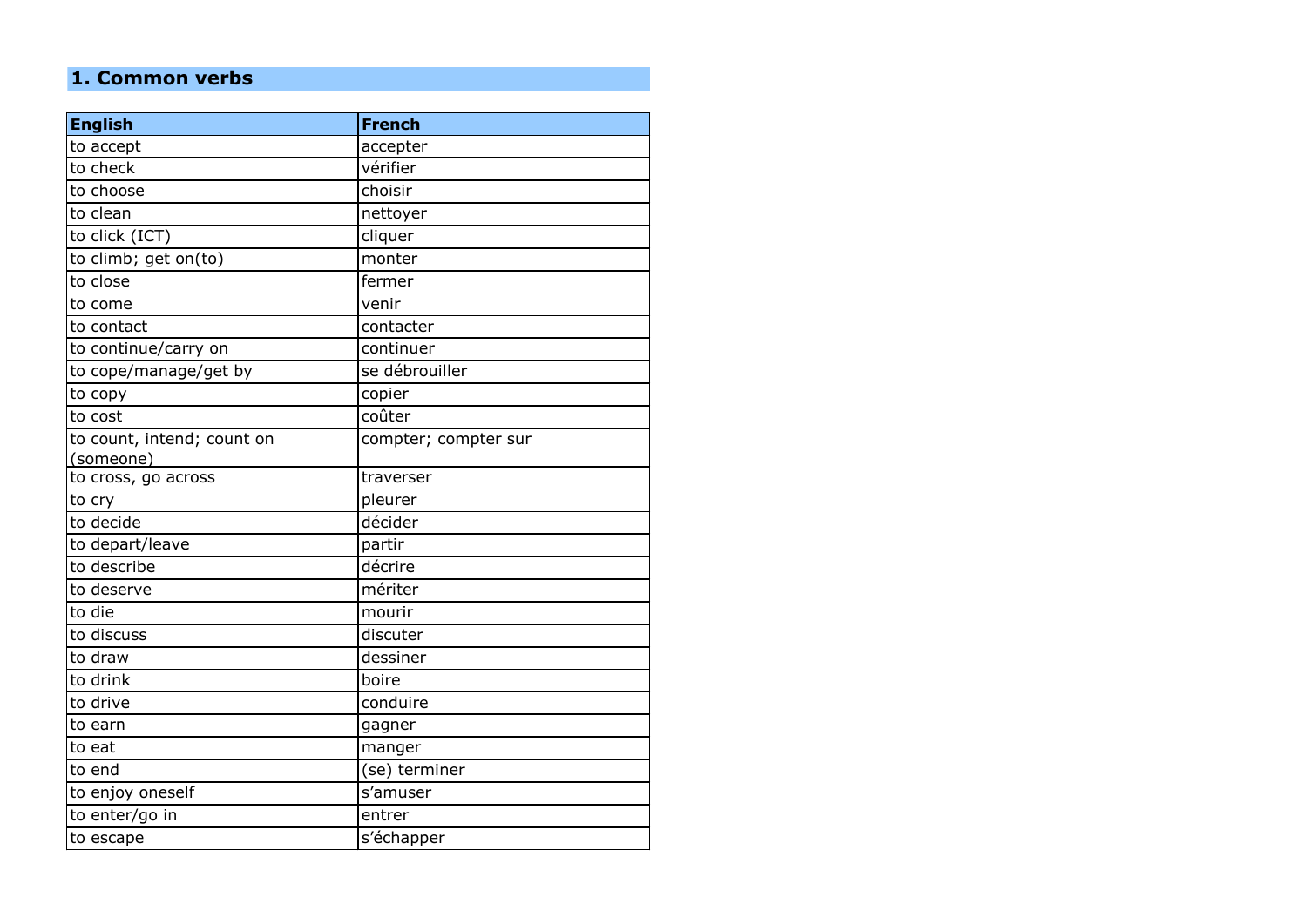#### **1. Common verbs**

| <b>English</b>             | <b>French</b>        |
|----------------------------|----------------------|
| to accept                  | accepter             |
| to check                   | vérifier             |
| to choose                  | choisir              |
| to clean                   | nettoyer             |
| to click (ICT)             | cliquer              |
| to climb; get on(to)       | monter               |
| to close                   | fermer               |
| to come                    | venir                |
| to contact                 | contacter            |
| to continue/carry on       | continuer            |
| to cope/manage/get by      | se débrouiller       |
| to copy                    | copier               |
| to cost                    | coûter               |
| to count, intend; count on | compter; compter sur |
| (someone)                  |                      |
| to cross, go across        | traverser            |
| to cry                     | pleurer              |
| to decide                  | décider              |
| to depart/leave            | partir               |
| to describe                | décrire              |
| to deserve                 | mériter              |
| to die                     | mourir               |
| to discuss                 | discuter             |
| to draw                    | dessiner             |
| to drink                   | boire                |
| to drive                   | conduire             |
| to earn                    | gagner               |
| to eat                     | manger               |
| to end                     | (se) terminer        |
| to enjoy oneself           | s'amuser             |
| to enter/go in             | entrer               |
| to escape                  | s'échapper           |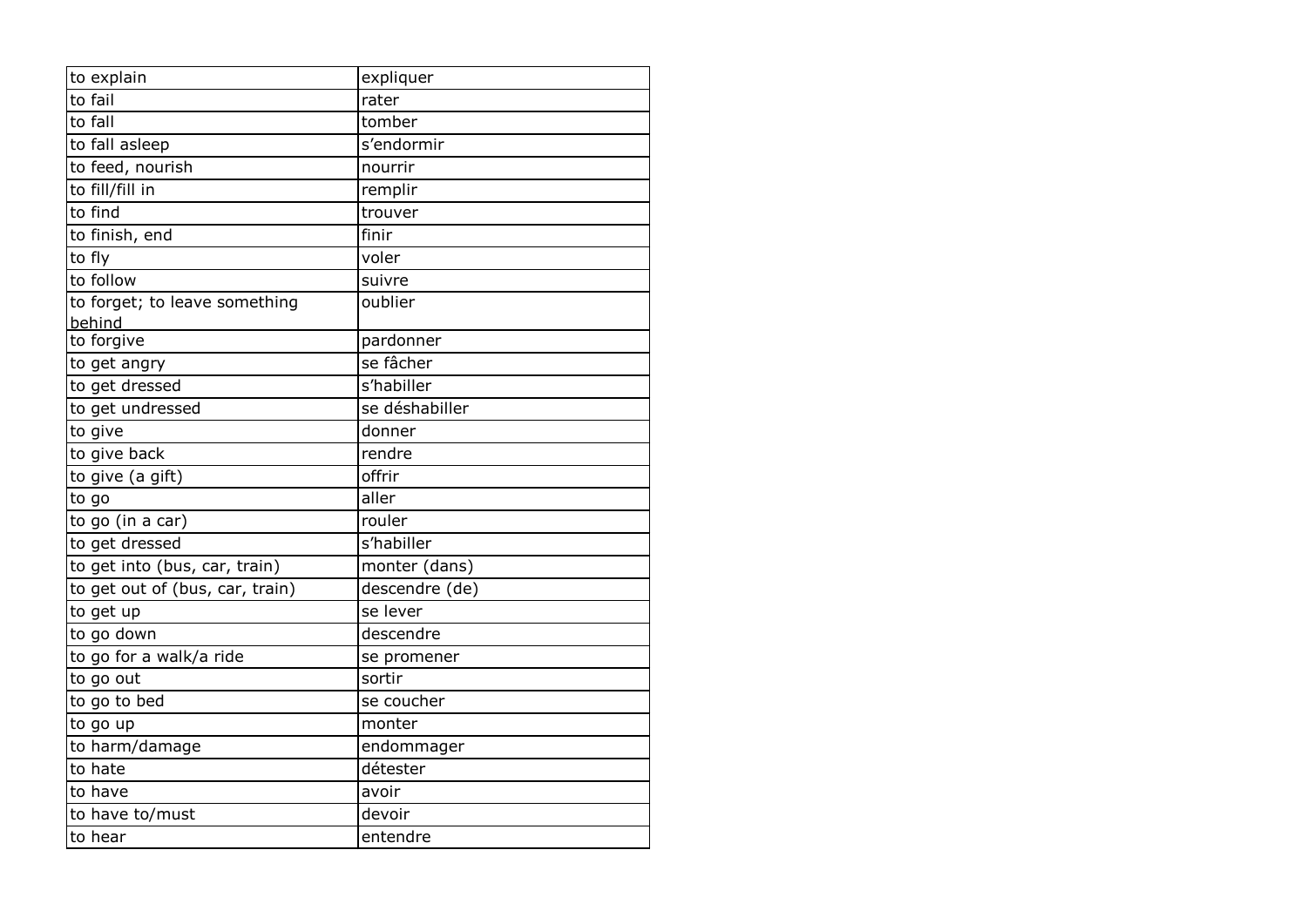| to explain                              | expliquer      |
|-----------------------------------------|----------------|
| to fail                                 | rater          |
| to fall                                 | tomber         |
| to fall asleep                          | s'endormir     |
| to feed, nourish                        | nourrir        |
| to fill/fill in                         | remplir        |
| to find                                 | trouver        |
| to finish, end                          | finir          |
| to fly                                  | voler          |
| to follow                               | suivre         |
| to forget; to leave something<br>behind | oublier        |
| to forgive                              | pardonner      |
| to get angry                            | se fâcher      |
| to get dressed                          | s'habiller     |
| to get undressed                        | se déshabiller |
| to give                                 | donner         |
| to give back                            | rendre         |
| to give (a gift)                        | offrir         |
| to go                                   | aller          |
| to go (in a car)                        | rouler         |
| to get dressed                          | s'habiller     |
| to get into (bus, car, train)           | monter (dans)  |
| to get out of (bus, car, train)         | descendre (de) |
| to get up                               | se lever       |
| to go down                              | descendre      |
| to go for a walk/a ride                 | se promener    |
| to go out                               | sortir         |
| to go to bed                            | se coucher     |
| to go up                                | monter         |
| to harm/damage                          | endommager     |
| to hate                                 | détester       |
| to have                                 | avoir          |
| to have to/must                         | devoir         |
| to hear                                 | entendre       |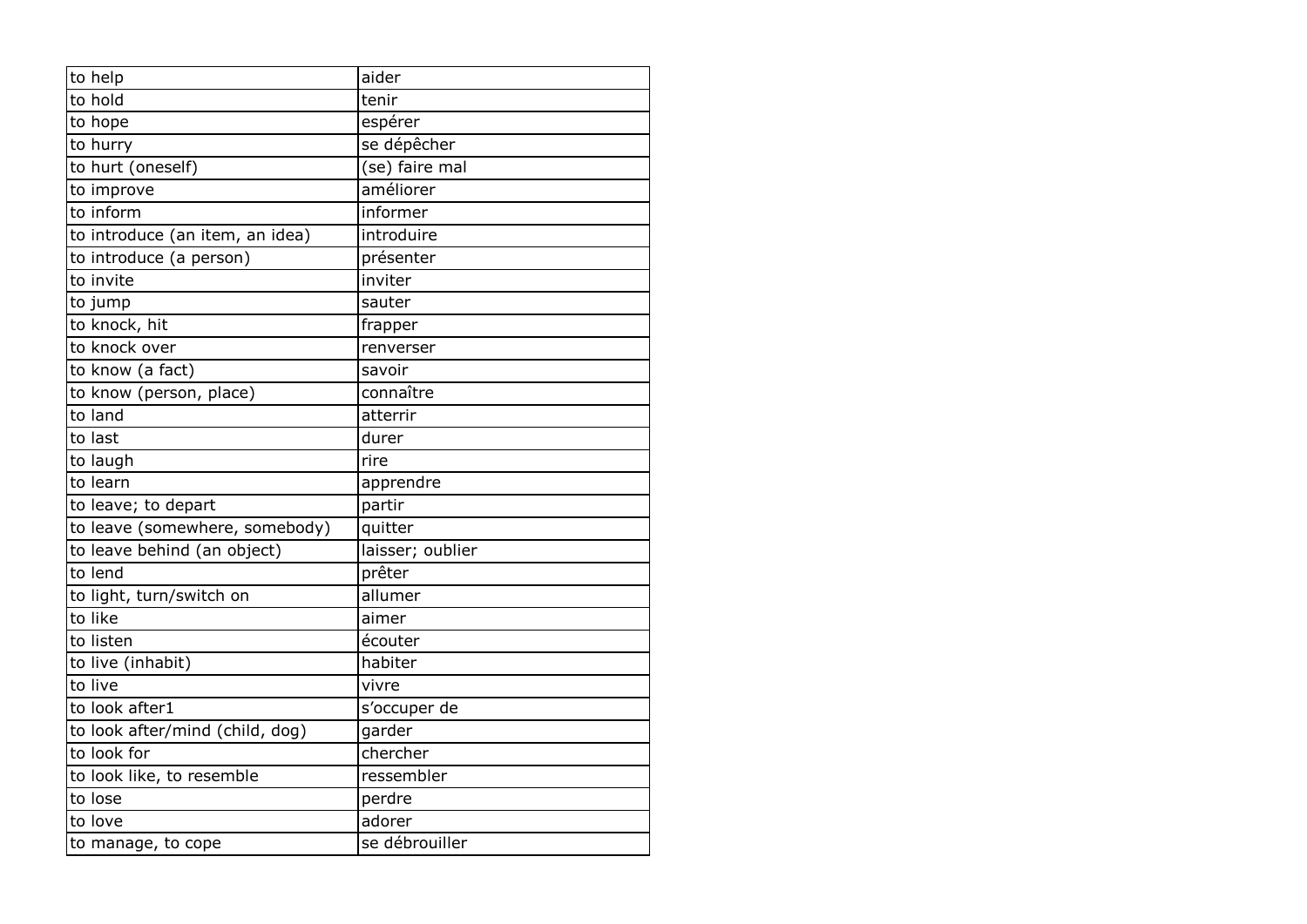| to help                         | aider            |
|---------------------------------|------------------|
| to hold                         | tenir            |
| to hope                         | espérer          |
| to hurry                        | se dépêcher      |
| to hurt (oneself)               | (se) faire mal   |
| to improve                      | améliorer        |
| to inform                       | informer         |
| to introduce (an item, an idea) | introduire       |
| to introduce (a person)         | présenter        |
| to invite                       | inviter          |
| to jump                         | sauter           |
| to knock, hit                   | frapper          |
| to knock over                   | renverser        |
| to know (a fact)                | savoir           |
| to know (person, place)         | connaître        |
| to land                         | atterrir         |
| to last                         | durer            |
| to laugh                        | rire             |
| to learn                        | apprendre        |
| to leave; to depart             | partir           |
| to leave (somewhere, somebody)  | quitter          |
| to leave behind (an object)     | laisser; oublier |
| to lend                         | prêter           |
| to light, turn/switch on        | allumer          |
| to like                         | aimer            |
| to listen                       | écouter          |
| to live (inhabit)               | habiter          |
| to live                         | vivre            |
| to look after1                  | s'occuper de     |
| to look after/mind (child, dog) | garder           |
| to look for                     | chercher         |
| to look like, to resemble       | ressembler       |
| to lose                         | perdre           |
| to love                         | adorer           |
| to manage, to cope              | se débrouiller   |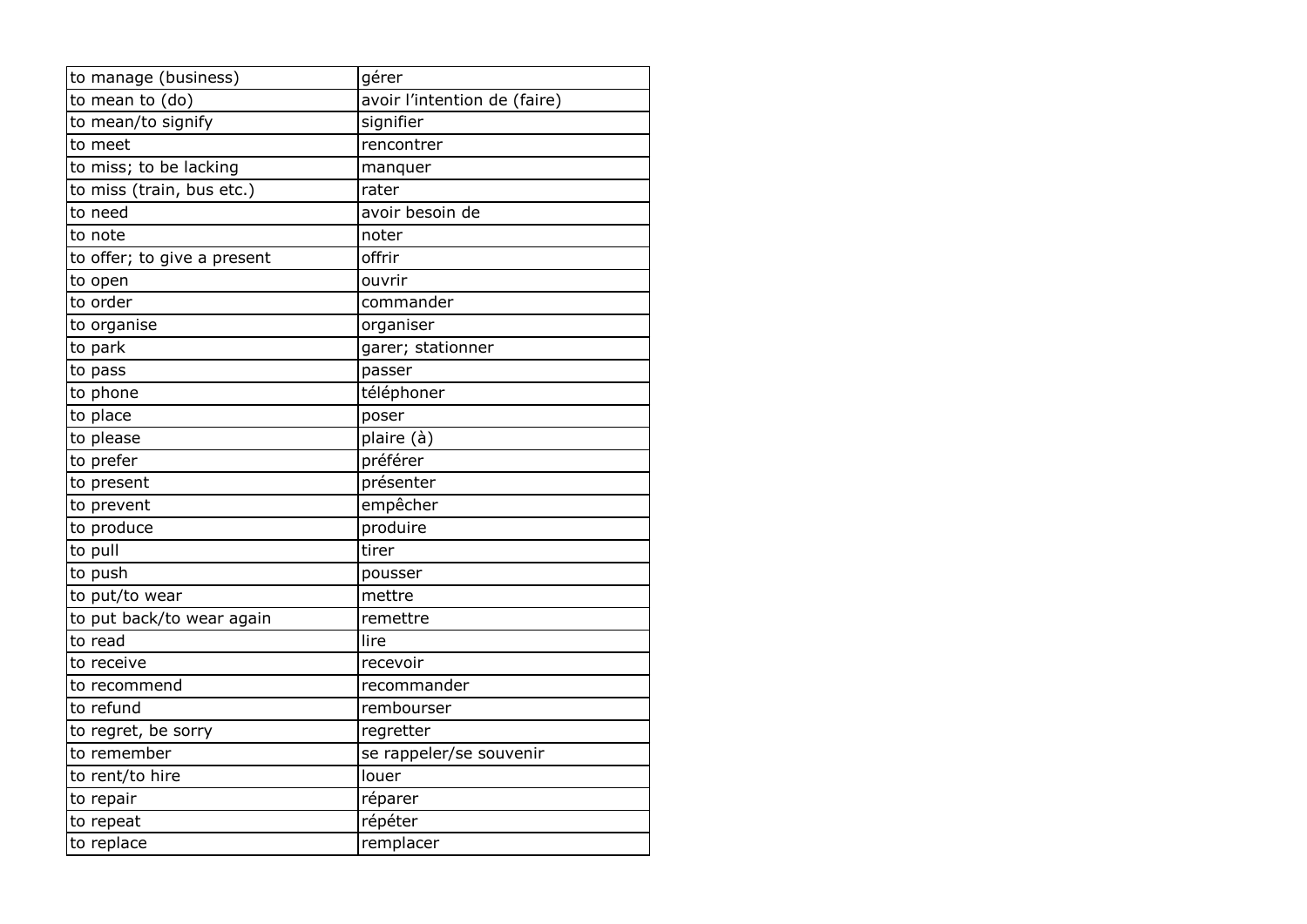| to manage (business)        | gérer                        |
|-----------------------------|------------------------------|
| to mean to (do)             | avoir l'intention de (faire) |
| to mean/to signify          | signifier                    |
| to meet                     | rencontrer                   |
| to miss; to be lacking      | manquer                      |
| to miss (train, bus etc.)   | rater                        |
| to need                     | avoir besoin de              |
| to note                     | noter                        |
| to offer; to give a present | offrir                       |
| to open                     | ouvrir                       |
| to order                    | commander                    |
| to organise                 | organiser                    |
| to park                     | garer; stationner            |
| to pass                     | passer                       |
| to phone                    | téléphoner                   |
| to place                    | poser                        |
| to please                   | plaire (à)                   |
| to prefer                   | préférer                     |
| to present                  | présenter                    |
| to prevent                  | empêcher                     |
| to produce                  | produire                     |
| to pull                     | tirer                        |
| to push                     | pousser                      |
| to put/to wear              | mettre                       |
| to put back/to wear again   | remettre                     |
| to read                     | lire                         |
| to receive                  | recevoir                     |
| to recommend                | recommander                  |
| to refund                   | rembourser                   |
| to regret, be sorry         | regretter                    |
| to remember                 | se rappeler/se souvenir      |
| to rent/to hire             | louer                        |
| to repair                   | réparer                      |
| to repeat                   | répéter                      |
| to replace                  | remplacer                    |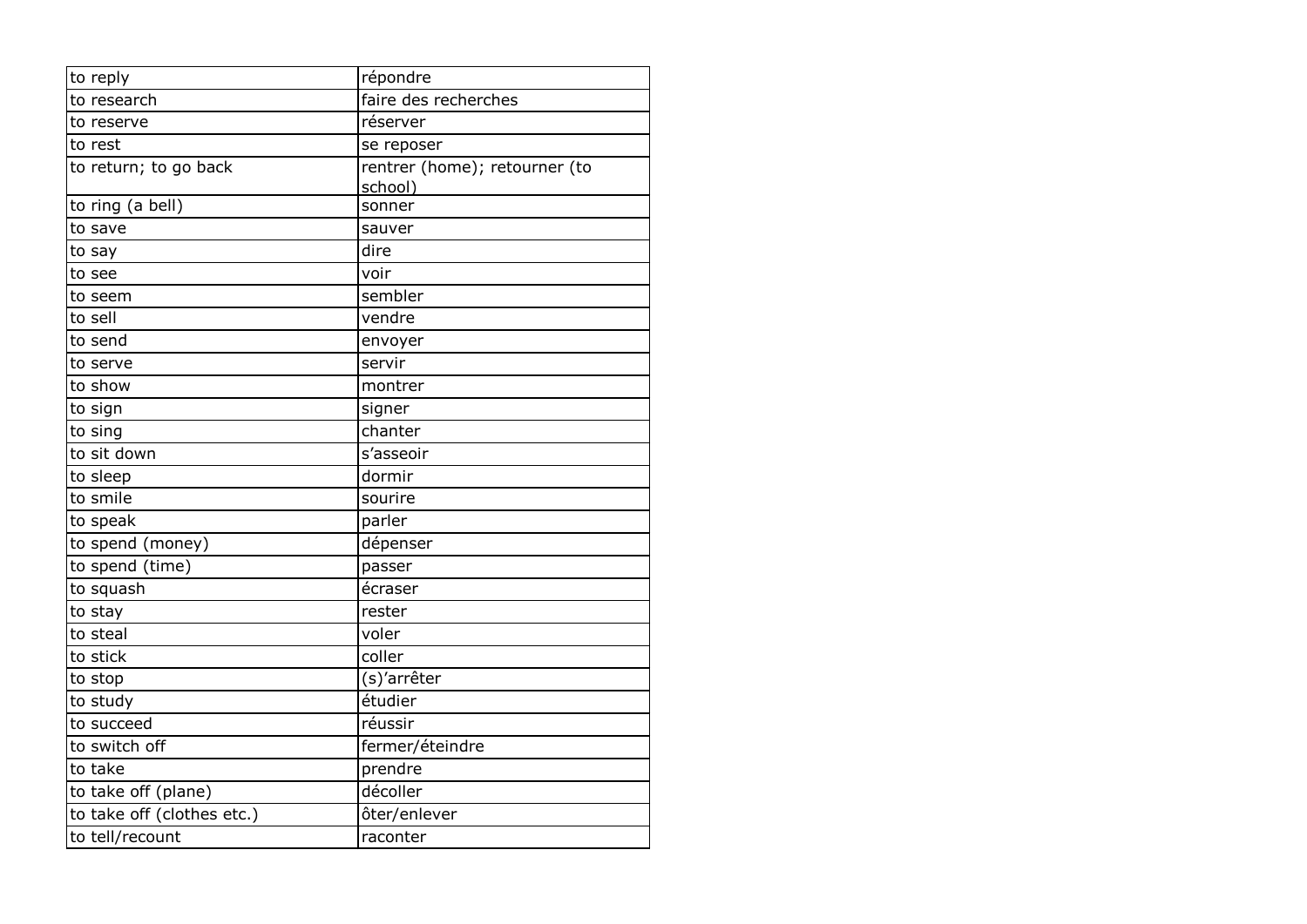| to reply                         | répondre                      |
|----------------------------------|-------------------------------|
| to research                      | faire des recherches          |
| to reserve                       | réserver                      |
| to rest                          | se reposer                    |
| to return; to go back            | rentrer (home); retourner (to |
|                                  | school)                       |
| to ring (a bell)                 | sonner                        |
| to save                          | sauver                        |
| to say                           | dire                          |
| to see                           | voir                          |
| to seem                          | sembler                       |
| to sell                          | vendre                        |
| to send                          | envoyer                       |
| to serve                         | servir                        |
| to show                          | montrer                       |
| to sign                          | signer                        |
| to sing                          | chanter                       |
| to sit down                      | s'asseoir                     |
| to sleep                         | dormir                        |
| to smile                         | sourire                       |
| to speak                         | parler                        |
| to spend (money)                 | dépenser                      |
| to spend (time)                  | passer                        |
| to squash                        | écraser                       |
| to stay                          | rester                        |
| to steal                         | voler                         |
| to stick                         | coller                        |
| to stop                          | (s)'arrêter                   |
| to study                         | étudier                       |
| to succeed                       | réussir                       |
| to switch off                    | fermer/éteindre               |
| to take                          | prendre                       |
| $\overline{to}$ take off (plane) | décoller                      |
| to take off (clothes etc.)       | ôter/enlever                  |
| to tell/recount                  | raconter                      |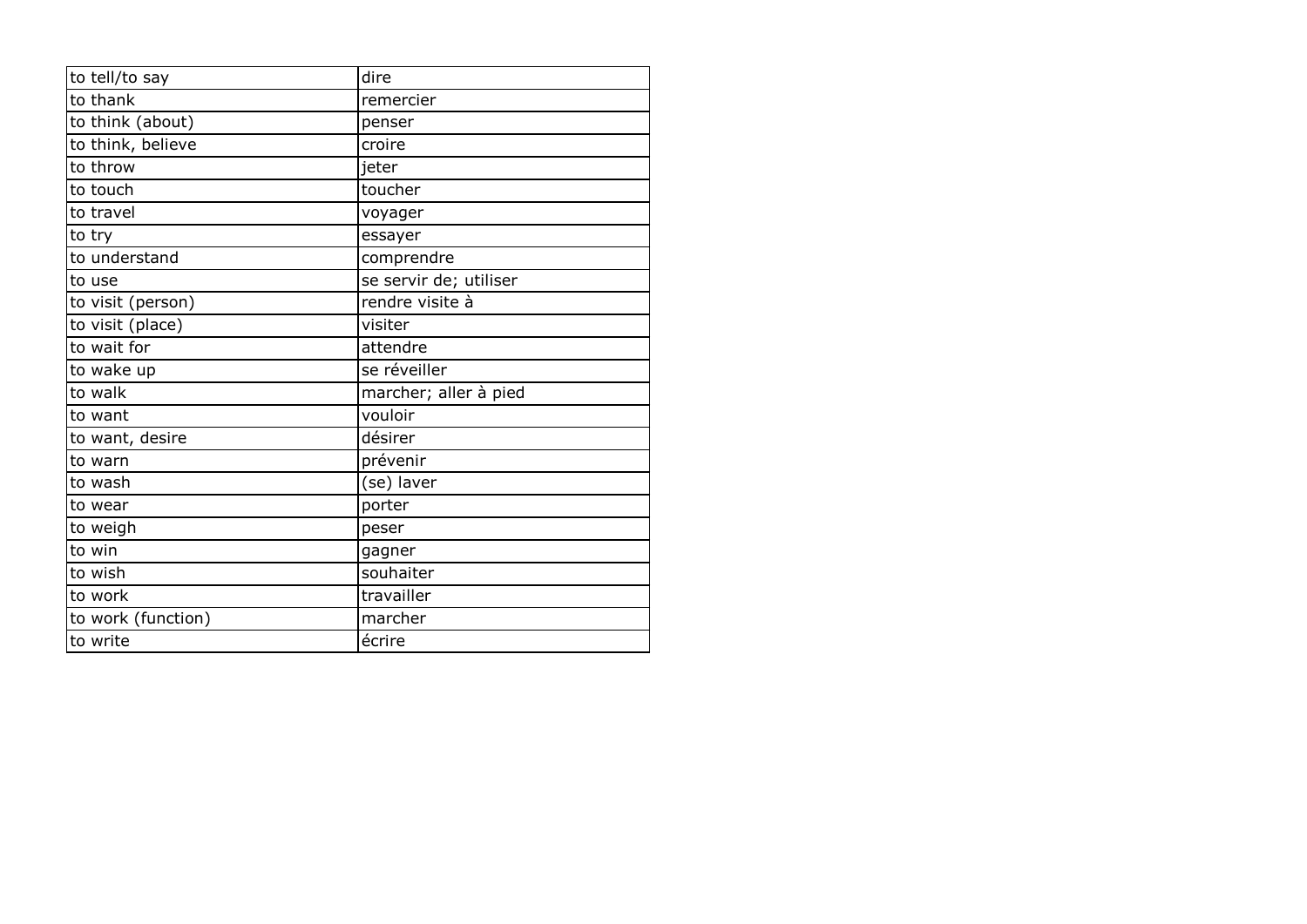| to tell/to say     | dire                   |
|--------------------|------------------------|
| to thank           | remercier              |
| to think (about)   | penser                 |
| to think, believe  | croire                 |
| to throw           | jeter                  |
| to touch           | toucher                |
| to travel          | voyager                |
| to try             | essayer                |
| to understand      | comprendre             |
| to use             | se servir de; utiliser |
| to visit (person)  | rendre visite à        |
| to visit (place)   | visiter                |
| to wait for        | attendre               |
| to wake up         | se réveiller           |
| to walk            | marcher; aller à pied  |
| to want            | vouloir                |
| to want, desire    | désirer                |
| to warn            | prévenir               |
| to wash            | (se) laver             |
| to wear            | porter                 |
| to weigh           | peser                  |
| to win             | gagner                 |
| to wish            | souhaiter              |
| to work            | travailler             |
| to work (function) | marcher                |
| to write           | écrire                 |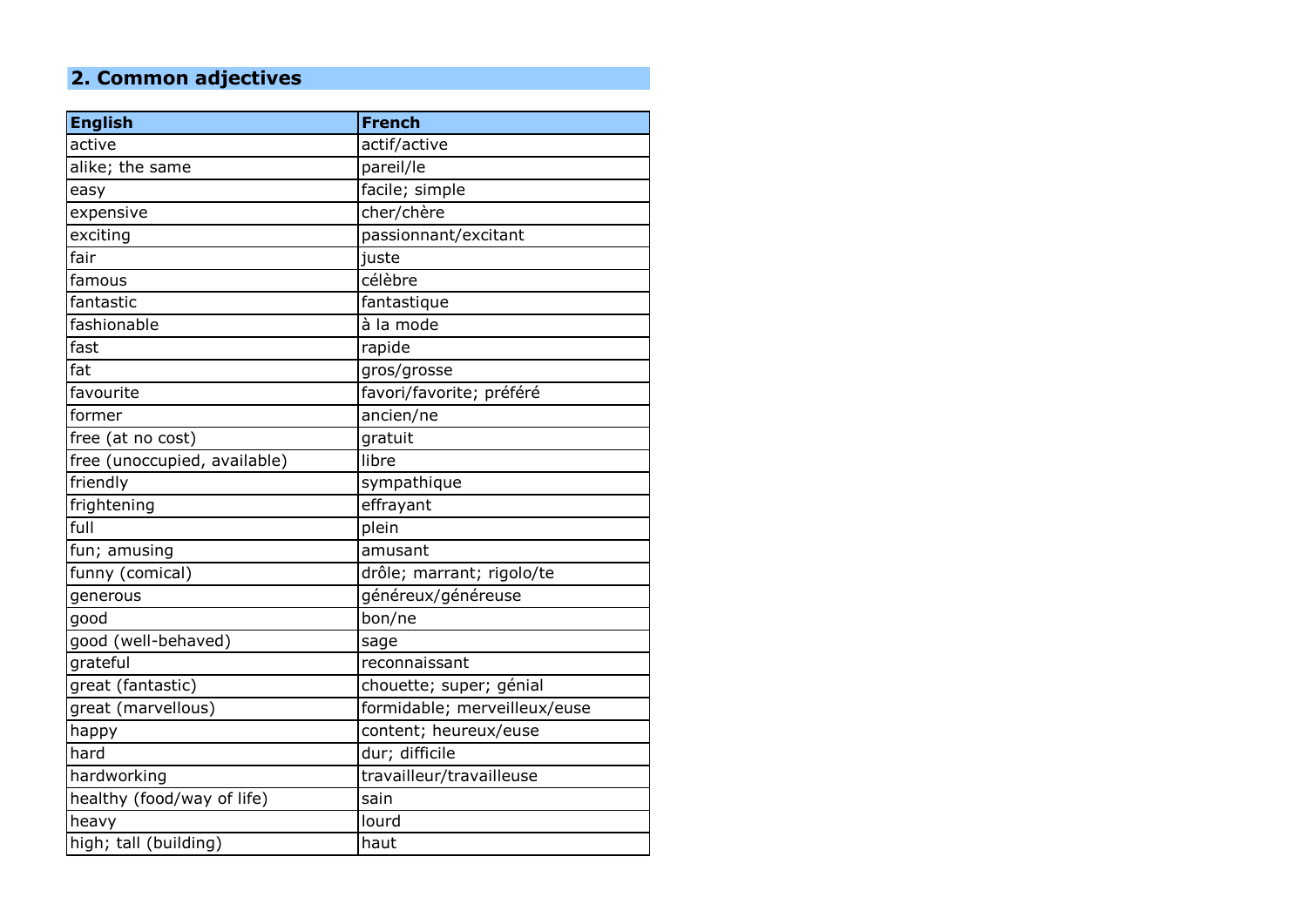# **2. Common adjectives**

| <b>English</b>               | <b>French</b>                |
|------------------------------|------------------------------|
| active                       | actif/active                 |
| alike; the same              | pareil/le                    |
| easy                         | facile; simple               |
| expensive                    | cher/chère                   |
| exciting                     | passionnant/excitant         |
| fair                         | juste                        |
| famous                       | célèbre                      |
| fantastic                    | fantastique                  |
| fashionable                  | $\overline{\dot{a}}$ la mode |
| fast                         | rapide                       |
| fat                          | gros/grosse                  |
| favourite                    | favori/favorite; préféré     |
| former                       | ancien/ne                    |
| free (at no cost)            | gratuit                      |
| free (unoccupied, available) | libre                        |
| friendly                     | sympathique                  |
| frightening                  | effrayant                    |
| full                         | plein                        |
| fun; amusing                 | amusant                      |
| funny (comical)              | drôle; marrant; rigolo/te    |
| generous                     | généreux/généreuse           |
| good                         | bon/ne                       |
| good (well-behaved)          | sage                         |
| grateful                     | reconnaissant                |
| great (fantastic)            | chouette; super; génial      |
| great (marvellous)           | formidable; merveilleux/euse |
| happy                        | content; heureux/euse        |
| hard                         | dur; difficile               |
| hardworking                  | travailleur/travailleuse     |
| healthy (food/way of life)   | sain                         |
| heavy                        | lourd                        |
| high; tall (building)        | haut                         |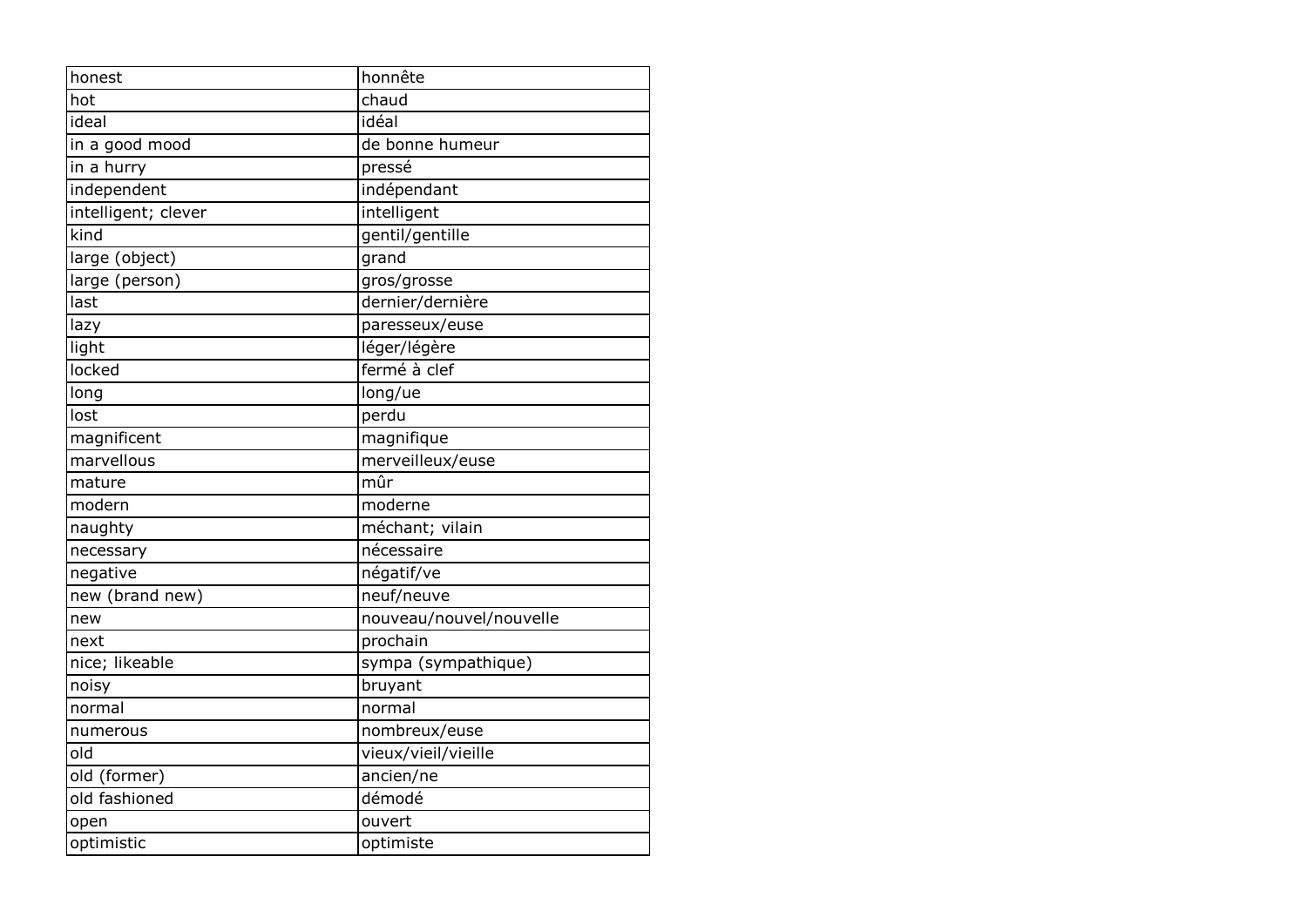| honest              | honnête                 |
|---------------------|-------------------------|
| hot                 | chaud                   |
| ideal               | idéal                   |
| in a good mood      | de bonne humeur         |
| in a hurry          | pressé                  |
| independent         | indépendant             |
| intelligent; clever | intelligent             |
| kind                | gentil/gentille         |
| large (object)      | grand                   |
| large (person)      | gros/grosse             |
| last                | dernier/dernière        |
| lazy                | paresseux/euse          |
| light               | léger/légère            |
| locked              | fermé à clef            |
| long                | long/ue                 |
| lost                | perdu                   |
| magnificent         | magnifique              |
| marvellous          | merveilleux/euse        |
| mature              | mûr                     |
| modern              | moderne                 |
| naughty             | méchant; vilain         |
| necessary           | nécessaire              |
| negative            | négatif/ve              |
| new (brand new)     | neuf/neuve              |
| new                 | nouveau/nouvel/nouvelle |
| next                | prochain                |
| nice; likeable      | sympa (sympathique)     |
| noisy               | bruyant                 |
| normal              | normal                  |
| numerous            | nombreux/euse           |
| old                 | vieux/vieil/vieille     |
| old (former)        | ancien/ne               |
| old fashioned       | démodé                  |
| open                | ouvert                  |
| optimistic          | optimiste               |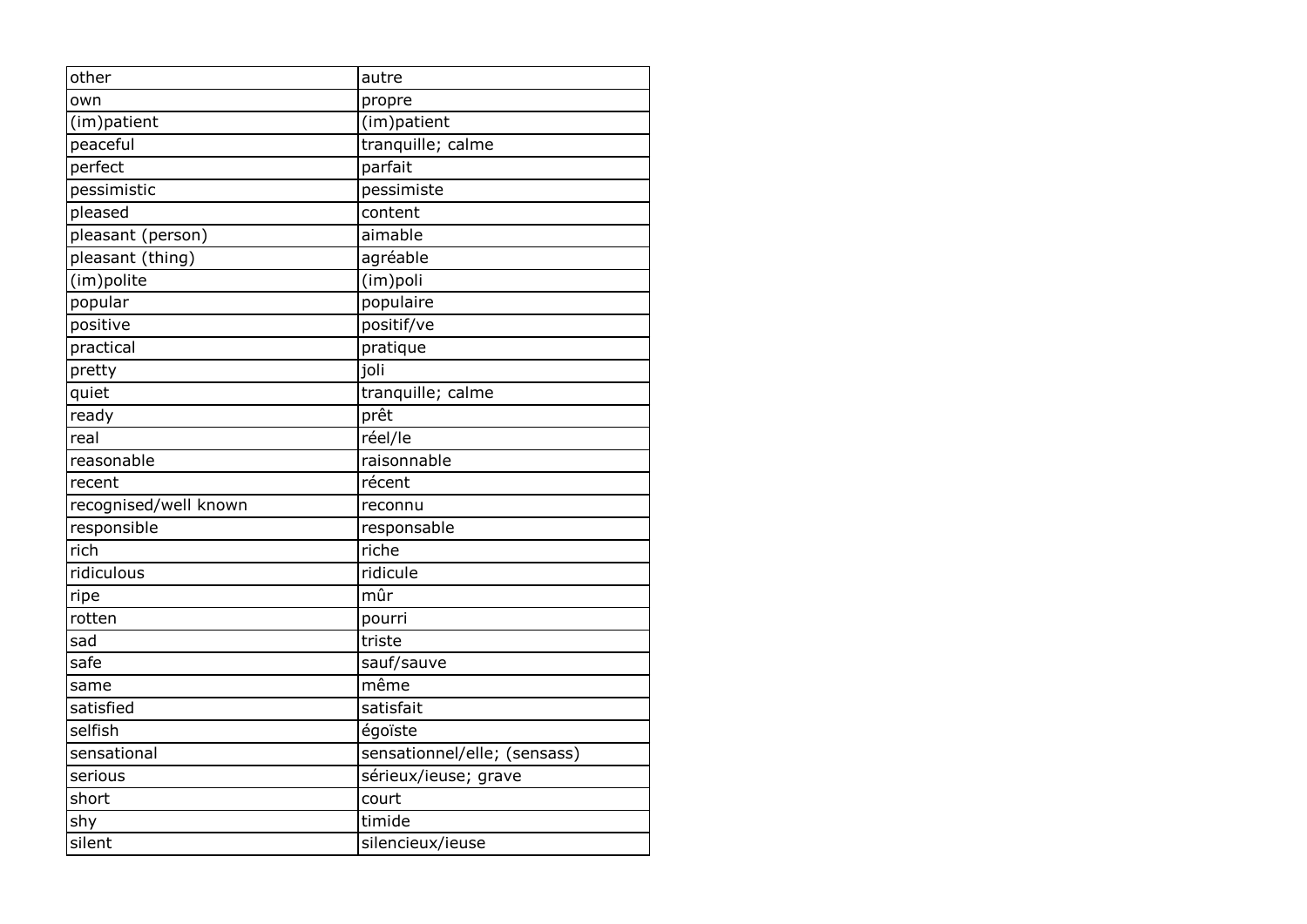| other                 | autre                        |
|-----------------------|------------------------------|
| own                   | propre                       |
| (im)patient           | (im)patient                  |
| peaceful              | tranquille; calme            |
| perfect               | parfait                      |
| pessimistic           | pessimiste                   |
| pleased               | content                      |
| pleasant (person)     | aimable                      |
| pleasant (thing)      | agréable                     |
| (im)polite            | (im)poli                     |
| popular               | populaire                    |
| positive              | positif/ve                   |
| practical             | pratique                     |
| pretty                | joli                         |
| quiet                 | tranquille; calme            |
| ready                 | prêt                         |
| real                  | réel/le                      |
| reasonable            | raisonnable                  |
| recent                | récent                       |
| recognised/well known | reconnu                      |
| responsible           | responsable                  |
| rich                  | riche                        |
| ridiculous            | ridicule                     |
| ripe                  | $m\overline{u}$ r            |
| rotten                | pourri                       |
| sad                   | triste                       |
| safe                  | sauf/sauve                   |
| same                  | même                         |
| satisfied             | satisfait                    |
| selfish               | égoïste                      |
| sensational           | sensationnel/elle; (sensass) |
| serious               | sérieux/ieuse; grave         |
| short                 | court                        |
| shy                   | timide                       |
| silent                | silencieux/ieuse             |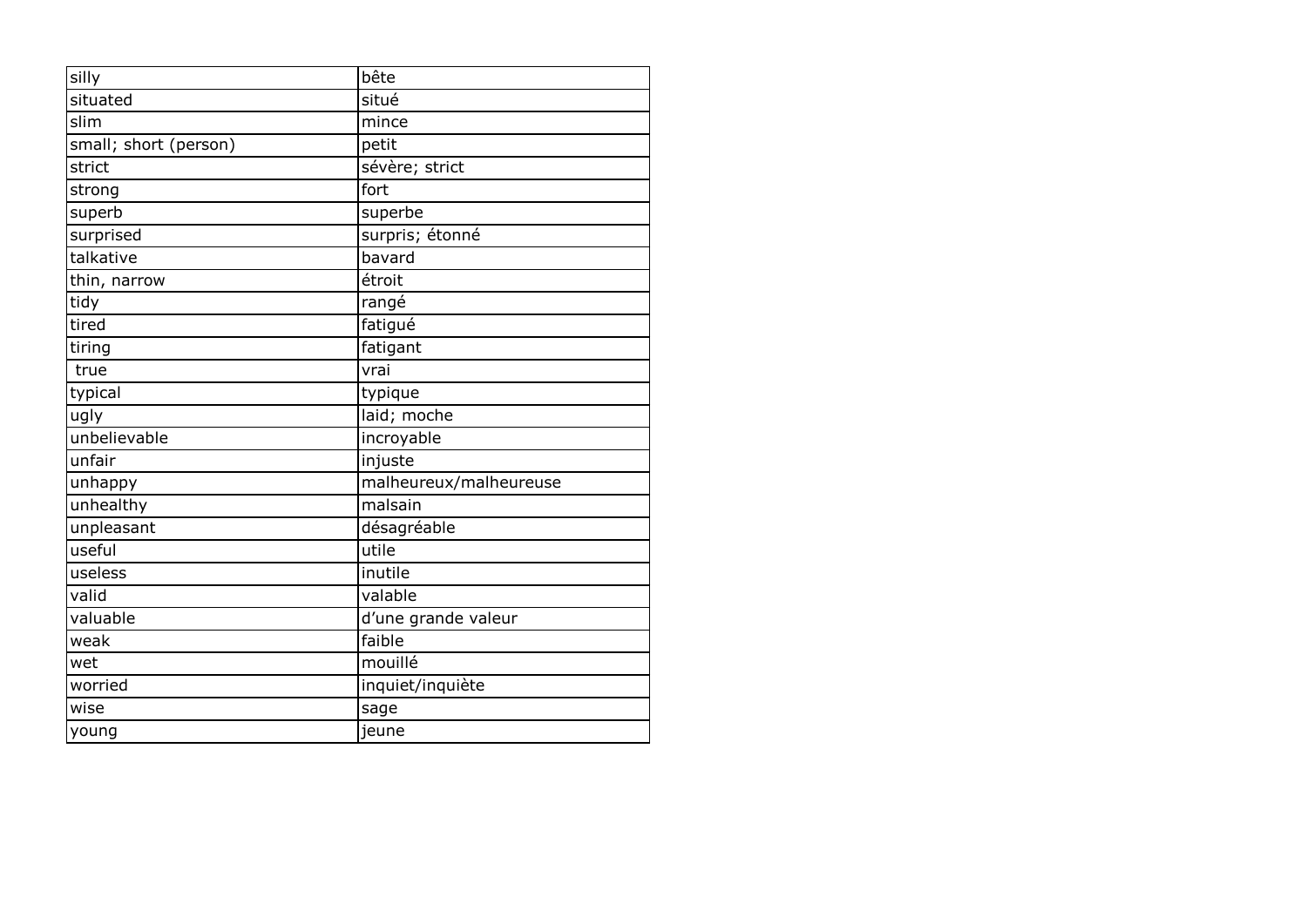| silly                 | bête                   |
|-----------------------|------------------------|
| situated              | situé                  |
| slim                  | mince                  |
| small; short (person) | petit                  |
| strict                | sévère; strict         |
| strong                | fort                   |
| superb                | superbe                |
| surprised             | surpris; étonné        |
| talkative             | bavard                 |
| thin, narrow          | étroit                 |
| tidy                  | rangé                  |
| tired                 | fatigué                |
| tiring                | fatigant               |
| true                  | vrai                   |
| typical               | typique                |
| ugly                  | laid; moche            |
| unbelievable          | incroyable             |
| unfair                | injuste                |
| unhappy               | malheureux/malheureuse |
| unhealthy             | malsain                |
| unpleasant            | désagréable            |
| useful                | utile                  |
| useless               | inutile                |
| valid                 | valable                |
| valuable              | d'une grande valeur    |
| weak                  | faible                 |
| wet                   | mouillé                |
| worried               | inquiet/inquiète       |
| wise                  | sage                   |
| young                 | jeune                  |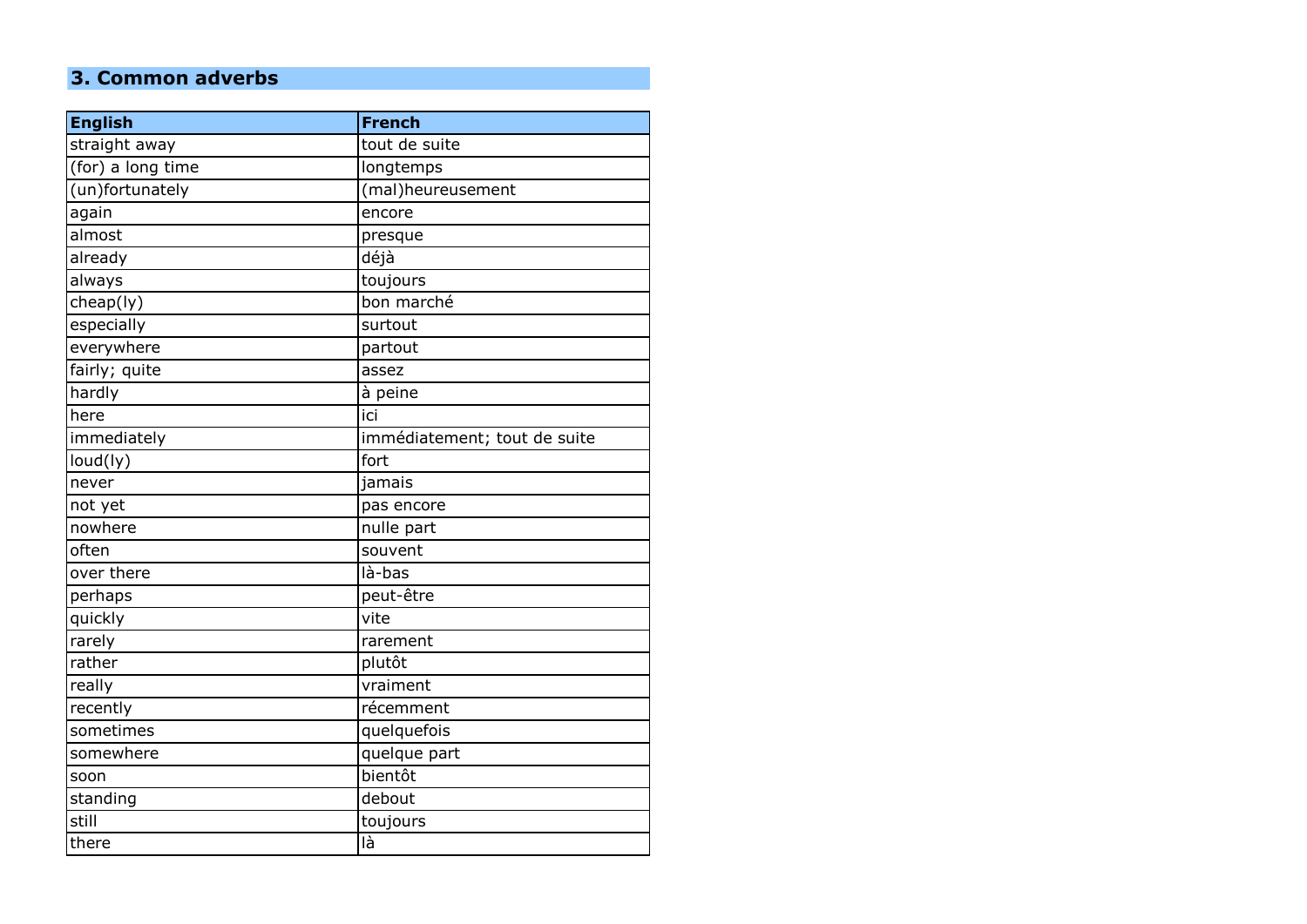#### **3. Common adverbs**

| <b>English</b>    | <b>French</b>                |
|-------------------|------------------------------|
| straight away     | tout de suite                |
| (for) a long time | longtemps                    |
| (un)fortunately   | (mal)heureusement            |
| again             | encore                       |
| almost            | presque                      |
| already           | déjà                         |
| always            | toujours                     |
| cheap(ly)         | bon marché                   |
| especially        | surtout                      |
| everywhere        | partout                      |
| fairly; quite     | assez                        |
| hardly            | à peine                      |
| here              | ici                          |
| immediately       | immédiatement; tout de suite |
| loud(ly)          | fort                         |
| never             | jamais                       |
| not yet           | pas encore                   |
| nowhere           | nulle part                   |
| often             | souvent                      |
| over there        | là-bas                       |
| perhaps           | peut-être                    |
| quickly           | vite                         |
| rarely            | rarement                     |
| rather            | plutôt                       |
| really            | vraiment                     |
| recently          | récemment                    |
| sometimes         | quelquefois                  |
| somewhere         | quelque part                 |
| soon              | bientôt                      |
| standing          | debout                       |
| still             | toujours                     |
| there             | là                           |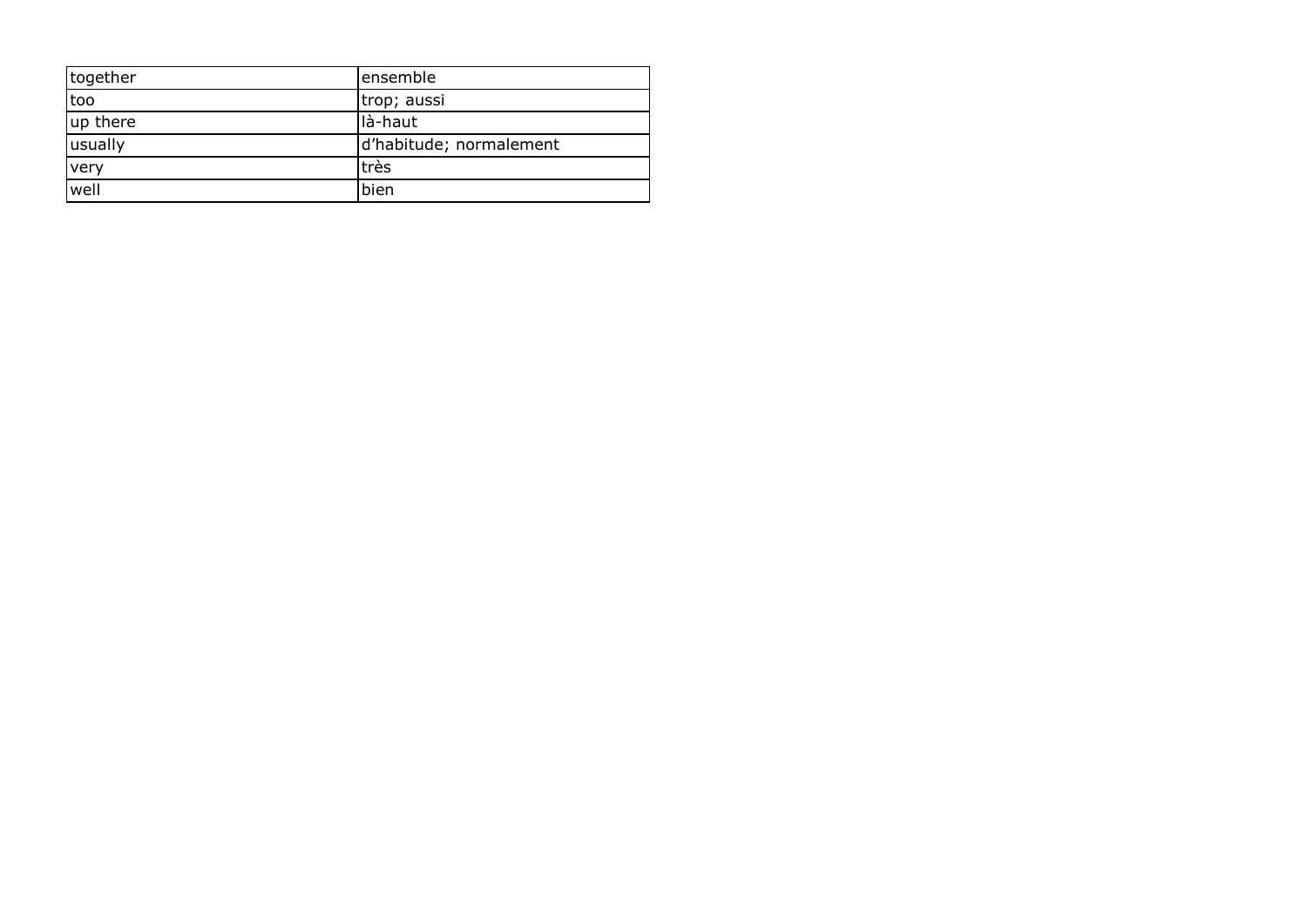| together | ensemble                |
|----------|-------------------------|
| too      | trop; aussi             |
| up there | là-haut                 |
| usually  | d'habitude; normalement |
| very     | <b>Itrès</b>            |
| well     | bien                    |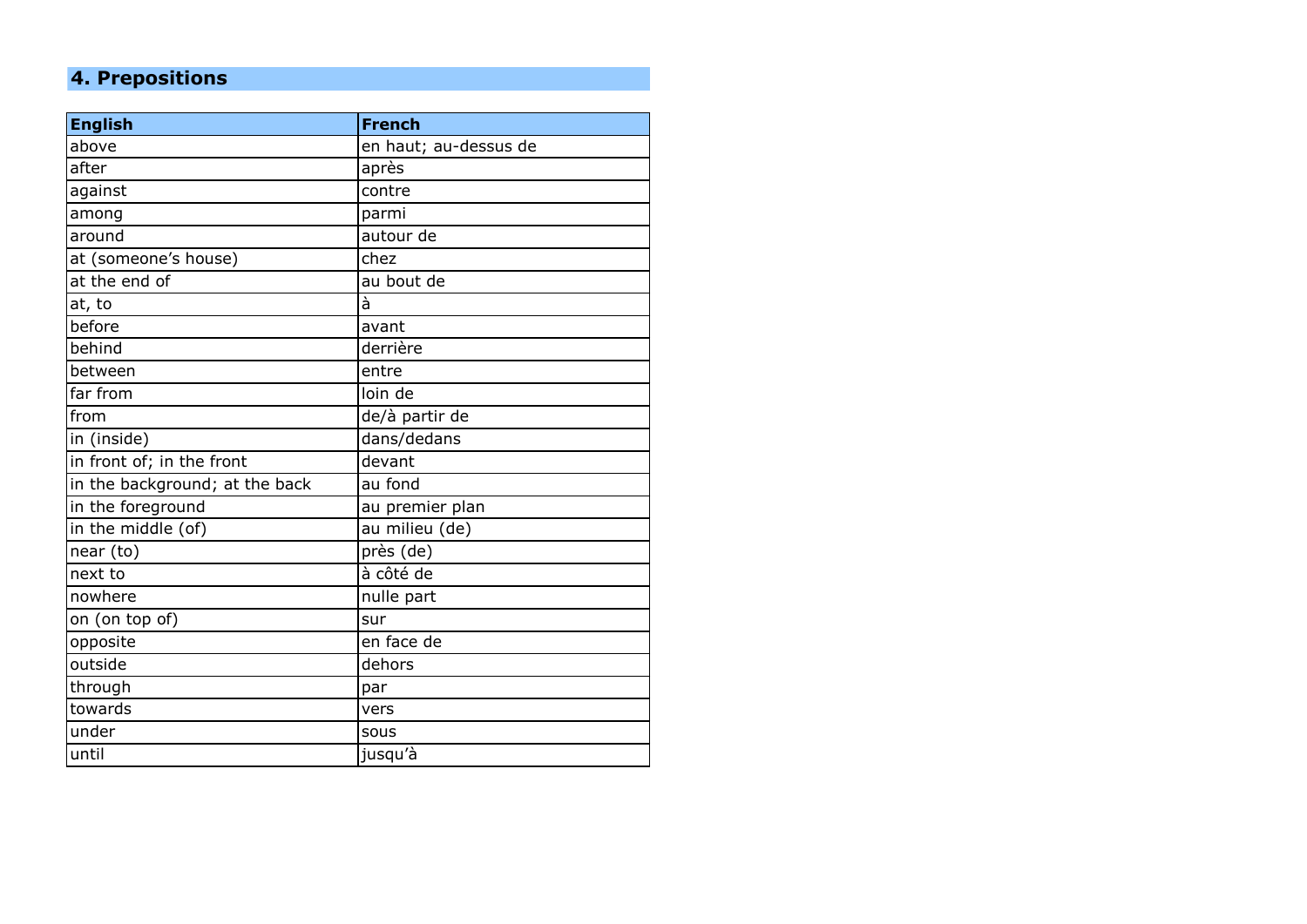### **4. Prepositions**

| <b>English</b>                 | <b>French</b>         |
|--------------------------------|-----------------------|
| above                          | en haut; au-dessus de |
| after                          | après                 |
| against                        | contre                |
| among                          | parmi                 |
| around                         | autour de             |
| at (someone's house)           | chez                  |
| at the end of                  | au bout de            |
| at, to                         | à                     |
| before                         | avant                 |
| behind                         | derrière              |
| between                        | entre                 |
| far from                       | loin de               |
| from                           | de/à partir de        |
| in (inside)                    | dans/dedans           |
| in front of; in the front      | devant                |
| in the background; at the back | au fond               |
| in the foreground              | au premier plan       |
| in the middle (of)             | au milieu (de)        |
| near (to)                      | près (de)             |
| next to                        | à côté de             |
| nowhere                        | nulle part            |
| on (on top of)                 | sur                   |
| opposite                       | en face de            |
| outside                        | dehors                |
| through                        | par                   |
| towards                        | vers                  |
| under                          | sous                  |
| until                          | jusqu'à               |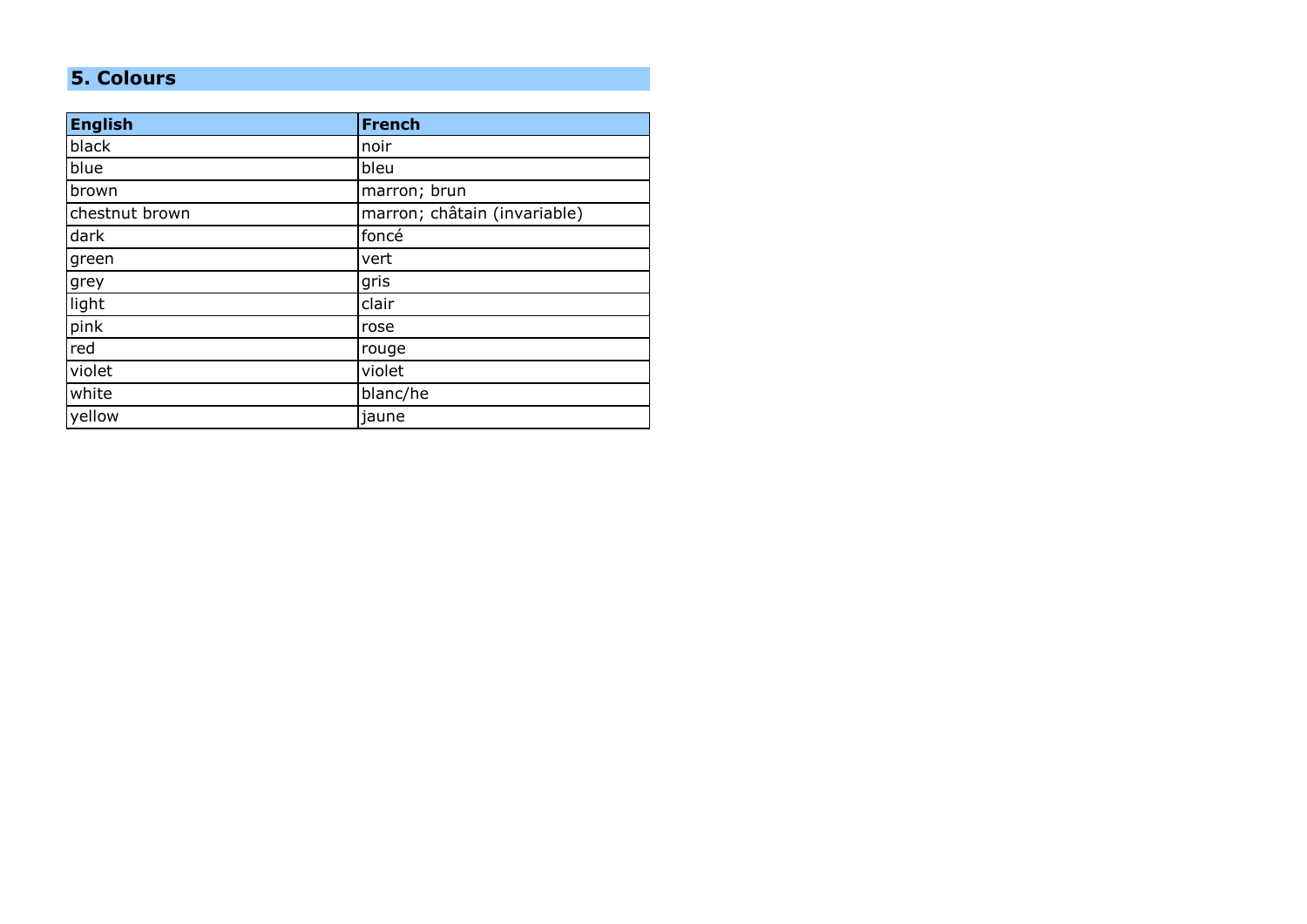#### **5. Colours**

| <b>English</b> | <b>French</b>                |
|----------------|------------------------------|
| black          | noir                         |
| blue           | bleu                         |
| brown          | marron; brun                 |
| chestnut brown | marron; châtain (invariable) |
| dark           | foncé                        |
| green          | vert                         |
| grey           | gris                         |
| light          | clair                        |
| pink           | rose                         |
| red            | rouge                        |
| violet         | violet                       |
| white          | blanc/he                     |
| yellow         | jaune                        |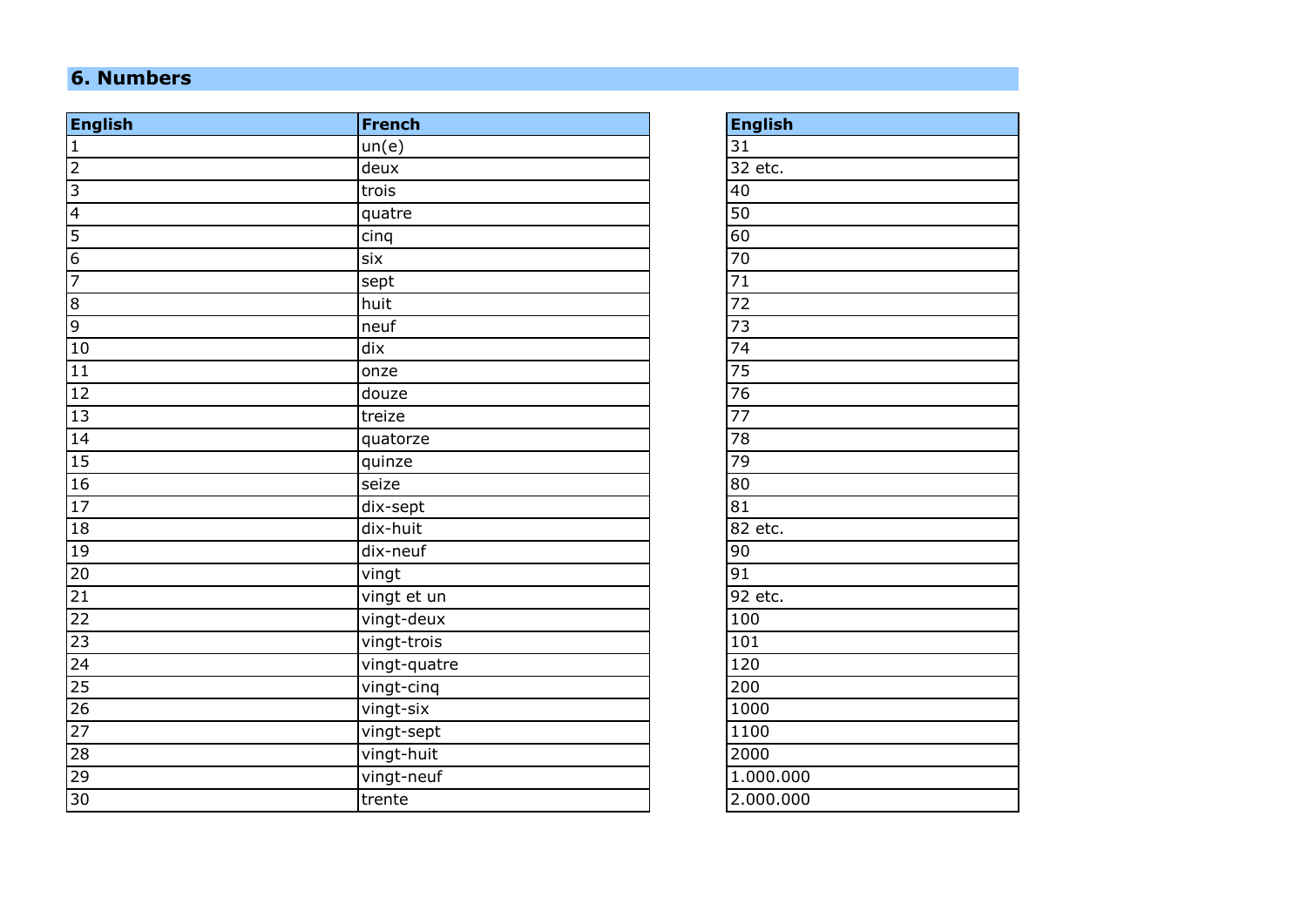#### **6. Numbers**

| <b>English</b>           | <b>French</b> | <b>English</b>       |
|--------------------------|---------------|----------------------|
| $\mathbf{1}$             | un(e)         | 31                   |
| $\overline{2}$           | deux          | $\overline{32}$ etc. |
| $\overline{3}$           | trois         | 40                   |
| $\overline{4}$           | quatre        | 50                   |
| $\overline{5}$           | cinq          | 60                   |
| $\overline{6}$           | six           | $\overline{70}$      |
| $\overline{\phantom{0}}$ | sept          | $\overline{71}$      |
| $\infty$                 | huit          | 72                   |
| $\overline{9}$           | neuf          | $\overline{73}$      |
| 10                       | dix           | $\overline{74}$      |
| $11\,$                   | onze          | $\overline{75}$      |
| $\overline{12}$          | douze         | 76                   |
| $\overline{13}$          | treize        | $\overline{77}$      |
| 14                       | quatorze      | $\overline{78}$      |
| 15                       | quinze        | $\overline{79}$      |
| 16                       | seize         | 80                   |
| $\overline{17}$          | dix-sept      | 81                   |
| 18                       | dix-huit      | $82$ etc.            |
| 19                       | $dix$ -neuf   | $\overline{90}$      |
| $\overline{20}$          | vingt         | 91                   |
| $\overline{21}$          | vingt et un   | $\overline{92}$ etc. |
| $\overline{22}$          | vingt-deux    | 100                  |
| 23                       | vingt-trois   | 101                  |
| 24                       | vingt-quatre  | 120                  |
| 25                       | vingt-cinq    | $\overline{200}$     |
| 26                       | vingt-six     | 1000                 |
| 27                       | vingt-sept    | 1100                 |
| $\overline{28}$          | vingt-huit    | 2000                 |
| $\overline{29}$          | vingt-neuf    | 1.000.000            |
| 30                       | trente        | 2.000.000            |

| <b>English</b>       |
|----------------------|
| 31                   |
| 32 etc.              |
| $\overline{40}$      |
| $\overline{50}$      |
| 60                   |
| $\overline{70}$      |
| $\overline{71}$      |
| $\overline{72}$      |
| $\overline{73}$      |
| $\overline{74}$      |
| $\overline{75}$      |
| $\overline{76}$      |
| $\overline{77}$      |
| $\overline{78}$      |
| $\overline{79}$      |
| 80                   |
| $\overline{81}$      |
| $\overline{82}$ etc. |
| $\overline{90}$      |
| 91                   |
| 92 etc.              |
| 100                  |
| 101                  |
| 120                  |
| 200                  |
| 1000                 |
| 1100                 |
| 2000                 |
| 1.000.000            |
| 2.000.000            |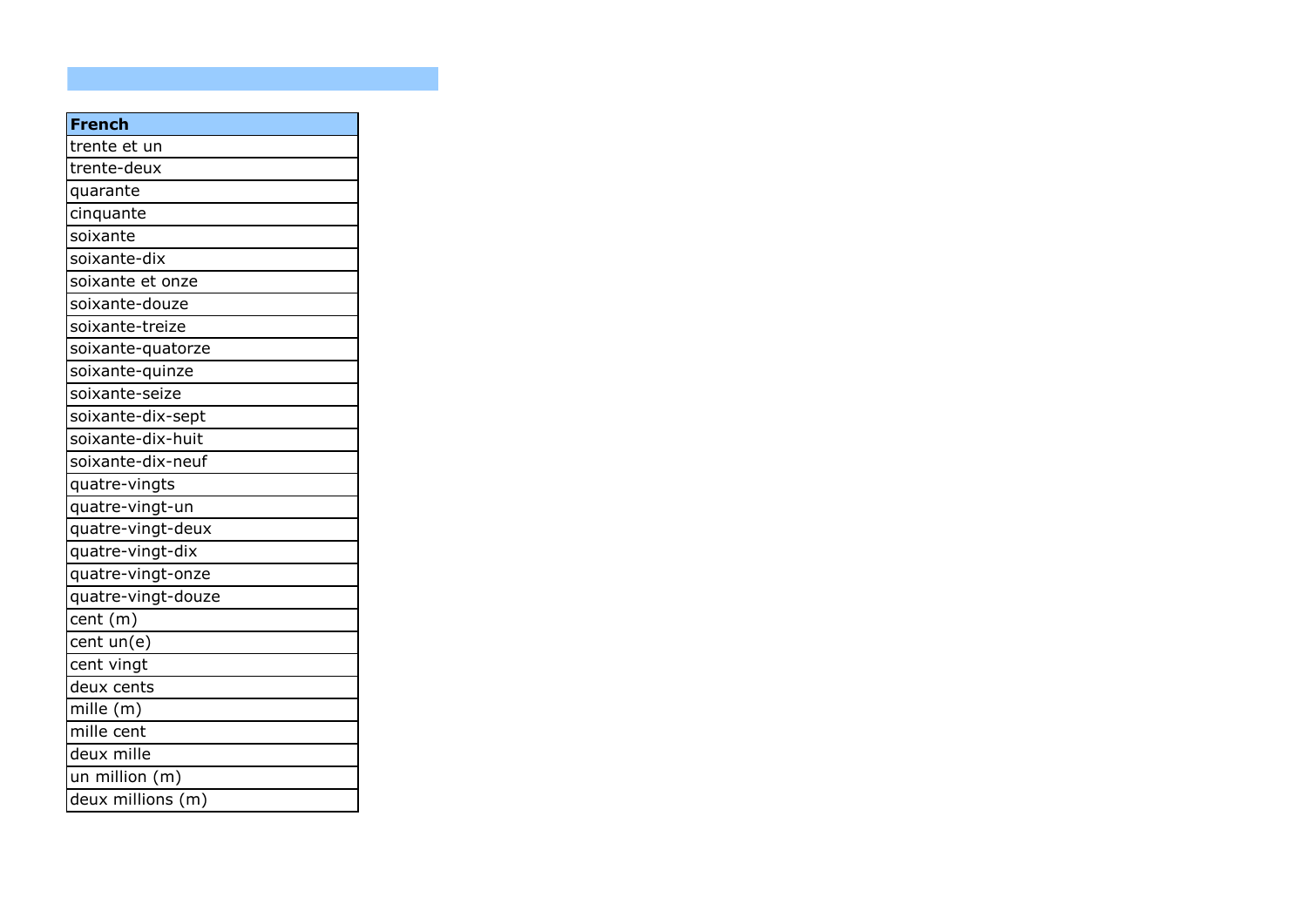| <b>French</b>      |
|--------------------|
| trente et un       |
| trente-deux        |
| quarante           |
| cinquante          |
| soixante           |
| soixante-dix       |
| soixante et onze   |
| soixante-douze     |
| soixante-treize    |
| soixante-quatorze  |
| soixante-quinze    |
| soixante-seize     |
| soixante-dix-sept  |
| soixante-dix-huit  |
| soixante-dix-neuf  |
| quatre-vingts      |
| quatre-vingt-un    |
| quatre-vingt-deux  |
| quatre-vingt-dix   |
| quatre-vingt-onze  |
| quatre-vingt-douze |
| cent (m)           |
| cent un(e)         |
| cent vingt         |
| deux cents         |
| mille (m)          |
| mille cent         |
| deux mille         |
| un million (m)     |
| deux millions (m)  |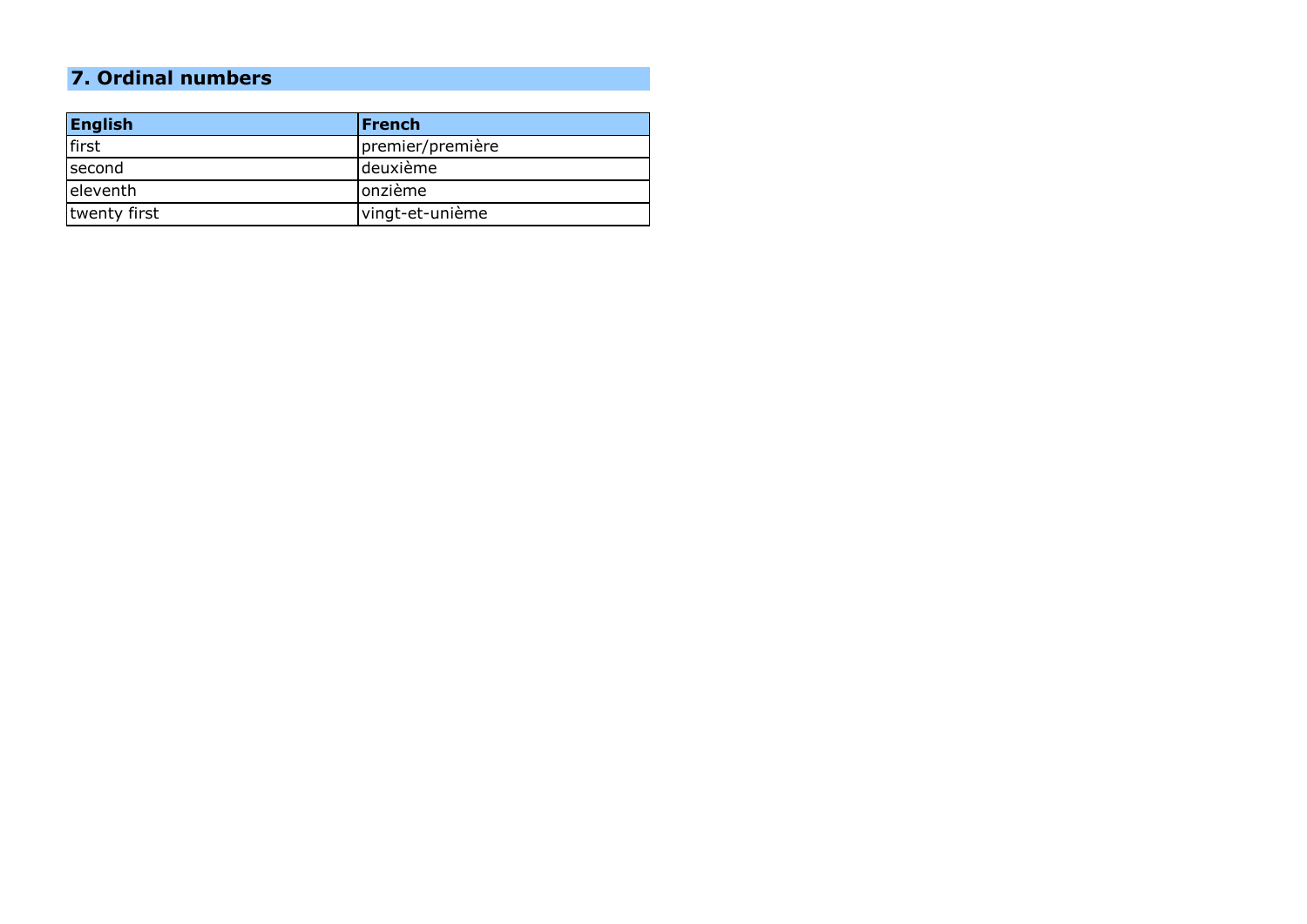#### **7. Ordinal numbers**

| <b>English</b> | <b> French</b>   |
|----------------|------------------|
| first          | premier/première |
| second         | deuxième         |
| eleventh       | lonzième         |
| twenty first   | vingt-et-unième  |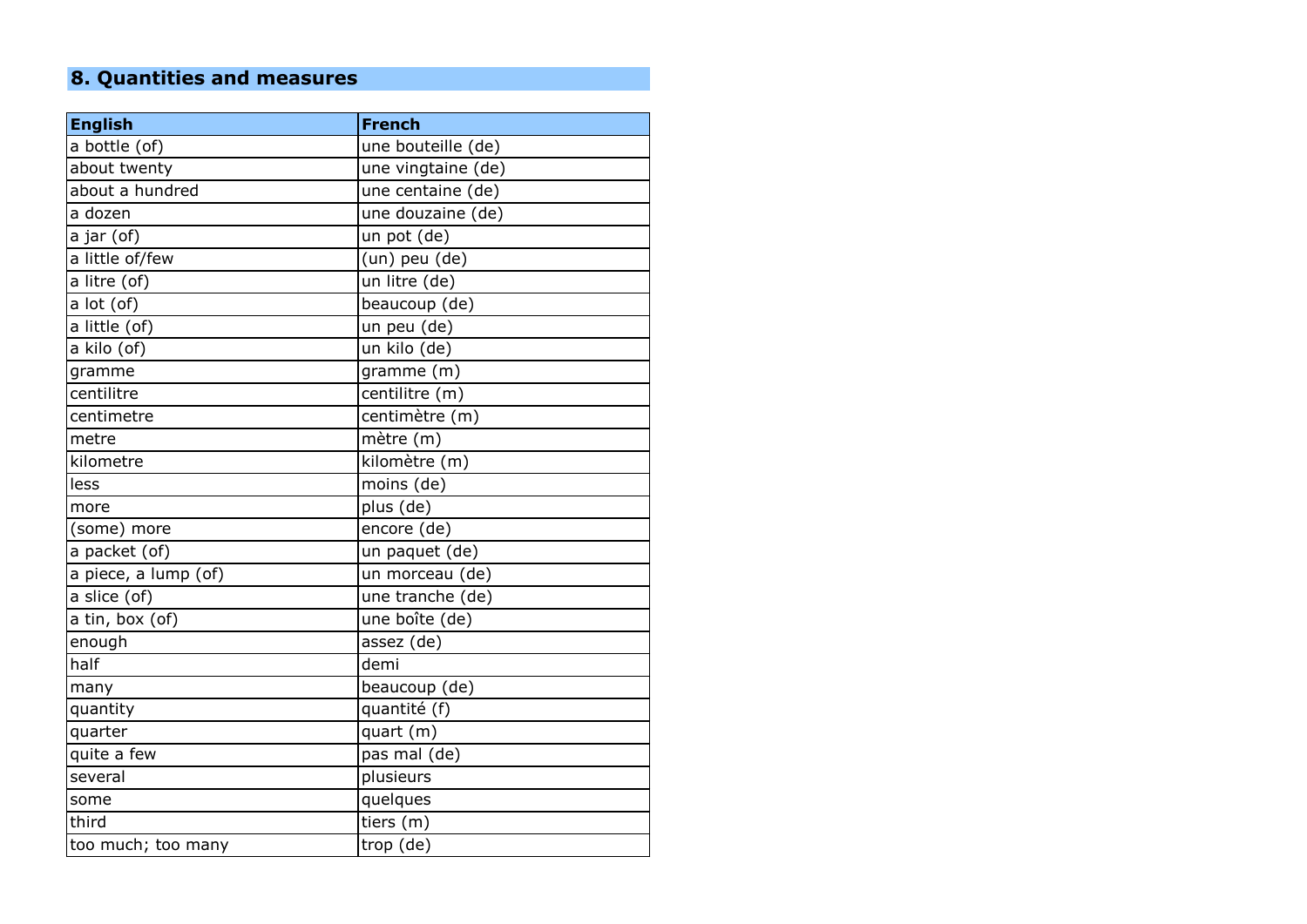# **8. Quantities and measures**

| <b>English</b>       | <b>French</b>      |
|----------------------|--------------------|
| a bottle (of)        | une bouteille (de) |
| about twenty         | une vingtaine (de) |
| about a hundred      | une centaine (de)  |
| a dozen              | une douzaine (de)  |
| a jar (of)           | un pot (de)        |
| a little of/few      | $(un)$ peu (de)    |
| a litre (of)         | un litre (de)      |
| a lot (of)           | beaucoup (de)      |
| a little (of)        | un peu (de)        |
| a kilo (of)          | un kilo (de)       |
| gramme               | gramme (m)         |
| centilitre           | centilitre (m)     |
| centimetre           | centimètre (m)     |
| metre                | mètre (m)          |
| kilometre            | kilomètre (m)      |
| less                 | moins (de)         |
| more                 | plus (de)          |
| (some) more          | encore (de)        |
| a packet (of)        | un paquet (de)     |
| a piece, a lump (of) | un morceau (de)    |
| a slice (of)         | une tranche $(de)$ |
| a tin, box (of)      | une boîte $(de)$   |
| enough               | assez (de)         |
| half                 | demi               |
| many                 | beaucoup (de)      |
| quantity             | quantité (f)       |
| quarter              | quart (m)          |
| quite a few          | pas mal (de)       |
| several              | plusieurs          |
| some                 | quelques           |
| third                | tiers (m)          |
| too much; too many   | trop (de)          |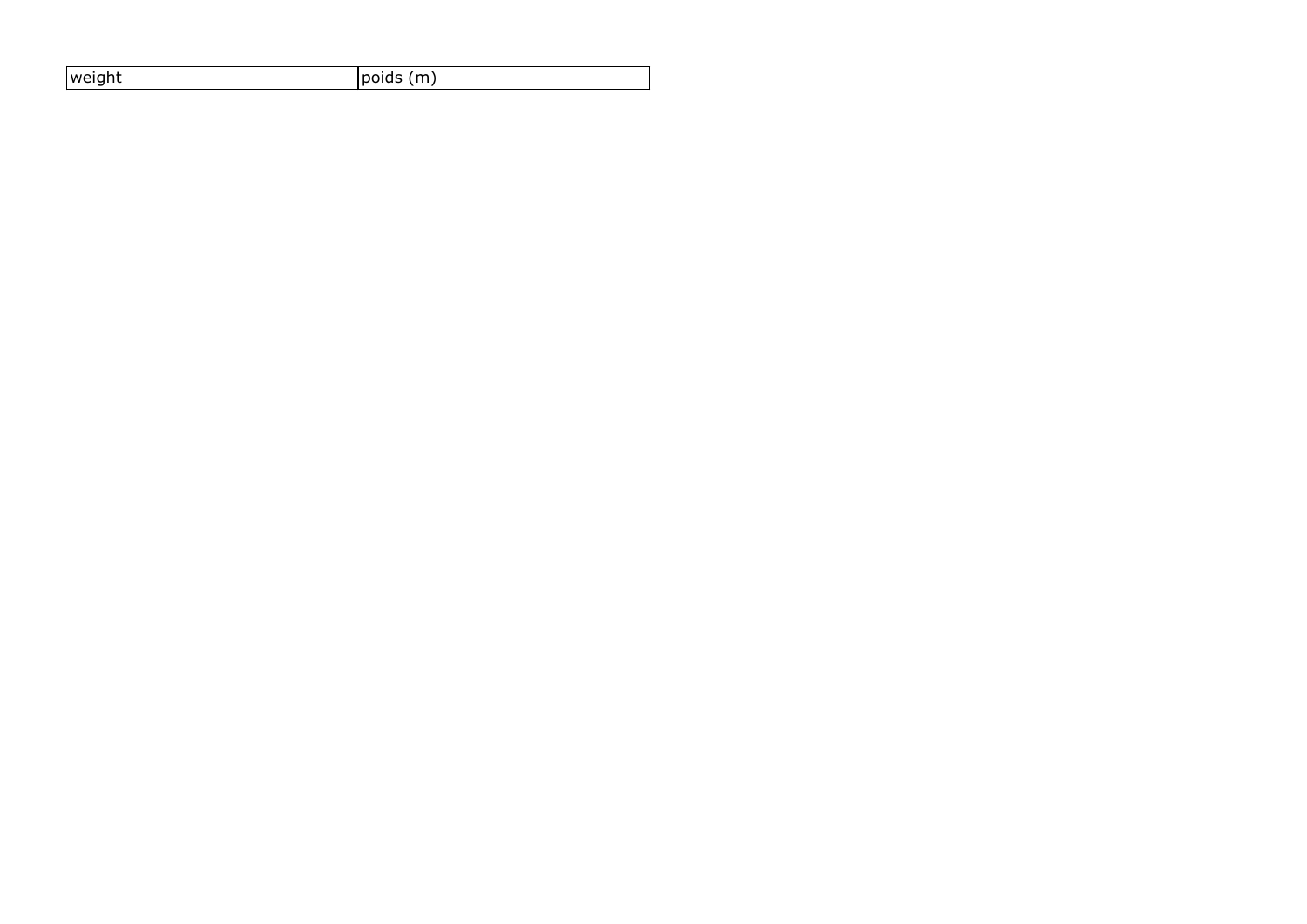| <u>lweight</u><br>91 I L | $\sim$<br>$\cdots$<br>. .<br>110 |
|--------------------------|----------------------------------|
|--------------------------|----------------------------------|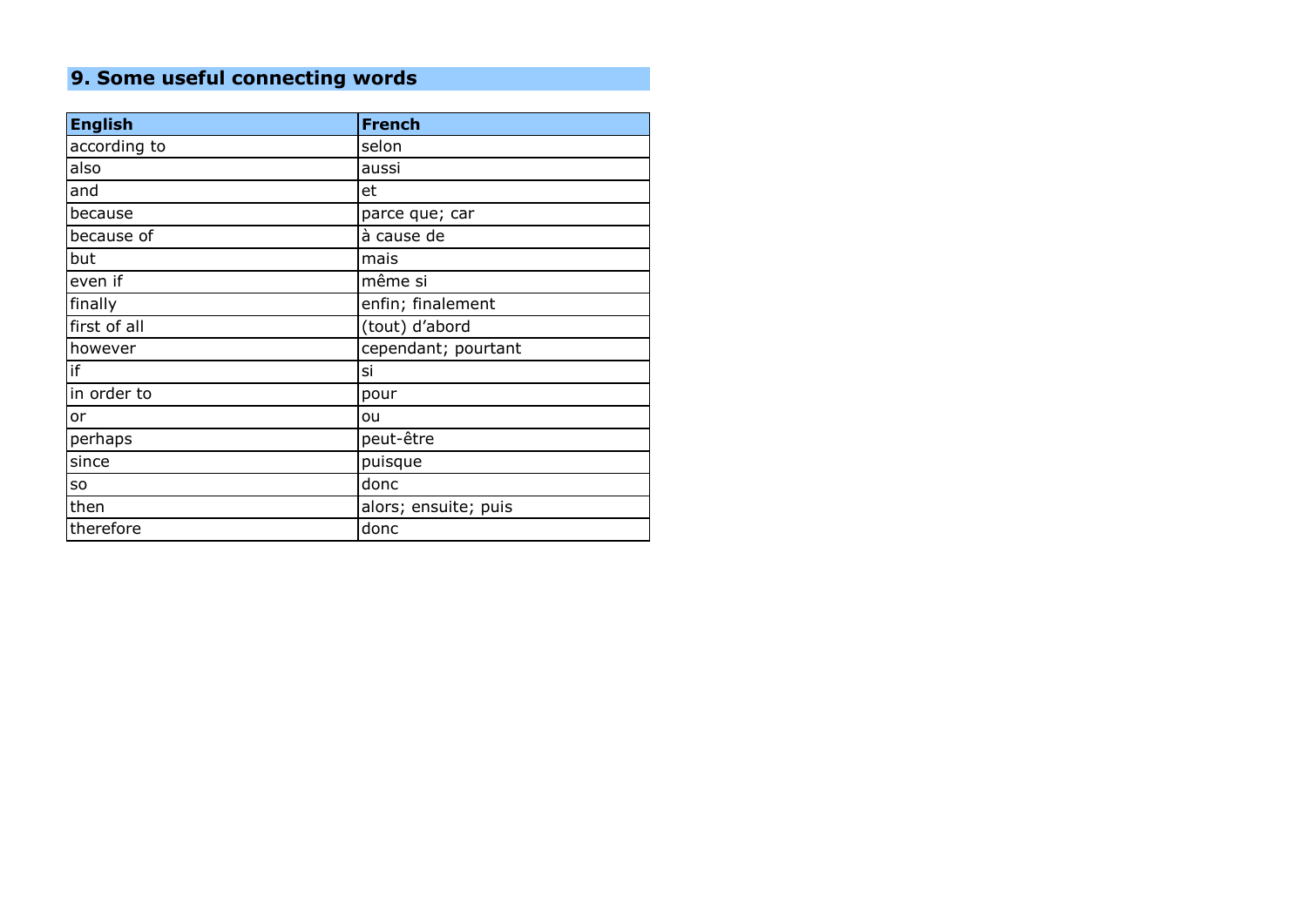# **9. Some useful connecting words**

| <b>English</b> | <b>French</b>        |
|----------------|----------------------|
| according to   | selon                |
| also           | aussi                |
| and            | et                   |
| because        | parce que; car       |
| because of     | à cause de           |
| but            | mais                 |
| even if        | même si              |
| finally        | enfin; finalement    |
| first of all   | (tout) d'abord       |
| however        | cependant; pourtant  |
| if             | si                   |
| in order to    | pour                 |
| or             | ou                   |
| perhaps        | peut-être            |
| since          | puisque              |
| SO             | donc                 |
| then           | alors; ensuite; puis |
| therefore      | donc                 |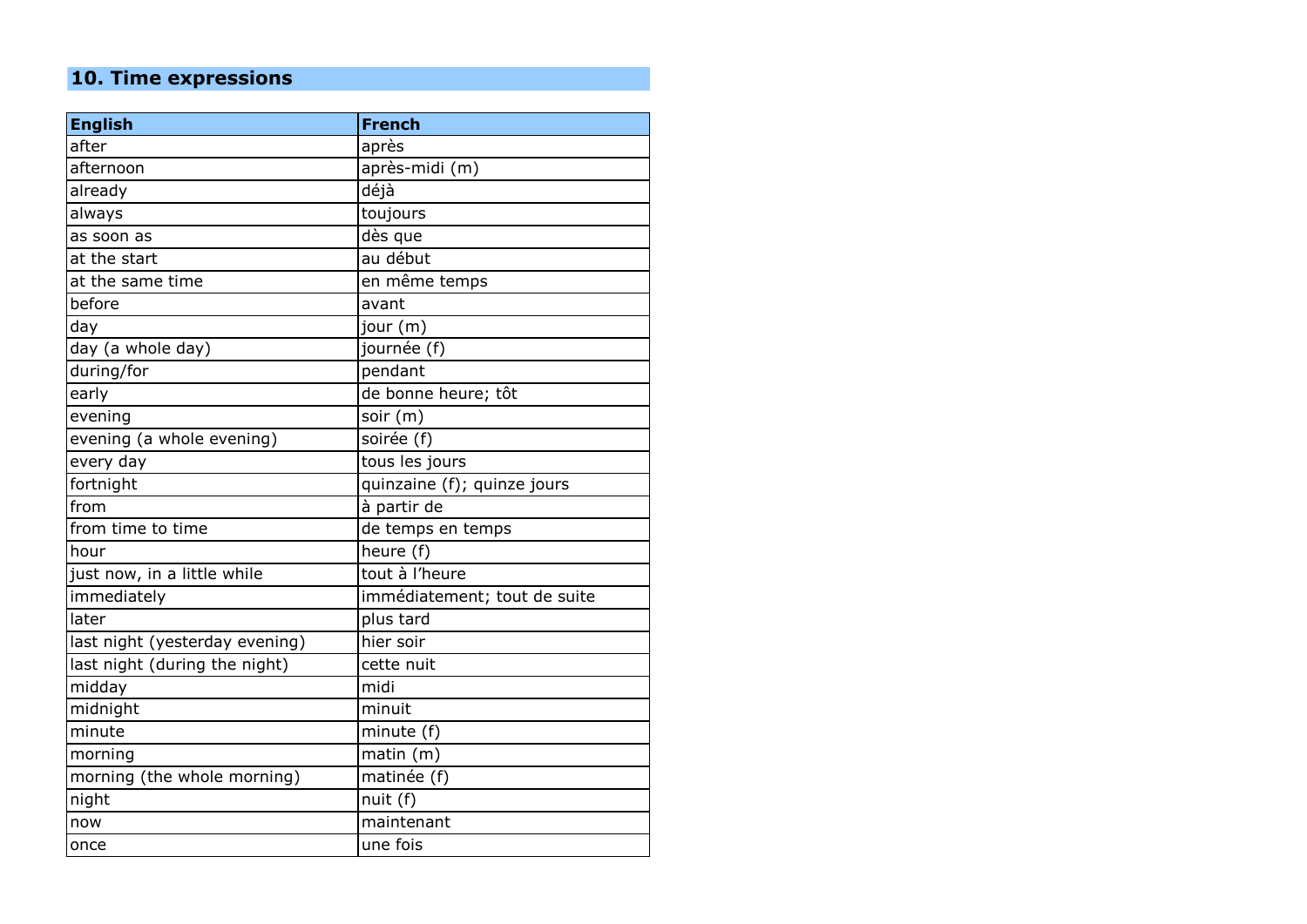# **10. Time expressions**

| <b>English</b>                 | <b>French</b>                |
|--------------------------------|------------------------------|
| after                          | après                        |
| afternoon                      | après-midi (m)               |
| already                        | déjà                         |
| always                         | toujours                     |
| as soon as                     | dès que                      |
| at the start                   | au début                     |
| at the same time               | en même temps                |
| before                         | avant                        |
| day                            | jour (m)                     |
| day (a whole day)              | journée (f)                  |
| during/for                     | pendant                      |
| early                          | de bonne heure; tôt          |
| evening                        | soir (m)                     |
| evening (a whole evening)      | soirée (f)                   |
| every day                      | tous les jours               |
| fortnight                      | quinzaine (f); quinze jours  |
| from                           | à partir de                  |
| from time to time              | de temps en temps            |
| hour                           | heure (f)                    |
| just now, in a little while    | tout à l'heure               |
| immediately                    | immédiatement; tout de suite |
| later                          | plus tard                    |
| last night (yesterday evening) | hier soir                    |
| last night (during the night)  | cette nuit                   |
| midday                         | midi                         |
| midnight                       | minuit                       |
| minute                         | minute (f)                   |
| morning                        | matin (m)                    |
| morning (the whole morning)    | matinée (f)                  |
| night                          | nuit (f)                     |
| now                            | maintenant                   |
| once                           | une fois                     |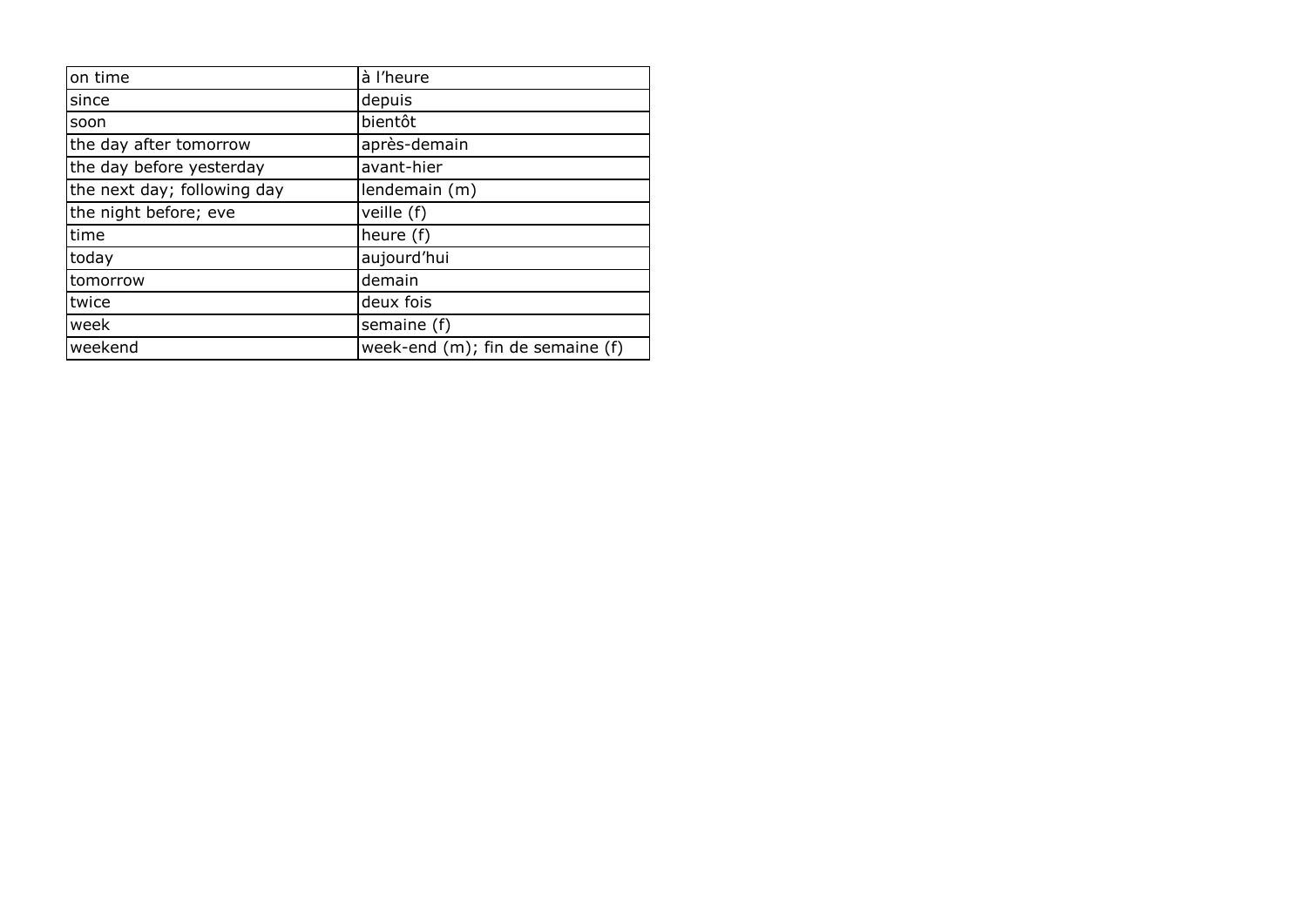| on time                     | à l'heure                        |
|-----------------------------|----------------------------------|
| since                       | depuis                           |
| soon                        | bientôt                          |
| the day after tomorrow      | après-demain                     |
| the day before yesterday    | avant-hier                       |
| the next day; following day | lendemain (m)                    |
| the night before; eve       | veille (f)                       |
| time                        | heure (f)                        |
| today                       | aujourd'hui                      |
| tomorrow                    | demain                           |
| twice                       | deux fois                        |
| week                        | semaine (f)                      |
| weekend                     | week-end (m); fin de semaine (f) |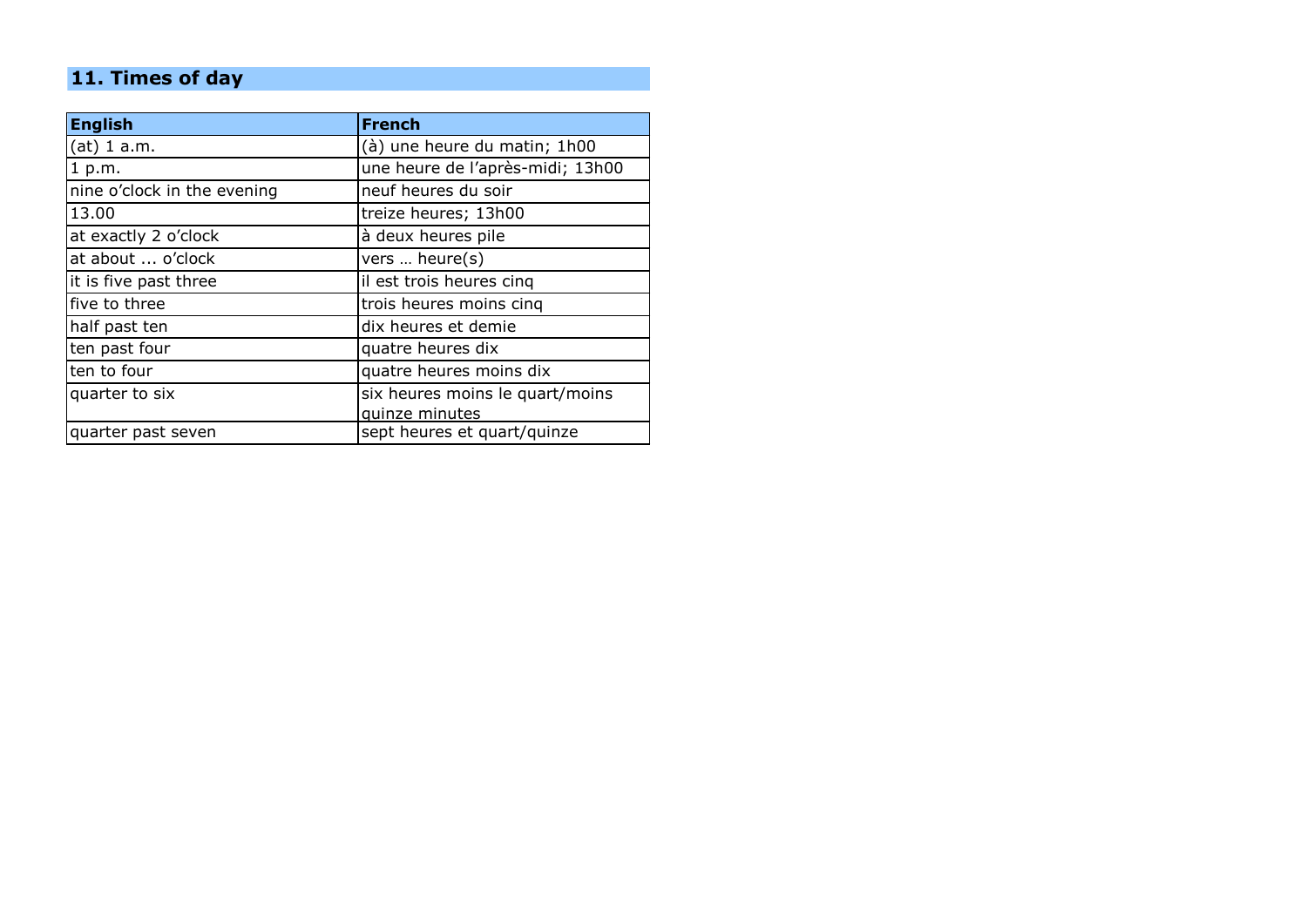# **11. Times of day**

| <b>English</b>              | <b>French</b>                    |
|-----------------------------|----------------------------------|
| $(at)$ 1 a.m.               | (à) une heure du matin; 1h00     |
| 1 p.m.                      | une heure de l'après-midi; 13h00 |
| nine o'clock in the evening | neuf heures du soir              |
| 13.00                       | treize heures; 13h00             |
| at exactly 2 o'clock        | à deux heures pile               |
| at about  o'clock           | vers  heure(s)                   |
| it is five past three       | il est trois heures cinq         |
| five to three               | trois heures moins cinq          |
| half past ten               | dix heures et demie              |
| ten past four               | quatre heures dix                |
| ten to four                 | quatre heures moins dix          |
| quarter to six              | six heures moins le quart/moins  |
|                             | quinze minutes                   |
| quarter past seven          | sept heures et quart/quinze      |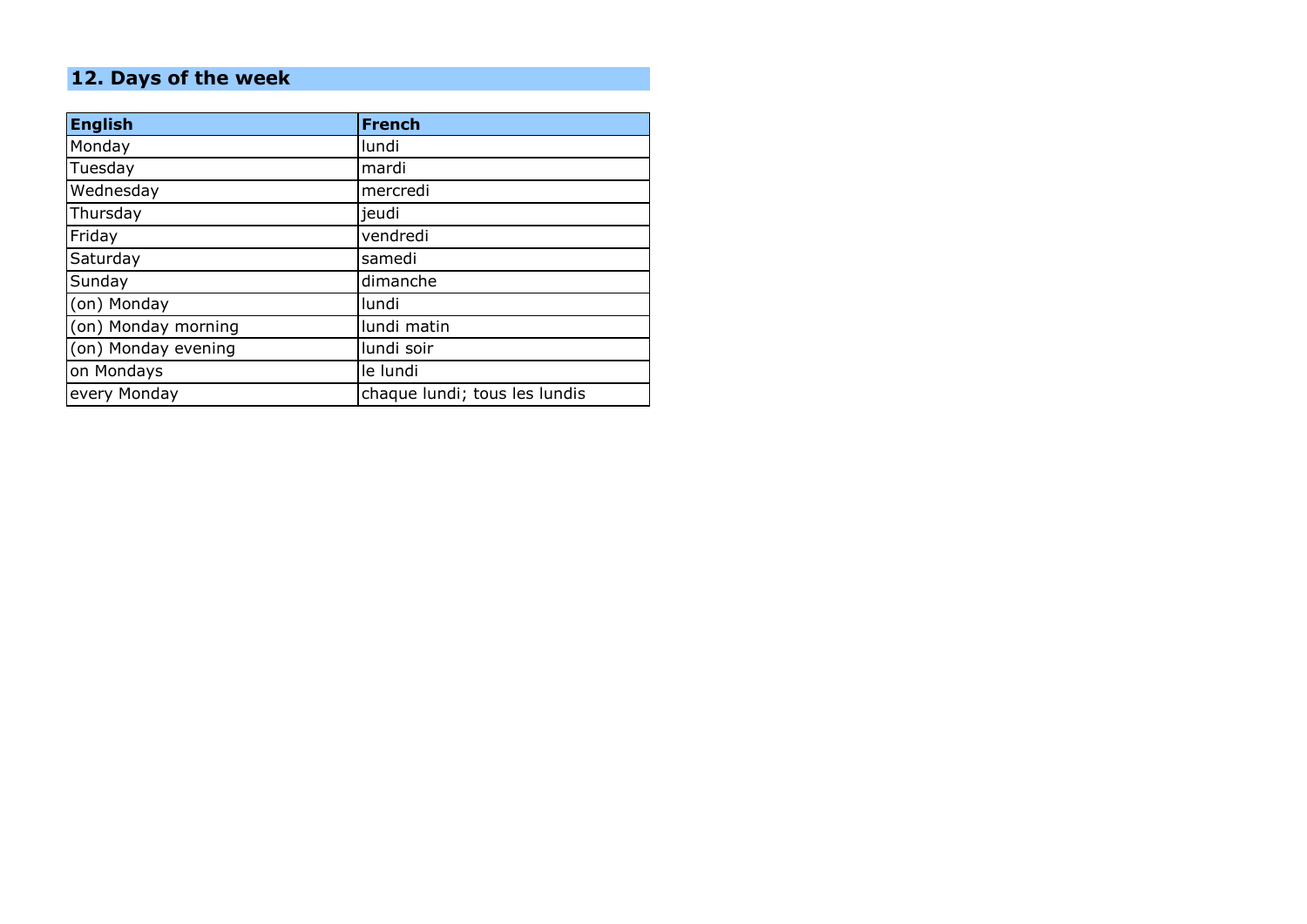# **12. Days of the week**

| <b>English</b>      | <b>French</b>                 |
|---------------------|-------------------------------|
| Monday              | lundi                         |
| Tuesday             | mardi                         |
| Wednesday           | mercredi                      |
| Thursday            | jeudi                         |
| Friday              | vendredi                      |
| Saturday            | samedi                        |
| Sunday              | dimanche                      |
| (on) Monday         | lundi                         |
| (on) Monday morning | lundi matin                   |
| (on) Monday evening | lundi soir                    |
| on Mondays          | le lundi                      |
| every Monday        | chaque lundi; tous les lundis |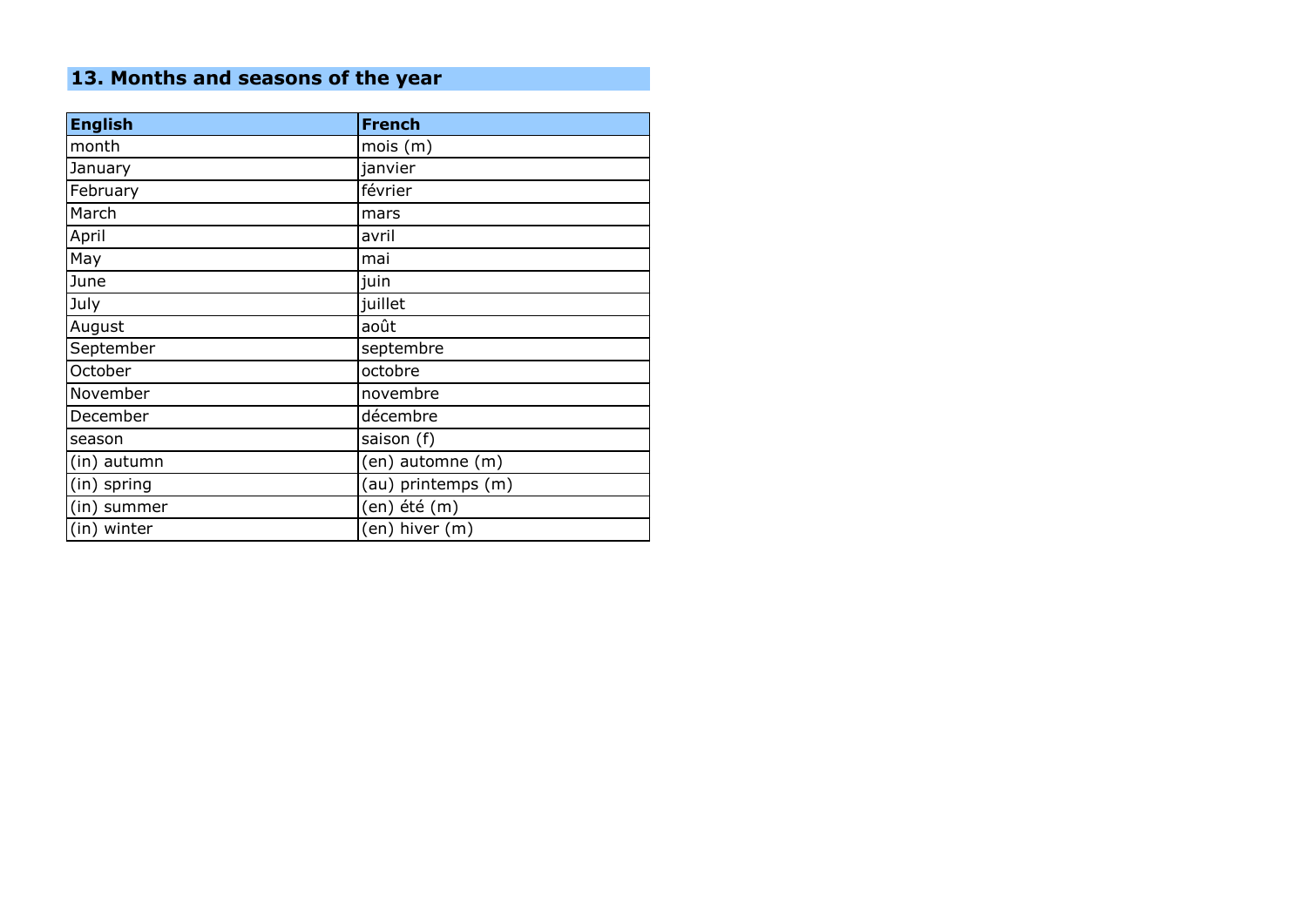# **13. Months and seasons of the year**

| <b>English</b> | <b>French</b>      |
|----------------|--------------------|
| month          | mois(m)            |
| January        | janvier            |
| February       | février            |
| March          | mars               |
| April          | avril              |
| May            | mai                |
| June           | juin               |
| July           | juillet            |
| August         | août               |
| September      | septembre          |
| October        | octobre            |
| November       | novembre           |
| December       | décembre           |
| season         | saison (f)         |
| (in) autumn    | (en) automne (m)   |
| (in) spring    | (au) printemps (m) |
| (in) summer    | (en) été (m)       |
| (in) winter    | (en) hiver (m)     |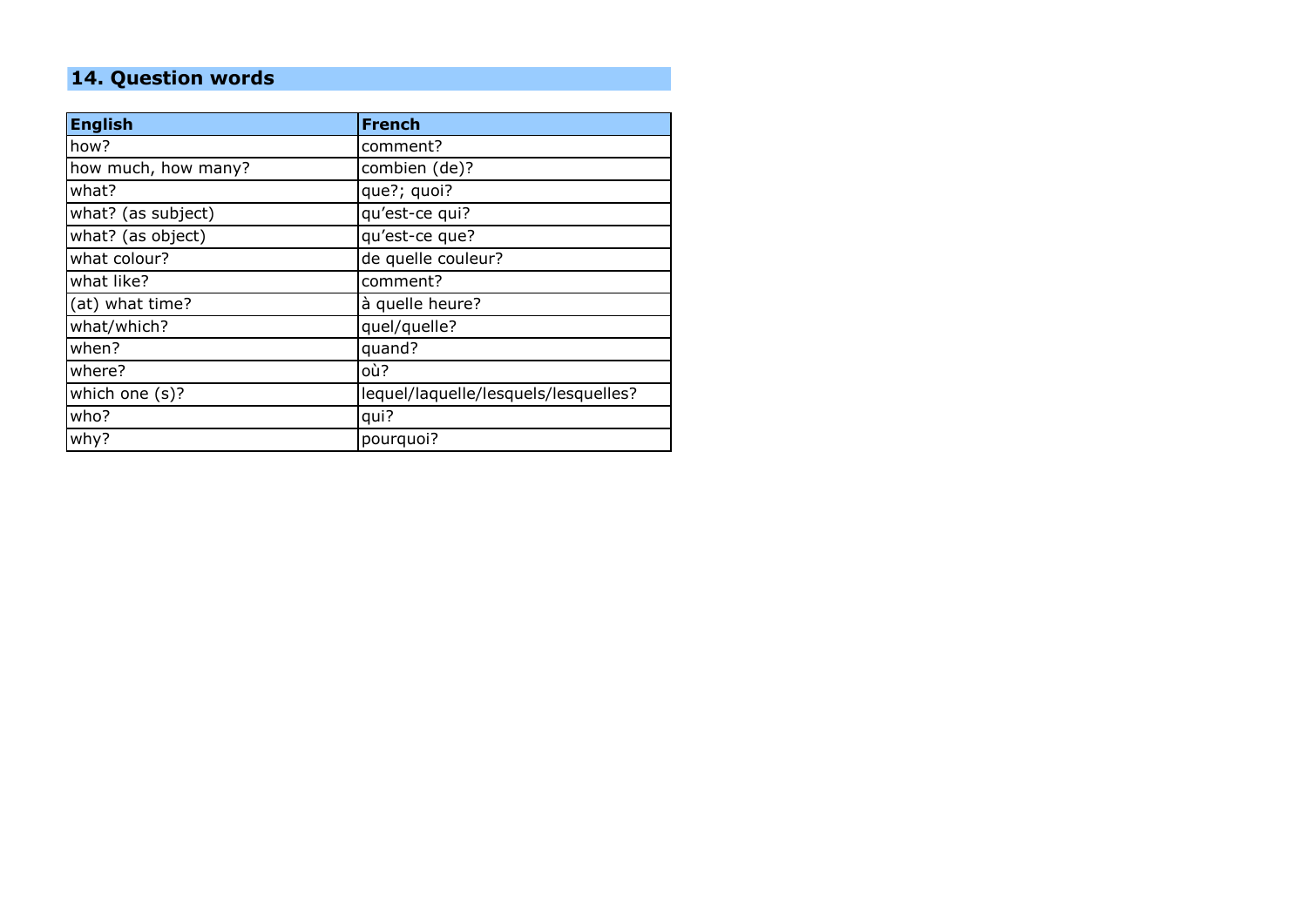### **14. Question words**

| <b>English</b>      | <b>French</b>                        |
|---------------------|--------------------------------------|
| how?                | comment?                             |
| how much, how many? | combien (de)?                        |
| what?               | que?; quoi?                          |
| what? (as subject)  | qu'est-ce qui?                       |
| what? (as object)   | qu'est-ce que?                       |
| what colour?        | de quelle couleur?                   |
| what like?          | comment?                             |
| (at) what time?     | à quelle heure?                      |
| what/which?         | quel/quelle?                         |
| when?               | quand?                               |
| where?              | où?                                  |
| which one (s)?      | lequel/laquelle/lesquels/lesquelles? |
| who?                | qui?                                 |
| why?                | pourquoi?                            |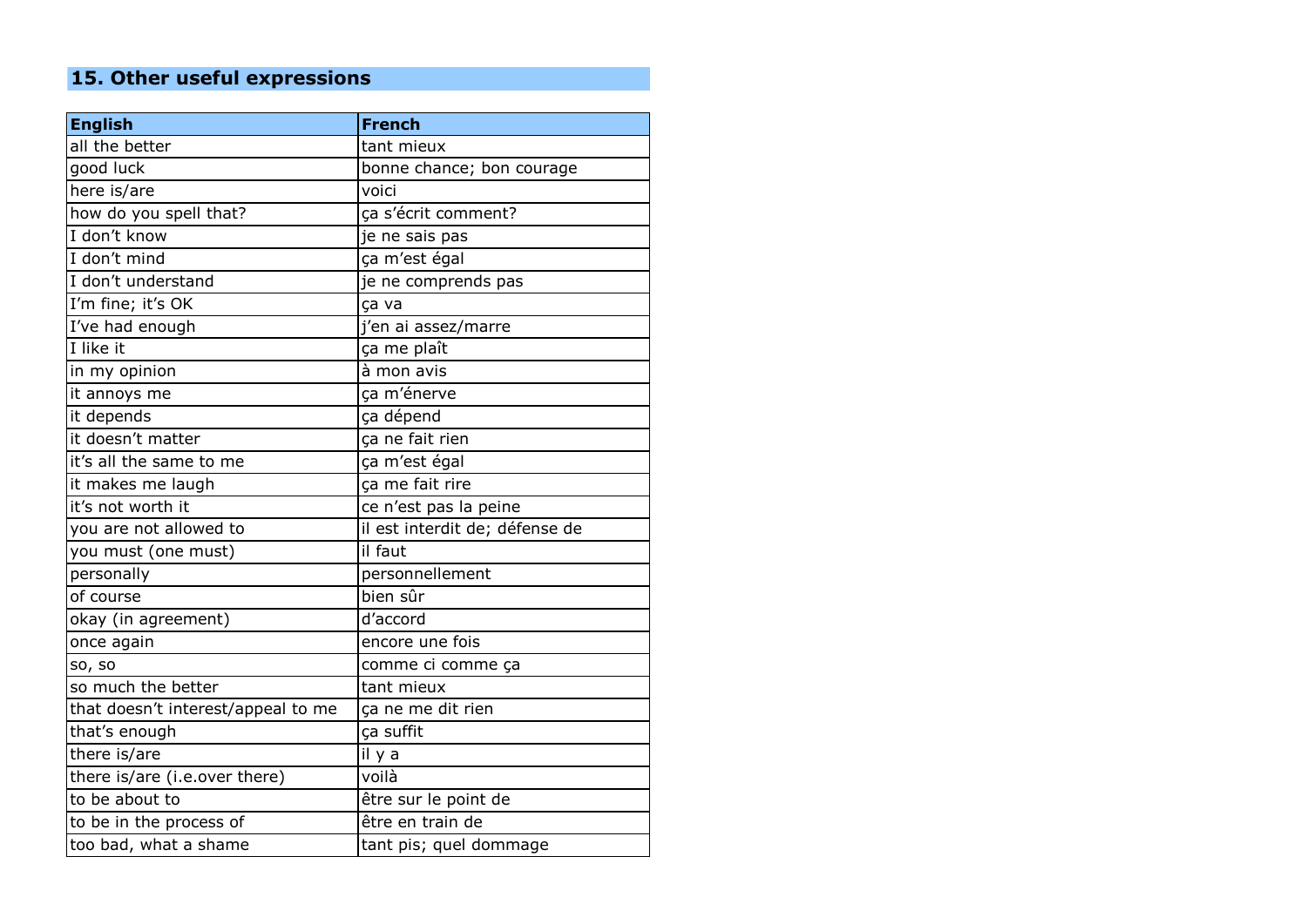# **15. Other useful expressions**

| <b>English</b>                     | <b>French</b>                  |
|------------------------------------|--------------------------------|
| all the better                     | tant mieux                     |
| good luck                          | bonne chance; bon courage      |
| here is/are                        | voici                          |
| how do you spell that?             | ça s'écrit comment?            |
| I don't know                       | je ne sais pas                 |
| I don't mind                       | ça m'est égal                  |
| I don't understand                 | je ne comprends pas            |
| I'm fine; it's OK                  | ça va                          |
| I've had enough                    | j'en ai assez/marre            |
| I like it                          | ça me plaît                    |
| in my opinion                      | à mon avis                     |
| it annoys me                       | ça m'énerve                    |
| it depends                         | ça dépend                      |
| it doesn't matter                  | ça ne fait rien                |
| it's all the same to me            | ça m'est égal                  |
| it makes me laugh                  | ça me fait rire                |
| it's not worth it                  | ce n'est pas la peine          |
| you are not allowed to             | il est interdit de; défense de |
| you must (one must)                | il faut                        |
| personally                         | personnellement                |
| of course                          | bien sûr                       |
| okay (in agreement)                | d'accord                       |
| once again                         | encore une fois                |
| so, so                             | comme ci comme ça              |
| so much the better                 | tant mieux                     |
| that doesn't interest/appeal to me | ça ne me dit rien              |
| that's enough                      | ça suffit                      |
| there is/are                       | il y a                         |
| there is/are (i.e.over there)      | voilà                          |
| to be about to                     | être sur le point de           |
| to be in the process of            | être en train de               |
| too bad, what a shame              | tant pis; quel dommage         |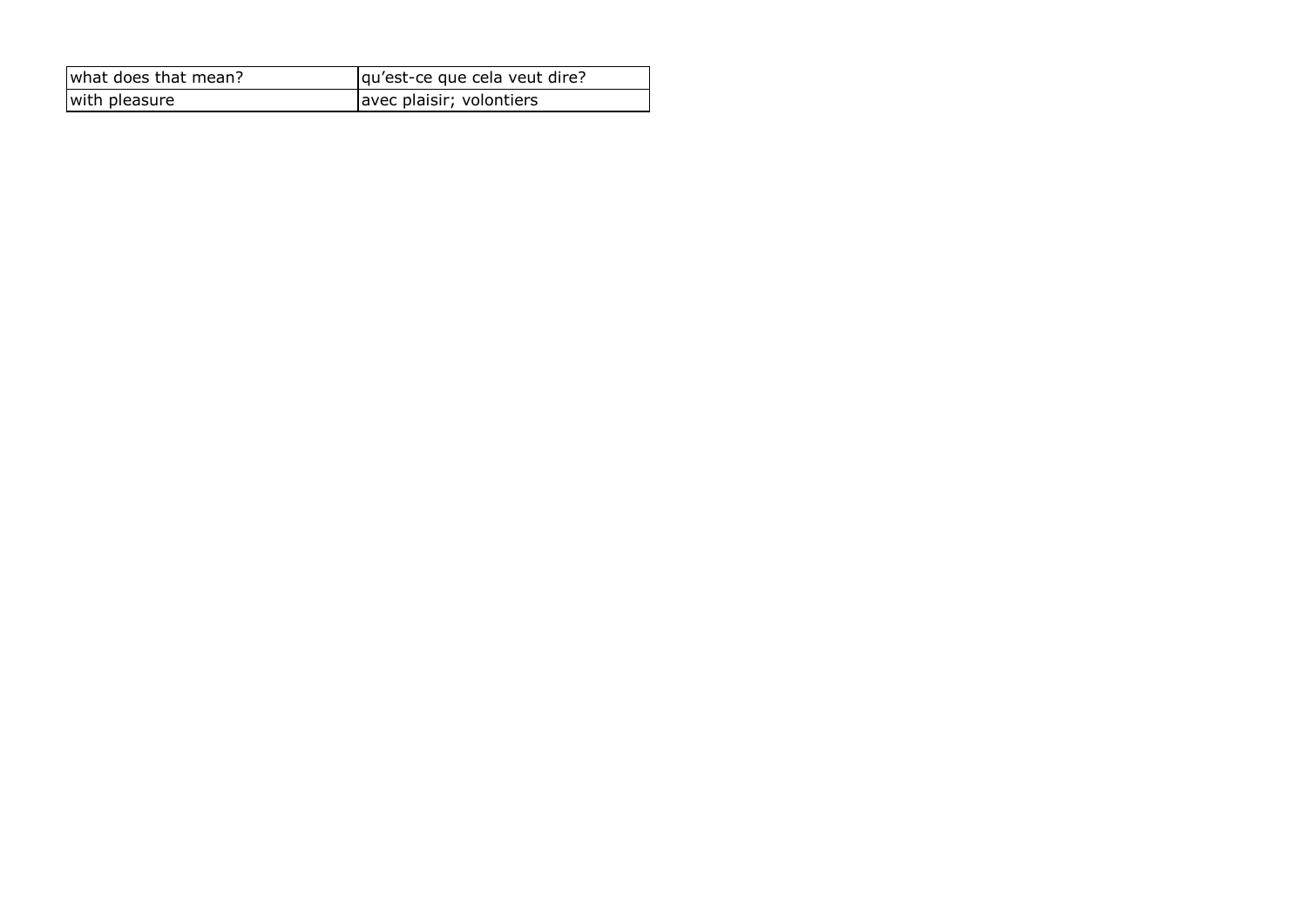| what does that mean? | qu'est-ce que cela veut dire? |
|----------------------|-------------------------------|
| with pleasure        | avec plaisir; volontiers      |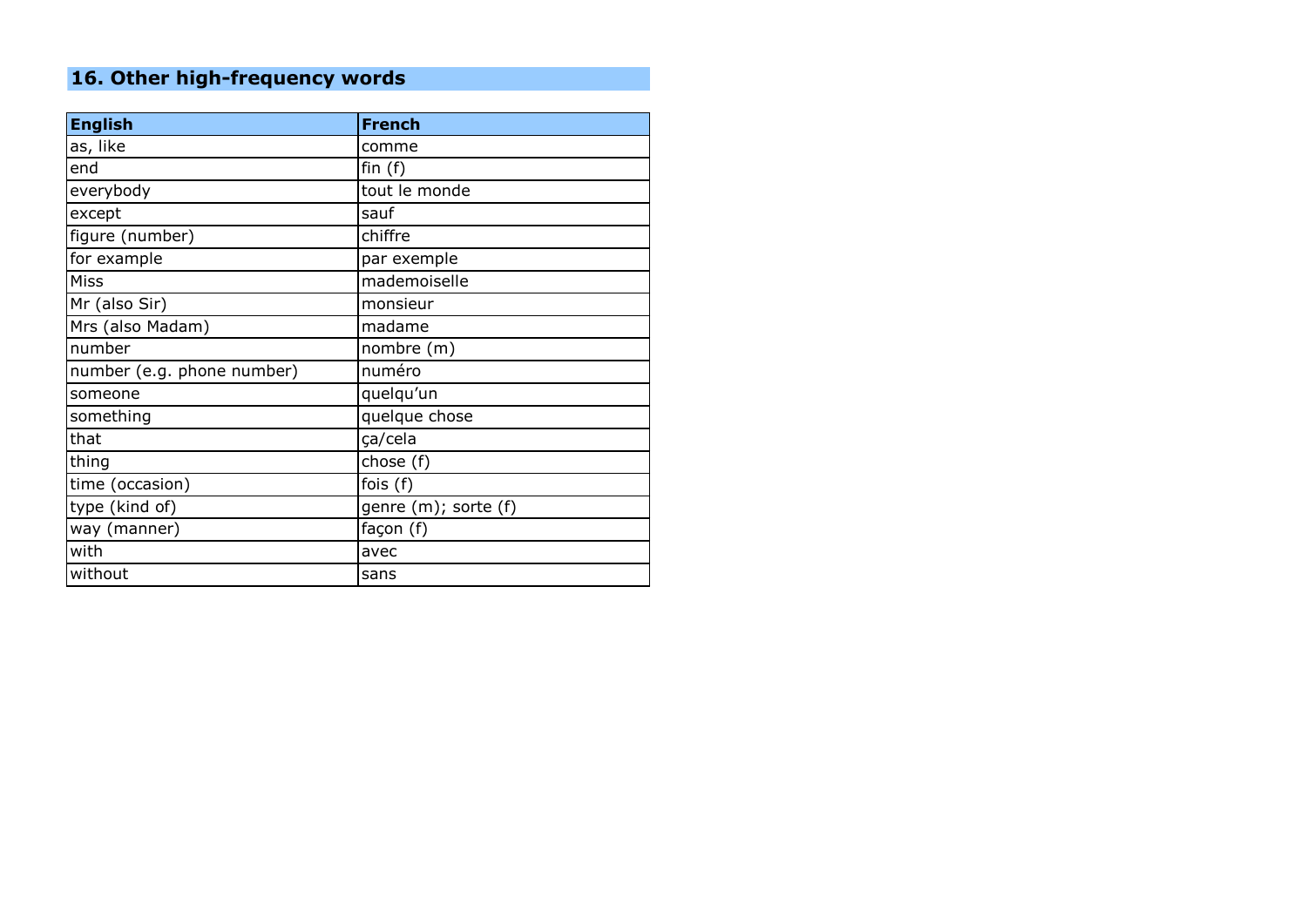# **16. Other high-frequency words**

| <b>English</b>             | <b>French</b>        |
|----------------------------|----------------------|
| as, like                   | comme                |
| end                        | fin $(f)$            |
| everybody                  | tout le monde        |
| except                     | sauf                 |
| figure (number)            | chiffre              |
| for example                | par exemple          |
| Miss                       | mademoiselle         |
| Mr (also Sir)              | monsieur             |
| Mrs (also Madam)           | madame               |
| number                     | nombre (m)           |
| number (e.g. phone number) | numéro               |
| someone                    | quelqu'un            |
| something                  | quelque chose        |
| that                       | ça/cela              |
| thing                      | chose (f)            |
| time (occasion)            | fois (f)             |
| type (kind of)             | genre (m); sorte (f) |
| way (manner)               | façon (f)            |
| with                       | avec                 |
| without                    | sans                 |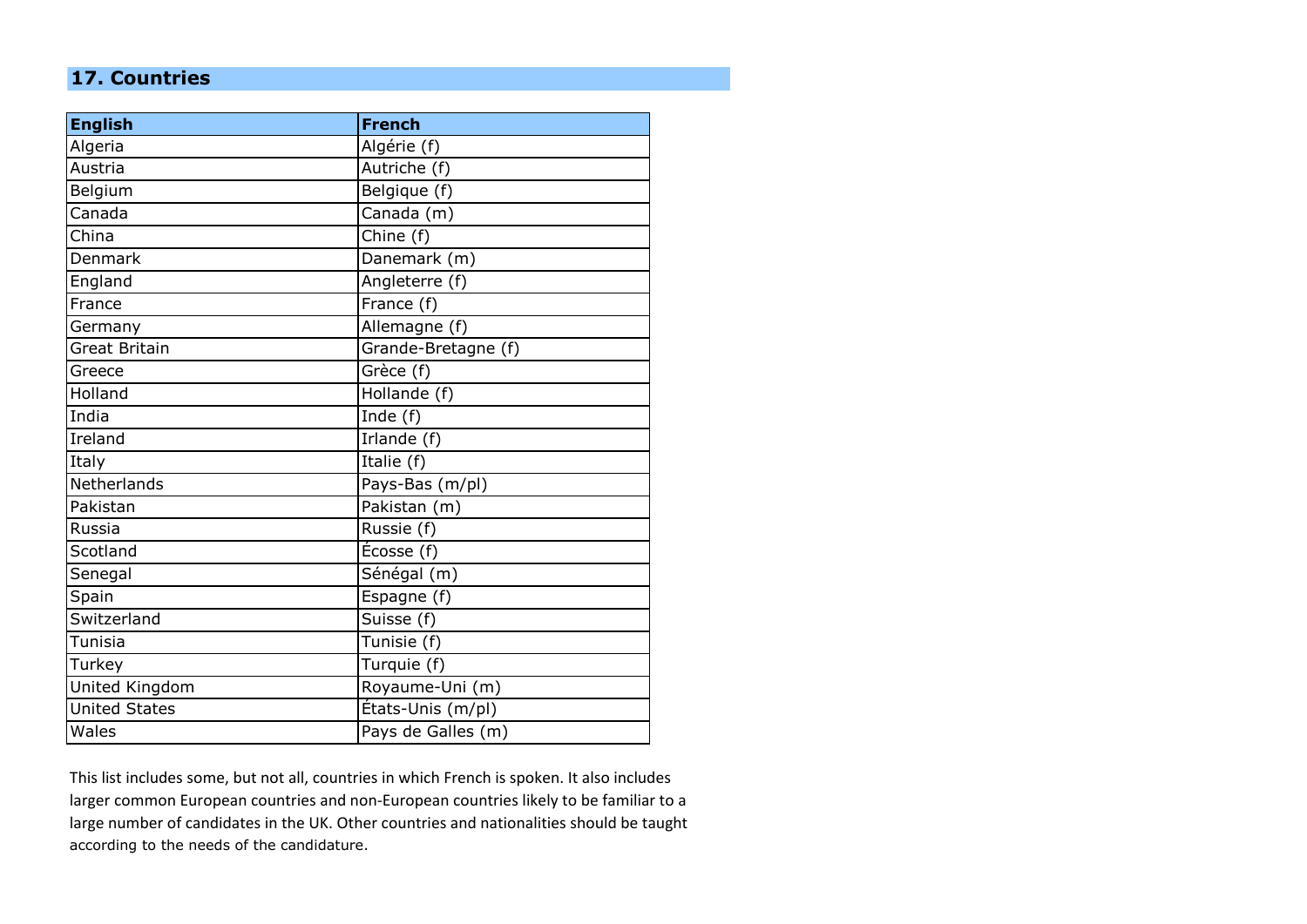#### **17. Countries**

| <b>English</b>       | <b>French</b>                  |
|----------------------|--------------------------------|
| Algeria              | Algérie (f)                    |
| Austria              | Autriche (f)                   |
| Belgium              | Belgique (f)                   |
| Canada               | Canada (m)                     |
| China                | Chine (f)                      |
| Denmark              | Danemark (m)                   |
| England              | Angleterre (f)                 |
| France               | France (f)                     |
| Germany              | Allemagne (f)                  |
| Great Britain        | Grande-Bretagne (f)            |
| Greece               | $G$ rèce (f)                   |
| Holland              | $\overline{H}$ ollande (f)     |
| India                | Inde $(f)$                     |
| Ireland              | $I$ rlande $(f)$               |
| Italy                | Italie $(f)$                   |
| Netherlands          | Pays-Bas (m/pl)                |
| Pakistan             | Pakistan (m)                   |
| <b>Russia</b>        | Russie (f)                     |
| Scotland             | $\overline{Écosse}$ (f)        |
| Senegal              | Sénégal (m)                    |
| Spain                | Espagne (f)                    |
| Switzerland          | $\overline{\text{Suisse}}$ (f) |
| Tunisia              | Tunisie (f)                    |
| Turkey               | Turquie (f)                    |
| United Kingdom       | Royaume-Uni (m)                |
| <b>United States</b> | Etats-Unis (m/pl)              |
| Wales                | Pays de Galles $(m)$           |

This list includes some, but not all, countries in which French is spoken. It also includes larger common European countries and non-European countries likely to be familiar to a large number of candidates in the UK. Other countries and nationalities should be taught according to the needs of the candidature.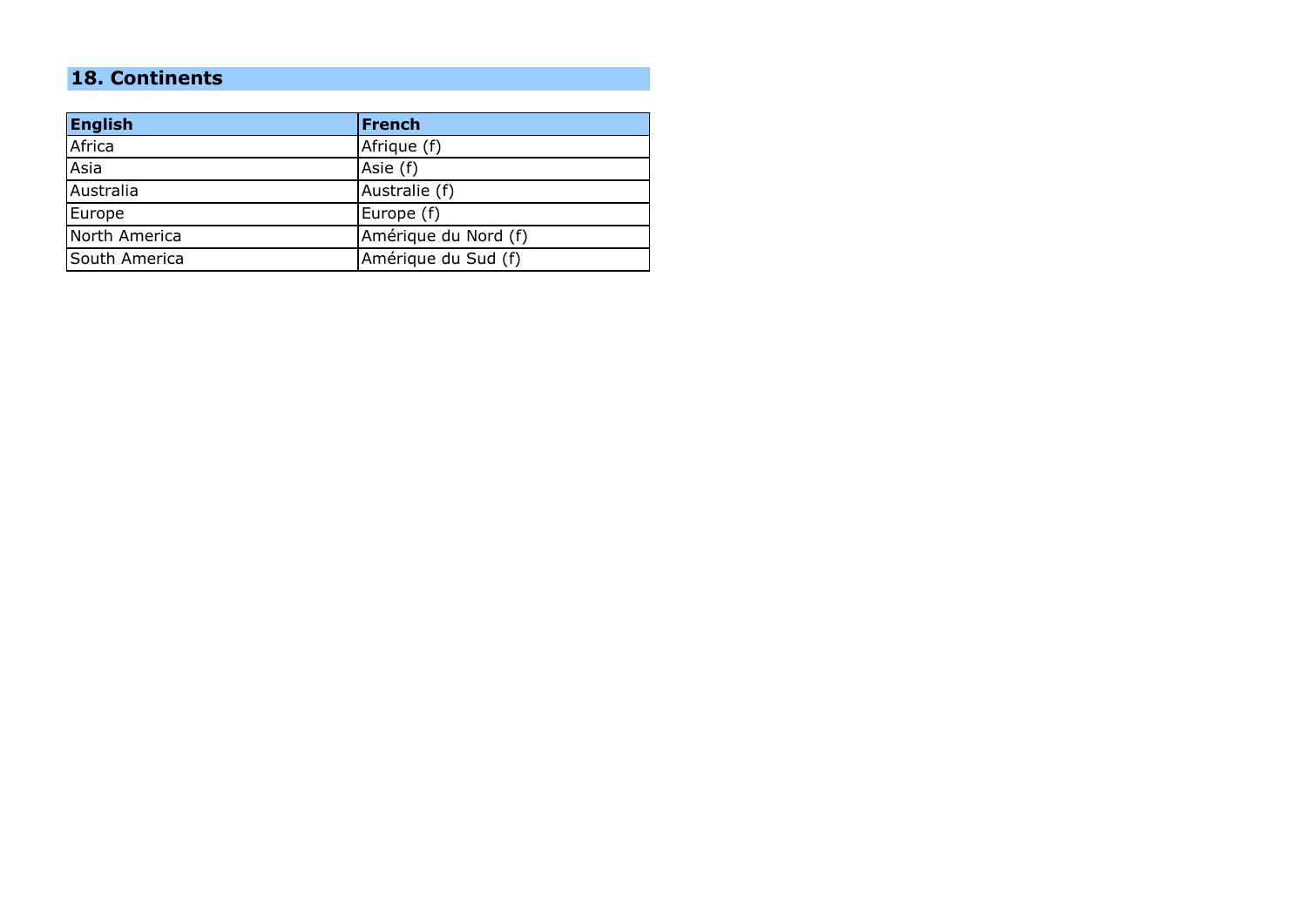#### **18. Continents**

| <b>English</b> | French               |
|----------------|----------------------|
| Africa         | Afrique (f)          |
| Asia           | Asie (f)             |
| Australia      | Australie (f)        |
| Europe         | Europe (f)           |
| North America  | Amérique du Nord (f) |
| South America  | Amérique du Sud (f)  |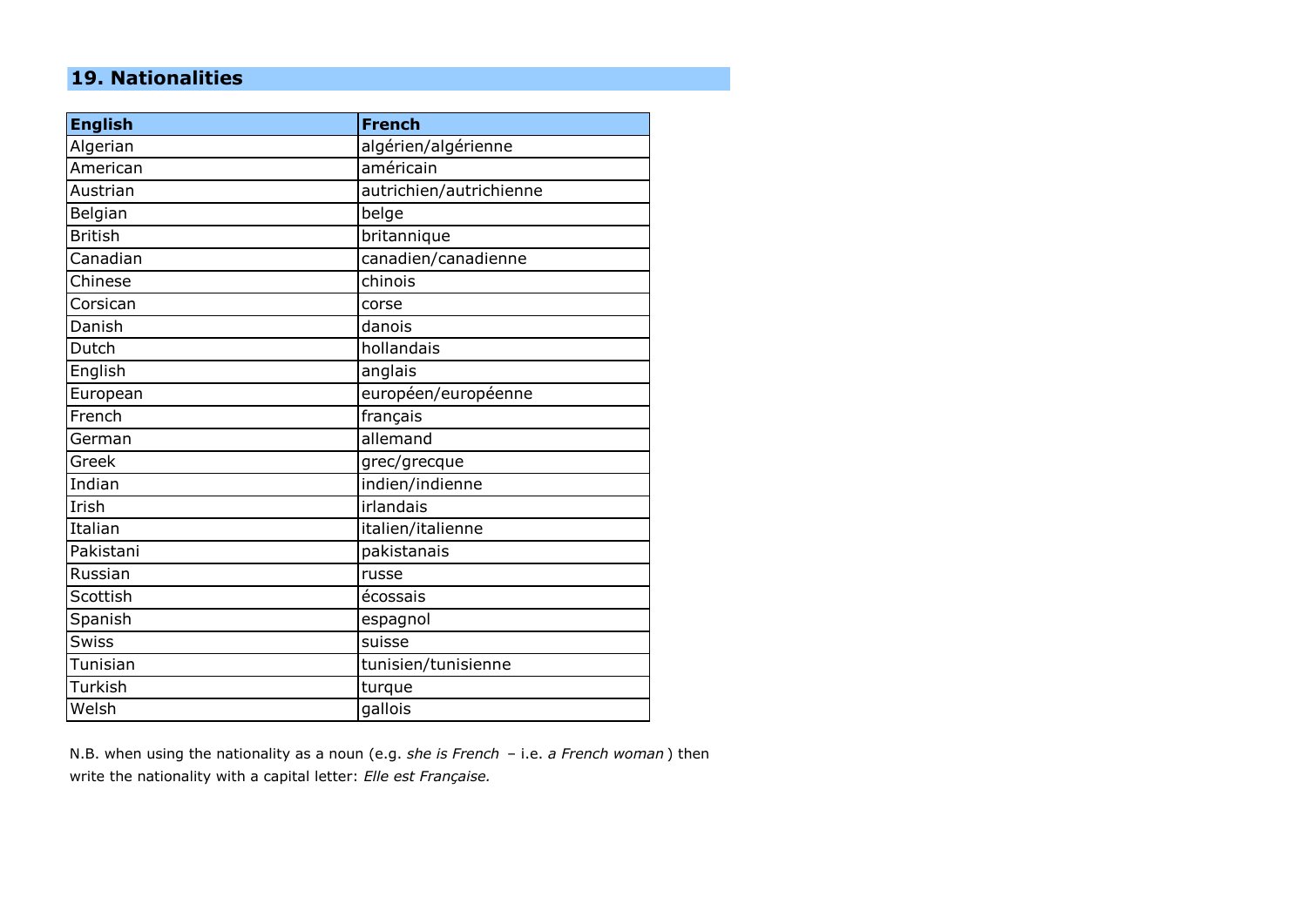#### **19. Nationalities**

| <b>English</b> | <b>French</b>           |
|----------------|-------------------------|
| Algerian       | algérien/algérienne     |
| American       | américain               |
| Austrian       | autrichien/autrichienne |
| Belgian        | belge                   |
| <b>British</b> | britannique             |
| Canadian       | canadien/canadienne     |
| Chinese        | chinois                 |
| Corsican       | corse                   |
| Danish         | danois                  |
| Dutch          | hollandais              |
| English        | anglais                 |
| European       | européen/européenne     |
| French         | français                |
| German         | allemand                |
| Greek          | grec/grecque            |
| Indian         | indien/indienne         |
| Irish          | irlandais               |
| Italian        | italien/italienne       |
| Pakistani      | pakistanais             |
| Russian        | russe                   |
| Scottish       | écossais                |
| Spanish        | espagnol                |
| <b>Swiss</b>   | suisse                  |
| Tunisian       | tunisien/tunisienne     |
| <b>Turkish</b> | turque                  |
| Welsh          | gallois                 |

N.B. when using the nationality as a noun (e.g. *she is French* – i.e. *a French woman* ) then write the nationality with a capital letter: *Elle est Française.*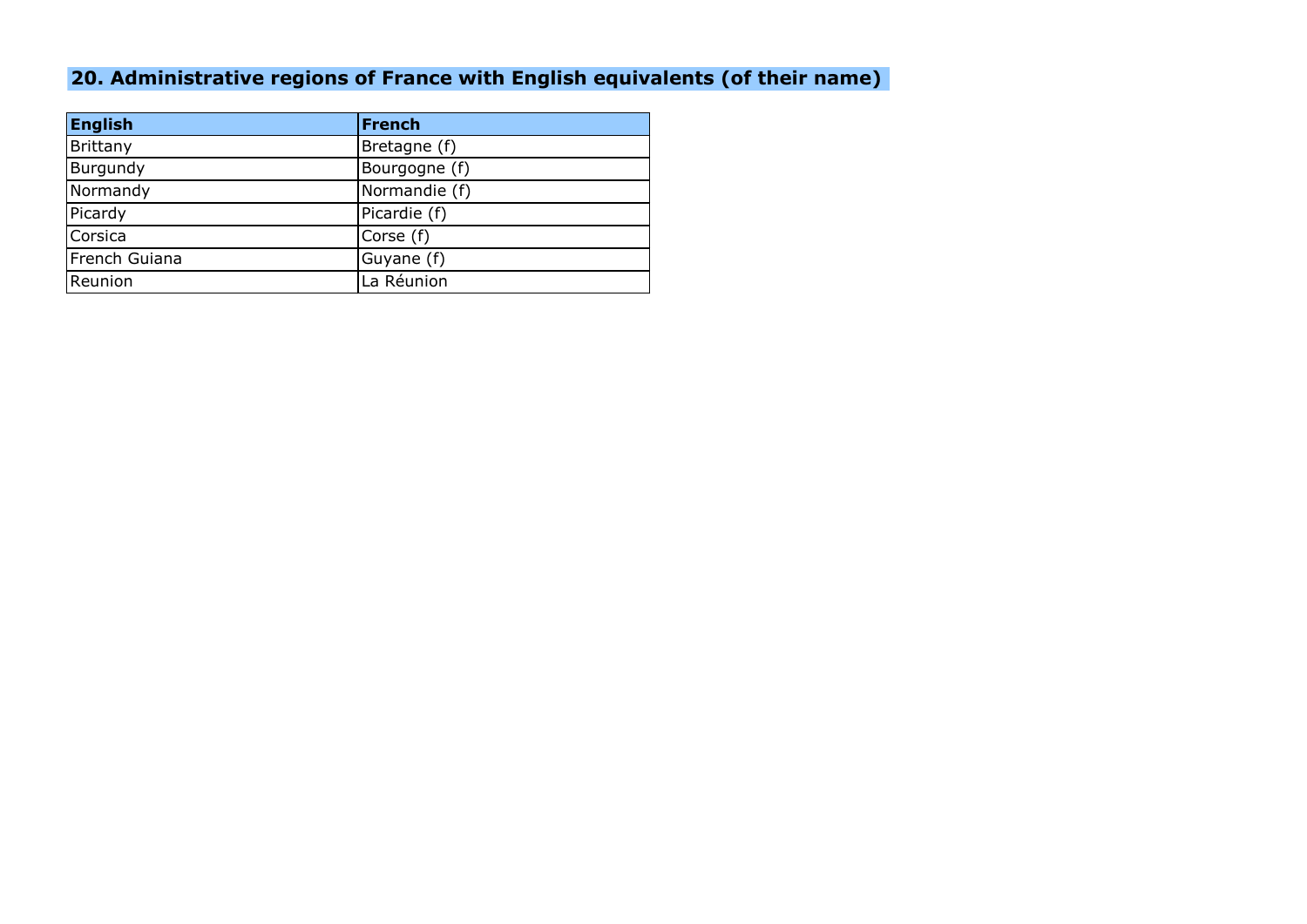## **20. Administrative regions of France with English equivalents (of their name)**

| <b>English</b> | French        |
|----------------|---------------|
| Brittany       | Bretagne (f)  |
| Burgundy       | Bourgogne (f) |
| Normandy       | Normandie (f) |
| Picardy        | Picardie (f)  |
| Corsica        | Corse (f)     |
| French Guiana  | Guyane (f)    |
| Reunion        | La Réunion    |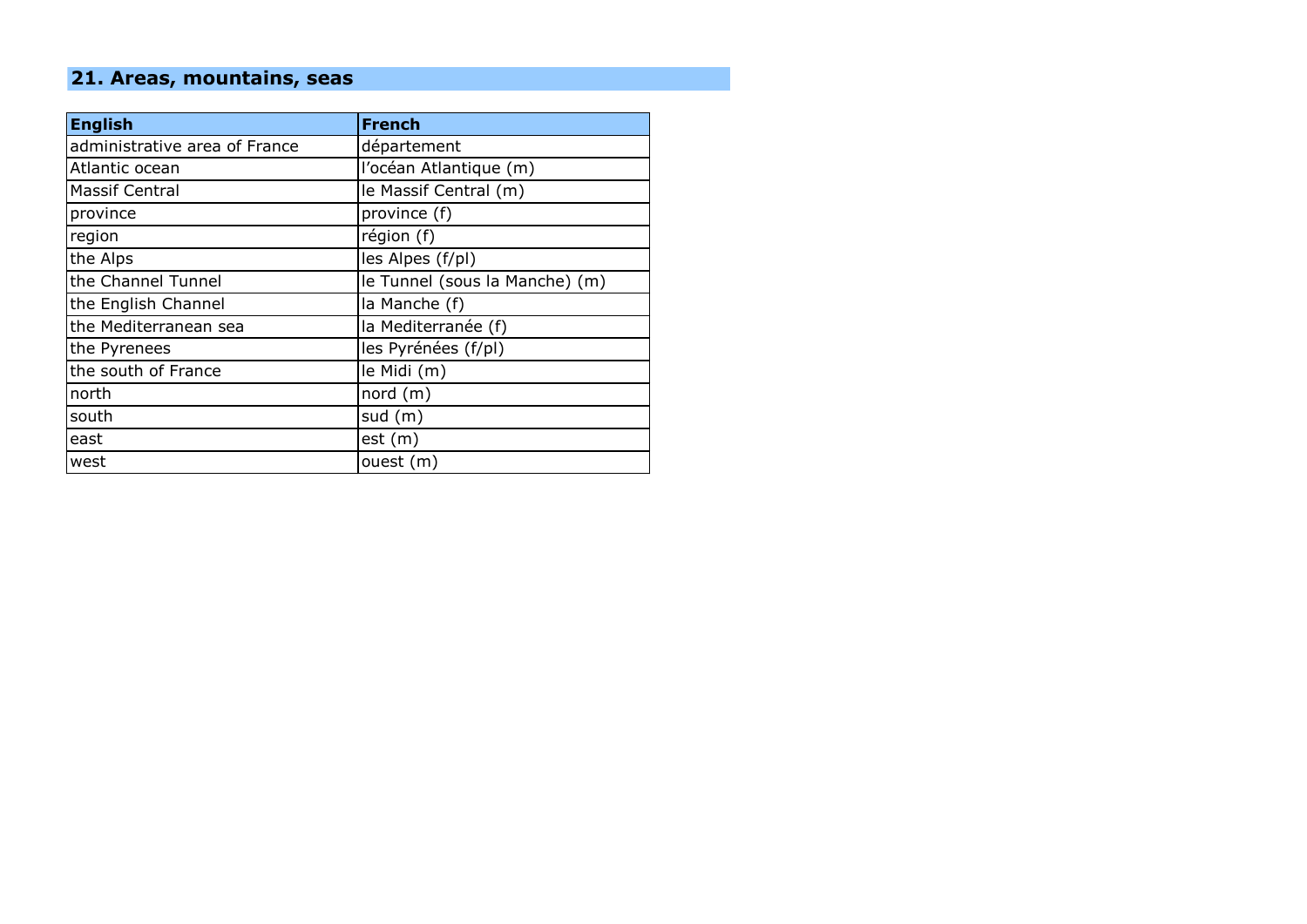## **21. Areas, mountains, seas**

| <b>English</b>                | <b>French</b>                  |
|-------------------------------|--------------------------------|
| administrative area of France | département                    |
| Atlantic ocean                | l'océan Atlantique (m)         |
| <b>Massif Central</b>         | le Massif Central (m)          |
| province                      | province (f)                   |
| region                        | région (f)                     |
| the Alps                      | les Alpes (f/pl)               |
| the Channel Tunnel            | le Tunnel (sous la Manche) (m) |
| the English Channel           | la Manche (f)                  |
| the Mediterranean sea         | la Mediterranée (f)            |
| the Pyrenees                  | les Pyrénées (f/pl)            |
| the south of France           | le Midi (m)                    |
| north                         | nord(m)                        |
| south                         | sud(m)                         |
| east                          | est(m)                         |
| west                          | ouest (m)                      |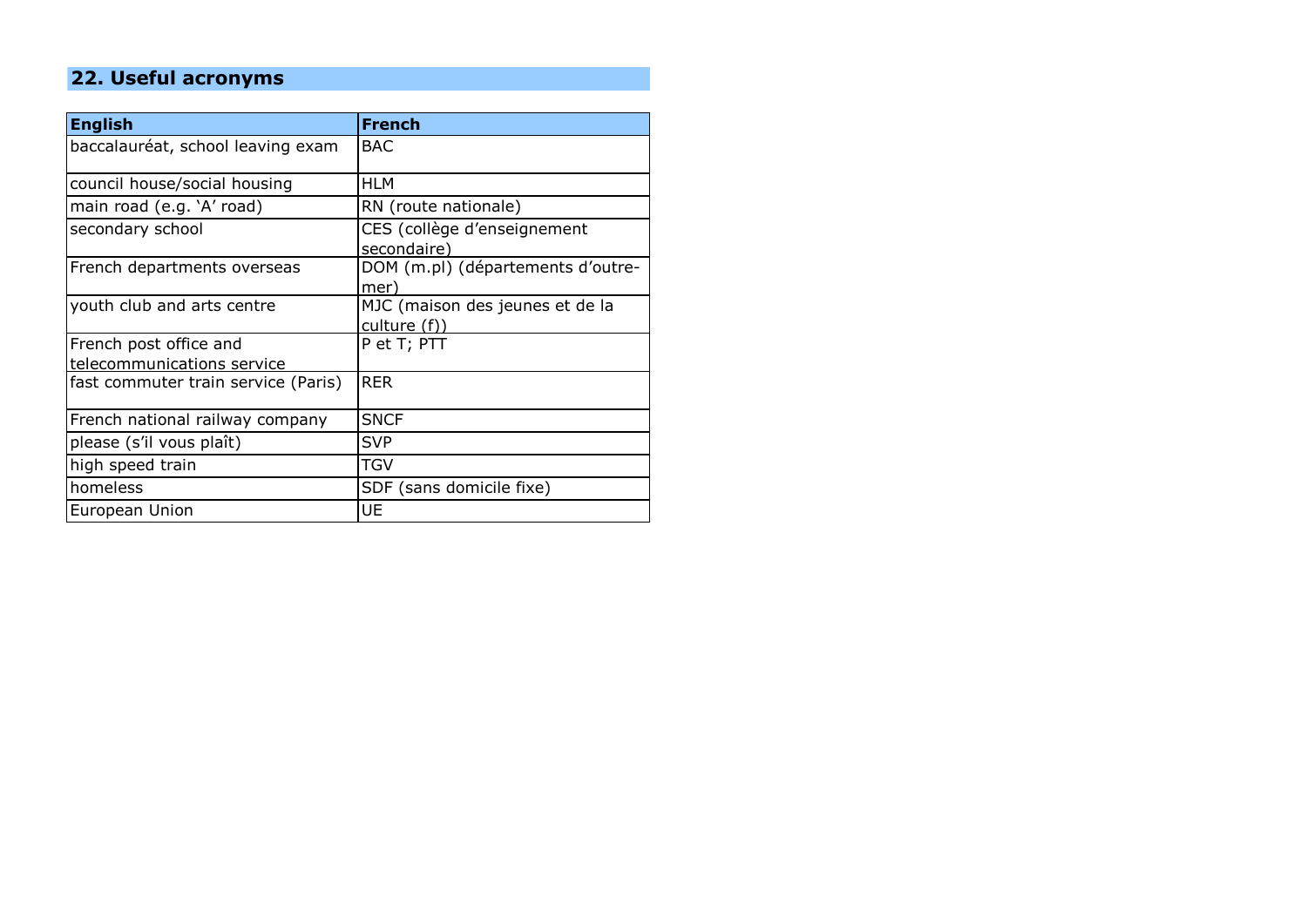## **22. Useful acronyms**

| <b>English</b>                      | <b>French</b>                                      |
|-------------------------------------|----------------------------------------------------|
| baccalauréat, school leaving exam   | BAC                                                |
| council house/social housing        | <b>HLM</b>                                         |
| main road (e.g. 'A' road)           | RN (route nationale)                               |
| secondary school                    | CES (collège d'enseignement<br>secondaire)         |
| French departments overseas         | DOM (m.pl) (départements d'outre-<br>mer)          |
| youth club and arts centre          | MJC (maison des jeunes et de la<br>culture $(f)$ ) |
| French post office and              | P et T; PTT                                        |
| telecommunications service          |                                                    |
| fast commuter train service (Paris) | <b>RER</b>                                         |
| French national railway company     | <b>SNCF</b>                                        |
| please (s'il vous plaît)            | <b>SVP</b>                                         |
| high speed train                    | TGV                                                |
| homeless                            | SDF (sans domicile fixe)                           |
| European Union                      | UE                                                 |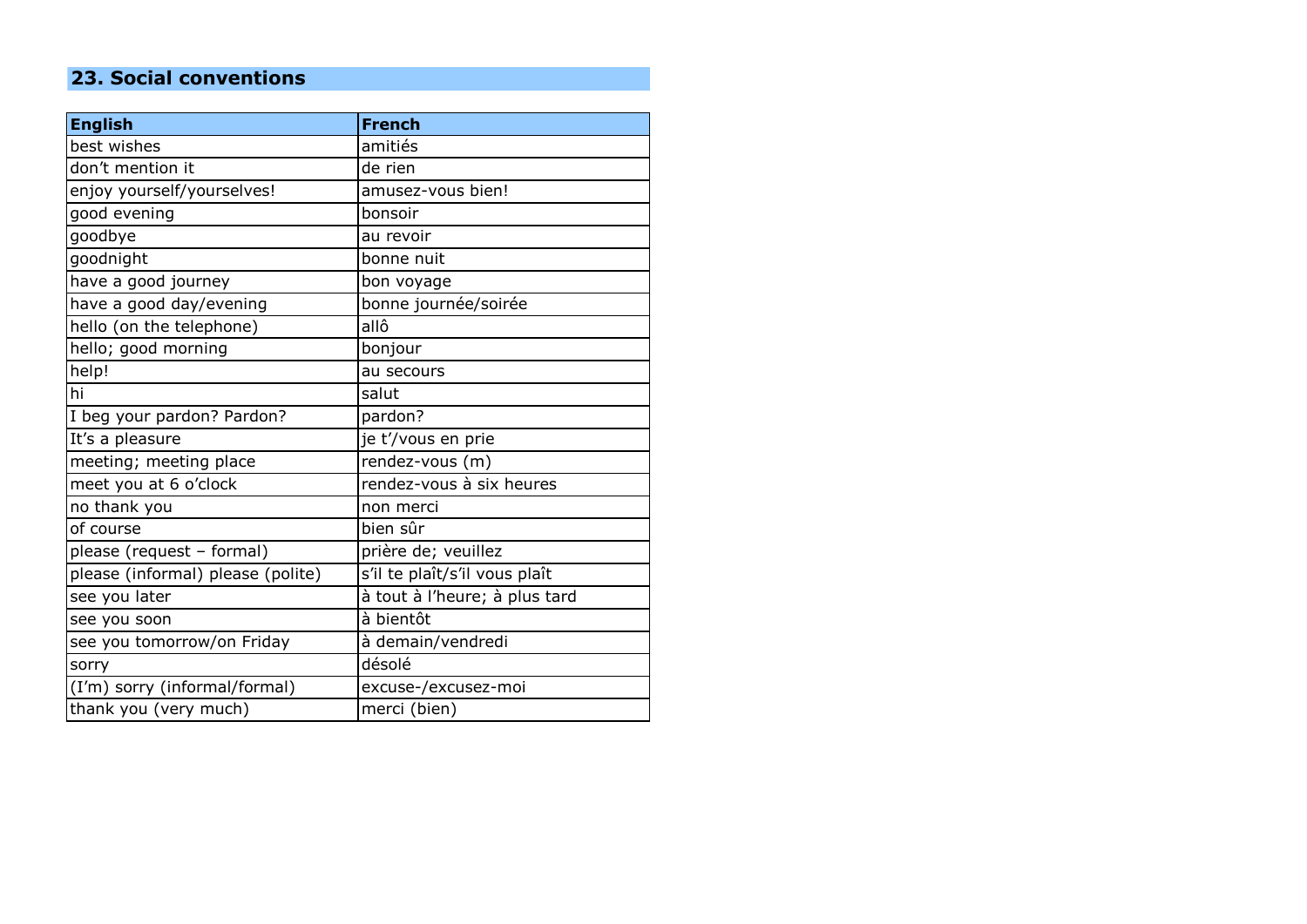### **23. Social conventions**

| <b>English</b>                    | <b>French</b>                 |
|-----------------------------------|-------------------------------|
| best wishes                       | amitiés                       |
| don't mention it                  | de rien                       |
| enjoy yourself/yourselves!        | amusez-vous bien!             |
| good evening                      | bonsoir                       |
| goodbye                           | au revoir                     |
| goodnight                         | bonne nuit                    |
| have a good journey               | bon voyage                    |
| have a good day/evening           | bonne journée/soirée          |
| hello (on the telephone)          | allô                          |
| hello; good morning               | bonjour                       |
| help!                             | au secours                    |
| hi                                | salut                         |
| I beg your pardon? Pardon?        | pardon?                       |
| It's a pleasure                   | je t'/vous en prie            |
| meeting; meeting place            | rendez-vous (m)               |
| meet you at 6 o'clock             | rendez-vous à six heures      |
| no thank you                      | non merci                     |
| of course                         | bien sûr                      |
| please (request - formal)         | prière de; veuillez           |
| please (informal) please (polite) | s'il te plaît/s'il vous plaît |
| see you later                     | à tout à l'heure; à plus tard |
| see you soon                      | à bientôt                     |
| see you tomorrow/on Friday        | à demain/vendredi             |
| sorry                             | désolé                        |
| (I'm) sorry (informal/formal)     | excuse-/excusez-moi           |
| thank you (very much)             | merci (bien)                  |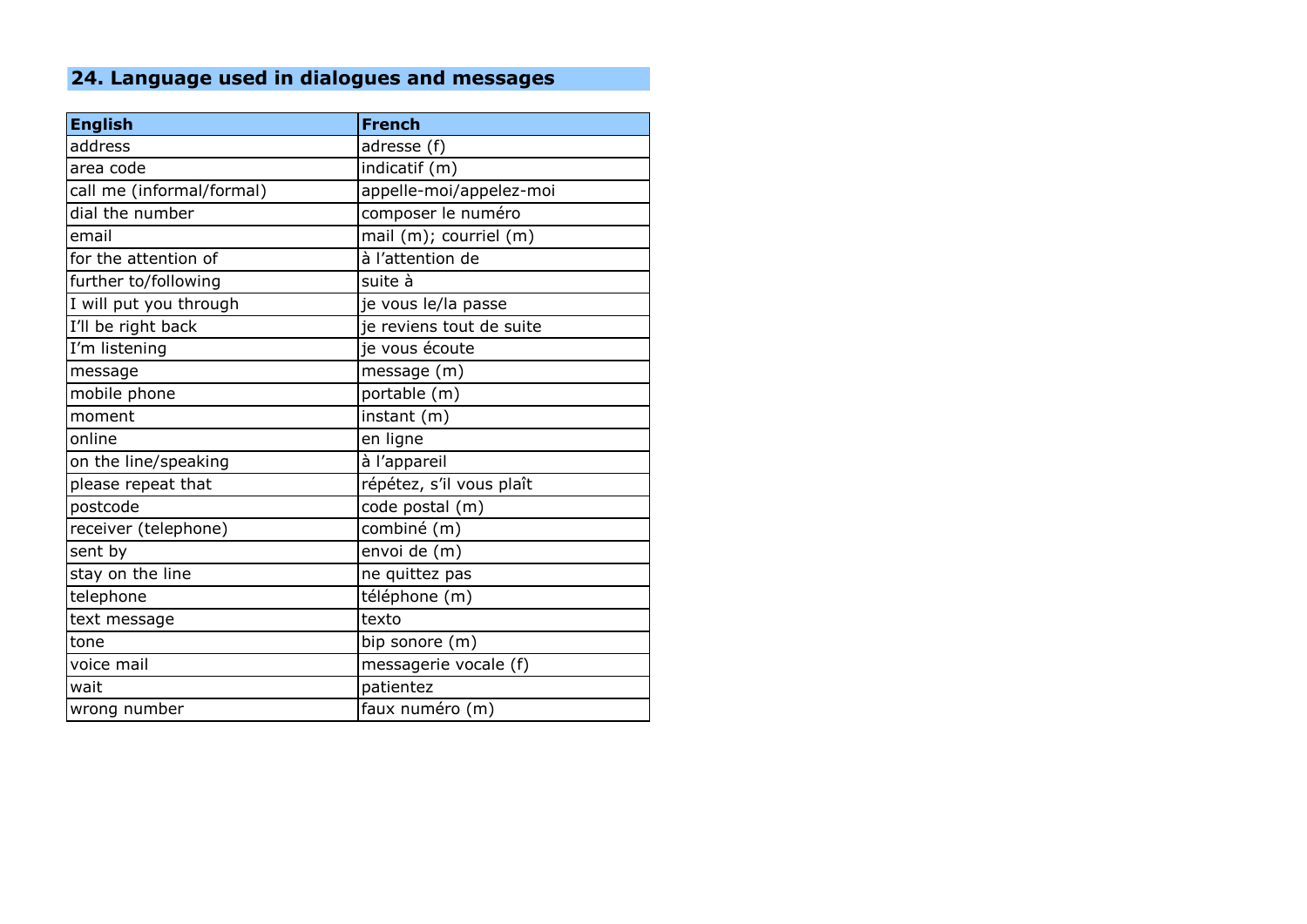# **24. Language used in dialogues and messages**

| <b>English</b>            | <b>French</b>              |
|---------------------------|----------------------------|
| address                   | adresse (f)                |
| area code                 | $\overline{indicatif}$ (m) |
| call me (informal/formal) | appelle-moi/appelez-moi    |
| dial the number           | composer le numéro         |
| email                     | mail (m); courriel (m)     |
| for the attention of      | à l'attention de           |
| further to/following      | suite à                    |
| I will put you through    | je vous le/la passe        |
| I'll be right back        | je reviens tout de suite   |
| I'm listening             | je vous écoute             |
| message                   | message (m)                |
| mobile phone              | portable (m)               |
| moment                    | instant (m)                |
| online                    | en ligne                   |
| on the line/speaking      | à l'appareil               |
| please repeat that        | répétez, s'il vous plaît   |
| postcode                  | code postal (m)            |
| receiver (telephone)      | combiné (m)                |
| sent by                   | envoi de (m)               |
| stay on the line          | ne quittez pas             |
| telephone                 | téléphone (m)              |
| text message              | texto                      |
| tone                      | bip sonore (m)             |
| voice mail                | messagerie vocale (f)      |
| wait                      | patientez                  |
| wrong number              | faux numéro (m)            |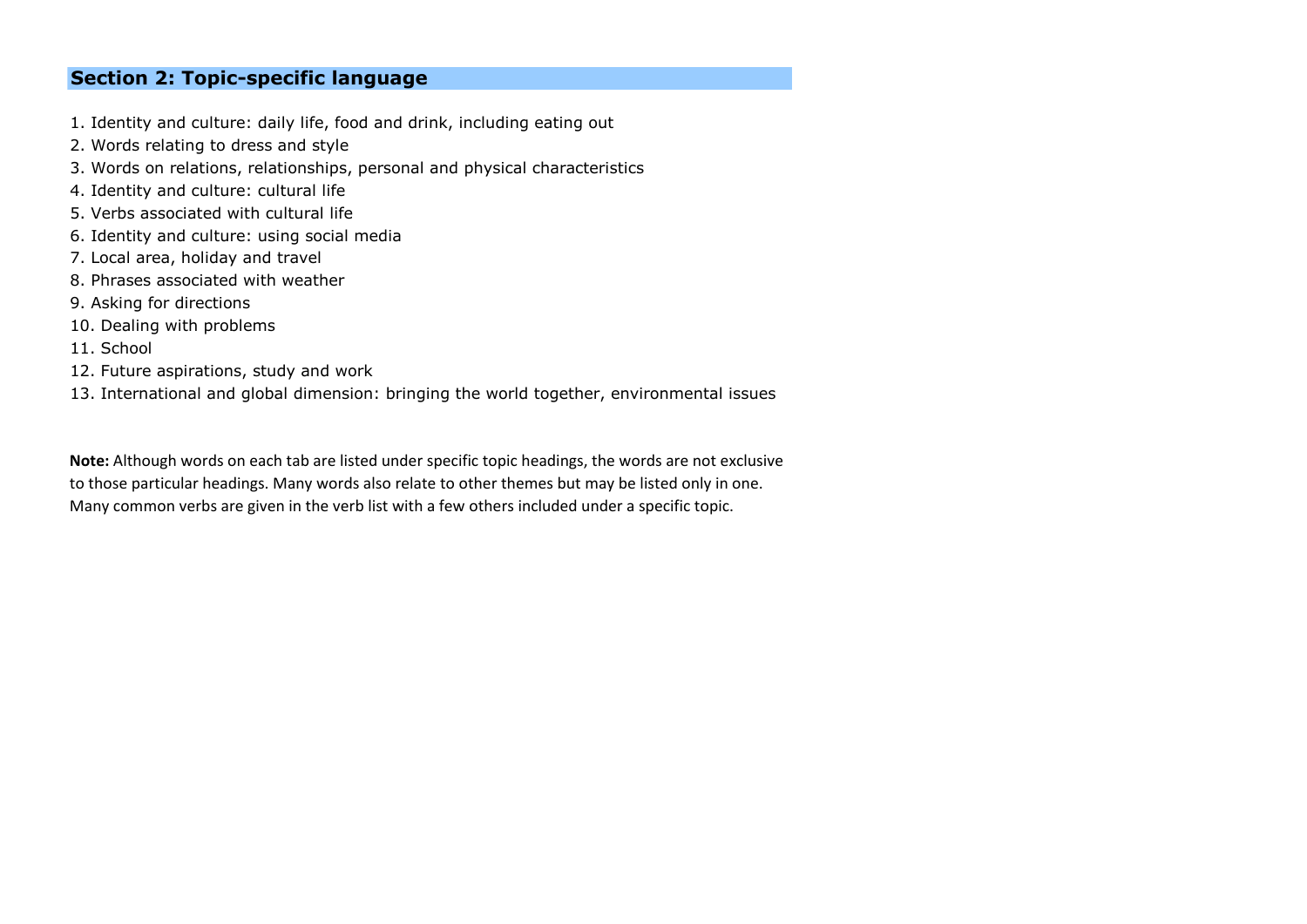#### **Section 2: Topic-specific language**

- 1. Identity and culture: daily life, food and drink, including eating out
- 2. Words relating to dress and style
- 3. Words on relations, relationships, personal and physical characteristics
- 4. Identity and culture: cultural life
- 5. Verbs associated with cultural life
- 6. Identity and culture: using social media
- 7. Local area, holiday and travel
- 8. Phrases associated with weather
- 9. Asking for directions
- 10. Dealing with problems
- 11. School
- 12. Future aspirations, study and work
- 13. International and global dimension: bringing the world together, environmental issues

**Note:** Although words on each tab are listed under specific topic headings, the words are not exclusive to those particular headings. Many words also relate to other themes but may be listed only in one. Many common verbs are given in the verb list with a few others included under a specific topic.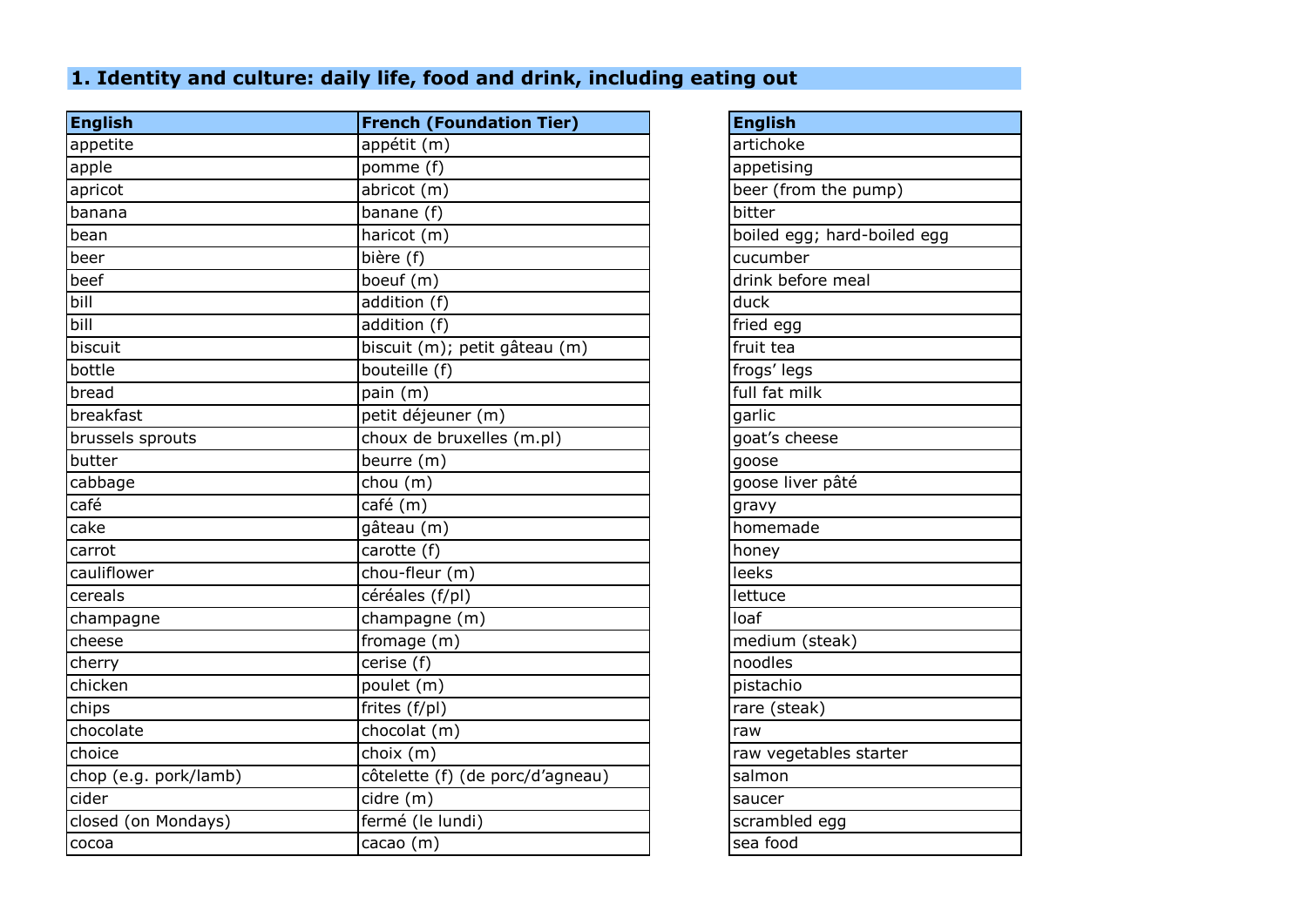# **1. Identity and culture: daily life, food and drink, including eating out**

| <b>English</b>        | <b>French (Foundation Tier)</b>  | <b>English</b>              |  |
|-----------------------|----------------------------------|-----------------------------|--|
| appetite              | appétit (m)                      | artichoke                   |  |
| apple                 | pomme (f)                        | appetising                  |  |
| apricot               | abricot (m)                      | beer (from the pump)        |  |
| banana                | banane (f)                       | bitter                      |  |
| bean                  | haricot (m)                      | boiled egg; hard-boiled egg |  |
| beer                  | bière (f)                        | cucumber                    |  |
| beef                  | boeuf (m)                        | drink before meal           |  |
| bill                  | addition (f)                     | duck                        |  |
| bill                  | addition (f)                     | fried egg                   |  |
| biscuit               | biscuit (m); petit gâteau (m)    | fruit tea                   |  |
| bottle                | bouteille (f)                    | frogs' legs                 |  |
| bread                 | pain (m)                         | full fat milk               |  |
| breakfast             | petit déjeuner (m)               | garlic                      |  |
| brussels sprouts      | choux de bruxelles (m.pl)        | goat's cheese               |  |
| butter                | beurre $(m)$                     | goose                       |  |
| cabbage               | chou (m)                         | goose liver pâté            |  |
| café                  | café (m)                         | gravy                       |  |
| cake                  | $\overline{g}$ âteau (m)         | homemade                    |  |
| carrot                | carotte (f)                      | honey                       |  |
| cauliflower           | chou-fleur (m)                   | leeks                       |  |
| cereals               | céréales (f/pl)                  | lettuce                     |  |
| champagne             | champagne (m)                    | loaf                        |  |
| cheese                | fromage (m)                      | medium (steak)              |  |
| cherry                | cerise (f)                       | noodles                     |  |
| chicken               | poulet (m)                       | pistachio                   |  |
| chips                 | frites (f/pl)                    | rare (steak)                |  |
| chocolate             | chocolat (m)                     | raw                         |  |
| choice                | choix (m)                        | raw vegetables starter      |  |
| chop (e.g. pork/lamb) | côtelette (f) (de porc/d'agneau) | salmon                      |  |
| cider                 | cidre (m)                        | saucer                      |  |
| closed (on Mondays)   | fermé (le lundi)                 | scrambled egg               |  |
| cocoa                 | cacao (m)                        | sea food                    |  |

| <b>English</b>              |
|-----------------------------|
| artichoke                   |
| appetising                  |
| beer (from the pump)        |
| bitter                      |
| boiled egg; hard-boiled egg |
| cucumber                    |
| drink before meal           |
| duck                        |
| fried egg                   |
| fruit tea                   |
| frogs' legs                 |
| full fat milk               |
| garlic                      |
| goat's cheese               |
| goose                       |
| goose liver pâté            |
| gravy                       |
| homemade                    |
| honey                       |
| leeks                       |
| lettuce                     |
| loaf                        |
| medium (steak)              |
| $\overline{$ noodles        |
| pistachio                   |
| rare (steak)                |
| raw                         |
| raw vegetables starter      |
| salmon                      |
| saucer                      |
| scrambled egg               |
| sea food                    |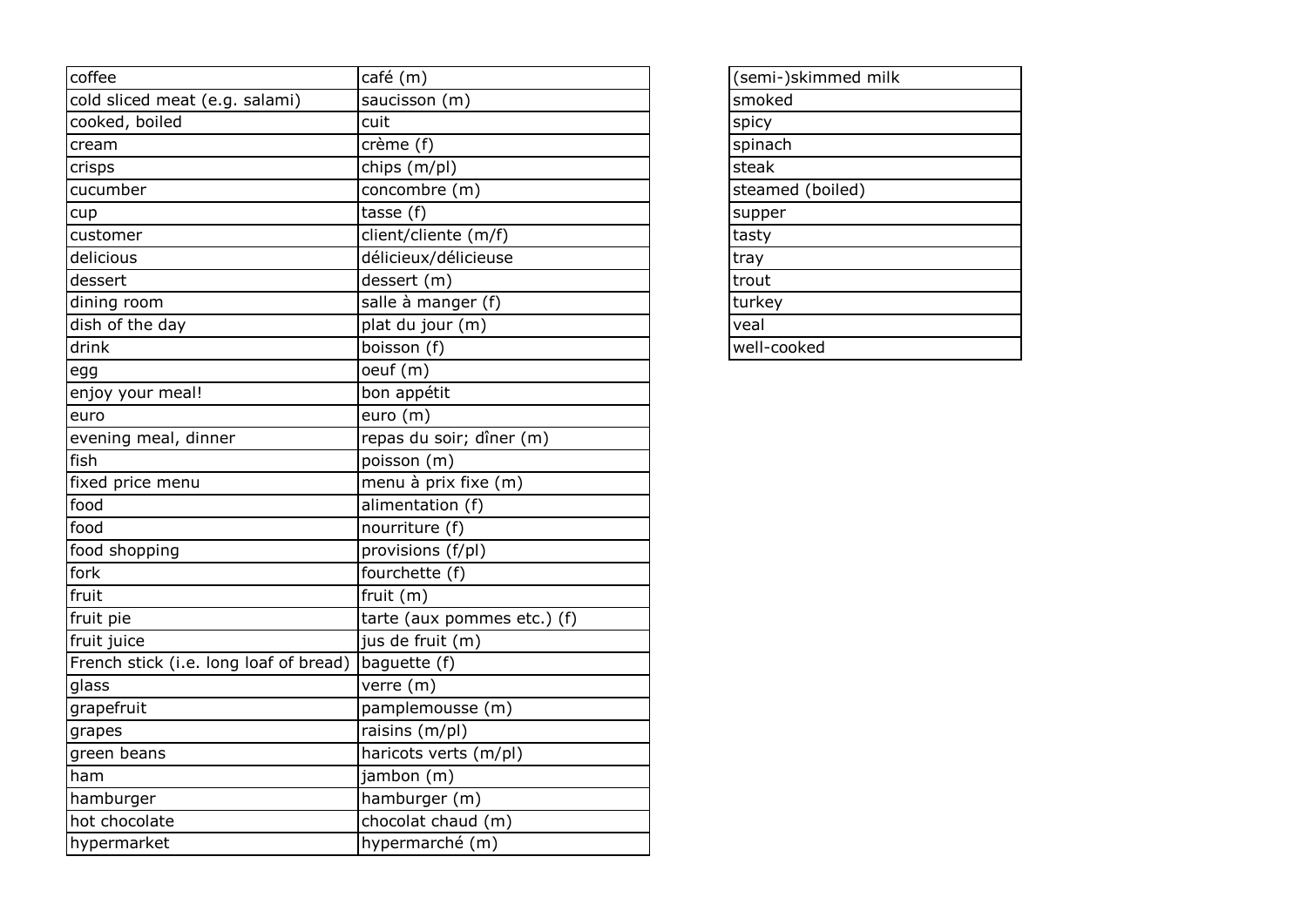| coffee                                 | café (m)                    | (semi-)skimmed milk |
|----------------------------------------|-----------------------------|---------------------|
| cold sliced meat (e.g. salami)         | saucisson (m)               | smoked              |
| cooked, boiled                         | cuit                        | spicy               |
| cream                                  | $\overline{c}$ rème (f)     | spinach             |
| crisps                                 | chips (m/pl)                | steak               |
| cucumber                               | concombre (m)               | steamed (boiled)    |
| cup                                    | tasse (f)                   | supper              |
| customer                               | client/cliente (m/f)        | tasty               |
| delicious                              | délicieux/délicieuse        | tray                |
| dessert                                | dessert (m)                 | trout               |
| dining room                            | salle à manger (f)          | turkey              |
| dish of the day                        | plat du jour (m)            | veal                |
| drink                                  | boisson (f)                 | well-cooked         |
| egg                                    | oeuf (m)                    |                     |
| enjoy your meal!                       | bon appétit                 |                     |
| euro                                   | euro (m)                    |                     |
| evening meal, dinner                   | repas du soir; dîner (m)    |                     |
| fish                                   | poisson (m)                 |                     |
| fixed price menu                       | menu à prix fixe (m)        |                     |
| food                                   | alimentation (f)            |                     |
| food                                   | nourriture (f)              |                     |
| food shopping                          | provisions (f/pl)           |                     |
| fork                                   | fourchette (f)              |                     |
| fruit                                  | fruit $(m)$                 |                     |
| fruit pie                              | tarte (aux pommes etc.) (f) |                     |
| fruit juice                            | jus de fruit (m)            |                     |
| French stick (i.e. long loaf of bread) | baguette (f)                |                     |
| glass                                  | verre (m)                   |                     |
| grapefruit                             | pamplemousse (m)            |                     |
| grapes                                 | raisins (m/pl)              |                     |
| green beans                            | haricots verts (m/pl)       |                     |
| ham                                    | jambon (m)                  |                     |
| hamburger                              | hamburger (m)               |                     |
| hot chocolate                          | chocolat chaud $(m)$        |                     |
| hypermarket                            | hypermarché (m)             |                     |
|                                        |                             |                     |

| (semi-)skimmed milk |
|---------------------|
| smoked              |
| spicy               |
| spinach             |
| steak               |
| steamed (boiled)    |
| supper              |
| tasty               |
| tray                |
| trout               |
| turkey              |
| veal                |
| well-cooked         |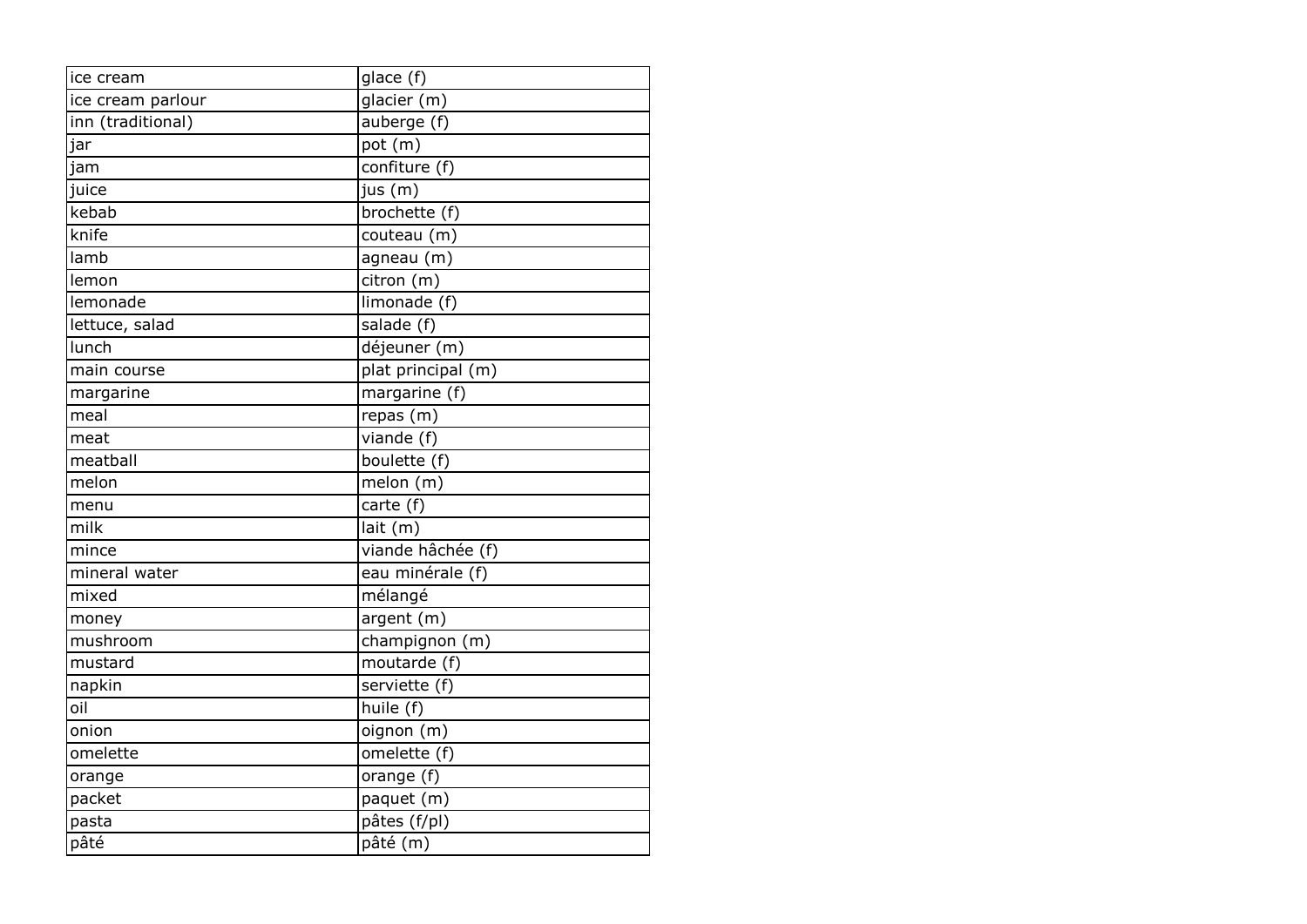| ice cream         | glace (f)          |
|-------------------|--------------------|
| ice cream parlour | glacier (m)        |
| inn (traditional) | auberge (f)        |
| jar               | pot (m)            |
| jam               | confiture (f)      |
| juice             | jus (m)            |
| kebab             | brochette (f)      |
| knife             | couteau (m)        |
| lamb              | agneau (m)         |
| lemon             | citron (m)         |
| lemonade          | limonade (f)       |
| lettuce, salad    | salade (f)         |
| lunch             | déjeuner (m)       |
| main course       | plat principal (m) |
| margarine         | margarine (f)      |
| meal              | repas (m)          |
| meat              | viande (f)         |
| meatball          | boulette (f)       |
| melon             | melon (m)          |
| menu              | carte (f)          |
| milk              | lait (m)           |
| mince             | viande hâchée (f)  |
| mineral water     | eau minérale (f)   |
| mixed             | mélangé            |
| money             | argent (m)         |
| mushroom          | champignon (m)     |
| mustard           | moutarde (f)       |
| napkin            | serviette (f)      |
| oil               | huile (f)          |
| onion             | oignon (m)         |
| omelette          | omelette (f)       |
| orange            | orange (f)         |
| packet            | paquet (m)         |
| pasta             | pâtes (f/pl)       |
| pâté              | pâté (m)           |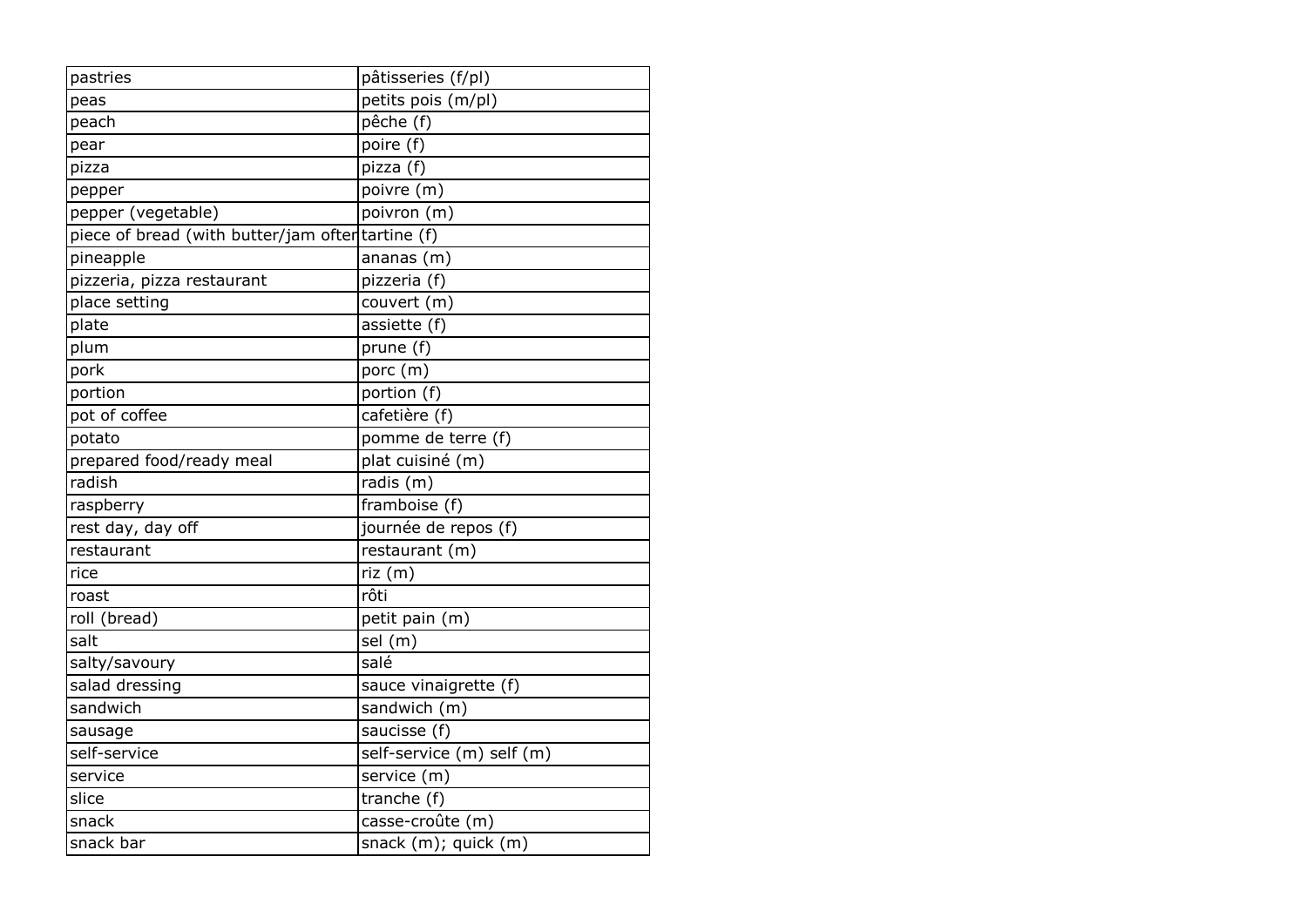| pastries                                          | pâtisseries (f/pl)        |
|---------------------------------------------------|---------------------------|
| peas                                              | petits pois (m/pl)        |
| peach                                             | pêche (f)                 |
| pear                                              | poire (f)                 |
| pizza                                             | pizza (f)                 |
| pepper                                            | poivre (m)                |
| pepper (vegetable)                                | poivron (m)               |
| piece of bread (with butter/jam ofter tartine (f) |                           |
| pineapple                                         | ananas $(m)$              |
| pizzeria, pizza restaurant                        | pizzeria (f)              |
| place setting                                     | couvert (m)               |
| plate                                             | assiette (f)              |
| plum                                              | prune (f)                 |
| pork                                              | porc (m)                  |
| portion                                           | portion (f)               |
| pot of coffee                                     | cafetière (f)             |
| potato                                            | pomme de terre (f)        |
| prepared food/ready meal                          | plat cuisiné (m)          |
| radish                                            | radis (m)                 |
| raspberry                                         | framboise (f)             |
| rest day, day off                                 | journée de repos (f)      |
| restaurant                                        | restaurant (m)            |
| rice                                              | riz(m)                    |
| roast                                             | rôti                      |
| roll (bread)                                      | petit pain (m)            |
| salt                                              | sel (m)                   |
| salty/savoury                                     | salé                      |
| salad dressing                                    | sauce vinaigrette (f)     |
| sandwich                                          | sandwich (m)              |
| sausage                                           | saucisse (f)              |
| self-service                                      | self-service (m) self (m) |
| service                                           | service (m)               |
| slice                                             | tranche $(f)$             |
| snack                                             | casse-croûte (m)          |
| snack bar                                         | snack (m); quick (m)      |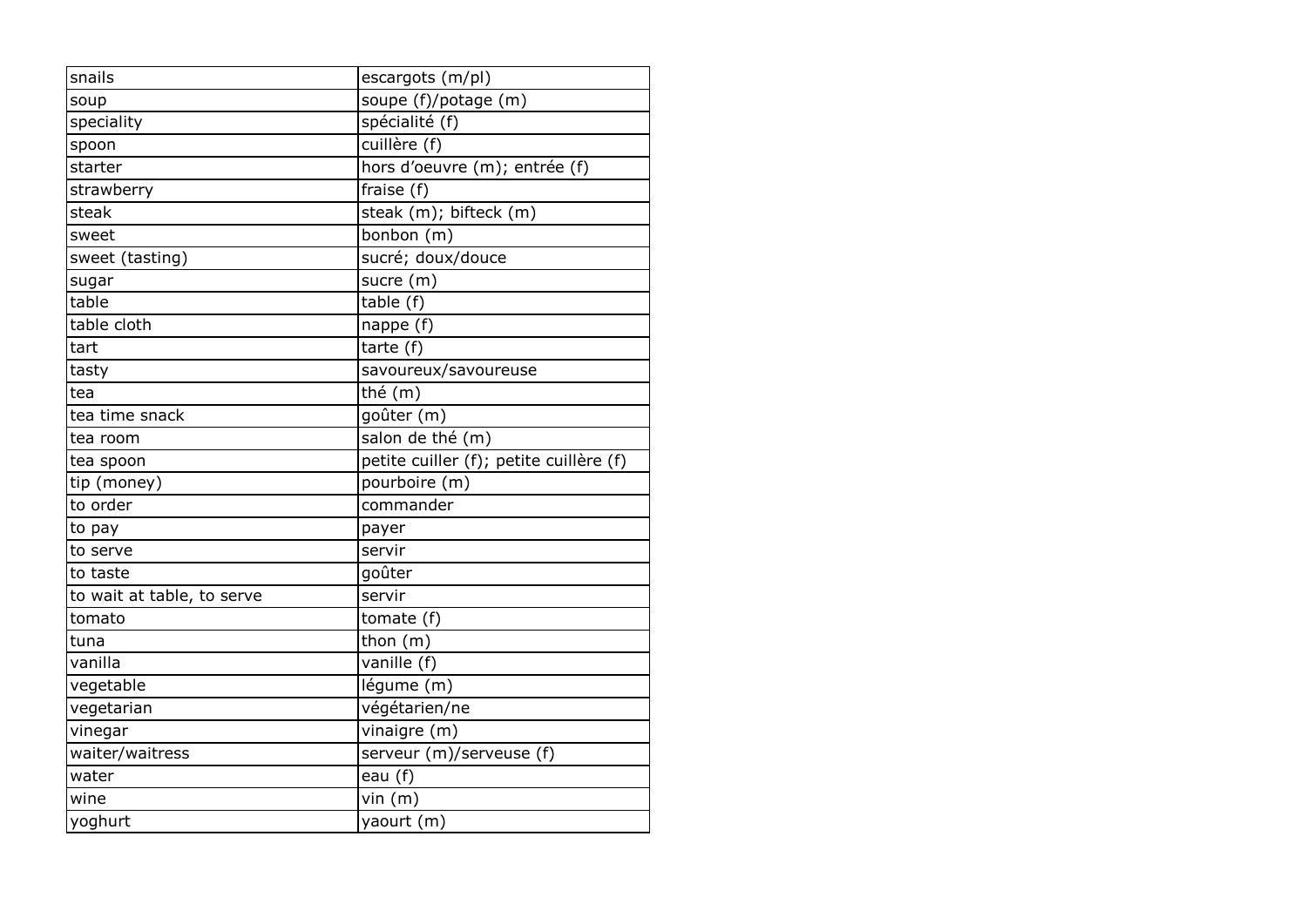| snails                     | escargots (m/pl)                        |
|----------------------------|-----------------------------------------|
| soup                       | soupe (f)/potage (m)                    |
| speciality                 | spécialité (f)                          |
| spoon                      | cuillère (f)                            |
| starter                    | hors d'oeuvre (m); entrée (f)           |
| strawberry                 | fraise (f)                              |
| steak                      | steak (m); bifteck (m)                  |
| sweet                      | bonbon (m)                              |
| sweet (tasting)            | sucré; doux/douce                       |
| sugar                      | sucre (m)                               |
| table                      | table (f)                               |
| table cloth                | nappe (f)                               |
| tart                       | tarte (f)                               |
| tasty                      | savoureux/savoureuse                    |
| tea                        | thé (m)                                 |
| tea time snack             | goûter (m)                              |
| tea room                   | salon de thé (m)                        |
| tea spoon                  | petite cuiller (f); petite cuillère (f) |
| tip (money)                | pourboire (m)                           |
| to order                   | commander                               |
| to pay                     | payer                                   |
| to serve                   | servir                                  |
| to taste                   | goûter                                  |
| to wait at table, to serve | servir                                  |
| tomato                     | tomate (f)                              |
| tuna                       | thon (m)                                |
| vanilla                    | vanille (f)                             |
| vegetable                  | légume (m)                              |
| vegetarian                 | végétarien/ne                           |
| vinegar                    | vinaigre (m)                            |
| waiter/waitress            | serveur (m)/serveuse (f)                |
| water                      | eau (f)                                 |
| wine                       | vin(m)                                  |
| yoghurt                    | yaourt (m)                              |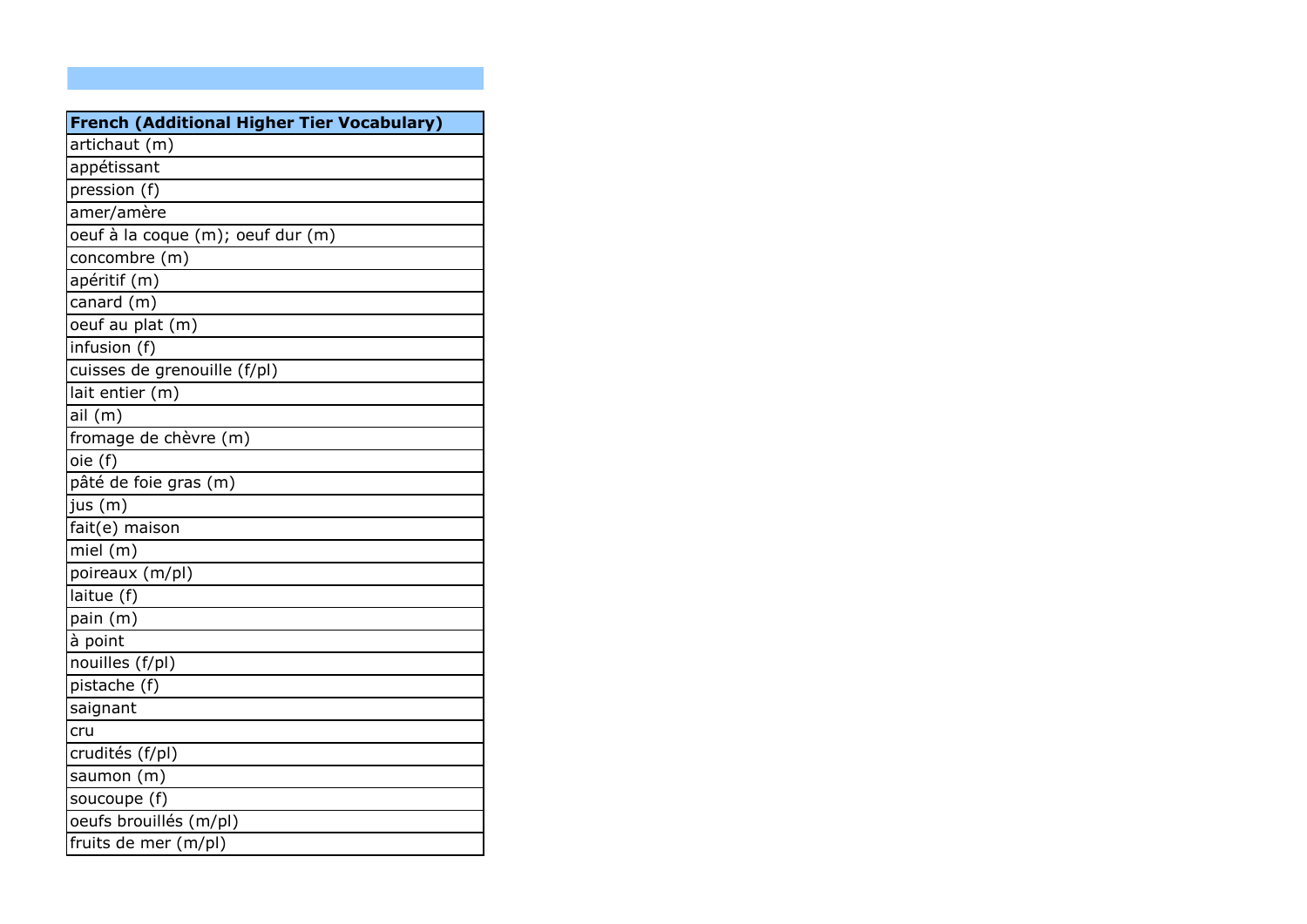| <b>French (Additional Higher Tier Vocabulary)</b> |
|---------------------------------------------------|
| artichaut (m)                                     |
| appétissant                                       |
| pression (f)                                      |
| amer/amère                                        |
| oeuf à la coque (m); oeuf dur (m)                 |
| concombre (m)                                     |
| apéritif (m)                                      |
| canard (m)                                        |
| oeuf au plat (m)                                  |
| infusion (f)                                      |
| cuisses de grenouille (f/pl)                      |
| lait entier (m)                                   |
| ail (m)                                           |
| fromage de chèvre (m)                             |
| oie (f)                                           |
| pâté de foie gras (m)                             |
| jus (m)                                           |
| fait(e) maison                                    |
| $miel$ (m)                                        |
| poireaux (m/pl)                                   |
| laitue (f)                                        |
| pain (m)                                          |
| à point                                           |
| nouilles (f/pl)                                   |
| pistache (f)                                      |
| saignant                                          |
| cru                                               |
| crudités (f/pl)                                   |
| saumon (m)                                        |
| soucoupe (f)                                      |
| oeufs brouillés (m/pl)                            |
| fruits de mer (m/pl)                              |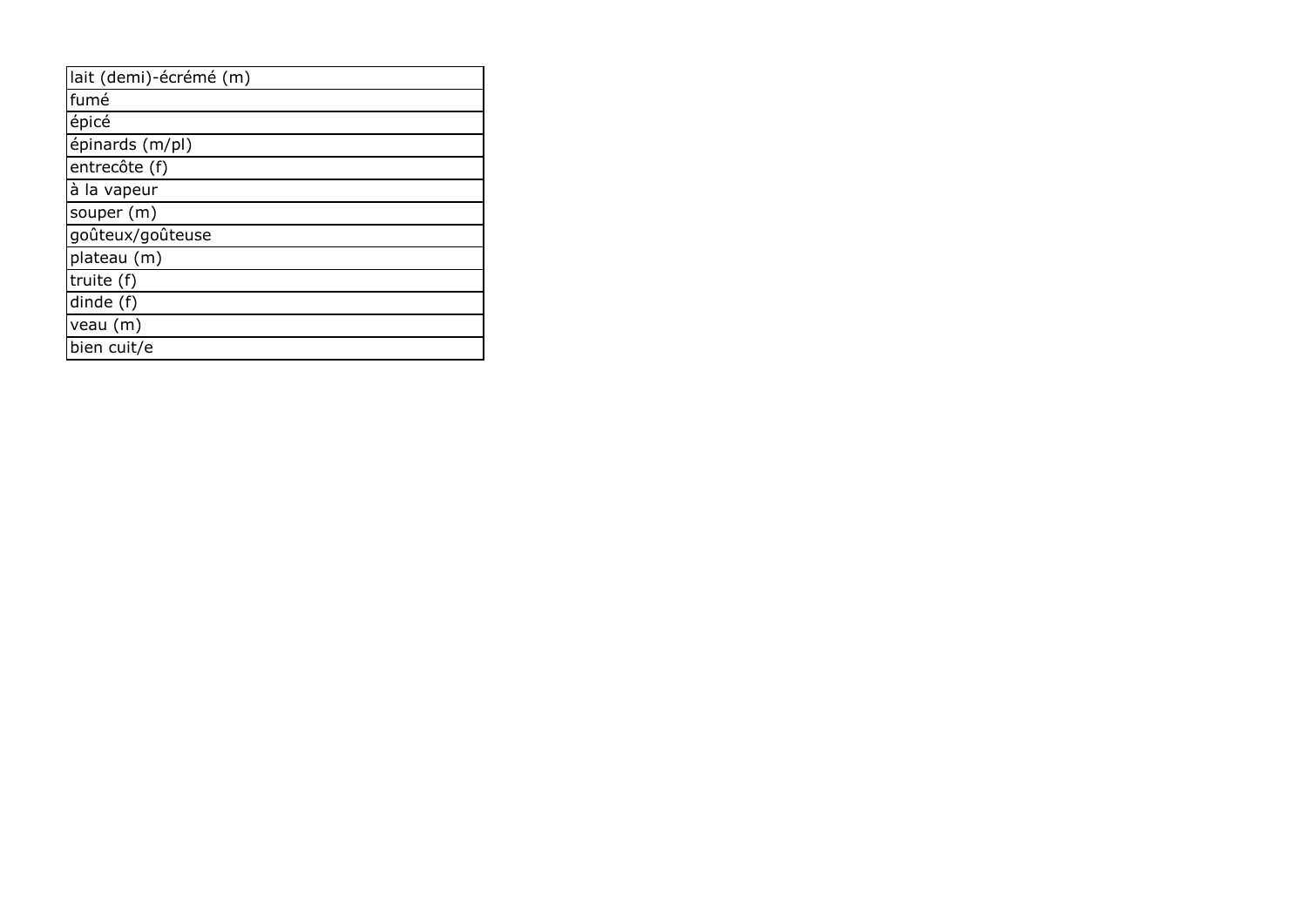| lait (demi)-écrémé (m) |
|------------------------|
| fumé                   |
| épicé                  |
| épinards (m/pl)        |
| entrecôte (f)          |
| à la vapeur            |
| souper (m)             |
| goûteux/goûteuse       |
| plateau (m)            |
| truite (f)             |
| dinde (f)              |
| veau (m)               |
| bien cuit/e            |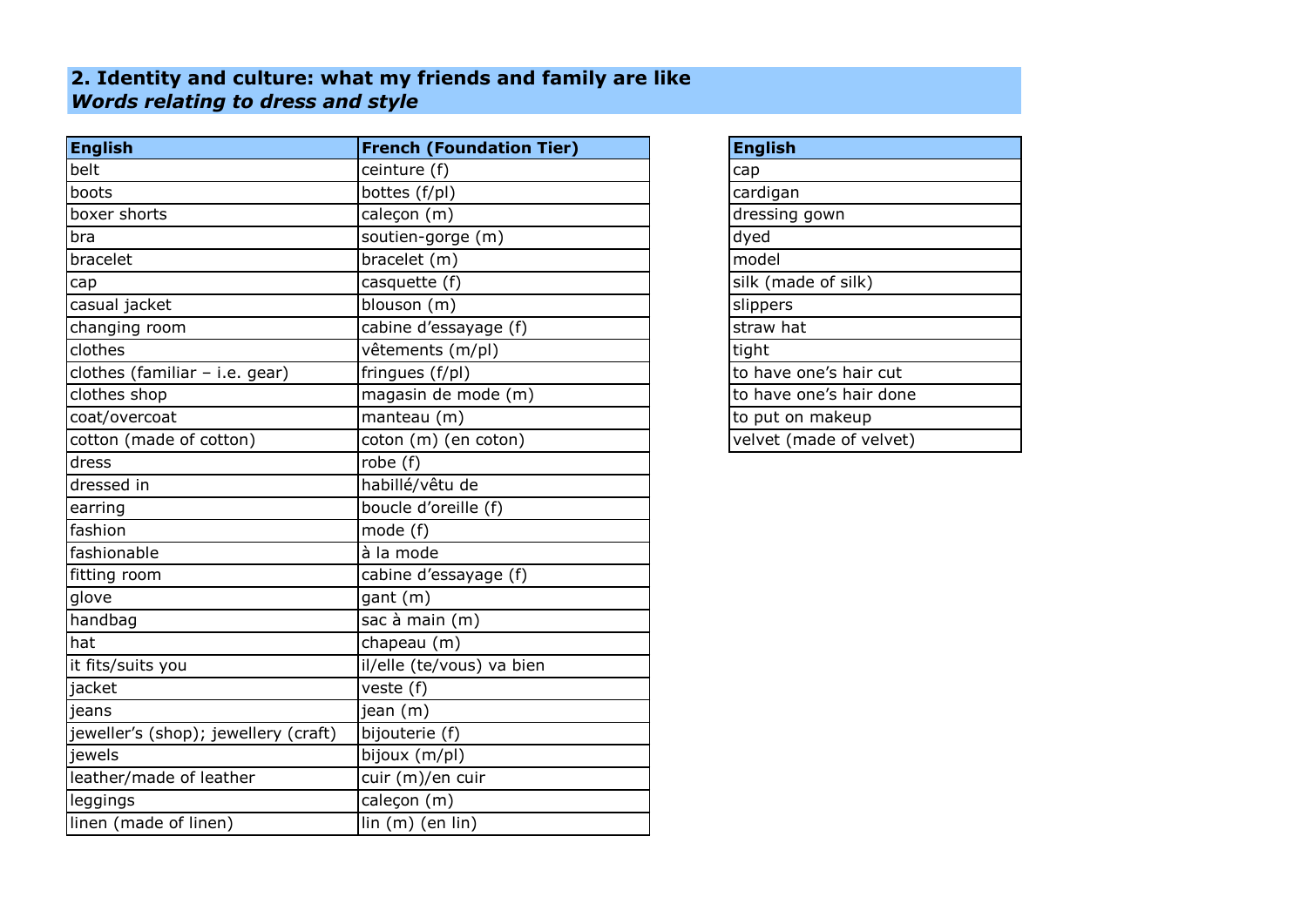#### **2. Identity and culture: what my friends and family are like** *Words relating to dress and style*

| <b>English</b>                       | <b>French (Foundation Tier)</b>          | <b>English</b>          |
|--------------------------------------|------------------------------------------|-------------------------|
| belt                                 | ceinture (f)                             | cap                     |
| boots                                | bottes (f/pl)                            | cardigan                |
| boxer shorts                         | caleçon (m)                              | dressing gown           |
| bra                                  | soutien-gorge (m)                        | dyed                    |
| bracelet                             | bracelet (m)                             | model                   |
| cap                                  | casquette (f)                            | silk (made of silk)     |
| casual jacket                        | blouson (m)                              | slippers                |
| changing room                        | cabine d'essayage (f)                    | straw hat               |
| clothes                              | vêtements (m/pl)                         | tight                   |
| clothes (familiar $-$ i.e. gear)     | fringues (f/pl)                          | to have one's hair cut  |
| clothes shop                         | magasin de mode (m)                      | to have one's hair done |
| coat/overcoat                        | manteau (m)                              | to put on makeup        |
| cotton (made of cotton)              | $\overline{\text{coton}}$ (m) (en coton) | velvet (made of velvet) |
| dress                                | robe (f)                                 |                         |
| dressed in                           | habillé/vêtu de                          |                         |
| earring                              | boucle d'oreille (f)                     |                         |
| fashion                              | mode (f)                                 |                         |
| fashionable                          | à la mode                                |                         |
| fitting room                         | cabine d'essayage (f)                    |                         |
| glove                                | gant (m)                                 |                         |
| handbag                              | sac à main (m)                           |                         |
| hat                                  | chapeau (m)                              |                         |
| it fits/suits you                    | il/elle (te/vous) va bien                |                         |
| jacket                               | veste (f)                                |                         |
| jeans                                | jean (m)                                 |                         |
| jeweller's (shop); jewellery (craft) | bijouterie (f)                           |                         |
| jewels                               | bijoux (m/pl)                            |                         |
| leather/made of leather              | cuir (m)/en cuir                         |                         |
| leggings                             | caleçon (m)                              |                         |
| linen (made of linen)                | lin (m) (en lin)                         |                         |

| <b>English</b>          |
|-------------------------|
| cap                     |
| cardigan                |
| dressing gown           |
| dyed                    |
| model                   |
| silk (made of silk)     |
| slippers                |
| straw hat               |
| tight                   |
| to have one's hair cut  |
| to have one's hair done |
| to put on makeup        |
| velvet (made of velvet) |
|                         |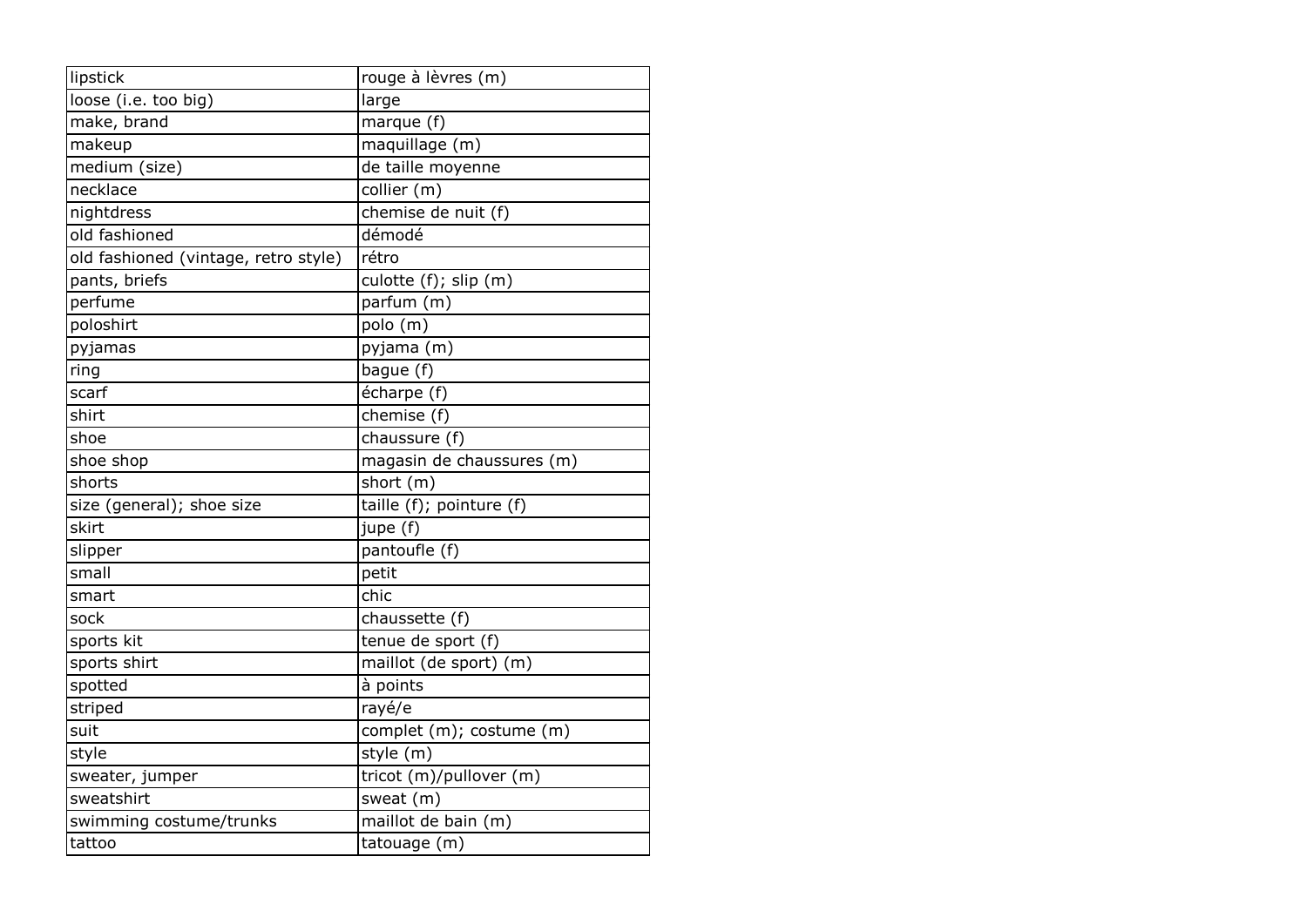| lipstick                             | rouge à lèvres (m)        |
|--------------------------------------|---------------------------|
| loose (i.e. too big)                 | large                     |
| make, brand                          | marque (f)                |
| makeup                               | maquillage (m)            |
| medium (size)                        | de taille moyenne         |
| necklace                             | collier $(m)$             |
| nightdress                           | chemise de nuit (f)       |
| old fashioned                        | démodé                    |
| old fashioned (vintage, retro style) | rétro                     |
| pants, briefs                        | culotte (f); slip (m)     |
| perfume                              | parfum (m)                |
| poloshirt                            | polo (m)                  |
| pyjamas                              | pyjama (m)                |
| ring                                 | bague (f)                 |
| scarf                                | écharpe (f)               |
| shirt                                | chemise (f)               |
| shoe                                 | chaussure (f)             |
| shoe shop                            | magasin de chaussures (m) |
| shorts                               | short (m)                 |
| size (general); shoe size            | taille (f); pointure (f)  |
| skirt                                | jupe (f)                  |
| slipper                              | pantoufle (f)             |
| small                                | petit                     |
| smart                                | chic                      |
| sock                                 | chaussette (f)            |
| sports kit                           | tenue de sport (f)        |
| sports shirt                         | maillot (de sport) (m)    |
| spotted                              | à points                  |
| striped                              | rayé/e                    |
| suit                                 | complet (m); costume (m)  |
| style                                | style (m)                 |
| sweater, jumper                      | tricot (m)/pullover (m)   |
| sweatshirt                           | sweat (m)                 |
| swimming costume/trunks              | maillot de bain (m)       |
| tattoo                               | tatouage (m)              |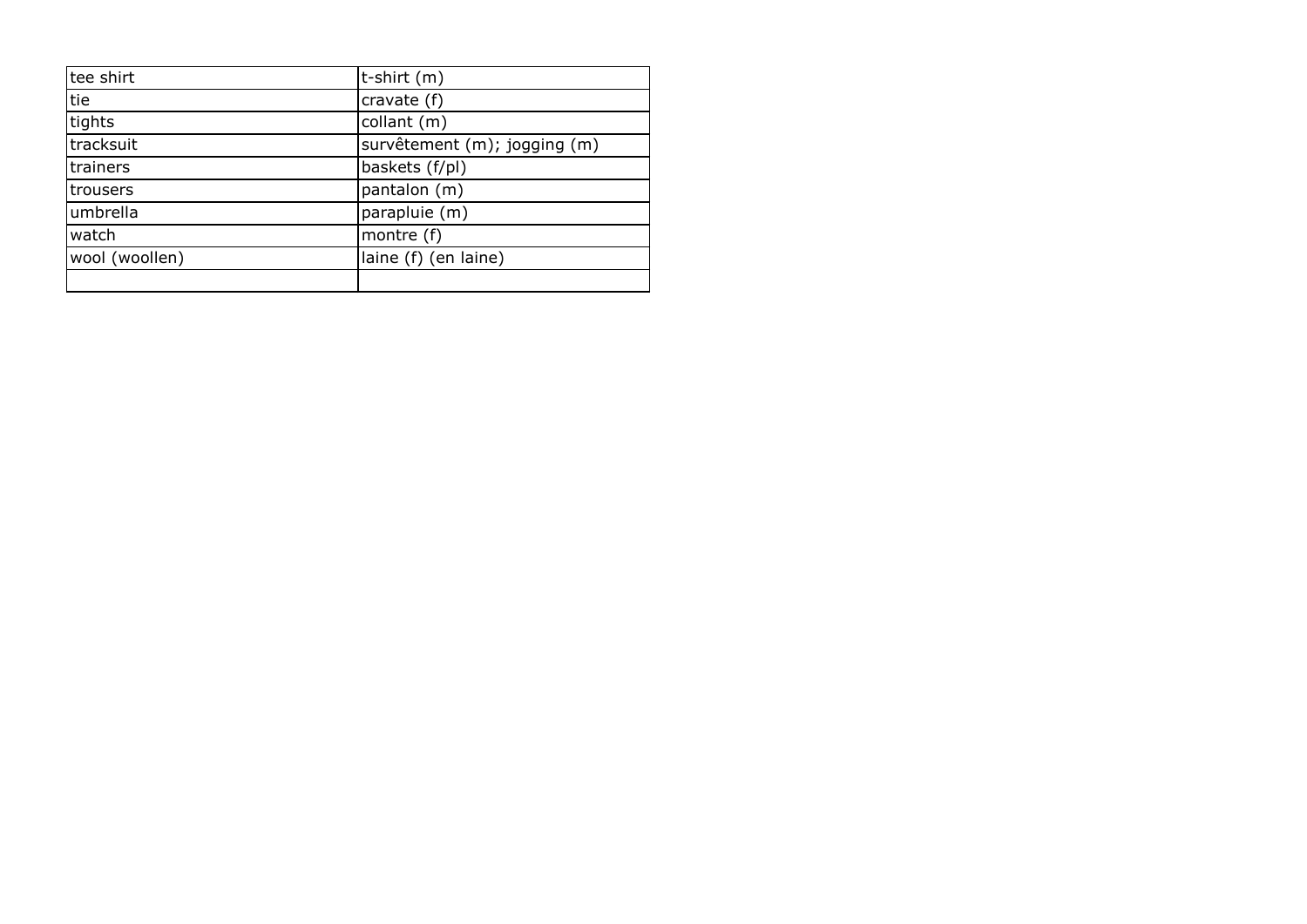| tee shirt      | t-shirt (m)                  |
|----------------|------------------------------|
| tie            | cravate (f)                  |
| tights         | collant (m)                  |
| tracksuit      | survêtement (m); jogging (m) |
| trainers       | baskets (f/pl)               |
| trousers       | pantalon (m)                 |
| umbrella       | parapluie (m)                |
| watch          | montre (f)                   |
| wool (woollen) | laine (f) (en laine)         |
|                |                              |
|                |                              |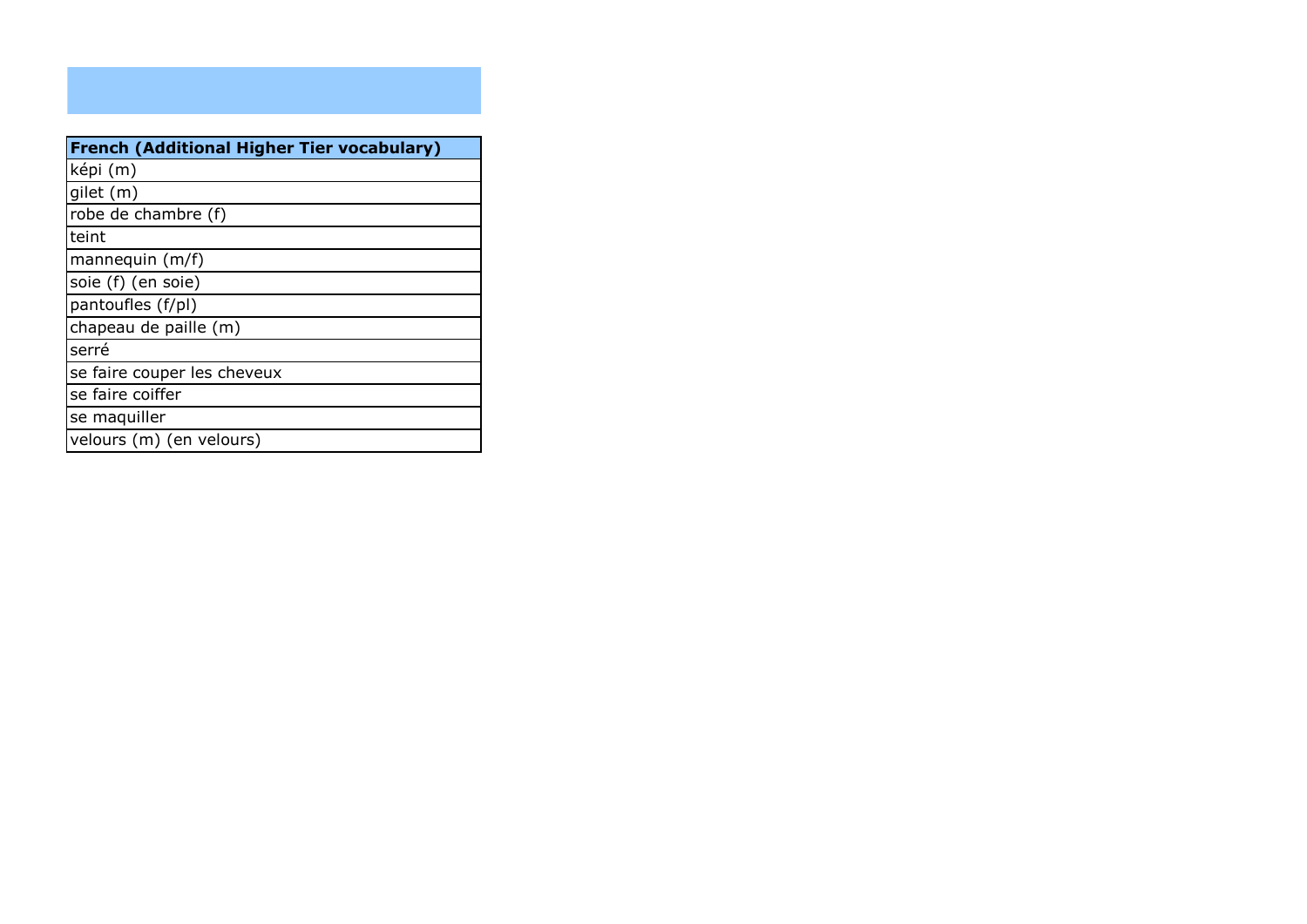| <b>French (Additional Higher Tier vocabulary)</b> |
|---------------------------------------------------|
| képi (m)                                          |
| gilet (m)                                         |
| robe de chambre (f)                               |
| teint                                             |
| mannequin $(m/f)$                                 |
| soie (f) (en soie)                                |
| pantoufles (f/pl)                                 |
| chapeau de paille (m)                             |
| serré                                             |
| se faire couper les cheveux                       |
| se faire coiffer                                  |
| se maquiller                                      |
| velours (m) (en velours)                          |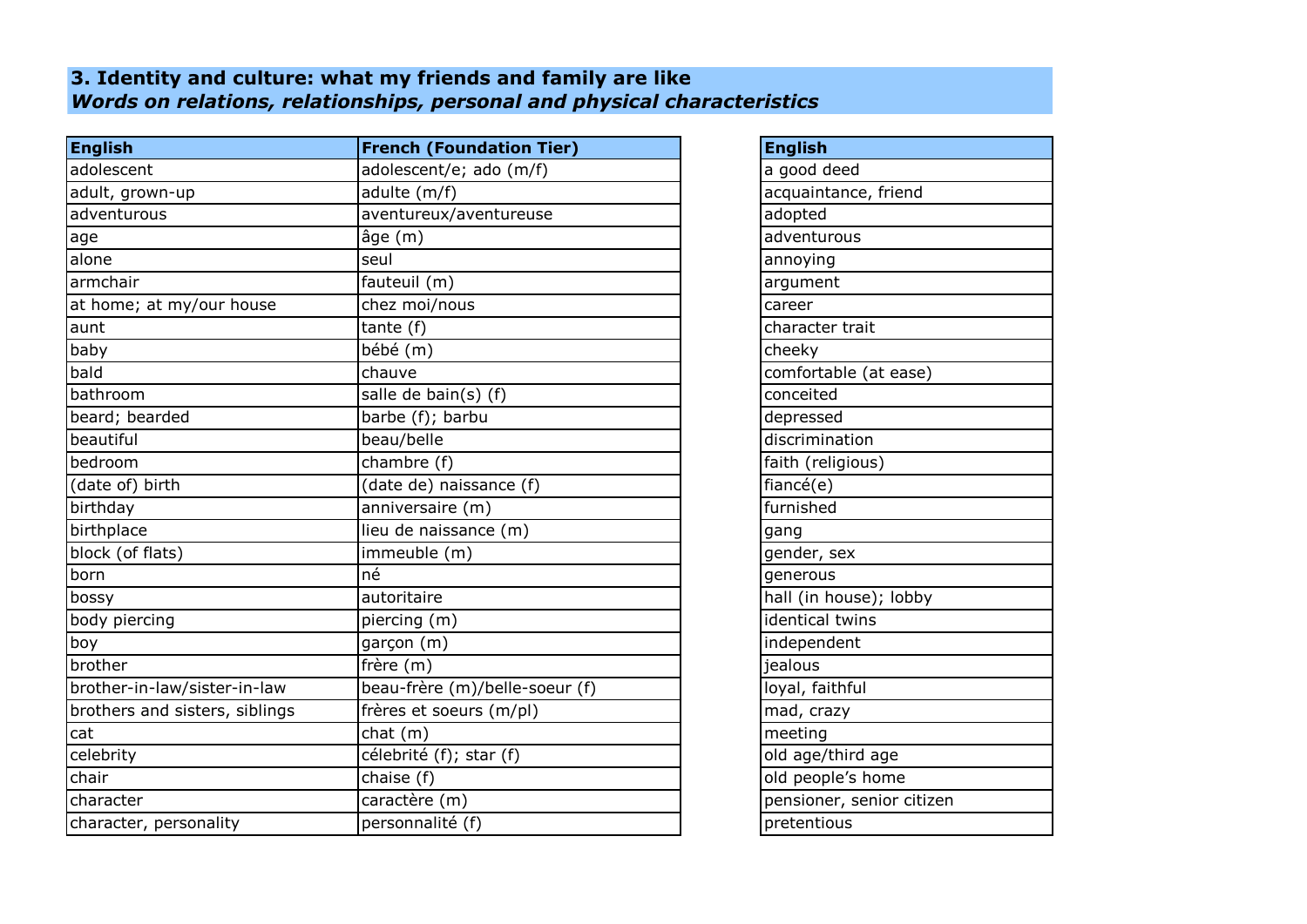### **3. Identity and culture: what my friends and family are like** *Words on relations, relationships, personal and physical characteristics*

| <b>English</b>                 | <b>French (Foundation Tier)</b>           | <b>English</b>            |
|--------------------------------|-------------------------------------------|---------------------------|
| adolescent                     | adolescent/e; ado (m/f)                   | a good deed               |
| adult, grown-up                | adulte (m/f)                              | acquaintance, friend      |
| adventurous                    | aventureux/aventureuse                    | adopted                   |
| age                            | âge (m)                                   | adventurous               |
| alone                          | seul                                      | annoying                  |
| armchair                       | fauteuil (m)                              | argument                  |
| at home; at my/our house       | chez moi/nous                             | career                    |
| aunt                           | tante (f)                                 | character trait           |
| baby                           | bébé (m)                                  | cheeky                    |
| bald                           | chauve                                    | comfortable (at ease)     |
| bathroom                       | salle de bain(s) (f)                      | conceited                 |
| beard; bearded                 | barbe (f); barbu                          | depressed                 |
| beautiful                      | beau/belle                                | discrimination            |
| bedroom                        | chambre (f)                               | faith (religious)         |
| (date of) birth                | (date de) naissance (f)                   | fiancé(e)                 |
| birthday                       | anniversaire (m)                          | furnished                 |
| birthplace                     | $\overline{\text{lieu}}$ de naissance (m) | gang                      |
| block (of flats)               | immeuble (m)                              | gender, sex               |
| born                           | né                                        | generous                  |
| bossy                          | autoritaire                               | hall (in house); lobby    |
| body piercing                  | piercing (m)                              | identical twins           |
| boy                            | garçon (m)                                | independent               |
| brother                        | frère (m)                                 | jealous                   |
| brother-in-law/sister-in-law   | beau-frère (m)/belle-soeur (f)            | loyal, faithful           |
| brothers and sisters, siblings | frères et soeurs (m/pl)                   | mad, crazy                |
| cat                            | chat(m)                                   | meeting                   |
| celebrity                      | célebrité (f); star (f)                   | old age/third age         |
| chair                          | chaise (f)                                | old people's home         |
| character                      | caractère (m)                             | pensioner, senior citizen |
| character, personality         | personnalité (f)                          | pretentious               |

| <b>English</b>            |
|---------------------------|
| a good deed               |
| acquaintance, friend      |
| adopted                   |
| adventurous               |
| annoying                  |
| argument                  |
| career                    |
| character trait           |
| cheeky                    |
| comfortable (at ease)     |
| conceited                 |
| depressed                 |
| discrimination            |
| faith (religious)         |
| fiancé(e)                 |
| furnished                 |
| gang                      |
| gender, sex               |
| generous                  |
| hall (in house); lobby    |
| identical twins           |
| independent               |
| jealous                   |
| loyal, faithful           |
| mad, crazy                |
| meeting                   |
| old age/third age         |
| old people's home         |
| pensioner, senior citizen |
| pretentious               |

 $\mathbf{r}$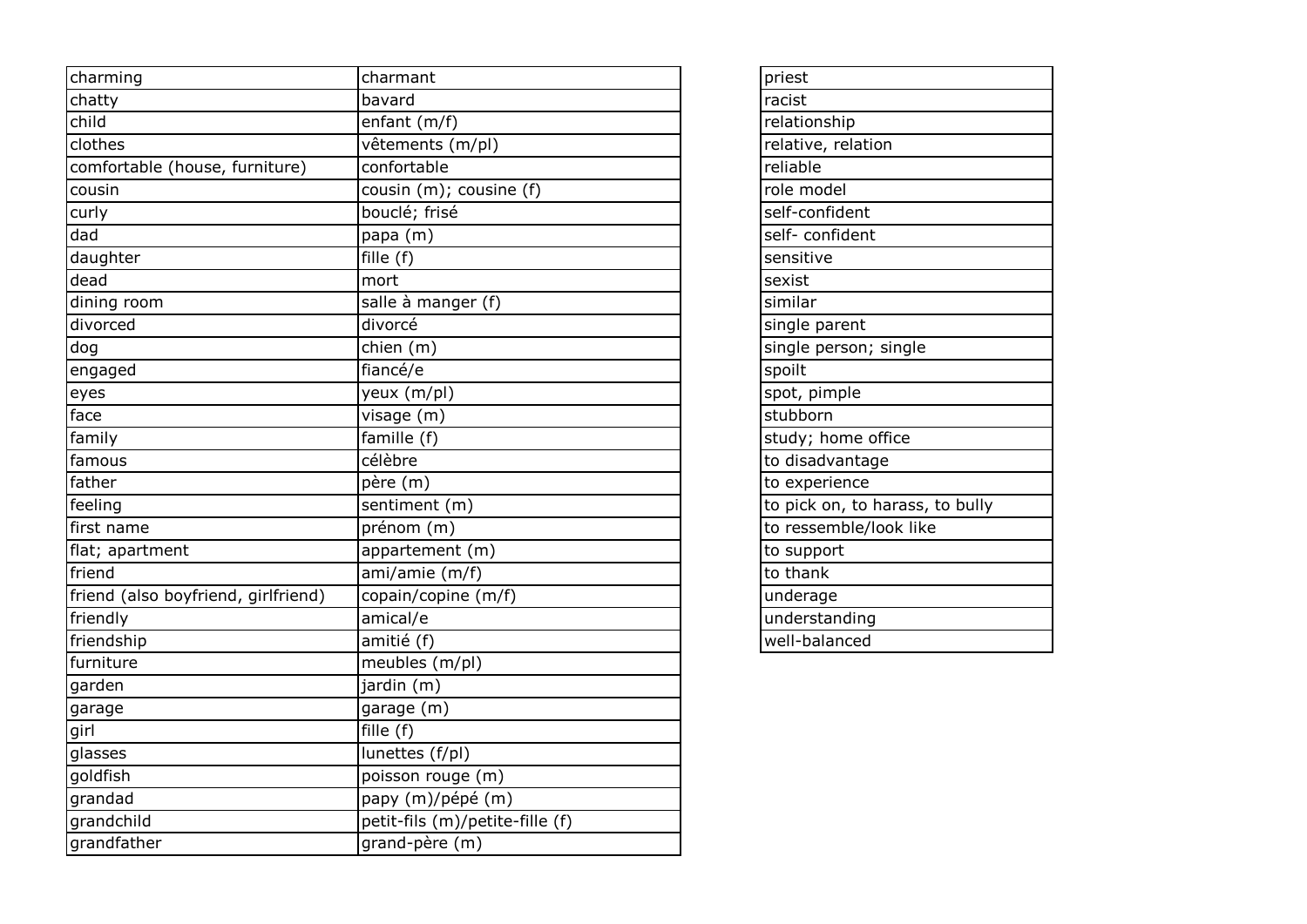| charming                            | charmant                            | priest                          |
|-------------------------------------|-------------------------------------|---------------------------------|
| chatty                              | bavard                              | racist                          |
| child                               | enfant (m/f)                        | relationship                    |
| clothes                             | vêtements (m/pl)                    | relative, relation              |
| comfortable (house, furniture)      | confortable                         | reliable                        |
| cousin                              | cousin (m); cousine (f)             | role model                      |
| curly                               | bouclé; frisé                       | self-confident                  |
| dad                                 | papa (m)                            | self-confident                  |
| daughter                            | fille(f)                            | sensitive                       |
| dead                                | mort                                | sexist                          |
| dining room                         | salle à manger (f)                  | similar                         |
| divorced                            | divorcé                             | single parent                   |
| dog                                 | chien (m)                           | single person; single           |
| engaged                             | fiancé/e                            | spoilt                          |
| eyes                                | yeux (m/pl)                         | spot, pimple                    |
| face                                | $\overline{v}$ isage (m)            | stubborn                        |
| family                              | famille (f)                         | study; home office              |
| famous                              | célèbre                             | to disadvantage                 |
| father                              | père (m)                            | to experience                   |
| feeling                             | sentiment (m)                       | to pick on, to harass, to bully |
| first name                          | prénom (m)                          | to ressemble/look like          |
| flat; apartment                     | appartement (m)                     | to support                      |
| friend                              | ami/amie (m/f)                      | to thank                        |
| friend (also boyfriend, girlfriend) | $\overline{copain/copine (m/f)}$    | underage                        |
| friendly                            | amical/e                            | understanding                   |
| friendship                          | amitié (f)                          | well-balanced                   |
| furniture                           | meubles (m/pl)                      |                                 |
| garden                              | jardin (m)                          |                                 |
| garage                              | garage (m)                          |                                 |
| girl                                | fille(f)                            |                                 |
| glasses                             | $\overline{\text{Iunettes (f/pl)}}$ |                                 |
| goldfish                            | poisson rouge (m)                   |                                 |
| grandad                             | papy (m)/pépé (m)                   |                                 |
| grandchild                          | petit-fils (m)/petite-fille (f)     |                                 |
| grandfather                         | grand-père (m)                      |                                 |

| priest                          |
|---------------------------------|
| racist                          |
| relationship                    |
| relative, relation              |
| reliable                        |
| role model                      |
| self-confident                  |
| self- confident                 |
| sensitive                       |
| sexist                          |
| similar                         |
| single parent                   |
| single person; single           |
| spoilt                          |
| spot, pimple                    |
| stubborn                        |
| study; home office              |
| to disadvantage                 |
| to experience                   |
| to pick on, to harass, to bully |
| to ressemble/look like          |
| to support                      |
| to thank                        |
| underage                        |
| understanding                   |
| well-balanced                   |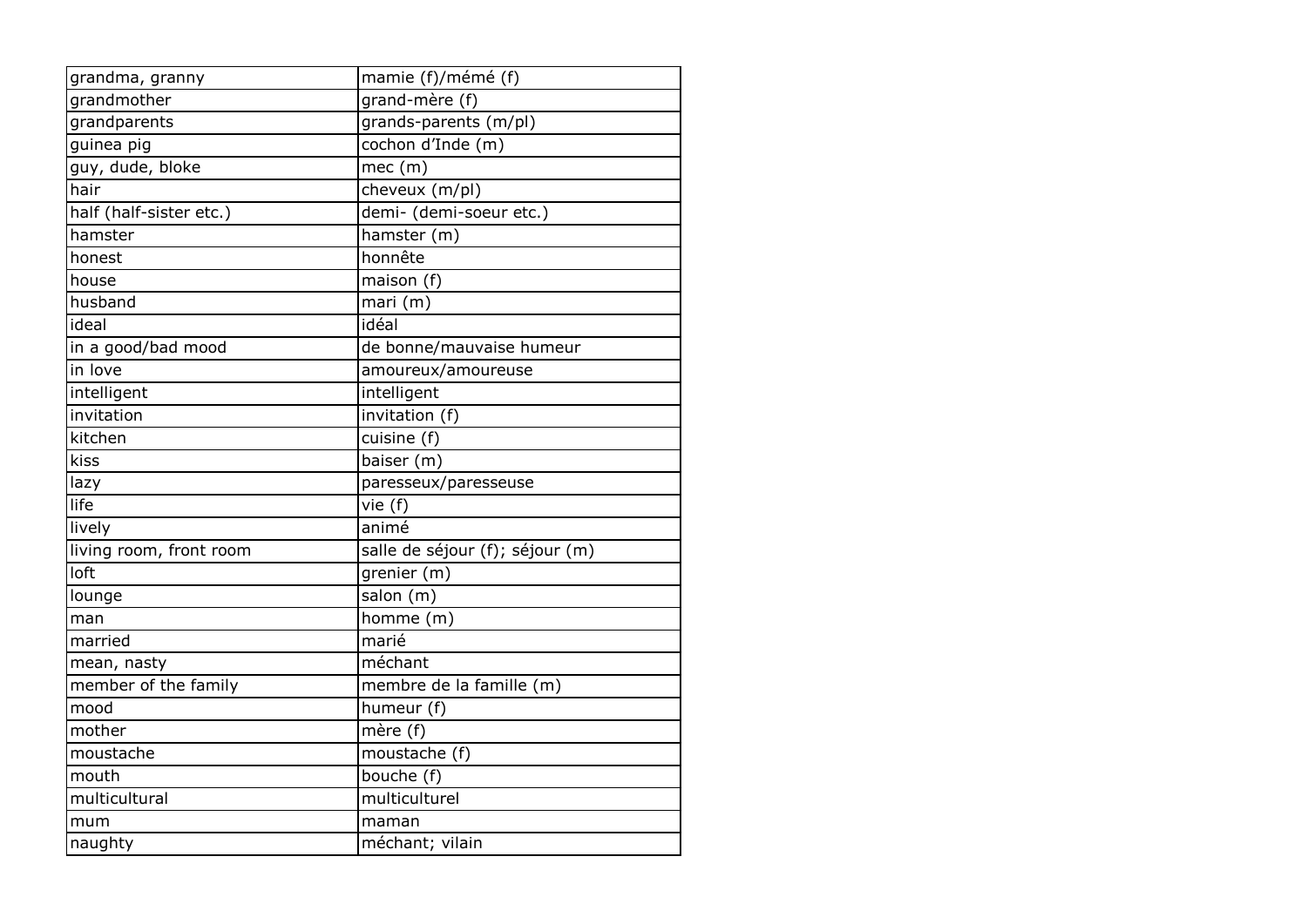| grandma, granny         | mamie (f)/mémé (f)                     |  |
|-------------------------|----------------------------------------|--|
| grandmother             | grand-mère (f)                         |  |
| grandparents            | grands-parents (m/pl)                  |  |
| guinea pig              | $\overline{\text{co}}$ chon d'Inde (m) |  |
| guy, dude, bloke        | mec(m)                                 |  |
| hair                    | cheveux (m/pl)                         |  |
| half (half-sister etc.) | demi- (demi-soeur etc.)                |  |
| hamster                 | hamster (m)                            |  |
| honest                  | honnête                                |  |
| house                   | maison (f)                             |  |
| husband                 | mari (m)                               |  |
| ideal                   | idéal                                  |  |
| in a good/bad mood      | de bonne/mauvaise humeur               |  |
| in love                 | amoureux/amoureuse                     |  |
| intelligent             | intelligent                            |  |
| invitation              | invitation (f)                         |  |
| kitchen                 | cuisine (f)                            |  |
| kiss                    | baiser (m)                             |  |
| lazy                    | paresseux/paresseuse                   |  |
| life                    | vie (f)                                |  |
| lively                  | animé                                  |  |
| living room, front room | salle de séjour (f); séjour (m)        |  |
| loft                    | grenier (m)                            |  |
| lounge                  | salon (m)                              |  |
| man                     | homme (m)                              |  |
| married                 | marié                                  |  |
| mean, nasty             | méchant                                |  |
| member of the family    | membre de la famille (m)               |  |
| mood                    | humeur (f)                             |  |
| mother                  | mère (f)                               |  |
| moustache               | moustache (f)                          |  |
| mouth                   | bouche (f)                             |  |
| multicultural           | multiculturel                          |  |
| mum                     | maman                                  |  |
| naughty                 | méchant; vilain                        |  |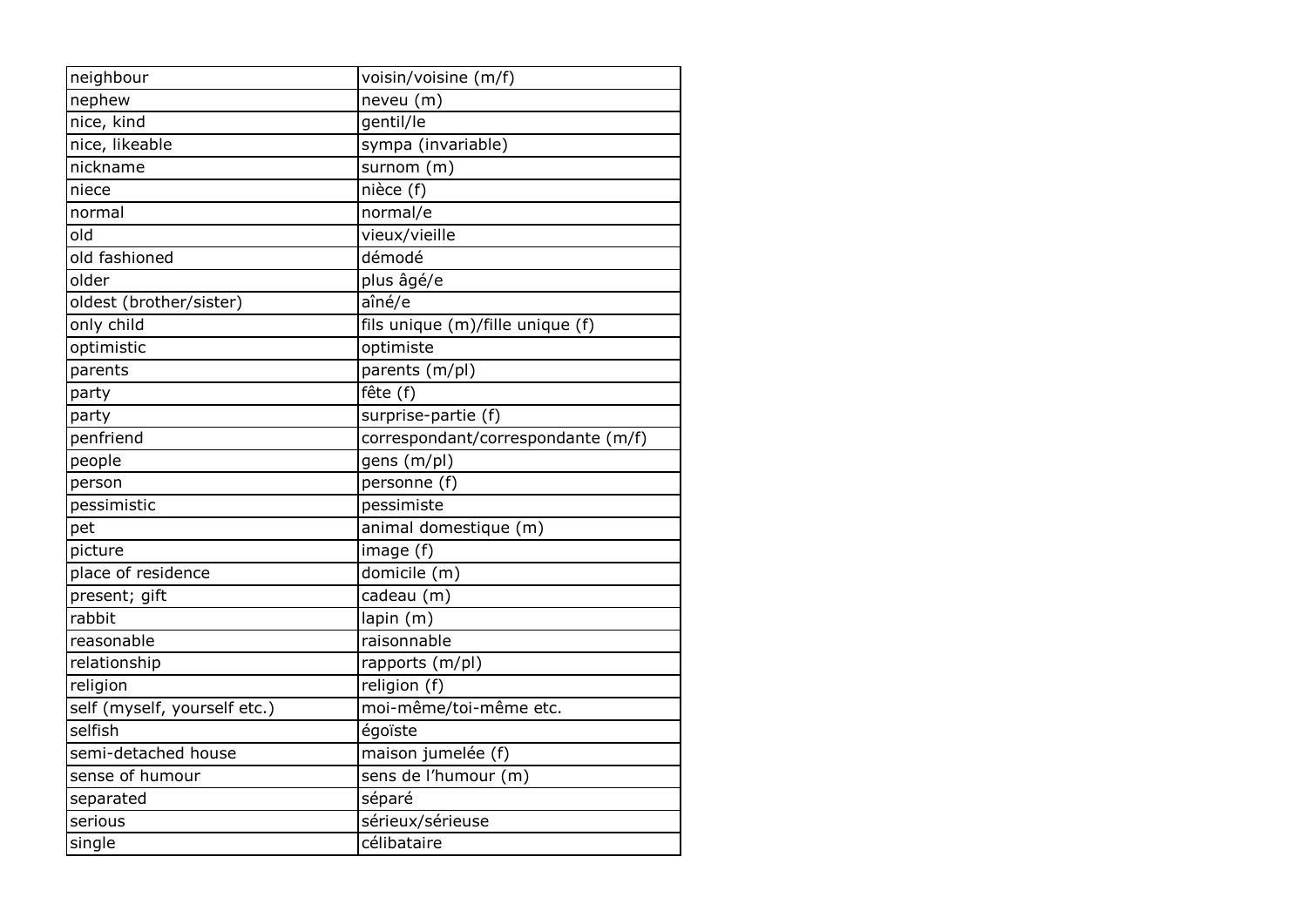| neighbour                    | voisin/voisine (m/f)               |
|------------------------------|------------------------------------|
| nephew                       | neveu (m)                          |
| nice, kind                   | gentil/le                          |
| nice, likeable               | sympa (invariable)                 |
| nickname                     | surnom (m)                         |
| niece                        | nièce (f)                          |
| normal                       | normal/e                           |
| old                          | vieux/vieille                      |
| old fashioned                | démodé                             |
| older                        | plus âgé/e                         |
| oldest (brother/sister)      | aîné/e                             |
| only child                   | fils unique (m)/fille unique (f)   |
| optimistic                   | optimiste                          |
| parents                      | parents (m/pl)                     |
| party                        | fête (f)                           |
| party                        | surprise-partie (f)                |
| penfriend                    | correspondant/correspondante (m/f) |
| people                       | gens (m/pl)                        |
| person                       | personne (f)                       |
| pessimistic                  | pessimiste                         |
| pet                          | animal domestique (m)              |
| picture                      | image (f)                          |
| place of residence           | domicile (m)                       |
| present; gift                | cadeau (m)                         |
| rabbit                       | lapin (m)                          |
| reasonable                   | raisonnable                        |
| relationship                 | rapports (m/pl)                    |
| religion                     | religion (f)                       |
| self (myself, yourself etc.) | moi-même/toi-même etc.             |
| selfish                      | égoïste                            |
| semi-detached house          | maison jumelée (f)                 |
| sense of humour              | sens de l'humour (m)               |
| separated                    | séparé                             |
| serious                      | sérieux/sérieuse                   |
| single                       | célibataire                        |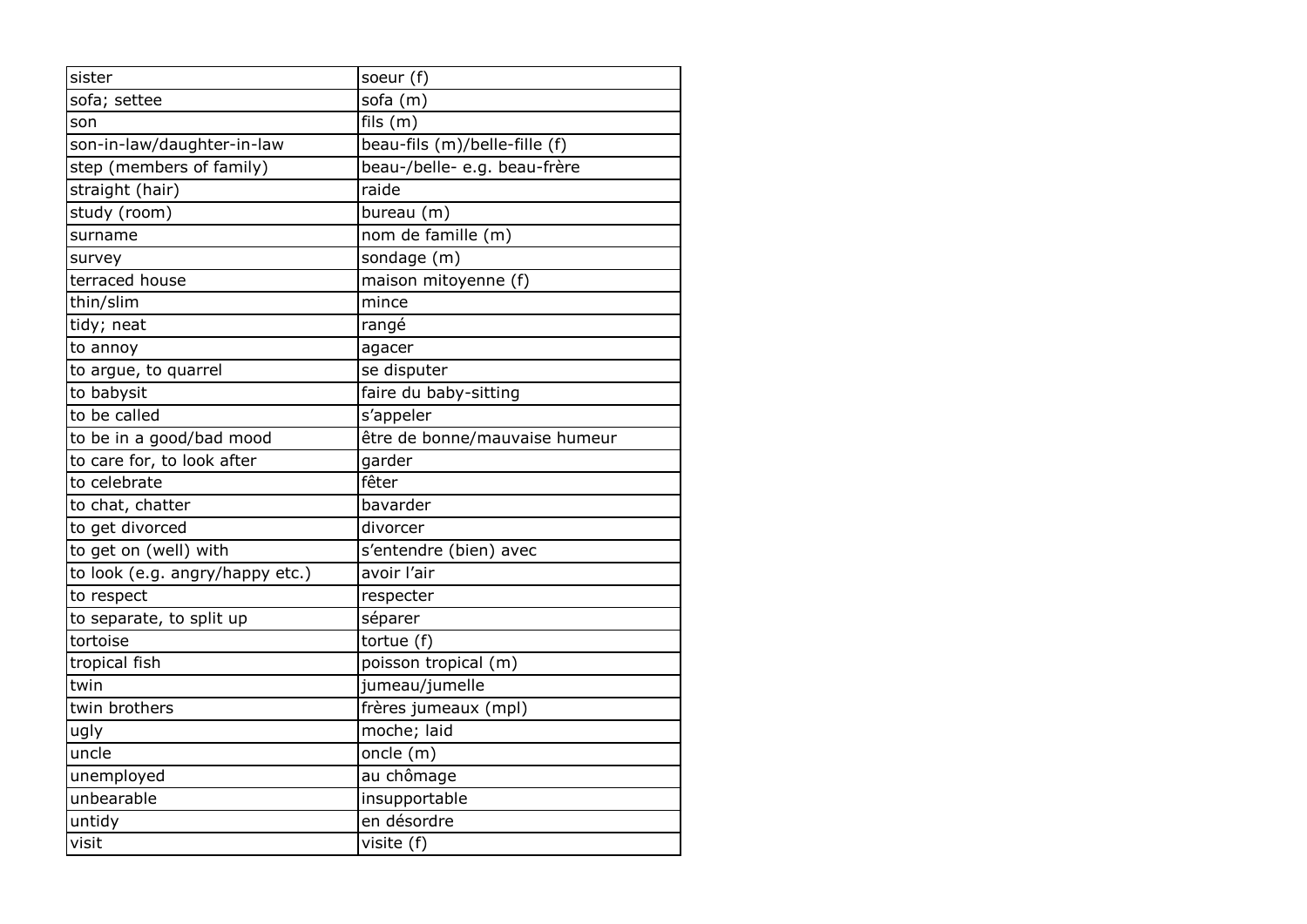| sister                          | soeur (f)                     |
|---------------------------------|-------------------------------|
| sofa; settee                    | sofa (m)                      |
| son                             | fils(m)                       |
| son-in-law/daughter-in-law      | beau-fils (m)/belle-fille (f) |
| step (members of family)        | beau-/belle- e.g. beau-frère  |
| straight (hair)                 | raide                         |
| study (room)                    | bureau (m)                    |
| surname                         | nom de famille (m)            |
| survey                          | sondage (m)                   |
| terraced house                  | maison mitoyenne (f)          |
| thin/slim                       | mince                         |
| tidy; neat                      | rangé                         |
| to annoy                        | agacer                        |
| to argue, to quarrel            | se disputer                   |
| to babysit                      | faire du baby-sitting         |
| to be called                    | s'appeler                     |
| to be in a good/bad mood        | être de bonne/mauvaise humeur |
| to care for, to look after      | garder                        |
| to celebrate                    | fêter                         |
| to chat, chatter                | bavarder                      |
| to get divorced                 | divorcer                      |
| to get on (well) with           | s'entendre (bien) avec        |
| to look (e.g. angry/happy etc.) | avoir l'air                   |
| to respect                      | respecter                     |
| to separate, to split up        | séparer                       |
| tortoise                        | tortue (f)                    |
| tropical fish                   | poisson tropical (m)          |
| twin                            | jumeau/jumelle                |
| twin brothers                   | frères jumeaux (mpl)          |
| ugly                            | moche; laid                   |
| uncle                           | oncle (m)                     |
| unemployed                      | au chômage                    |
| unbearable                      | insupportable                 |
| untidy                          | en désordre                   |
| visit                           | visite (f)                    |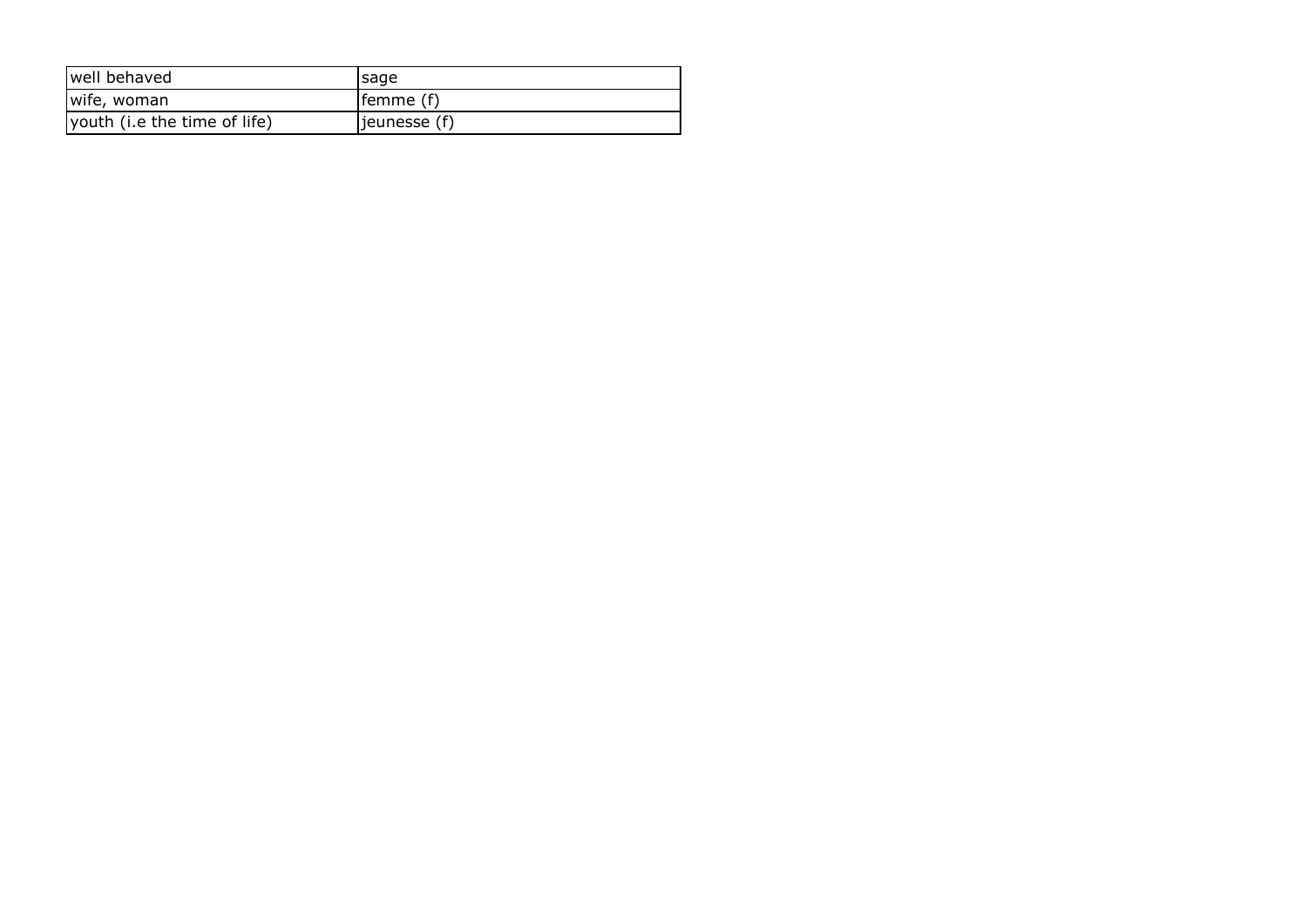| well behaved                 | Isage             |
|------------------------------|-------------------|
| wife, woman                  | $[$ femme $( f )$ |
| youth (i.e the time of life) | lieunesse (f)     |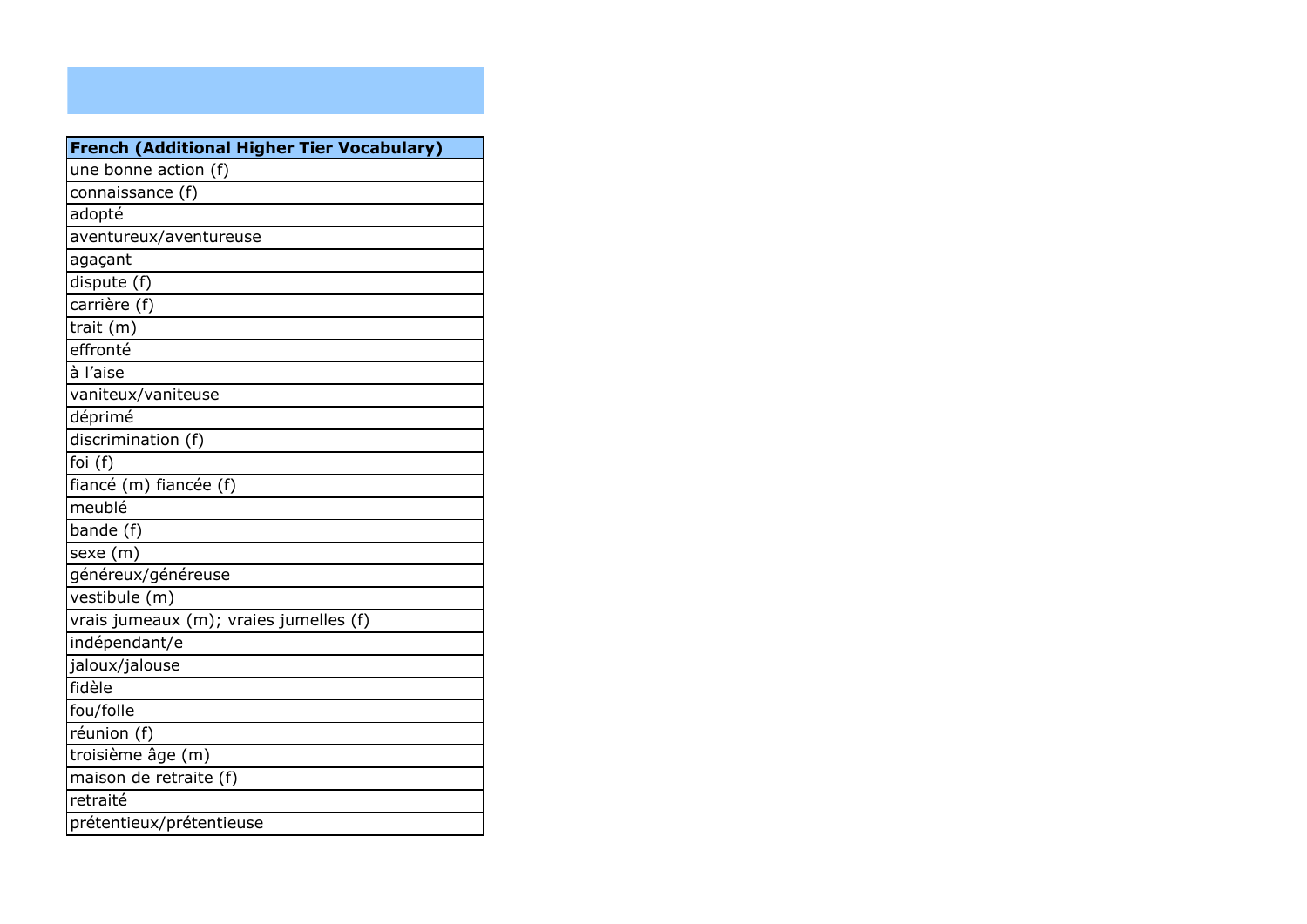| <b>French (Additional Higher Tier Vocabulary)</b> |
|---------------------------------------------------|
| une bonne action (f)                              |
| connaissance (f)                                  |
| adopté                                            |
| aventureux/aventureuse                            |
| agaçant                                           |
| dispute (f)                                       |
| carrière (f)                                      |
| trait (m)                                         |
| effronté                                          |
| à l'aise                                          |
| vaniteux/vaniteuse                                |
| déprimé                                           |
| discrimination (f)                                |
| foi (f)                                           |
| fiancé (m) fiancée (f)                            |
| meublé                                            |
| bande (f)                                         |
| sexe (m)                                          |
| généreux/généreuse                                |
| vestibule (m)                                     |
| vrais jumeaux (m); vraies jumelles (f)            |
| indépendant/e                                     |
| jaloux/jalouse                                    |
| fidèle                                            |
| fou/folle                                         |
| réunion (f)                                       |
| troisième âge (m)                                 |
| maison de retraite (f)                            |
| retraité                                          |
| prétentieux/prétentieuse                          |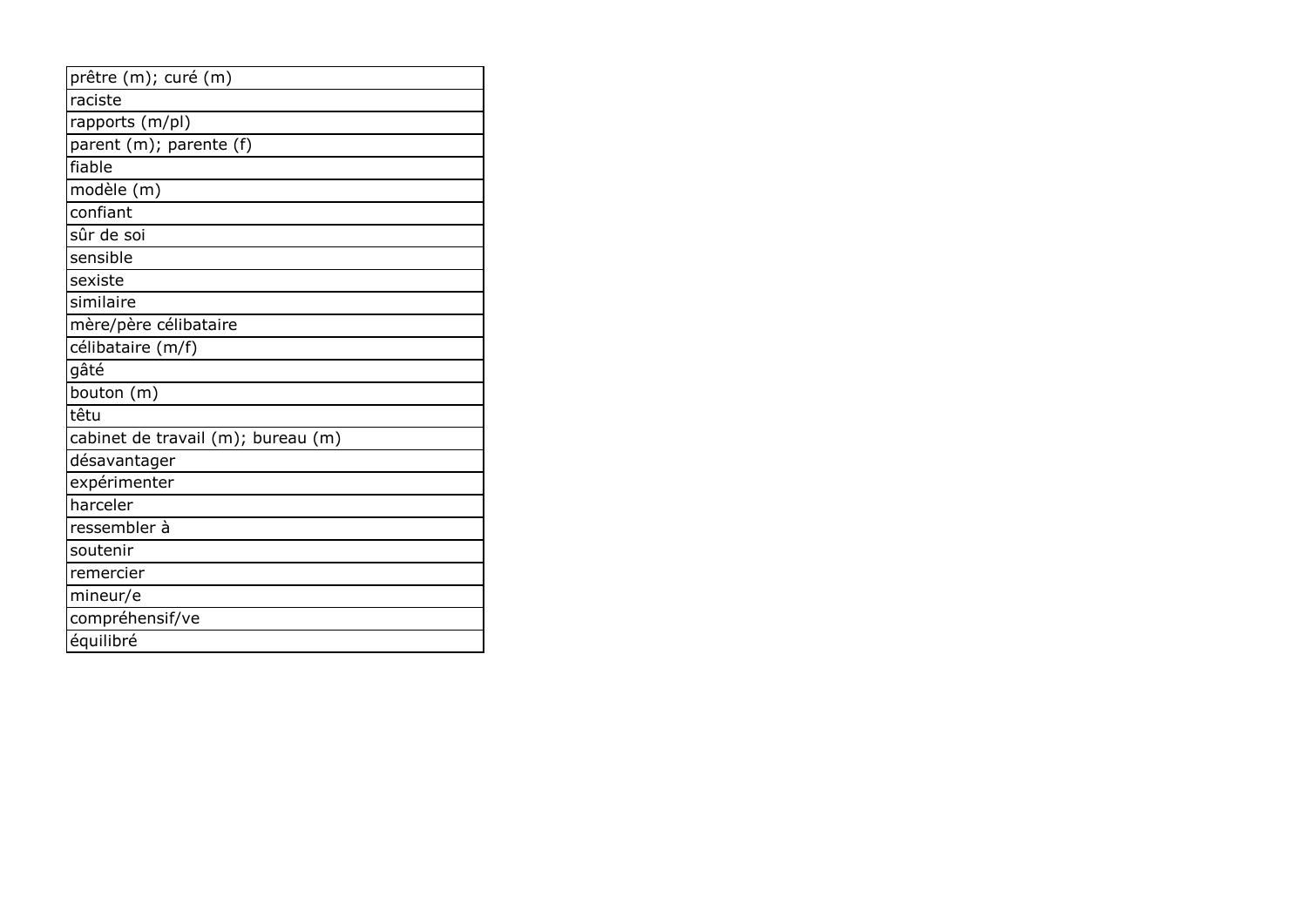| prêtre (m); curé (m)               |
|------------------------------------|
| raciste                            |
| rapports (m/pl)                    |
| parent (m); parente (f)            |
| fiable                             |
| modèle (m)                         |
| confiant                           |
| sûr de soi                         |
| sensible                           |
| sexiste                            |
| similaire                          |
| mère/père célibataire              |
| célibataire (m/f)                  |
| gâté                               |
| bouton (m)                         |
| têtu                               |
| cabinet de travail (m); bureau (m) |
| désavantager                       |
| expérimenter                       |
| harceler                           |
| ressembler à                       |
| soutenir                           |
| remercier                          |
| mineur/e                           |
| compréhensif/ve                    |
| équilibré                          |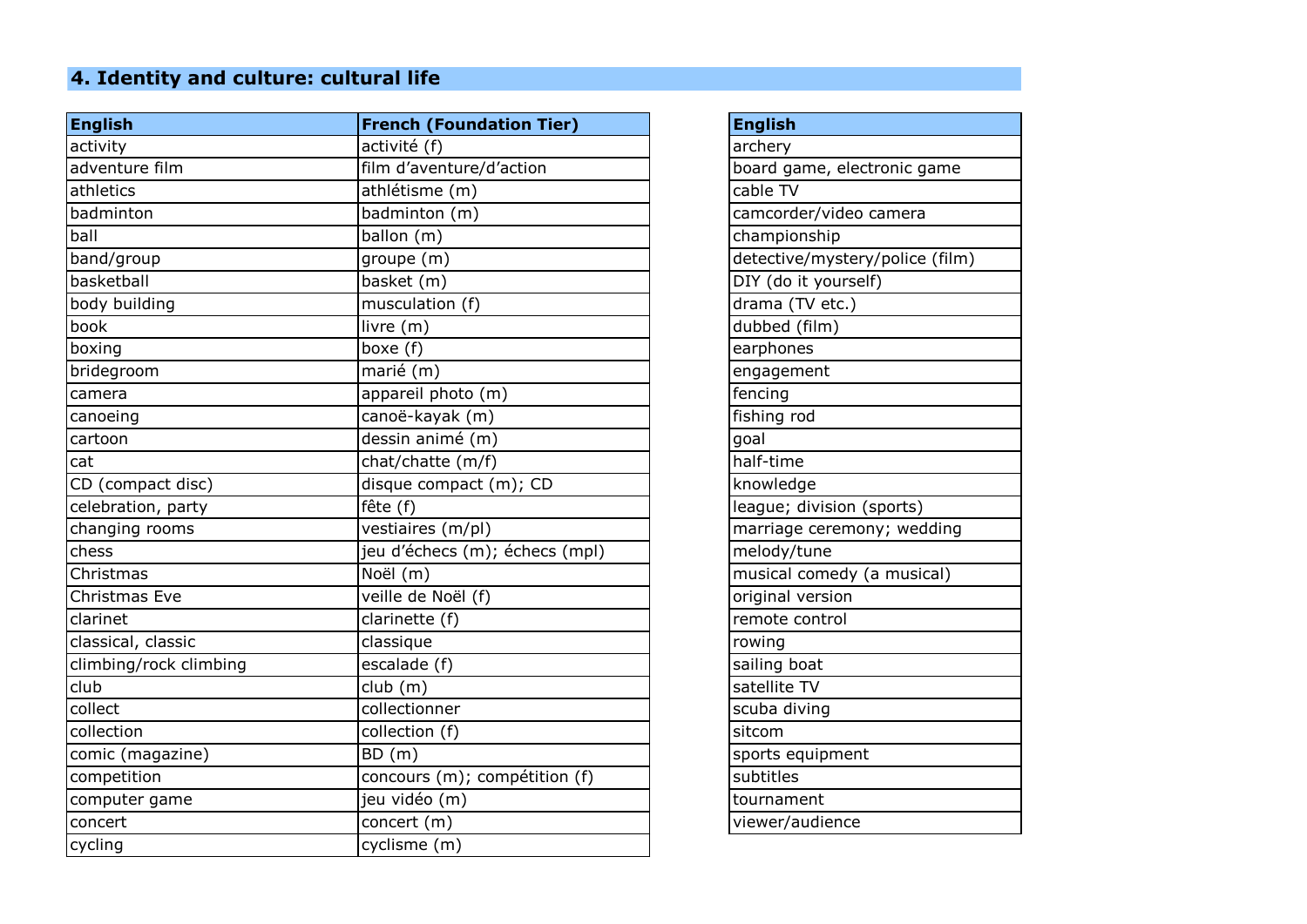## **4. Identity and culture: cultural life**

| <b>English</b>         | <b>French (Foundation Tier)</b> | <b>English</b>                  |
|------------------------|---------------------------------|---------------------------------|
| activity               | activité (f)                    | archery                         |
| adventure film         | film d'aventure/d'action        | board game, electronic game     |
| athletics              | athlétisme (m)                  | cable TV                        |
| badminton              | badminton (m)                   | camcorder/video camera          |
| ball                   | ballon (m)                      | championship                    |
| band/group             | groupe (m)                      | detective/mystery/police (film) |
| basketball             | basket (m)                      | DIY (do it yourself)            |
| body building          | musculation (f)                 | drama (TV etc.)                 |
| book                   | livre (m)                       | dubbed (film)                   |
| boxing                 | boxe (f)                        | earphones                       |
| bridegroom             | marié (m)                       | engagement                      |
| camera                 | appareil photo (m)              | fencing                         |
| canoeing               | canoë-kayak (m)                 | fishing rod                     |
| cartoon                | dessin animé (m)                | goal                            |
| cat                    | chat/chatte (m/f)               | half-time                       |
| CD (compact disc)      | disque compact (m); CD          | knowledge                       |
| celebration, party     | fête (f)                        | league; division (sports)       |
| changing rooms         | vestiaires (m/pl)               | marriage ceremony; wedding      |
| chess                  | jeu d'échecs (m); échecs (mpl)  | melody/tune                     |
| Christmas              | $\overline{\text{No}}$ ël (m)   | musical comedy (a musical)      |
| Christmas Eve          | veille de Noël (f)              | original version                |
| clarinet               | clarinette (f)                  | remote control                  |
| classical, classic     | classique                       | rowing                          |
| climbing/rock climbing | escalade (f)                    | sailing boat                    |
| club                   | club(m)                         | satellite TV                    |
| collect                | collectionner                   | scuba diving                    |
| collection             | collection (f)                  | sitcom                          |
| comic (magazine)       | BD(m)                           | sports equipment                |
| competition            | concours (m); compétition (f)   | subtitles                       |
| computer game          | jeu vidéo (m)                   | tournament                      |
| concert                | concert (m)                     | viewer/audience                 |
| cycling                | cyclisme (m)                    |                                 |

| <b>English</b>                  |
|---------------------------------|
| archery                         |
| board game, electronic game     |
| cable TV                        |
| camcorder/video camera          |
| championship                    |
| detective/mystery/police (film) |
| DIY (do it yourself)            |
| drama (TV etc.)                 |
| dubbed (film)                   |
| earphones                       |
| engagement                      |
| fencing                         |
| fishing rod                     |
| goal                            |
| half-time                       |
| knowledge                       |
| league; division (sports)       |
| marriage ceremony; wedding      |
| melody/tune                     |
| musical comedy (a musical)      |
| original version                |
| remote control                  |
| rowing                          |
| sailing boat                    |
| satellite TV                    |
| scuba diving                    |
| sitcom                          |
| sports equipment                |
| subtitles                       |
| tournament                      |
| viewer/audience                 |
|                                 |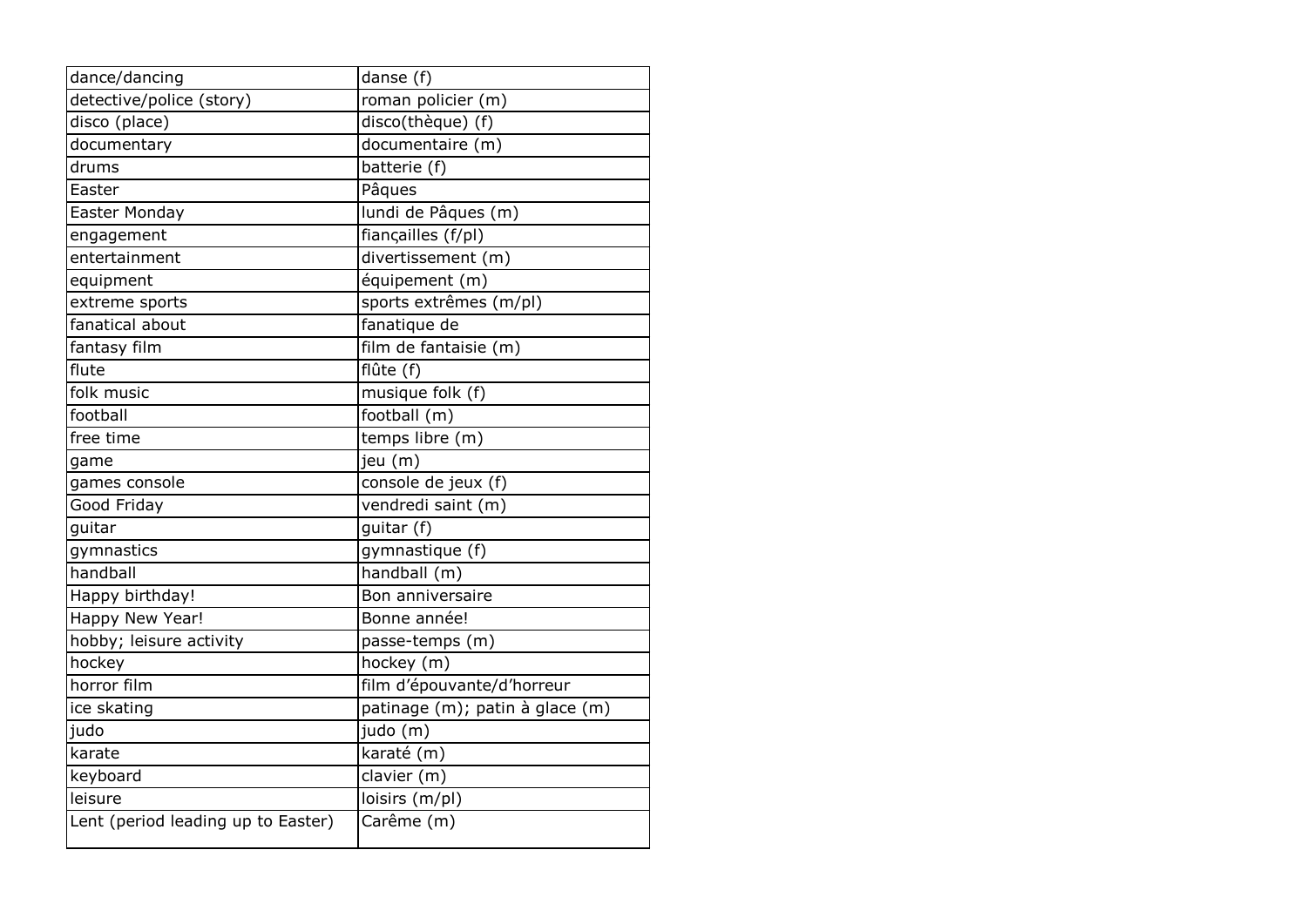| dance/dancing                      | danse (f)                          |
|------------------------------------|------------------------------------|
| detective/police (story)           | roman policier (m)                 |
| disco (place)                      | disco(thèque) (f)                  |
| documentary                        | documentaire (m)                   |
| drums                              | batterie (f)                       |
| Easter                             | Pâques                             |
| Easter Monday                      | lundi de Pâques (m)                |
| engagement                         | fiançailles (f/pl)                 |
| entertainment                      | divertissement (m)                 |
| equipment                          | équipement (m)                     |
| extreme sports                     | sports extrêmes (m/pl)             |
| fanatical about                    | fanatique de                       |
| fantasy film                       | $\overline{film}$ de fantaisie (m) |
| flute                              | flûte (f)                          |
| folk music                         | musique folk (f)                   |
| football                           | football (m)                       |
| free time                          | temps libre (m)                    |
| game                               | jeu (m)                            |
| games console                      | console de jeux (f)                |
| Good Friday                        | vendredi saint (m)                 |
| guitar                             | guitar (f)                         |
| gymnastics                         | gymnastique (f)                    |
| handball                           | handball (m)                       |
| Happy birthday!                    | Bon anniversaire                   |
| <b>Happy New Year!</b>             | Bonne année!                       |
| hobby; leisure activity            | passe-temps (m)                    |
| hockey                             | hockey (m)                         |
| horror film                        | film d'épouvante/d'horreur         |
| ice skating                        | patinage (m); patin à glace (m)    |
| judo                               | judo(m)                            |
| karate                             | karaté (m)                         |
| keyboard                           | clavier (m)                        |
| leisure                            | loisirs (m/pl)                     |
| Lent (period leading up to Easter) | Carême (m)                         |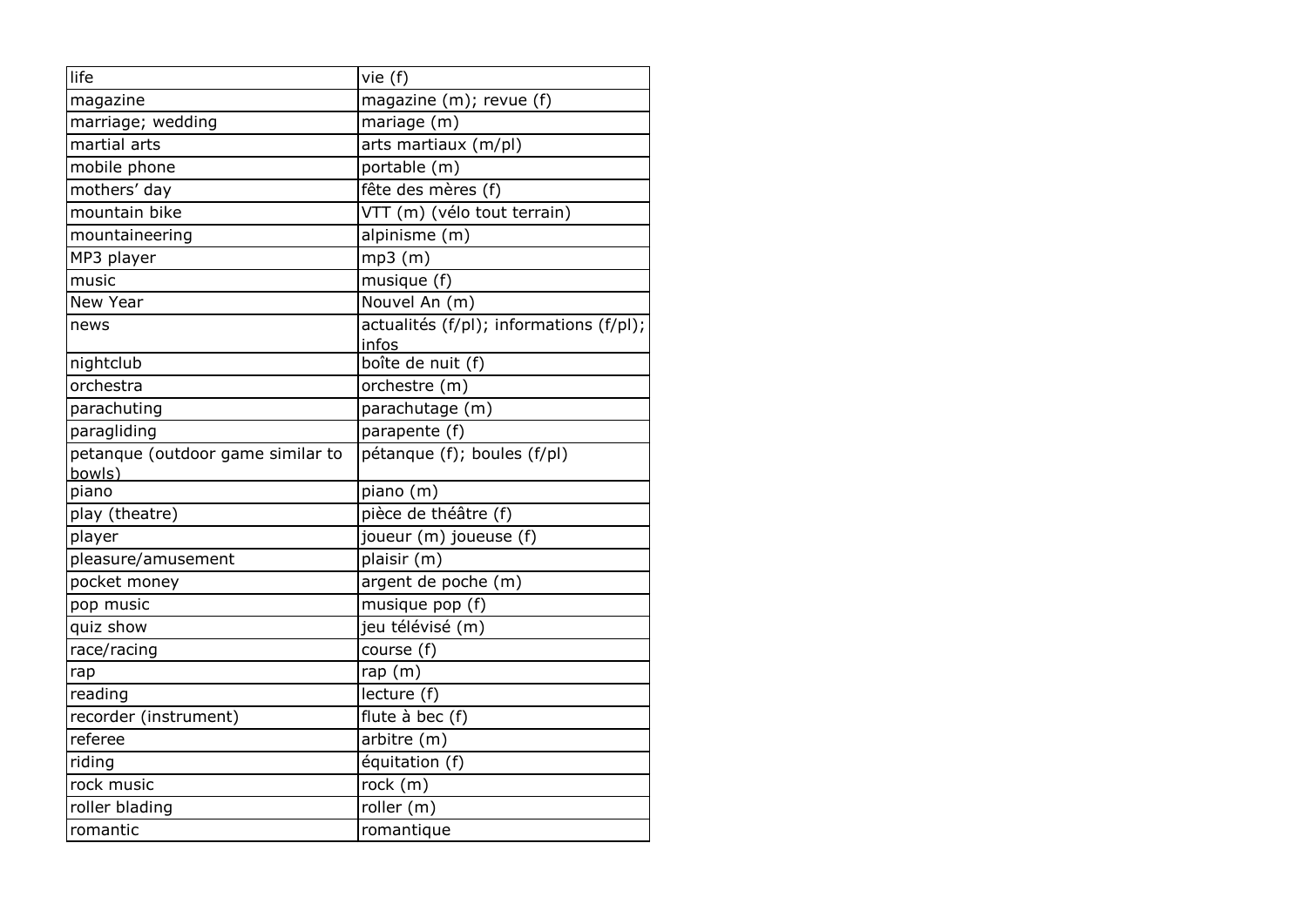| life                                        | vie (f)                                          |
|---------------------------------------------|--------------------------------------------------|
| magazine                                    | magazine (m); revue (f)                          |
| marriage; wedding                           | mariage (m)                                      |
| martial arts                                | arts martiaux (m/pl)                             |
| mobile phone                                | portable (m)                                     |
| mothers' day                                | fête des mères (f)                               |
| mountain bike                               | VTT (m) (vélo tout terrain)                      |
| mountaineering                              | alpinisme (m)                                    |
| MP3 player                                  | $mp3$ (m)                                        |
| music                                       | musique (f)                                      |
| <b>New Year</b>                             | Nouvel An (m)                                    |
| news                                        | actualités (f/pl); informations (f/pl);<br>infos |
| nightclub                                   | boîte de nuit (f)                                |
| orchestra                                   | orchestre (m)                                    |
| parachuting                                 | parachutage (m)                                  |
| paragliding                                 | parapente (f)                                    |
| petanque (outdoor game similar to<br>bowls) | pétanque (f); boules (f/pl)                      |
| piano                                       | piano (m)                                        |
| play (theatre)                              | pièce de théâtre (f)                             |
| player                                      | joueur (m) joueuse (f)                           |
| pleasure/amusement                          | plaisir $(m)$                                    |
| pocket money                                | argent de poche (m)                              |
| pop music                                   | musique pop (f)                                  |
| quiz show                                   | jeu télévisé (m)                                 |
| race/racing                                 | course (f)                                       |
| rap                                         | rap $(m)$                                        |
| reading                                     | lecture (f)                                      |
| recorder (instrument)                       | flute à bec (f)                                  |
| referee                                     | arbitre (m)                                      |
| riding                                      | équitation (f)                                   |
| rock music                                  | rock (m)                                         |
| roller blading                              | roller (m)                                       |
| romantic                                    | romantique                                       |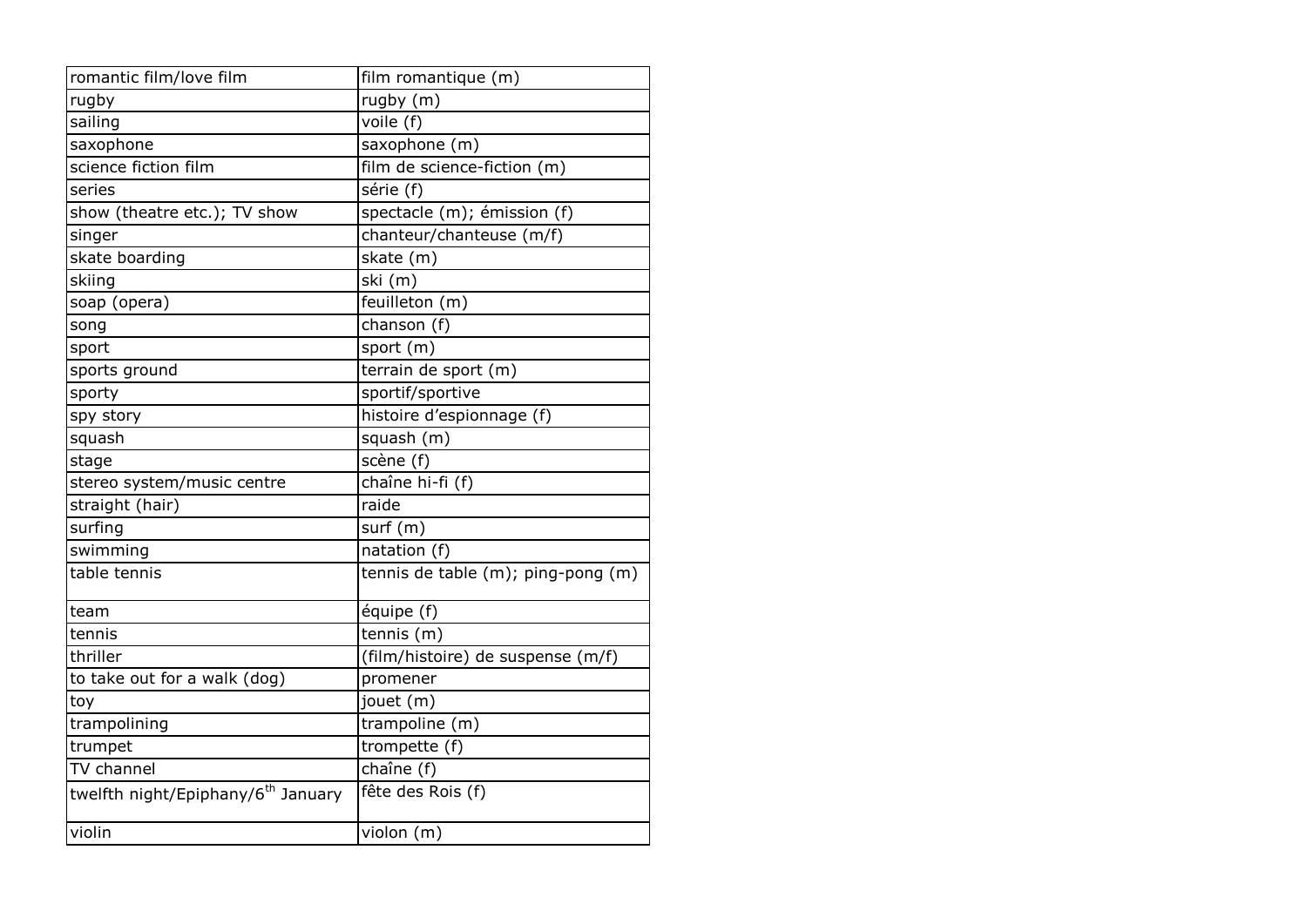| romantic film/love film                        | film romantique (m)                |
|------------------------------------------------|------------------------------------|
| rugby                                          | rugby (m)                          |
| sailing                                        | voile (f)                          |
| saxophone                                      | saxophone (m)                      |
| science fiction film                           | film de science-fiction (m)        |
| series                                         | série (f)                          |
| show (theatre etc.); TV show                   | spectacle (m); émission (f)        |
| singer                                         | chanteur/chanteuse (m/f)           |
| skate boarding                                 | skate $(m)$                        |
| skiing                                         | ski (m)                            |
| soap (opera)                                   | feuilleton (m)                     |
| song                                           | chanson (f)                        |
| sport                                          | sport (m)                          |
| sports ground                                  | terrain de sport (m)               |
| sporty                                         | sportif/sportive                   |
| spy story                                      | histoire d'espionnage (f)          |
| squash                                         | squash (m)                         |
| stage                                          | scène (f)                          |
| stereo system/music centre                     | chaîne hi-fi (f)                   |
| straight (hair)                                | raide                              |
| surfing                                        | $\overline{\text{s}}$ urf (m)      |
| swimming                                       | natation (f)                       |
| table tennis                                   | tennis de table (m); ping-pong (m) |
| team                                           | équipe (f)                         |
| tennis                                         | tennis (m)                         |
| thriller                                       | (film/histoire) de suspense (m/f)  |
| to take out for a walk (dog)                   | promener                           |
| toy                                            | jouet (m)                          |
| trampolining                                   | trampoline (m)                     |
| trumpet                                        | trompette (f)                      |
| TV channel                                     | chaîne (f)                         |
| twelfth night/Epiphany/6 <sup>th</sup> January | fête des Rois (f)                  |
| violin                                         | violon (m)                         |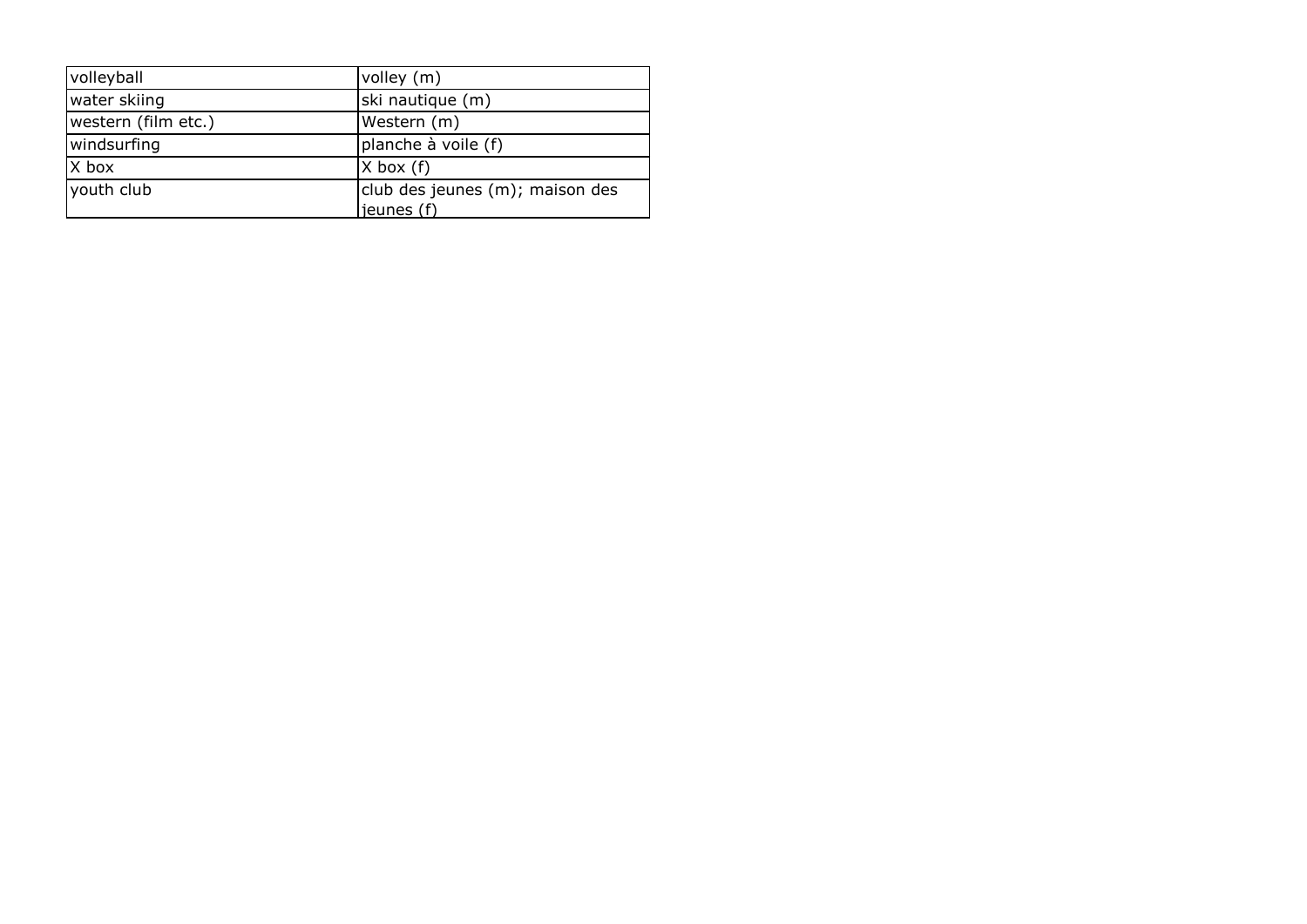| volleyball          | volley (m)                      |
|---------------------|---------------------------------|
| water skiing        | ski nautique (m)                |
| western (film etc.) | Western (m)                     |
| windsurfing         | planche à voile (f)             |
| X box               | $X$ box $(f)$                   |
| youth club          | club des jeunes (m); maison des |
|                     | jeunes (f)                      |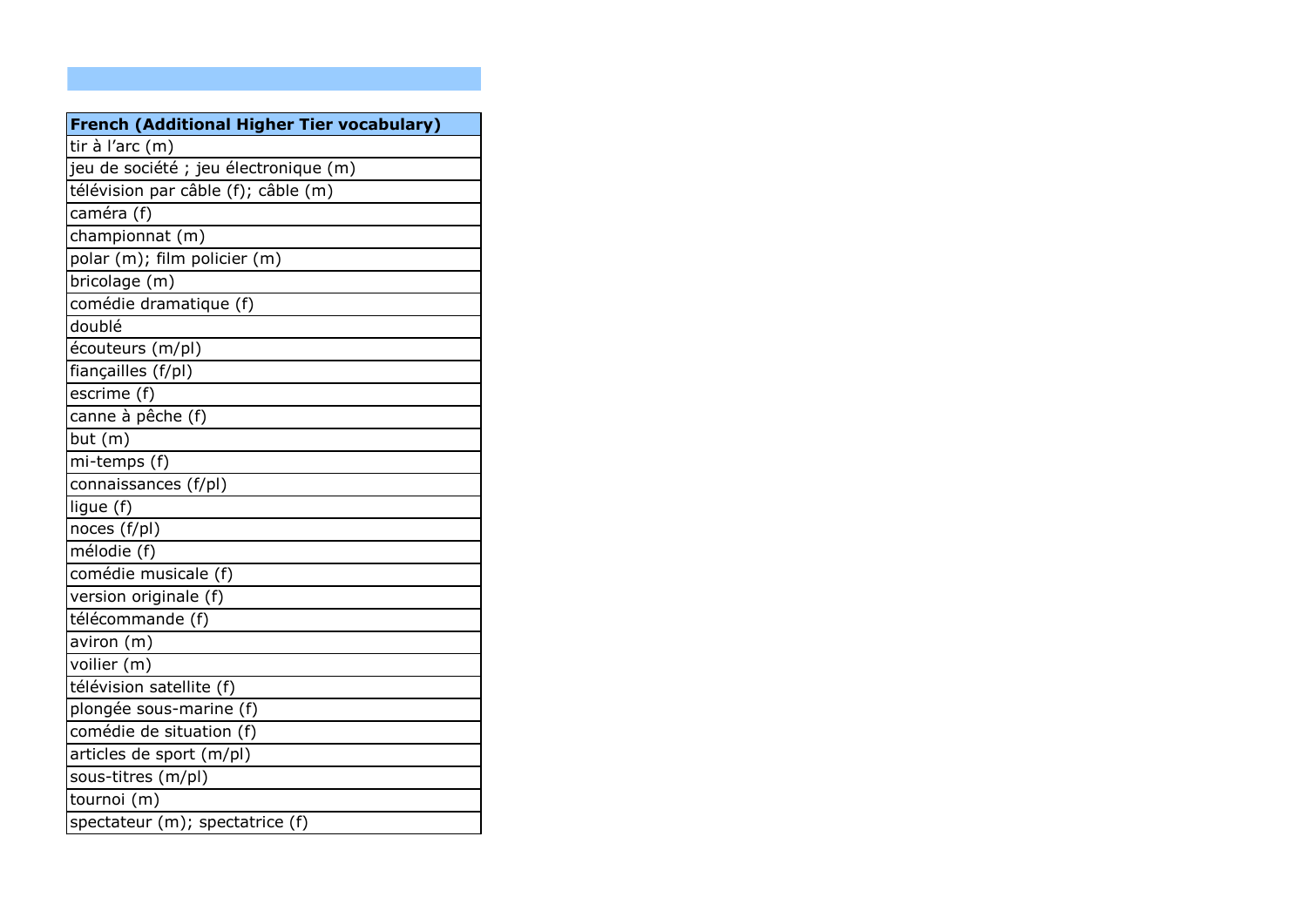| <b>French (Additional Higher Tier vocabulary)</b> |
|---------------------------------------------------|
| tir à l'arc $(m)$                                 |
| jeu de société ; jeu électronique (m)             |
| télévision par câble (f); câble (m)               |
| caméra (f)                                        |
| championnat (m)                                   |
| polar (m); film policier (m)                      |
| bricolage (m)                                     |
| comédie dramatique (f)                            |
| doublé                                            |
| écouteurs (m/pl)                                  |
| fiançailles (f/pl)                                |
| escrime (f)                                       |
| canne à pêche (f)                                 |
| but (m)                                           |
| mi-temps (f)                                      |
| connaissances (f/pl)                              |
| ligue (f)                                         |
| noces (f/pl)                                      |
| mélodie (f)                                       |
| comédie musicale (f)                              |
| version originale (f)                             |
| télécommande (f)                                  |
| aviron (m)                                        |
| voilier (m)                                       |
| télévision satellite (f)                          |
| plongée sous-marine (f)                           |
| comédie de situation (f)                          |
| articles de sport (m/pl)                          |
| sous-titres (m/pl)                                |
| tournoi (m)                                       |
| spectateur (m); spectatrice (f)                   |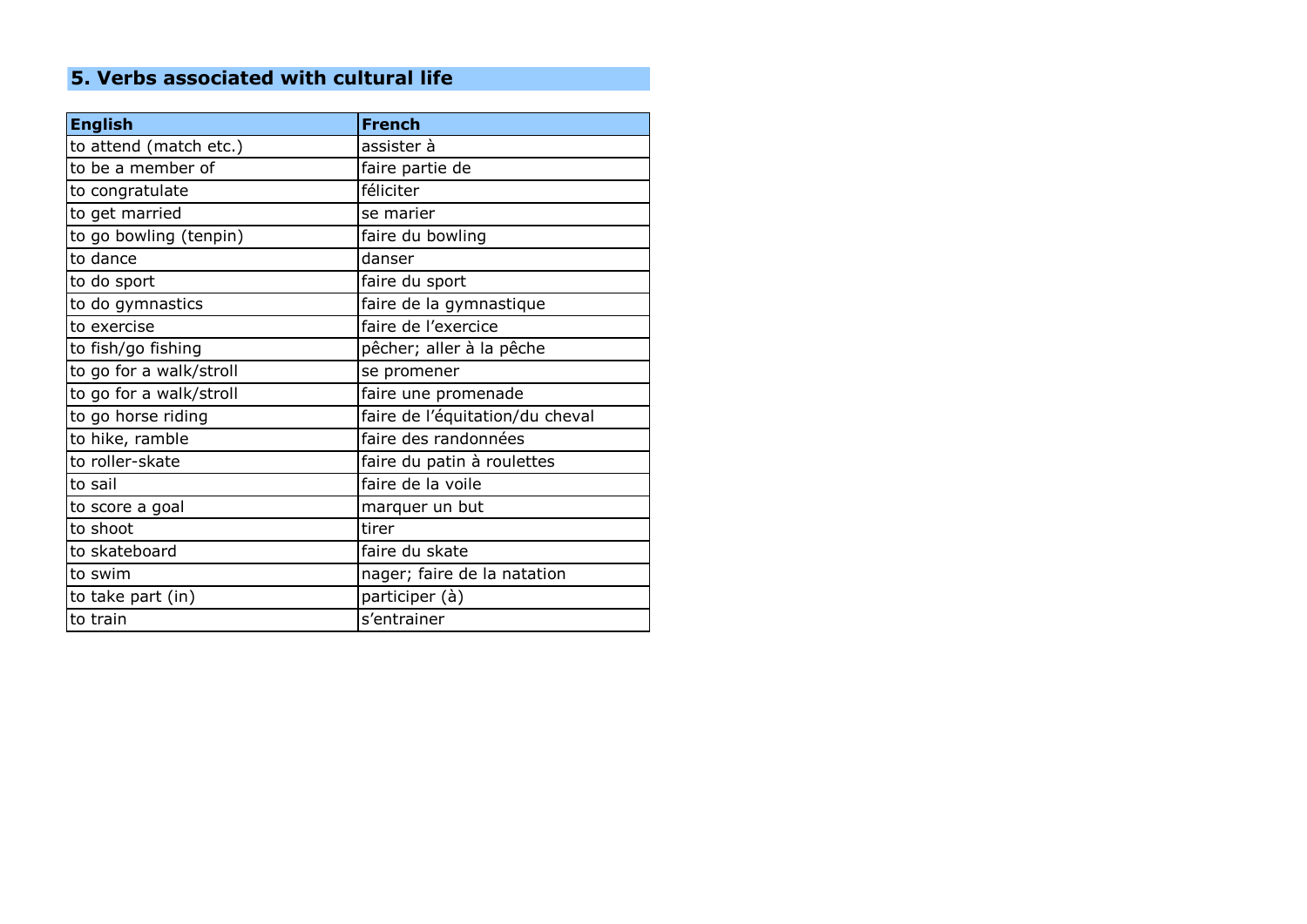### **5. Verbs associated with cultural life**

| <b>English</b>          | <b>French</b>                   |
|-------------------------|---------------------------------|
| to attend (match etc.)  | assister à                      |
| to be a member of       | faire partie de                 |
| to congratulate         | féliciter                       |
| to get married          | se marier                       |
| to go bowling (tenpin)  | faire du bowling                |
| to dance                | danser                          |
| to do sport             | faire du sport                  |
| to do gymnastics        | faire de la gymnastique         |
| to exercise             | faire de l'exercice             |
| to fish/go fishing      | pêcher; aller à la pêche        |
| to go for a walk/stroll | se promener                     |
| to go for a walk/stroll | faire une promenade             |
| to go horse riding      | faire de l'équitation/du cheval |
| to hike, ramble         | faire des randonnées            |
| to roller-skate         | faire du patin à roulettes      |
| to sail                 | faire de la voile               |
| to score a goal         | marquer un but                  |
| to shoot                | tirer                           |
| to skateboard           | faire du skate                  |
| to swim                 | nager; faire de la natation     |
| to take part (in)       | participer (à)                  |
| to train                | s'entrainer                     |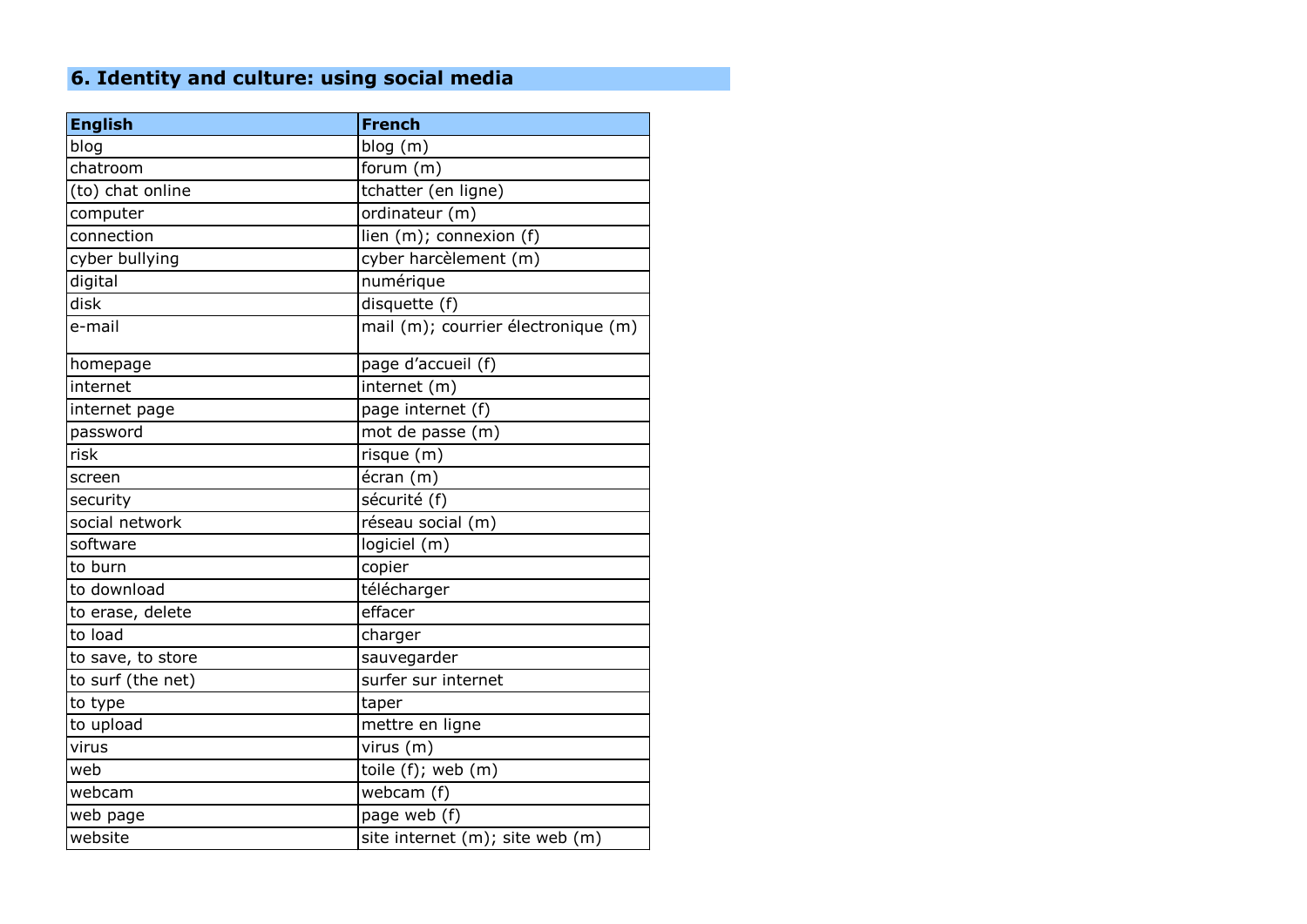## **6. Identity and culture: using social media**

| <b>English</b>    | <b>French</b>                       |
|-------------------|-------------------------------------|
| blog              | blog (m)                            |
| chatroom          | forum (m)                           |
| (to) chat online  | tchatter (en ligne)                 |
| computer          | ordinateur (m)                      |
| connection        | lien (m); connexion (f)             |
| cyber bullying    | cyber harcèlement (m)               |
| digital           | numérique                           |
| disk              | disquette (f)                       |
| e-mail            | mail (m); courrier électronique (m) |
| homepage          | page d'accueil (f)                  |
| internet          | internet (m)                        |
| internet page     | page internet (f)                   |
| password          | mot de passe (m)                    |
| risk              | risque (m)                          |
| screen            | écran (m)                           |
| security          | sécurité (f)                        |
| social network    | réseau social (m)                   |
| software          | logiciel (m)                        |
| to burn           | copier                              |
| to download       | télécharger                         |
| to erase, delete  | effacer                             |
| to load           | charger                             |
| to save, to store | sauvegarder                         |
| to surf (the net) | surfer sur internet                 |
| to type           | taper                               |
| to upload         | mettre en ligne                     |
| virus             | virus (m)                           |
| web               | toile (f); web (m)                  |
| webcam            | webcam (f)                          |
| web page          | page web (f)                        |
| website           | site internet (m); site web (m)     |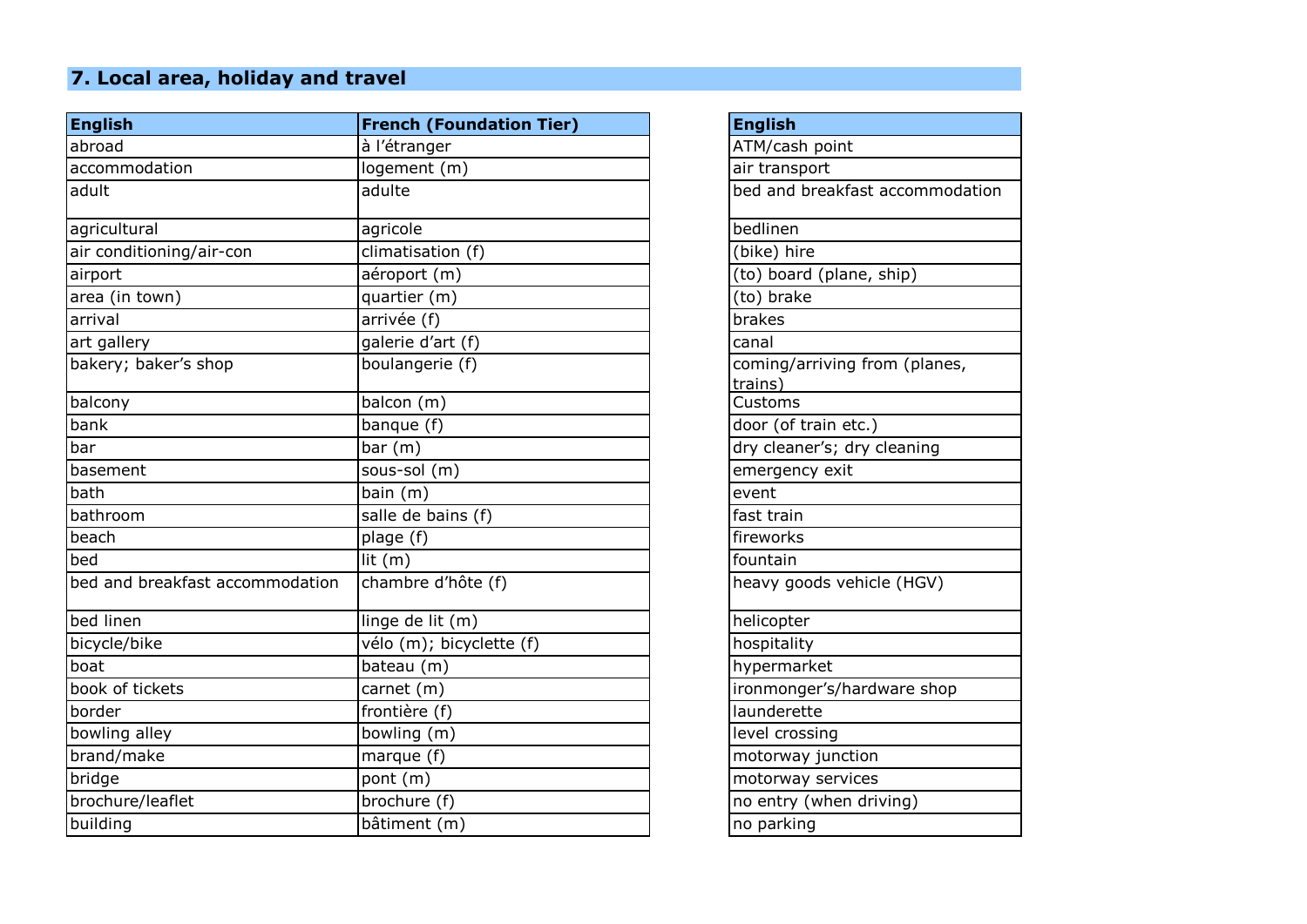## **7. Local area, holiday and travel**

| <b>English</b>                  | <b>French (Foundation Tier)</b>  | <b>English</b>                           |
|---------------------------------|----------------------------------|------------------------------------------|
| abroad                          | à l'étranger                     | ATM/cash point                           |
| accommodation                   | logement (m)                     | air transport                            |
| adult                           | adulte                           | bed and breakfast accommodation          |
| agricultural                    | agricole                         | bedlinen                                 |
| air conditioning/air-con        | climatisation (f)                | (bike) hire                              |
| airport                         | aéroport (m)                     | (to) board (plane, ship)                 |
| area (in town)                  | quartier (m)                     | (to) brake                               |
| arrival                         | arrivée (f)                      | brakes                                   |
| art gallery                     | galerie d'art (f)                | canal                                    |
| bakery; baker's shop            | boulangerie (f)                  | coming/arriving from (planes,<br>trains) |
| balcony                         | balcon (m)                       | Customs                                  |
| bank                            | banque (f)                       | door (of train etc.)                     |
| bar                             | bar(m)                           | dry cleaner's; dry cleaning              |
| basement                        | sous-sol (m)                     | emergency exit                           |
| bath                            | bain (m)                         | event                                    |
| bathroom                        | salle de bains $(f)$             | fast train                               |
| beach                           | plage (f)                        | fireworks                                |
| bed                             | lit(m)                           | fountain                                 |
| bed and breakfast accommodation | chambre d'hôte (f)               | heavy goods vehicle (HGV)                |
| bed linen                       | linge de lit (m)                 | helicopter                               |
| bicycle/bike                    | vélo (m); bicyclette (f)         | hospitality                              |
| boat                            | bateau (m)                       | hypermarket                              |
| book of tickets                 | carnet (m)                       | ironmonger's/hardware shop               |
| border                          | frontière (f)                    | launderette                              |
| bowling alley                   | bowling (m)                      | level crossing                           |
| brand/make                      | marque (f)                       | motorway junction                        |
| bridge                          | pont (m)                         | motorway services                        |
| brochure/leaflet                | brochure (f)                     | no entry (when driving)                  |
| building                        | $\overline{\text{båtiment}}$ (m) | no parking                               |

| <b>English</b>                  |
|---------------------------------|
| ATM/cash point                  |
| air transport                   |
| bed and breakfast accommodation |
| bedlinen                        |
| (bike) hire                     |
| (to) board (plane, ship)        |
| (to) brake                      |
| brakes                          |
| canal                           |
| coming/arriving from (planes,   |
| trains)                         |
| Customs                         |
| door (of train etc.)            |
| dry cleaner's; dry cleaning     |
| emergency exit                  |
| event                           |
| fast train                      |
| fireworks                       |
| fountain                        |
| heavy goods vehicle (HGV)       |
| helicopter                      |
| hospitality                     |
| hypermarket                     |
| ironmonger's/hardware shop      |
| launderette                     |
| level crossing                  |
| motorway junction               |
| motorway services               |
| no entry (when driving)         |
| no parking                      |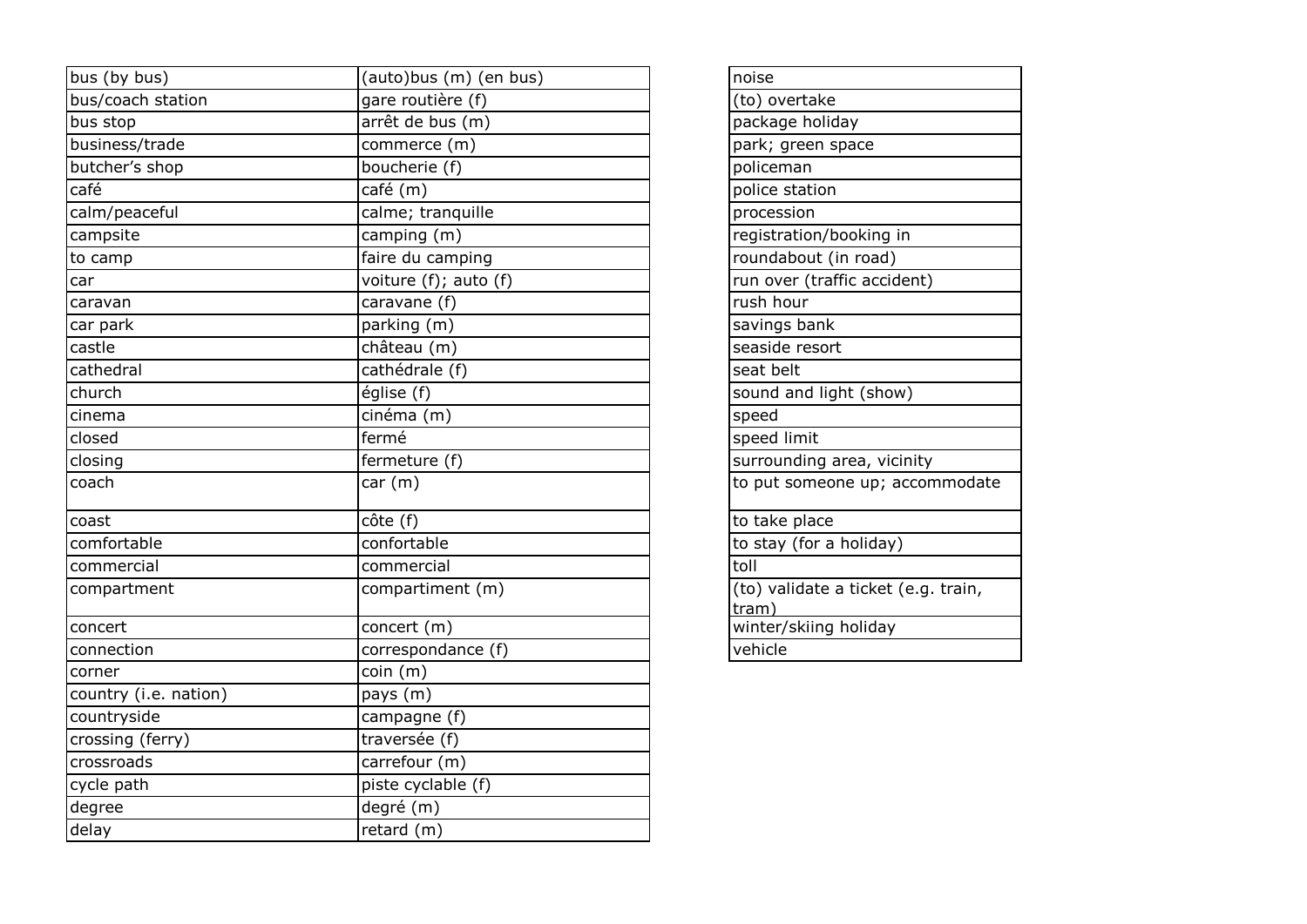| bus (by bus)          | (auto)bus (m) (en bus)     | noise                                        |
|-----------------------|----------------------------|----------------------------------------------|
| bus/coach station     | gare routière $(f)$        | (to) overtake                                |
| bus stop              | arrêt de bus (m)           | package holiday                              |
| business/trade        | commerce (m)               | park; green space                            |
| butcher's shop        | boucherie (f)              | policeman                                    |
| café                  | café (m)                   | police station                               |
| calm/peaceful         | calme; tranquille          | procession                                   |
| campsite              | camping (m)                | registration/booking in                      |
| to camp               | faire du camping           | roundabout (in road)                         |
| car                   | voiture $(f)$ ; auto $(f)$ | run over (traffic accident)                  |
| caravan               | caravane (f)               | rush hour                                    |
| car park              | parking (m)                | savings bank                                 |
| castle                | château (m)                | seaside resort                               |
| cathedral             | cathédrale (f)             | seat belt                                    |
| church                | église (f)                 | sound and light (show)                       |
| cinema                | cinéma (m)                 | speed                                        |
| closed                | fermé                      | speed limit                                  |
| closing               | fermeture (f)              | surrounding area, vicinity                   |
| coach                 | car (m)                    | to put someone up; accommodate               |
| coast                 | côte (f)                   | to take place                                |
| comfortable           | confortable                | to stay (for a holiday)                      |
| commercial            | commercial                 | $\overline{\text{toll}}$                     |
| compartment           | compartiment (m)           | (to) validate a ticket (e.g. train,<br>tram) |
| concert               | concert (m)                | winter/skiing holiday                        |
| connection            | correspondance (f)         | vehicle                                      |
| corner                | coin (m)                   |                                              |
| country (i.e. nation) | pays (m)                   |                                              |
| countryside           | campagne (f)               |                                              |
| crossing (ferry)      | traversée (f)              |                                              |
| crossroads            | carrefour (m)              |                                              |
| cycle path            | piste cyclable (f)         |                                              |
| degree                | degré (m)                  |                                              |
| delay                 | retard (m)                 |                                              |

| noise                                               |
|-----------------------------------------------------|
| (to) overtake                                       |
| package holiday                                     |
| park; green space                                   |
| policeman                                           |
| police station                                      |
| procession                                          |
| registration/booking in                             |
| roundabout (in road)                                |
| run over (traffic accident)                         |
| rush hour                                           |
| savings bank                                        |
| seaside resort                                      |
| seat belt                                           |
| sound and light (show)                              |
| speed                                               |
| speed limit                                         |
| surrounding area, vicinity                          |
| to put someone up; accommodate                      |
| to take place                                       |
| to stay (for a holiday)                             |
| toll                                                |
| (to) validate a ticket (e.g. train,<br><u>tram)</u> |
| winter/skiing holiday                               |
| vehicle                                             |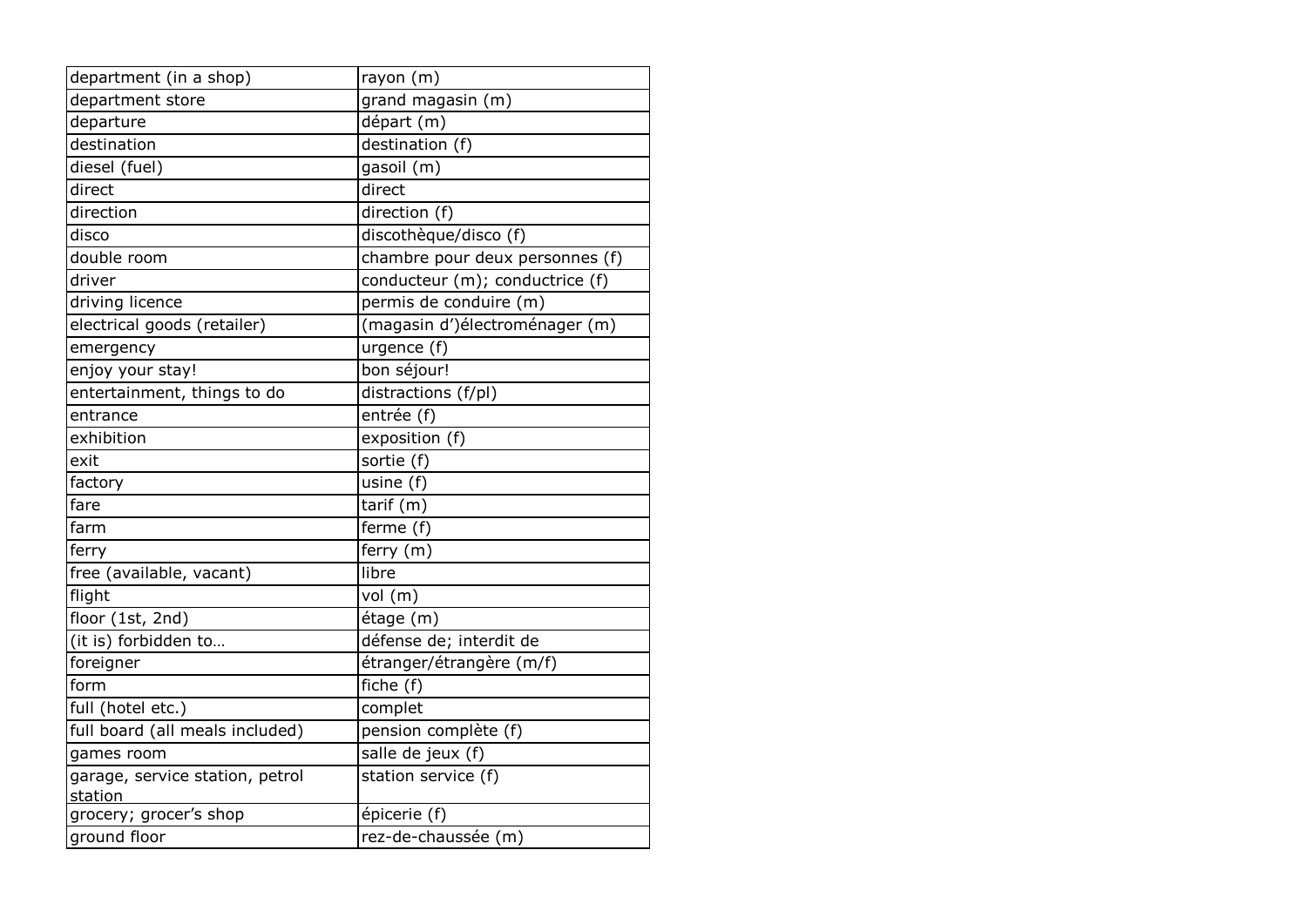| department (in a shop)            | rayon (m)                       |
|-----------------------------------|---------------------------------|
| department store                  | grand magasin (m)               |
| departure                         | départ (m)                      |
| destination                       | destination (f)                 |
| diesel (fuel)                     | gasoil (m)                      |
| direct                            | direct                          |
| direction                         | $\overline{d}$ irection (f)     |
| disco                             | discothèque/disco (f)           |
| double room                       | chambre pour deux personnes (f) |
| driver                            | conducteur (m); conductrice (f) |
| driving licence                   | permis de conduire (m)          |
| electrical goods (retailer)       | (magasin d')électroménager (m)  |
| emergency                         | urgence (f)                     |
| enjoy your stay!                  | bon séjour!                     |
| entertainment, things to do       | distractions (f/pl)             |
| entrance                          | entrée (f)                      |
| exhibition                        | exposition (f)                  |
| exit                              | sortie (f)                      |
| factory                           | usine (f)                       |
| fare                              | tarif (m)                       |
| farm                              | $F$ <sub>ferme</sub> $(f)$      |
| ferry                             | ferry (m)                       |
| free (available, vacant)          | libre                           |
| flight                            | vol (m)                         |
| floor (1st, 2nd)                  | étage (m)                       |
| (it is) forbidden to              | défense de; interdit de         |
| foreigner                         | étranger/étrangère (m/f)        |
| form                              | fiche (f)                       |
| full (hotel etc.)                 | complet                         |
| full board (all meals included)   | pension complète (f)            |
| games room                        | salle de jeux (f)               |
| garage, service station, petrol   | station service (f)             |
| station<br>grocery; grocer's shop | épicerie (f)                    |
| ground floor                      | rez-de-chaussée (m)             |
|                                   |                                 |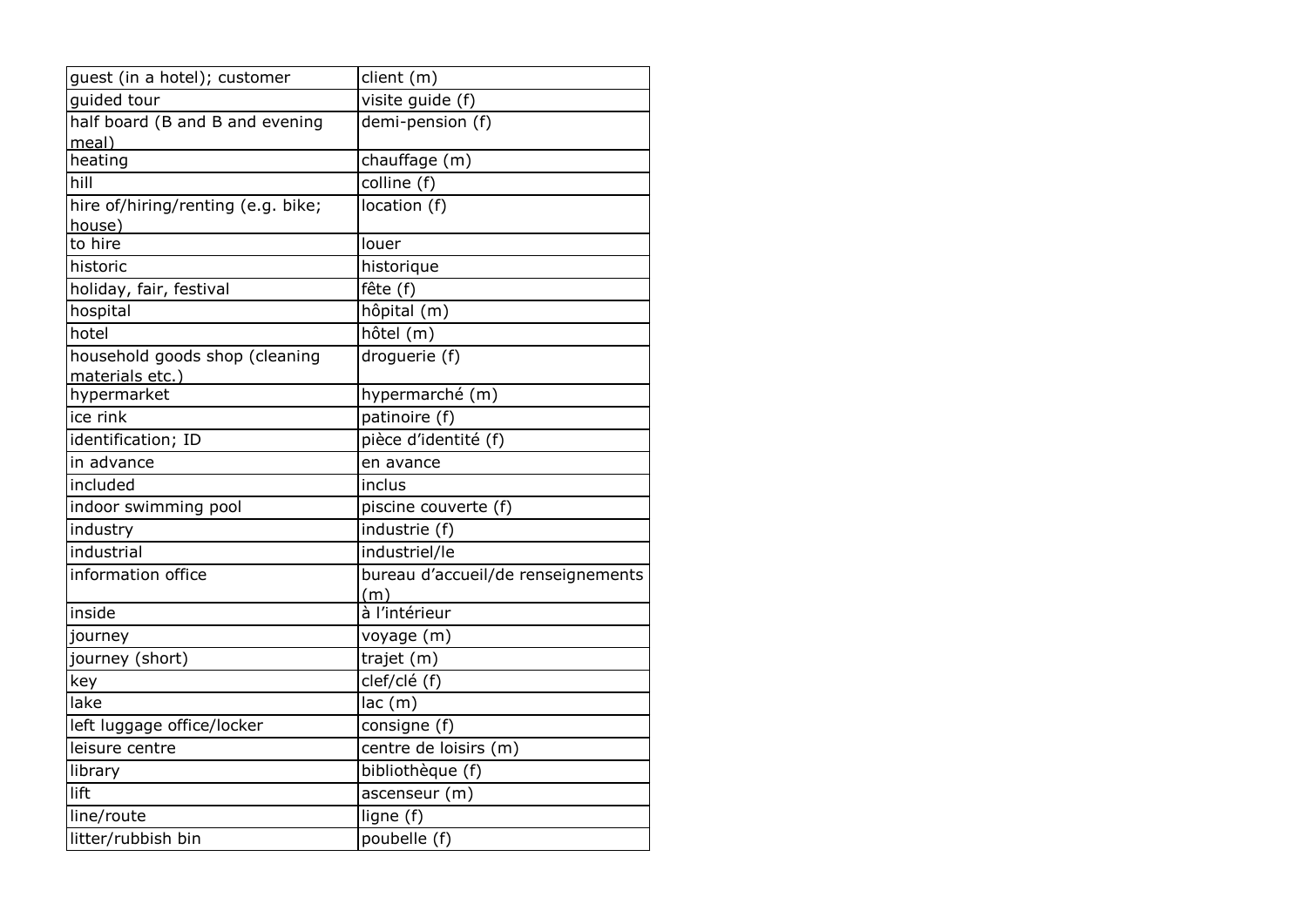| guest (in a hotel); customer       | client (m)                         |  |
|------------------------------------|------------------------------------|--|
| guided tour                        | visite guide (f)                   |  |
| half board (B and B and evening    | demi-pension (f)                   |  |
| meal)                              |                                    |  |
| heating                            | chauffage (m)                      |  |
| hill                               | colline (f)                        |  |
| hire of/hiring/renting (e.g. bike; | location (f)                       |  |
| house)                             |                                    |  |
| to hire                            | louer                              |  |
| historic                           | historique                         |  |
| holiday, fair, festival            | fête (f)                           |  |
| hospital                           | hôpital (m)                        |  |
| hotel                              | hôtel (m)                          |  |
| household goods shop (cleaning     | droguerie (f)                      |  |
| materials etc.)                    |                                    |  |
| hypermarket                        | hypermarché (m)                    |  |
| ice rink                           | patinoire (f)                      |  |
| identification; ID                 | pièce d'identité (f)               |  |
| in advance                         | en avance                          |  |
| included                           | inclus                             |  |
| indoor swimming pool               | piscine couverte (f)               |  |
| industry                           | industrie (f)                      |  |
| industrial                         | industriel/le                      |  |
| information office                 | bureau d'accueil/de renseignements |  |
|                                    | (m)                                |  |
| inside                             | à l'intérieur                      |  |
| journey                            | voyage (m)                         |  |
| journey (short)                    | trajet (m)                         |  |
| key                                | clef/clé (f)                       |  |
| lake                               | lac(m)                             |  |
| left luggage office/locker         | consigne (f)                       |  |
| leisure centre                     | centre de loisirs (m)              |  |
| library                            | bibliothèque (f)                   |  |
| lift                               | ascenseur (m)                      |  |
| line/route                         | ligne (f)                          |  |
| litter/rubbish bin                 | poubelle (f)                       |  |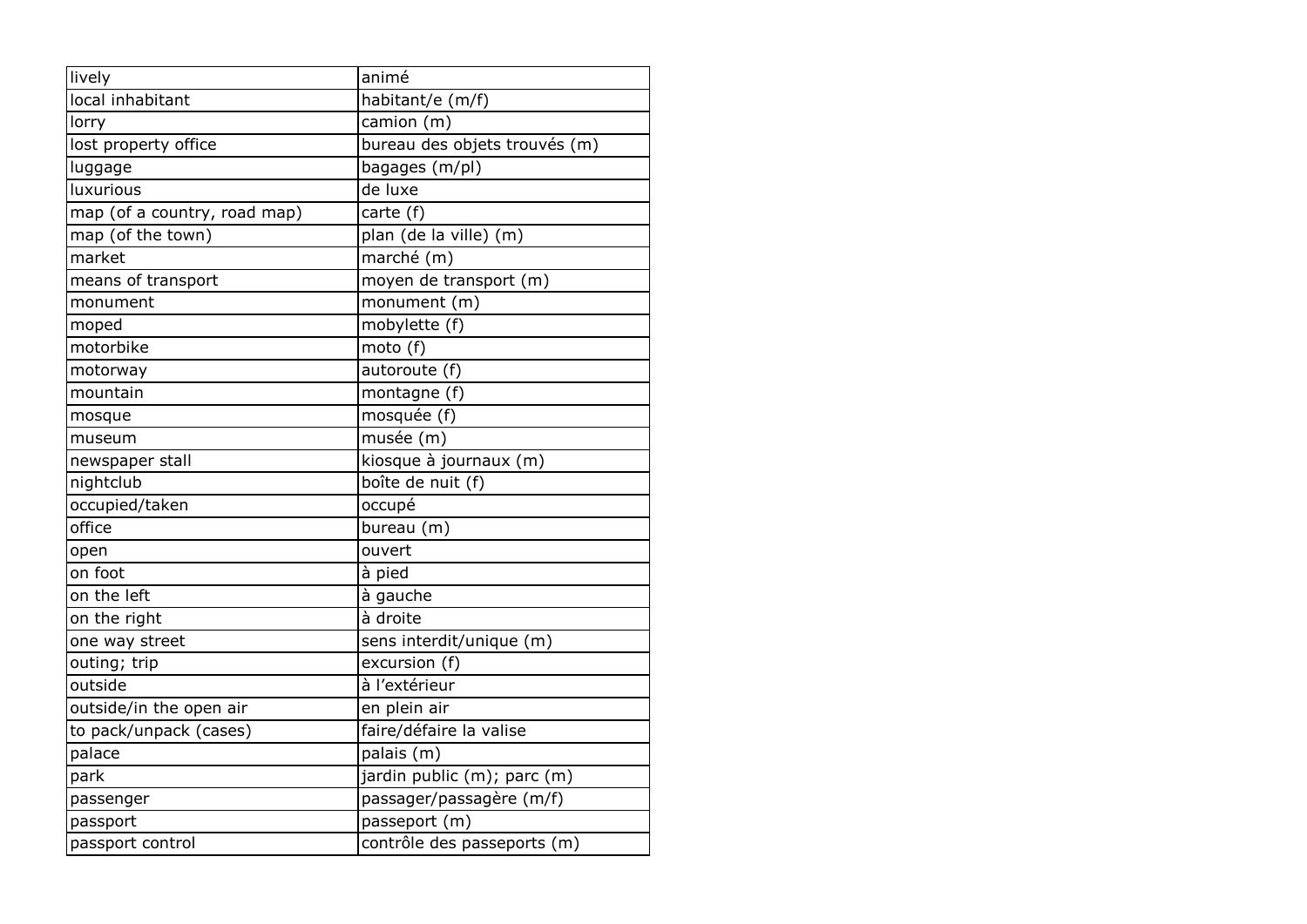| lively                       | animé                         |  |
|------------------------------|-------------------------------|--|
| local inhabitant             | habitant/e (m/f)              |  |
| lorry                        | camion (m)                    |  |
| lost property office         | bureau des objets trouvés (m) |  |
| luggage                      | bagages (m/pl)                |  |
| luxurious                    | de luxe                       |  |
| map (of a country, road map) | carte (f)                     |  |
| map (of the town)            | plan (de la ville) (m)        |  |
| market                       | marché (m)                    |  |
| means of transport           | moyen de transport (m)        |  |
| monument                     | monument (m)                  |  |
| moped                        | mobylette (f)                 |  |
| motorbike                    | moto (f)                      |  |
| motorway                     | autoroute (f)                 |  |
| mountain                     | montagne (f)                  |  |
| mosque                       | mosquée (f)                   |  |
| museum                       | musée (m)                     |  |
| newspaper stall              | kiosque à journaux (m)        |  |
| nightclub                    | boîte de nuit (f)             |  |
| occupied/taken               | occupé                        |  |
| office                       | bureau (m)                    |  |
| open                         | ouvert                        |  |
| on foot                      | à pied                        |  |
| on the left                  | à gauche                      |  |
| on the right                 | à droite                      |  |
| one way street               | sens interdit/unique (m)      |  |
| outing; trip                 | excursion (f)                 |  |
| outside                      | à l'extérieur                 |  |
| outside/in the open air      | en plein air                  |  |
| to pack/unpack (cases)       | faire/défaire la valise       |  |
| palace                       | palais (m)                    |  |
| park                         | jardin public (m); parc (m)   |  |
| passenger                    | passager/passagère (m/f)      |  |
| passport                     | passeport (m)                 |  |
| passport control             | contrôle des passeports (m)   |  |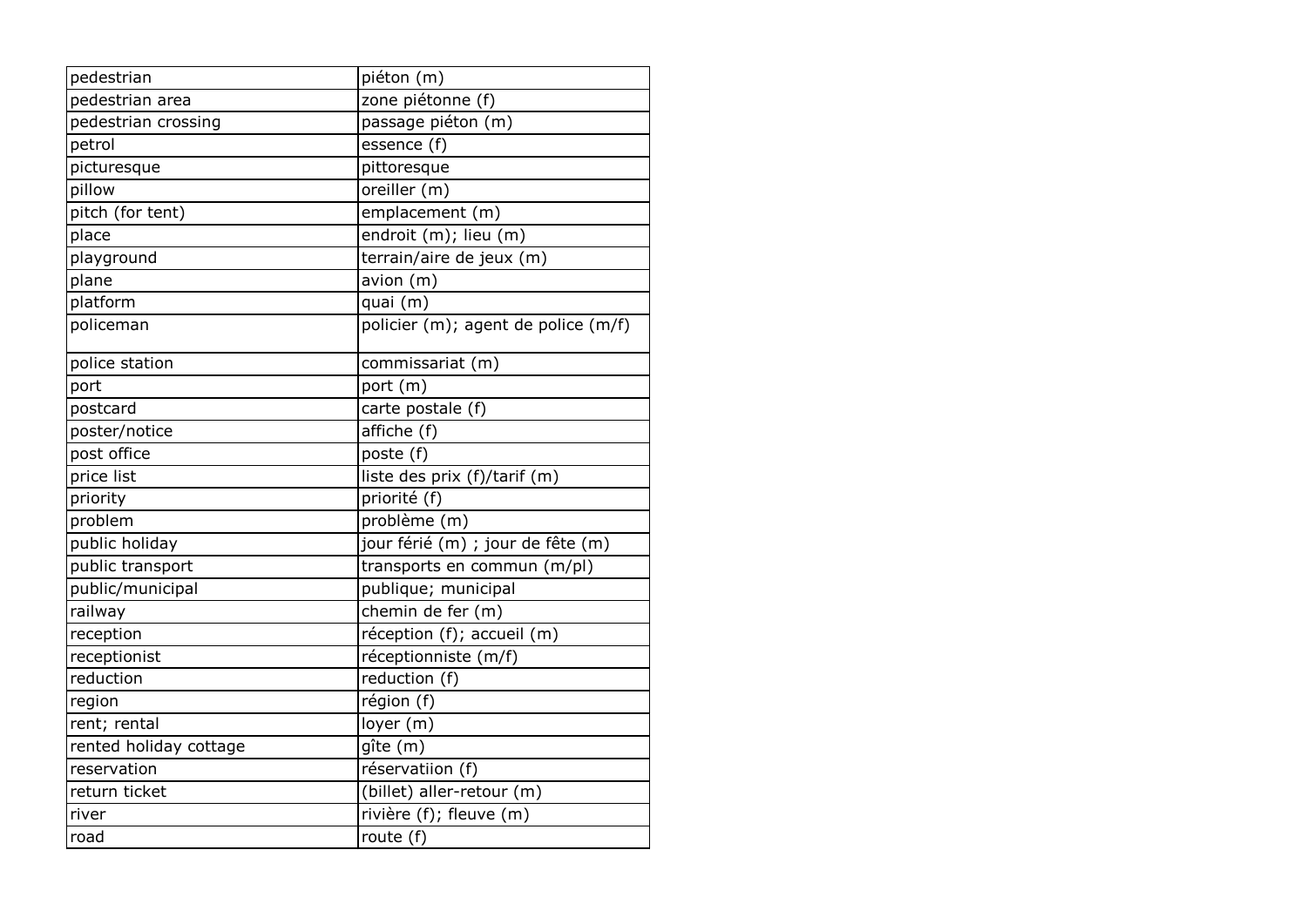| pedestrian             | piéton (m)                          |
|------------------------|-------------------------------------|
| pedestrian area        | zone piétonne (f)                   |
| pedestrian crossing    | passage piéton (m)                  |
| petrol                 | essence (f)                         |
| picturesque            | pittoresque                         |
| pillow                 | oreiller (m)                        |
| pitch (for tent)       | emplacement (m)                     |
| place                  | endroit (m); lieu (m)               |
| playground             | terrain/aire de jeux (m)            |
| plane                  | avion (m)                           |
| platform               | quai (m)                            |
| policeman              | policier (m); agent de police (m/f) |
| police station         | commissariat (m)                    |
| port                   | port (m)                            |
| postcard               | carte postale (f)                   |
| poster/notice          | affiche (f)                         |
| post office            | poste (f)                           |
| price list             | liste des prix (f)/tarif (m)        |
| priority               | priorité (f)                        |
| problem                | problème (m)                        |
| public holiday         | jour férié (m) ; jour de fête (m)   |
| public transport       | transports en commun (m/pl)         |
| public/municipal       | publique; municipal                 |
| railway                | chemin de fer (m)                   |
| reception              | réception (f); accueil (m)          |
| receptionist           | réceptionniste (m/f)                |
| reduction              | reduction (f)                       |
| region                 | région (f)                          |
| rent; rental           | $\overline{log}$ (m)                |
| rented holiday cottage | gîte (m)                            |
| reservation            | réservatiion (f)                    |
| return ticket          | (billet) aller-retour (m)           |
| river                  | rivière (f); fleuve (m)             |
| road                   | route (f)                           |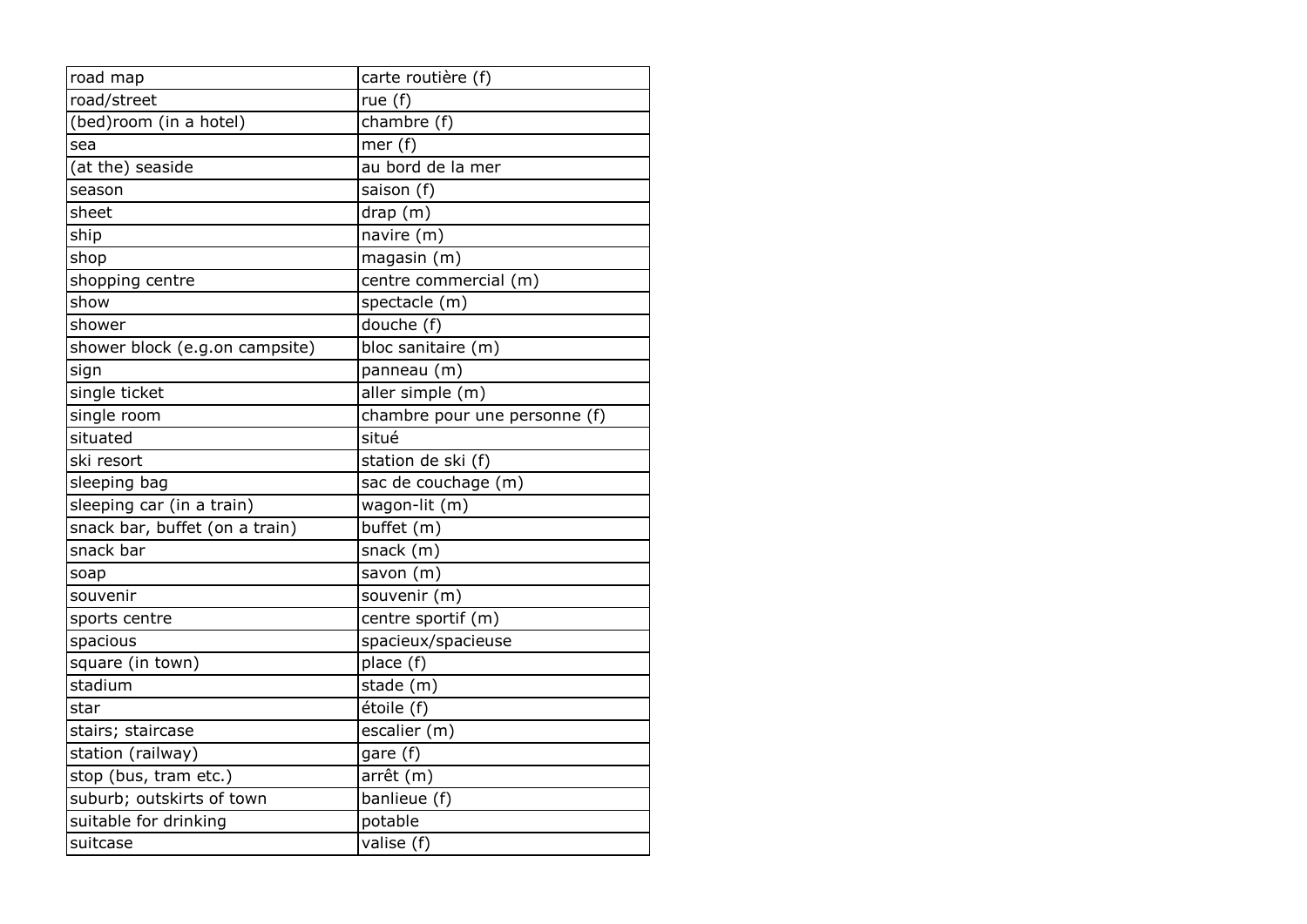| road map                       | carte routière (f)            |
|--------------------------------|-------------------------------|
| road/street                    | rue $(f)$                     |
| (bed)room (in a hotel)         | chambre (f)                   |
| sea                            | mer(f)                        |
| (at the) seaside               | au bord de la mer             |
| season                         | saison (f)                    |
| sheet                          | drap (m)                      |
| ship                           | navire (m)                    |
| shop                           | magasin (m)                   |
| shopping centre                | centre commercial (m)         |
| show                           | spectacle (m)                 |
| shower                         | douche (f)                    |
| shower block (e.g.on campsite) | bloc sanitaire (m)            |
| sign                           | panneau (m)                   |
| single ticket                  | aller simple (m)              |
| single room                    | chambre pour une personne (f) |
| situated                       | situé                         |
| ski resort                     | station de ski (f)            |
| sleeping bag                   | sac de couchage (m)           |
| sleeping car (in a train)      | wagon-lit (m)                 |
| snack bar, buffet (on a train) | buffet (m)                    |
| snack bar                      | snack $(m)$                   |
| soap                           | savon (m)                     |
| souvenir                       | souvenir (m)                  |
| sports centre                  | centre sportif (m)            |
| spacious                       | spacieux/spacieuse            |
| square (in town)               | place (f)                     |
| stadium                        | stade (m)                     |
| star                           | étoile (f)                    |
| stairs; staircase              | escalier (m)                  |
| station (railway)              | gare (f)                      |
| stop (bus, tram etc.)          | arrêt (m)                     |
| suburb; outskirts of town      | banlieue (f)                  |
| suitable for drinking          | potable                       |
| suitcase                       | valise (f)                    |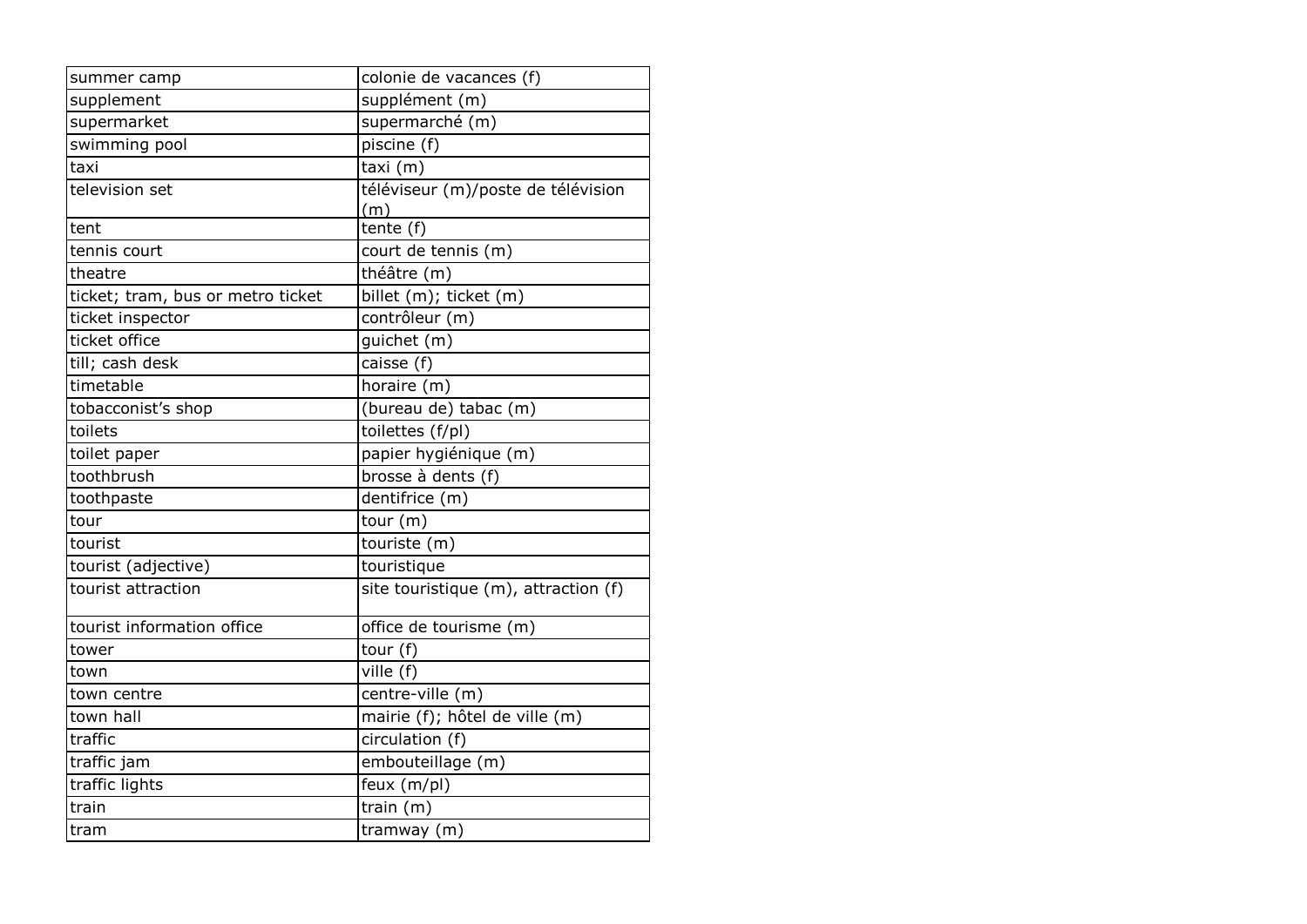| summer camp                       | colonie de vacances (f)              |  |
|-----------------------------------|--------------------------------------|--|
| supplement                        | supplément (m)                       |  |
| supermarket                       | supermarché (m)                      |  |
| swimming pool                     | piscine (f)                          |  |
| taxi                              | taxi (m)                             |  |
| television set                    | téléviseur (m)/poste de télévision   |  |
|                                   | (m)                                  |  |
| tent                              | tente (f)                            |  |
| tennis court                      | court de tennis (m)                  |  |
| theatre                           | théâtre (m)                          |  |
| ticket; tram, bus or metro ticket | billet (m); ticket (m)               |  |
| ticket inspector                  | contrôleur (m)                       |  |
| ticket office                     | guichet (m)                          |  |
| till; cash desk                   | caisse (f)                           |  |
| timetable                         | horaire (m)                          |  |
| tobacconist's shop                | (bureau de) tabac (m)                |  |
| toilets                           | toilettes (f/pl)                     |  |
| toilet paper                      | papier hygiénique (m)                |  |
| toothbrush                        | brosse à dents (f)                   |  |
| toothpaste                        | dentifrice (m)                       |  |
| tour                              | tour $(m)$                           |  |
| tourist                           | touriste (m)                         |  |
| tourist (adjective)               | touristique                          |  |
| tourist attraction                | site touristique (m), attraction (f) |  |
| tourist information office        | office de tourisme (m)               |  |
| tower                             | tour (f)                             |  |
| town                              | ville (f)                            |  |
| town centre                       | centre-ville (m)                     |  |
| town hall                         | mairie (f); hôtel de ville (m)       |  |
| traffic                           | circulation (f)                      |  |
| traffic jam                       | embouteillage (m)                    |  |
| traffic lights                    | feux (m/pl)                          |  |
| train                             | train $(m)$                          |  |
| tram                              | tramway (m)                          |  |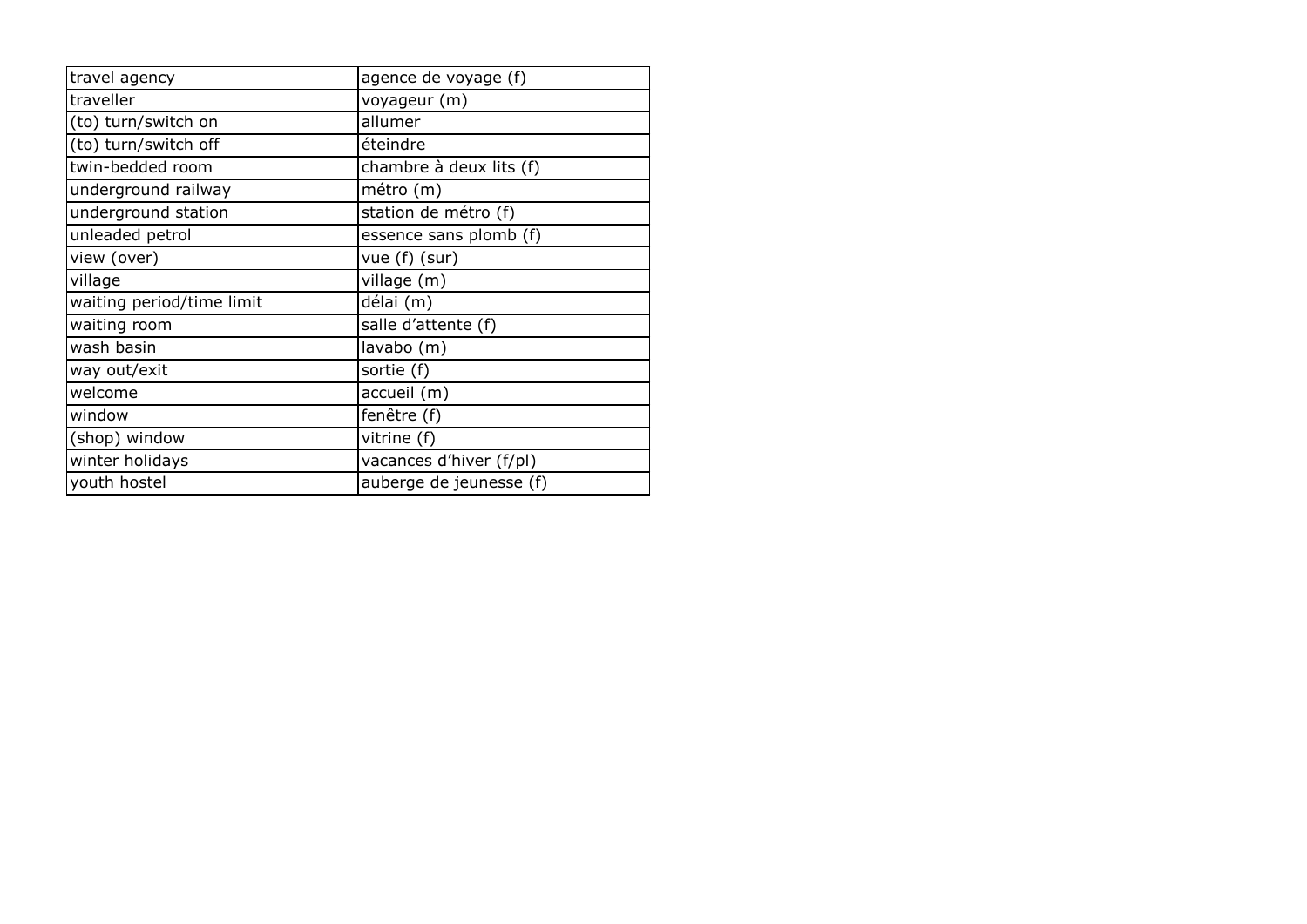| travel agency             | agence de voyage (f)    |
|---------------------------|-------------------------|
| traveller                 | voyageur (m)            |
| (to) turn/switch on       | allumer                 |
| (to) turn/switch off      | éteindre                |
| twin-bedded room          | chambre à deux lits (f) |
| underground railway       | métro (m)               |
| underground station       | station de métro (f)    |
| unleaded petrol           | essence sans plomb (f)  |
| view (over)               | vue (f) (sur)           |
| village                   | village (m)             |
| waiting period/time limit | délai (m)               |
| waiting room              | salle d'attente (f)     |
| wash basin                | lavabo (m)              |
| way out/exit              | sortie (f)              |
| welcome                   | accueil (m)             |
| window                    | fenêtre (f)             |
| (shop) window             | vitrine (f)             |
| winter holidays           | vacances d'hiver (f/pl) |
| youth hostel              | auberge de jeunesse (f) |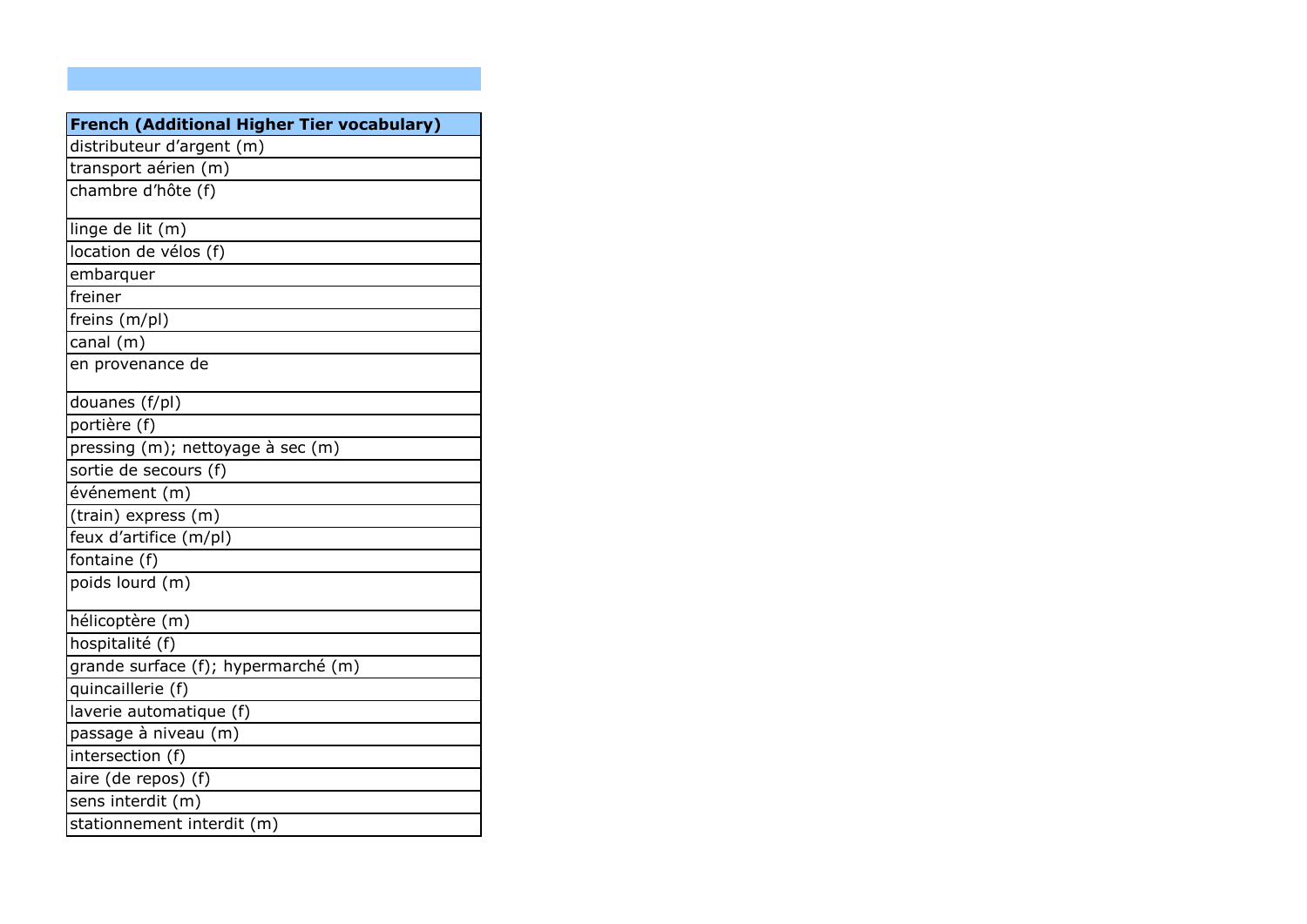| <b>French (Additional Higher Tier vocabulary)</b> |
|---------------------------------------------------|
| distributeur d'argent (m)                         |
| transport aérien (m)                              |
| chambre d'hôte (f)                                |
| linge de lit (m)                                  |
| location de vélos (f)                             |
| embarquer                                         |
| freiner                                           |
| freins (m/pl)                                     |
| canal (m)                                         |
| en provenance de                                  |
| douanes (f/pl)                                    |
| portière (f)                                      |
| pressing (m); nettoyage à sec (m)                 |
| sortie de secours (f)                             |
| événement (m)                                     |
| (train) express (m)                               |
| feux d'artifice (m/pl)                            |
| fontaine (f)                                      |
| poids lourd (m)                                   |
| hélicoptère (m)                                   |
| hospitalité (f)                                   |
| grande surface (f); hypermarché (m)               |
| quincaillerie (f)                                 |
| laverie automatique (f)                           |
| passage à niveau (m)                              |
| intersection (f)                                  |
| aire (de repos) (f)                               |
| sens interdit (m)                                 |
| stationnement interdit (m)                        |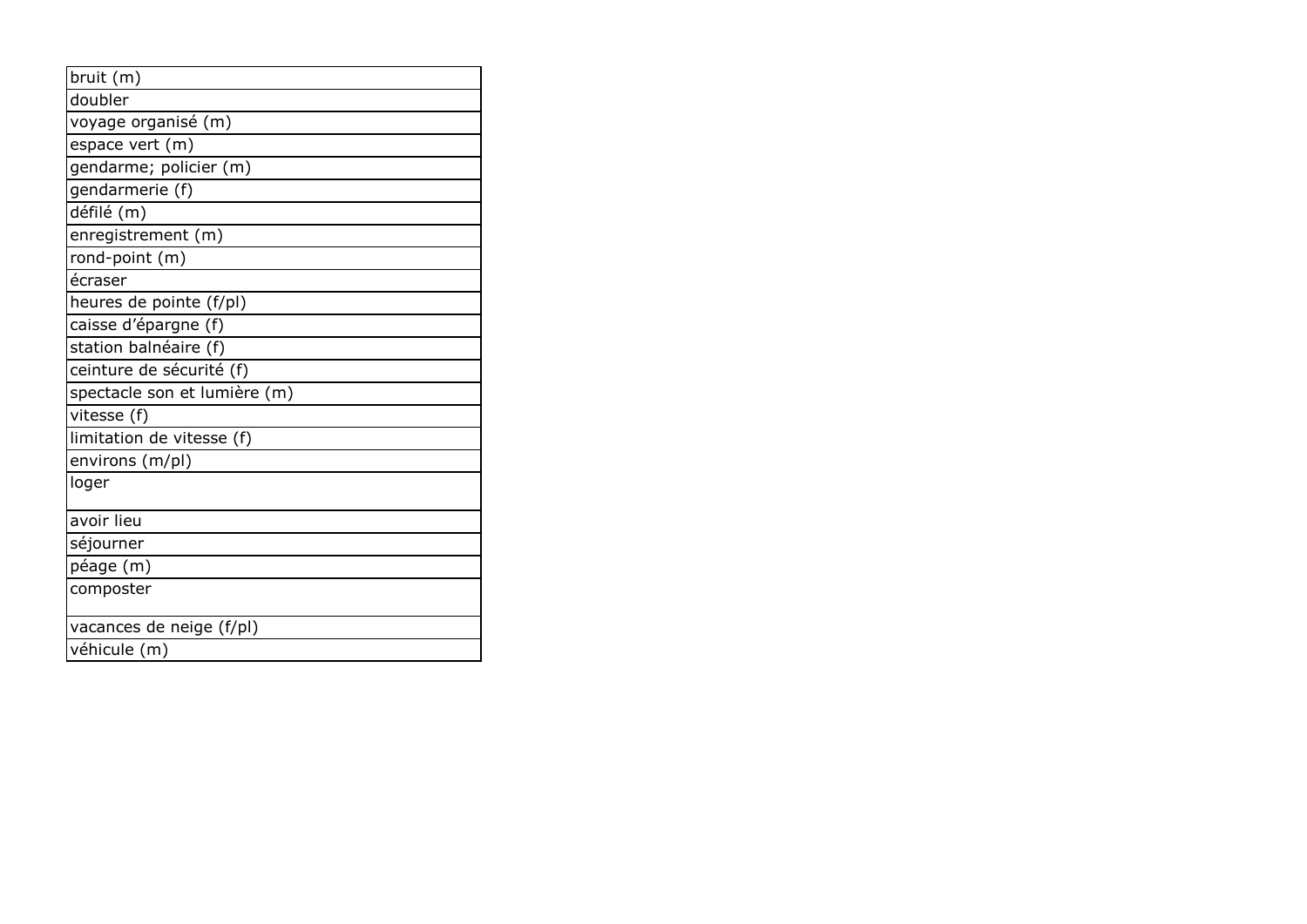| bruit (m)                    |
|------------------------------|
| doubler                      |
| voyage organisé (m)          |
| espace vert (m)              |
| gendarme; policier (m)       |
| gendarmerie (f)              |
| défilé (m)                   |
| enregistrement (m)           |
| rond-point (m)               |
| écraser                      |
| heures de pointe (f/pl)      |
| caisse d'épargne (f)         |
| station balnéaire (f)        |
| ceinture de sécurité (f)     |
| spectacle son et lumière (m) |
| vitesse (f)                  |
| limitation de vitesse (f)    |
| environs (m/pl)              |
| loger                        |
| avoir lieu                   |
| séjourner                    |
| péage (m)                    |
| composter                    |
| vacances de neige (f/pl)     |
| véhicule (m)                 |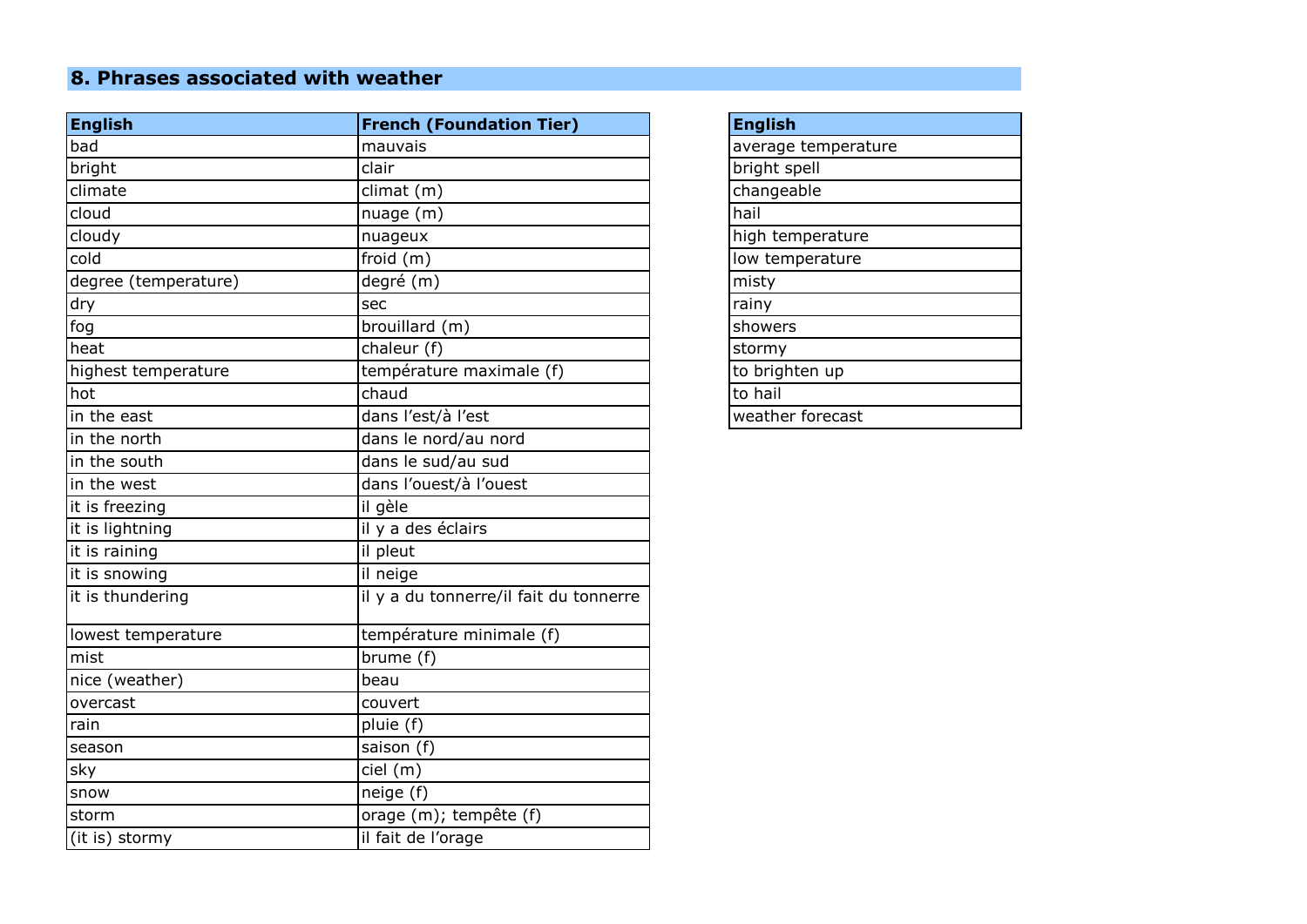#### **8. Phrases associated with weather**

| <b>English</b>       | <b>French (Foundation Tier)</b>        | <b>English</b>      |
|----------------------|----------------------------------------|---------------------|
| bad                  | mauvais                                | average temperature |
| bright               | clair                                  | bright spell        |
| climate              | climat (m)                             | changeable          |
| cloud                | nuage (m)                              | hail                |
| cloudy               | nuageux                                | high temperature    |
| cold                 | froid (m)                              | low temperature     |
| degree (temperature) | degré (m)                              | misty               |
| dry                  | sec                                    | rainy               |
| fog                  | brouillard (m)                         | showers             |
| heat                 | chaleur (f)                            | stormy              |
| highest temperature  | température maximale (f)               | to brighten up      |
| hot                  | chaud                                  | to hail             |
| in the east          | dans l'est/à l'est                     | weather forecast    |
| in the north         | dans le nord/au nord                   |                     |
| in the south         | dans le sud/au sud                     |                     |
| in the west          | dans l'ouest/à l'ouest                 |                     |
| it is freezing       | il gèle                                |                     |
| it is lightning      | il y a des éclairs                     |                     |
| it is raining        | $\overline{il}$ pleut                  |                     |
| it is snowing        | il neige                               |                     |
| it is thundering     | il y a du tonnerre/il fait du tonnerre |                     |
| lowest temperature   | température minimale (f)               |                     |
| mist                 | brume (f)                              |                     |
| nice (weather)       | beau                                   |                     |
| overcast             | couvert                                |                     |
| rain                 | pluie (f)                              |                     |
| season               | saison (f)                             |                     |
| sky                  | ciel (m)                               |                     |
| snow                 | neige (f)                              |                     |
| storm                | orage (m); tempête (f)                 |                     |
| (it is) stormy       | il fait de l'orage                     |                     |

| <b>English</b>      |
|---------------------|
| average temperature |
| pright spell        |
| changeable          |
| าail                |
| nigh temperature    |
| ow temperature      |
| nisty               |
| ainy                |
| showers             |
| stormy              |
| o brighten up:      |
| o hail              |
| weather forecast    |
|                     |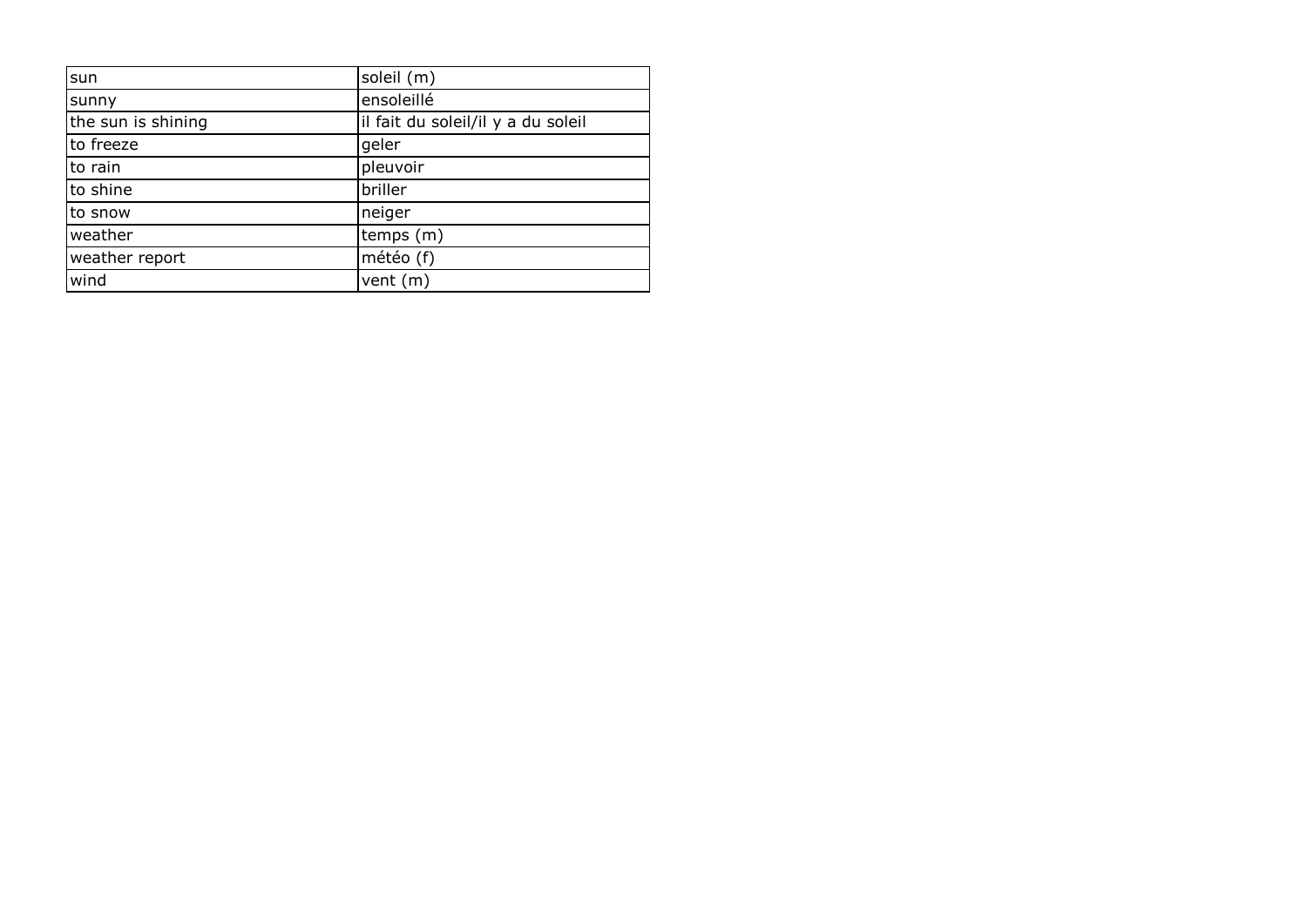| sun                | soleil (m)                         |
|--------------------|------------------------------------|
| sunny              | ensoleillé                         |
| the sun is shining | il fait du soleil/il y a du soleil |
| to freeze          | geler                              |
| to rain            | pleuvoir                           |
| to shine           | briller                            |
| to snow            | neiger                             |
| weather            | temps (m)                          |
| weather report     | météo (f)                          |
| wind               | vent $(m)$                         |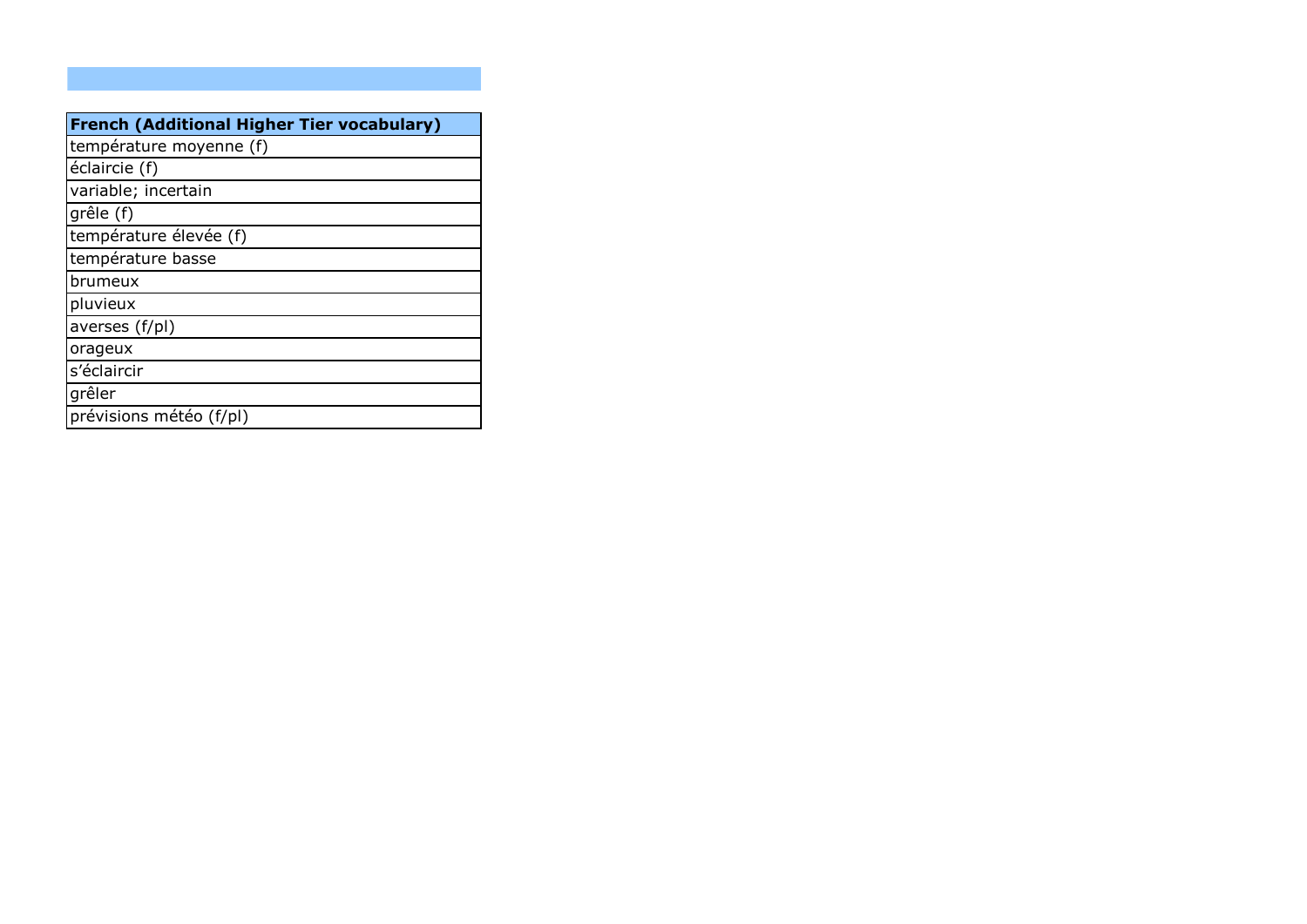| <b>French (Additional Higher Tier vocabulary)</b> |
|---------------------------------------------------|
| température moyenne (f)                           |
| éclaircie (f)                                     |
| variable; incertain                               |
| grêle (f)                                         |
| température élevée (f)                            |
| température basse                                 |
| brumeux                                           |
| pluvieux                                          |
| averses (f/pl)                                    |
| orageux                                           |
| s'éclaircir                                       |
| grêler                                            |
| prévisions météo (f/pl)                           |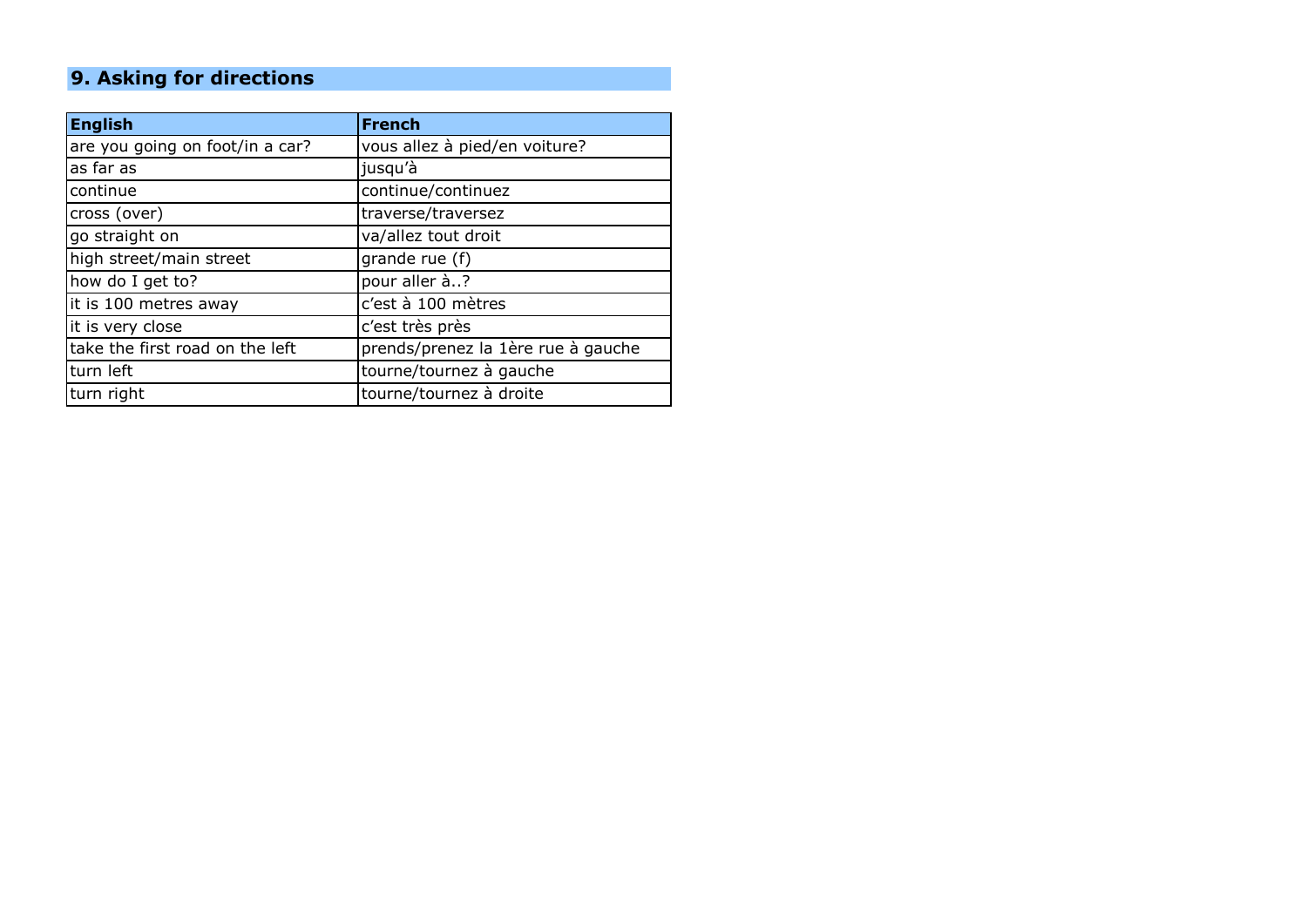# **9. Asking for directions**

| <b>English</b>                  | <b>French</b>                      |
|---------------------------------|------------------------------------|
| are you going on foot/in a car? | vous allez à pied/en voiture?      |
| as far as                       | jusqu'à                            |
| continue                        | continue/continuez                 |
| cross (over)                    | traverse/traversez                 |
| go straight on                  | va/allez tout droit                |
| high street/main street         | grande rue (f)                     |
| how do I get to?                | pour aller à?                      |
| it is 100 metres away           | c'est à 100 mètres                 |
| it is very close                | c'est très près                    |
| take the first road on the left | prends/prenez la 1ère rue à gauche |
| turn left                       | tourne/tournez à gauche            |
| turn right                      | tourne/tournez à droite            |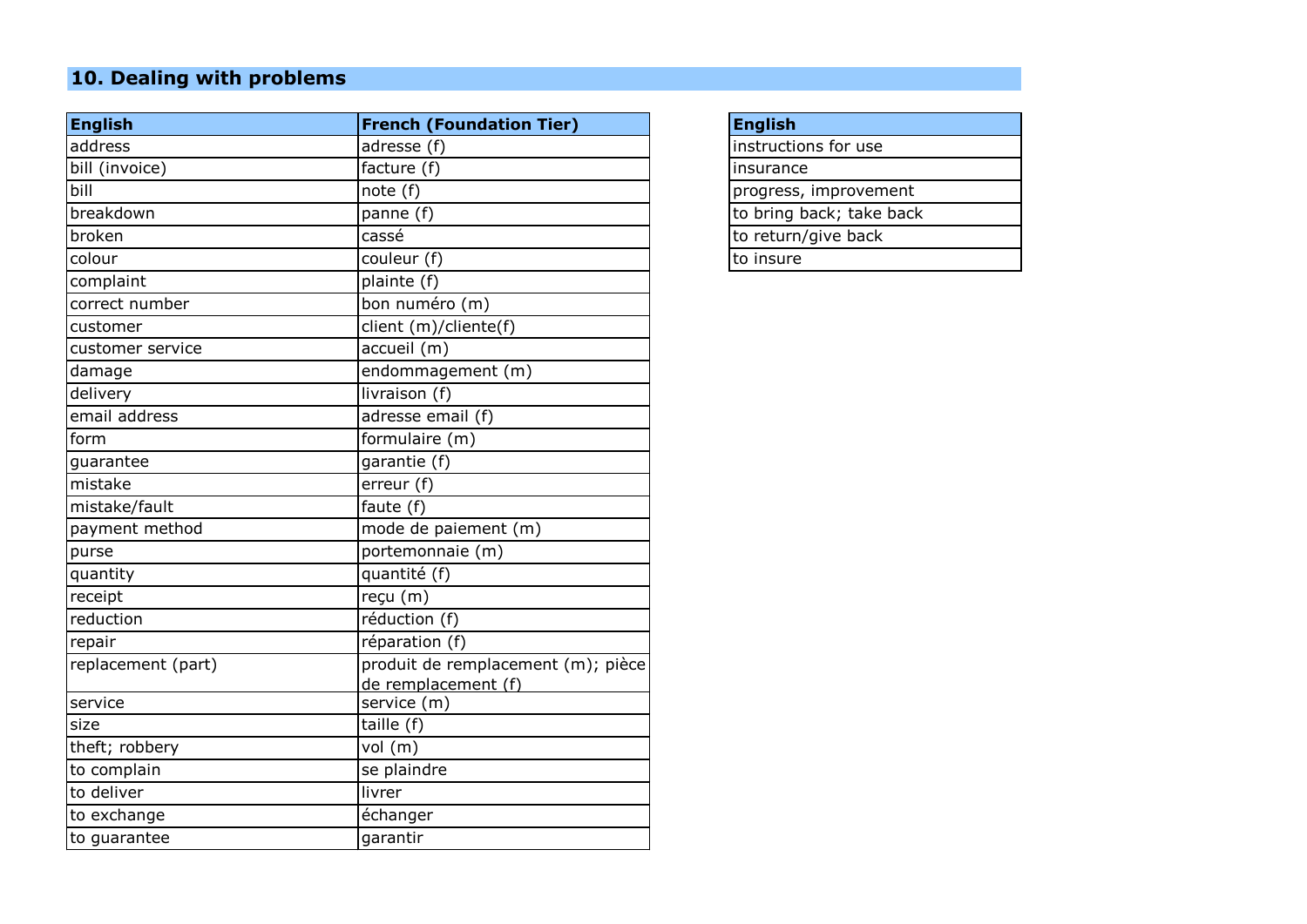# **10. Dealing with problems**

| <b>English</b>     | <b>French (Foundation Tier)</b>    | <b>English</b>           |
|--------------------|------------------------------------|--------------------------|
| address            | adresse (f)                        | instructions for use     |
| bill (invoice)     | $\sqrt{\sqrt{1 - x^2}}$            | insurance                |
| bill               | note (f)                           | progress, improvement    |
| breakdown          | panne (f)                          | to bring back; take back |
| broken             | cassé                              | to return/give back      |
| colour             | couleur (f)                        | to insure                |
| complaint          | plainte (f)                        |                          |
| correct number     | bon numéro (m)                     |                          |
| customer           | $\overline{client}$ (m)/cliente(f) |                          |
| customer service   | accueil (m)                        |                          |
| damage             | endommagement (m)                  |                          |
| delivery           | livraison (f)                      |                          |
| email address      | adresse email $(f)$                |                          |
| form               | formulaire (m)                     |                          |
| guarantee          | garantie (f)                       |                          |
| mistake            | erreur (f)                         |                          |
| mistake/fault      | faute (f)                          |                          |
| payment method     | mode de paiement (m)               |                          |
| purse              | portemonnaie (m)                   |                          |
| quantity           | quantité (f)                       |                          |
| receipt            | regu(m)                            |                          |
| reduction          | réduction (f)                      |                          |
| repair             | réparation (f)                     |                          |
| replacement (part) | produit de remplacement (m); pièce |                          |
|                    | de remplacement (f)                |                          |
| service            | service (m)                        |                          |
| size               | taille (f)                         |                          |
| theft; robbery     | vol (m)                            |                          |
| to complain        | se plaindre                        |                          |
| to deliver         | livrer                             |                          |
| to exchange        | échanger                           |                          |
| to guarantee       | garantir                           |                          |

| <b>English</b>           |
|--------------------------|
| instructions for use     |
| insurance                |
| progress, improvement    |
| to bring back; take back |
| to return/give back      |
| to insure                |
|                          |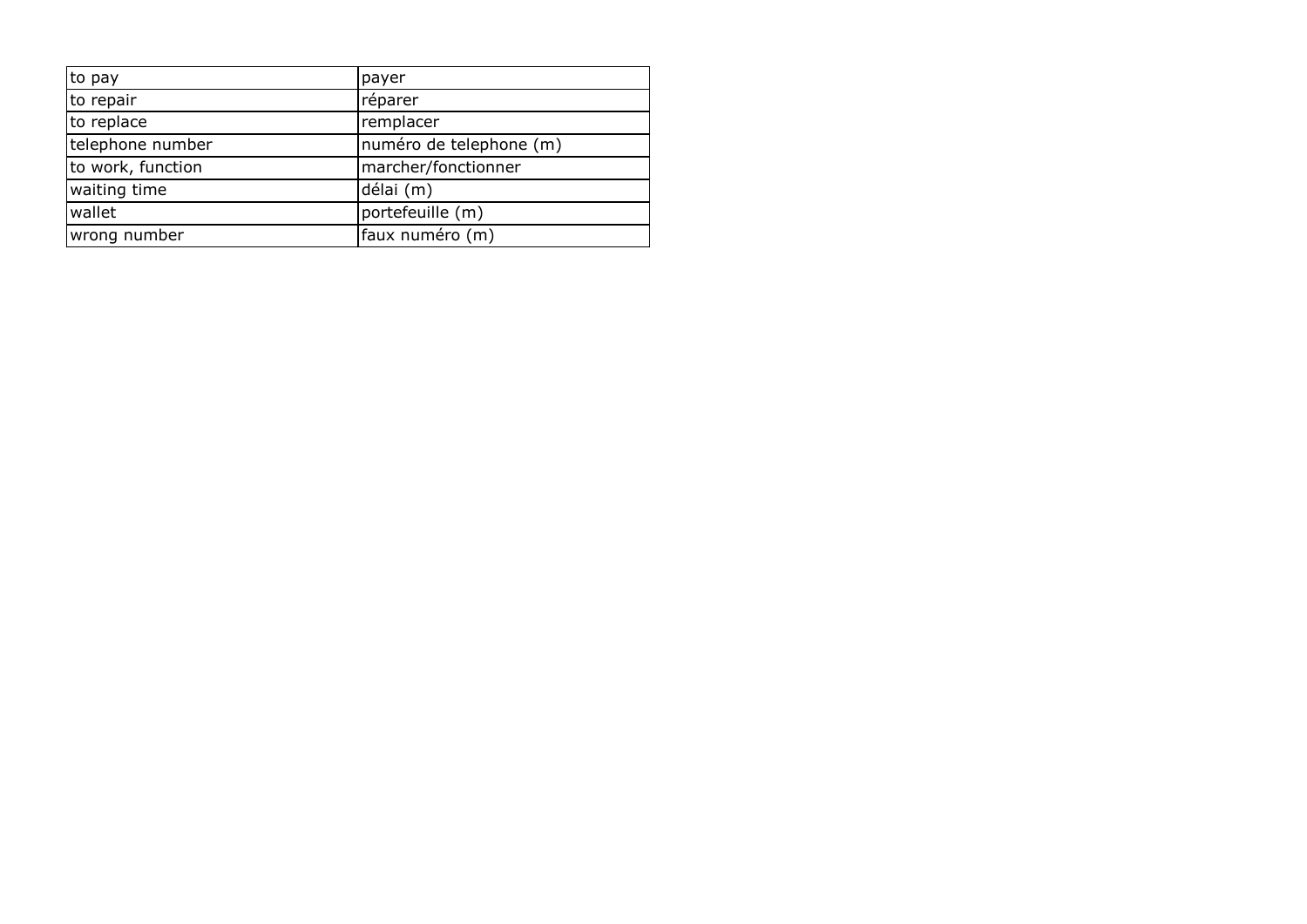| to pay            | payer                   |
|-------------------|-------------------------|
| to repair         | réparer                 |
| to replace        | remplacer               |
| telephone number  | numéro de telephone (m) |
| to work, function | marcher/fonctionner     |
| waiting time      | délai (m)               |
| wallet            | portefeuille (m)        |
| wrong number      | faux numéro (m)         |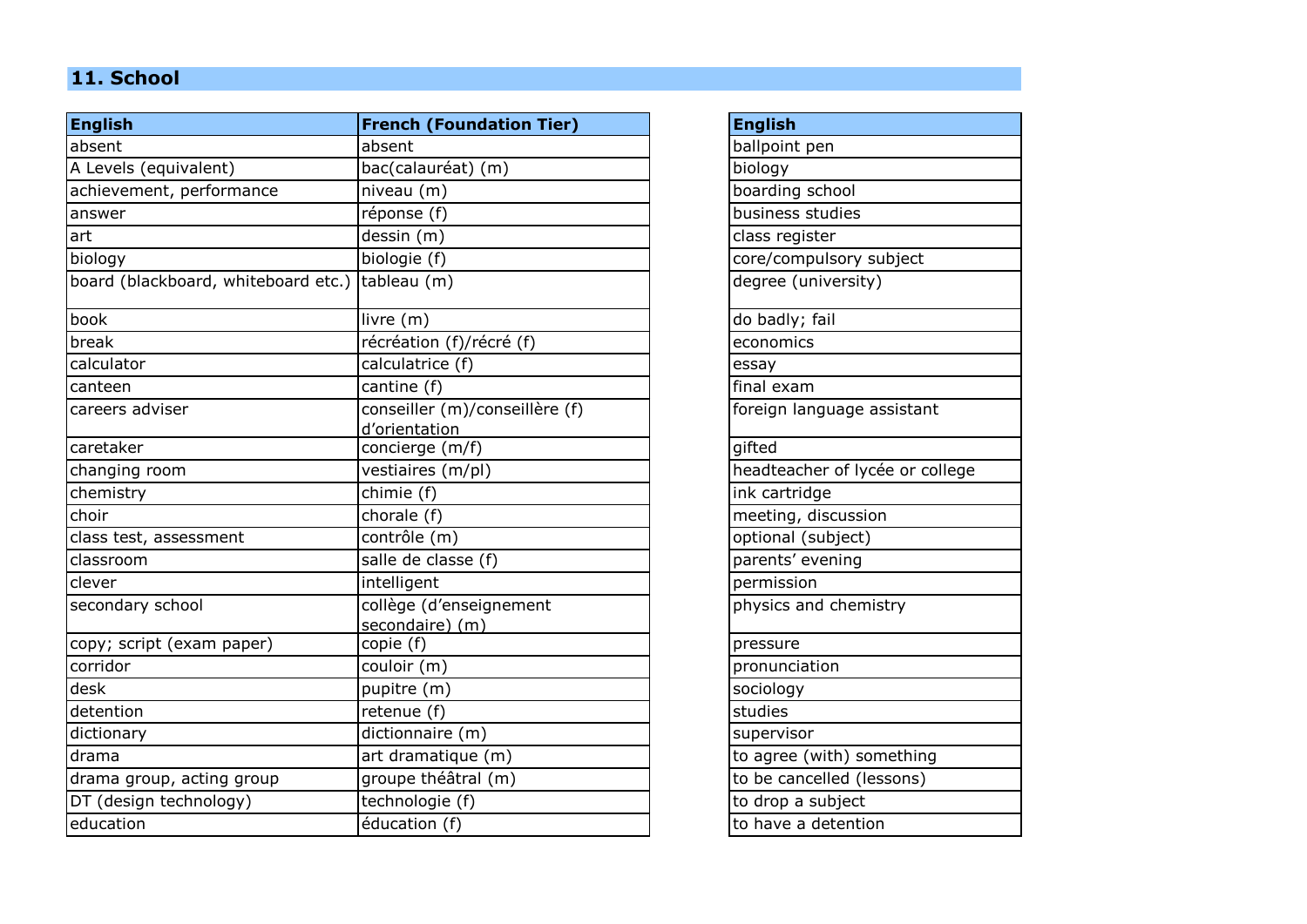#### **11. School**

| <b>English</b>                      | <b>French (Foundation Tier)</b>                 | <b>English</b>                  |
|-------------------------------------|-------------------------------------------------|---------------------------------|
| absent                              | absent                                          | ballpoint pen                   |
| A Levels (equivalent)               | bac(calauréat) (m)                              | biology                         |
| achievement, performance            | niveau (m)                                      | boarding school                 |
| answer                              | réponse (f)                                     | business studies                |
| art                                 | dessin (m)                                      | class register                  |
| biology                             | biologie (f)                                    | core/compulsory subject         |
| board (blackboard, whiteboard etc.) | tableau (m)                                     | degree (university)             |
| book                                | livre (m)                                       | do badly; fail                  |
| break                               | récréation (f)/récré (f)                        | economics                       |
| calculator                          | calculatrice (f)                                | essay                           |
| canteen                             | cantine (f)                                     | final exam                      |
| careers adviser                     | conseiller (m)/conseillère (f)<br>d'orientation | foreign language assistant      |
| caretaker                           | concierge (m/f)                                 | gifted                          |
| changing room                       | vestiaires (m/pl)                               | headteacher of lycée or college |
| chemistry                           | chimie (f)                                      | ink cartridge                   |
| choir                               | chorale (f)                                     | meeting, discussion             |
| class test, assessment              | contrôle (m)                                    | optional (subject)              |
| classroom                           | salle de classe (f)                             | parents' evening                |
| clever                              | intelligent                                     | permission                      |
| secondary school                    | collège (d'enseignement<br>secondaire) (m)      | physics and chemistry           |
| copy; script (exam paper)           | copie (f)                                       | pressure                        |
| corridor                            | couloir (m)                                     | pronunciation                   |
| desk                                | pupitre (m)                                     | sociology                       |
| detention                           | retenue (f)                                     | studies                         |
| dictionary                          | $\overline{\text{d}$ ictionnaire (m)            | supervisor                      |
| drama                               | art dramatique (m)                              | to agree (with) something       |
| drama group, acting group           | groupe théâtral (m)                             | to be cancelled (lessons)       |
| DT (design technology)              | technologie (f)                                 | to drop a subject               |
| education                           | éducation (f)                                   | to have a detention             |

| <b>English</b>                  |
|---------------------------------|
| ballpoint pen                   |
| biology                         |
| boarding school                 |
| business studies                |
| class register                  |
| core/compulsory subject         |
| degree (university)             |
| do badly; fail                  |
| economics                       |
| essay                           |
| final exam                      |
| foreign language assistant      |
| gifted                          |
| headteacher of lycée or college |
| ink cartridge                   |
| meeting, discussion             |
| optional (subject)              |
| parents' evening                |
| permission                      |
| physics and chemistry           |
| pressure                        |
| pronunciation                   |
| sociology                       |
| studies                         |
| supervisor                      |
| to agree (with) something       |
| to be cancelled (lessons)       |
| to drop a subject               |
| to have a detention             |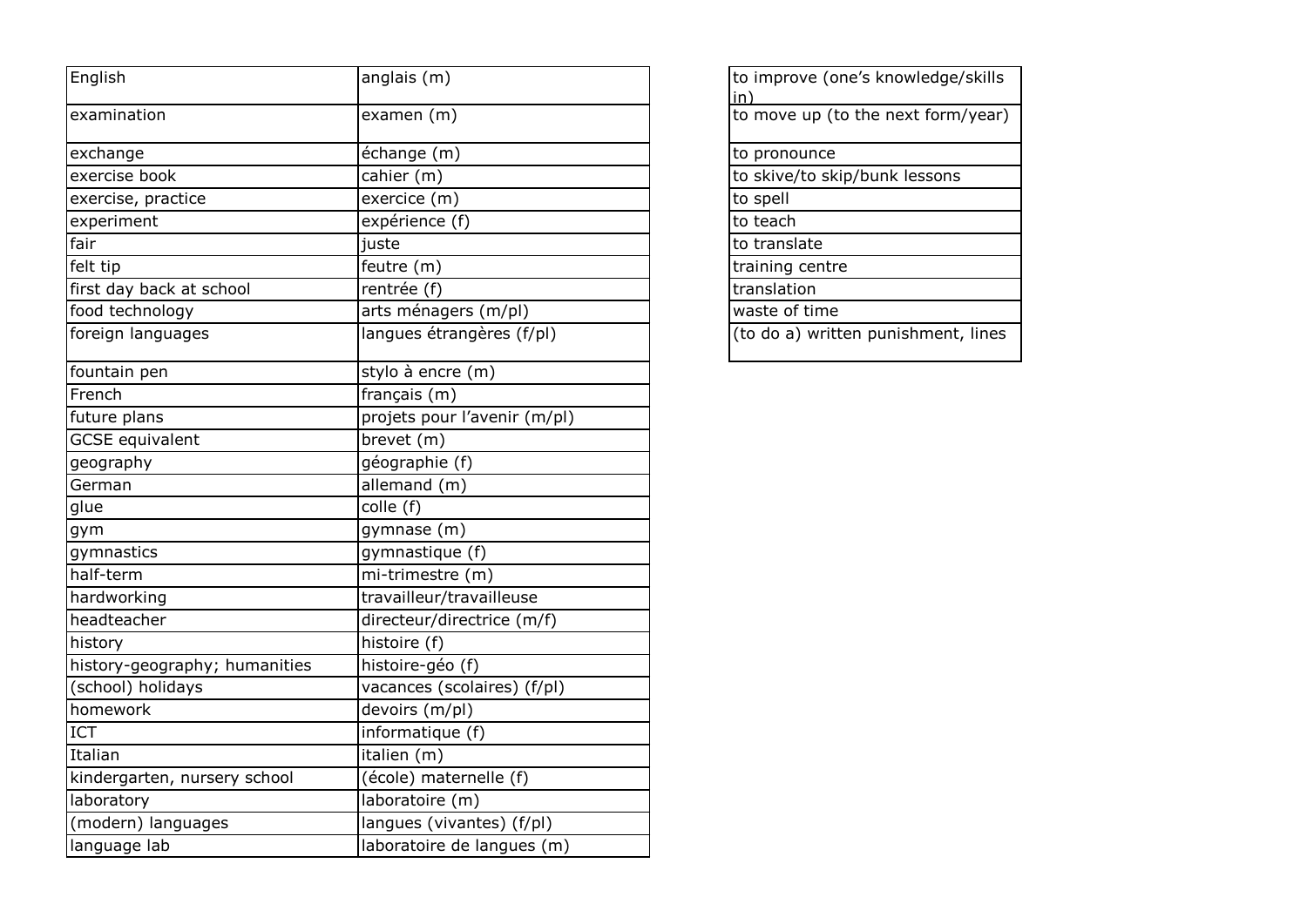| English                       | anglais (m)                  | to improve (one's knowledge/skills<br>in) |
|-------------------------------|------------------------------|-------------------------------------------|
| examination                   | examen (m)                   | to move up (to the next form/year)        |
| exchange                      | échange (m)                  | to pronounce                              |
| exercise book                 | cahier (m)                   | to skive/to skip/bunk lessons             |
| exercise, practice            | exercice (m)                 | to spell                                  |
| experiment                    | expérience (f)               | to teach                                  |
| fair                          | juste                        | to translate                              |
| felt tip                      | feutre (m)                   | training centre                           |
| first day back at school      | rentrée (f)                  | translation                               |
| food technology               | arts ménagers (m/pl)         | waste of time                             |
| foreign languages             | langues étrangères (f/pl)    | (to do a) written punishment, lines       |
| fountain pen                  | stylo à encre (m)            |                                           |
| French                        | français (m)                 |                                           |
| future plans                  | projets pour l'avenir (m/pl) |                                           |
| <b>GCSE</b> equivalent        | brevet (m)                   |                                           |
| geography                     | géographie (f)               |                                           |
| German                        | allemand (m)                 |                                           |
| glue                          | colle (f)                    |                                           |
| gym                           | gymnase (m)                  |                                           |
| gymnastics                    | gymnastique (f)              |                                           |
| half-term                     | mi-trimestre (m)             |                                           |
| hardworking                   | travailleur/travailleuse     |                                           |
| headteacher                   | directeur/directrice (m/f)   |                                           |
| history                       | histoire (f)                 |                                           |
| history-geography; humanities | histoire-géo (f)             |                                           |
| (school) holidays             | vacances (scolaires) (f/pl)  |                                           |
| homework                      | devoirs (m/pl)               |                                           |
| <b>ICT</b>                    | informatique (f)             |                                           |
| Italian                       | italien (m)                  |                                           |
| kindergarten, nursery school  | (école) maternelle (f)       |                                           |
| laboratory                    | laboratoire (m)              |                                           |
| (modern) languages            | langues (vivantes) (f/pl)    |                                           |
| language lab                  | laboratoire de langues (m)   |                                           |

| to improve (one's knowledge/skills<br>in) |
|-------------------------------------------|
|                                           |
| to move up (to the next form/year)        |
| to pronounce                              |
| to skive/to skip/bunk lessons             |
| to spell                                  |
| to teach                                  |
| to translate                              |
| training centre                           |
| translation                               |
| waste of time                             |
| (to do a) written punishment, lines       |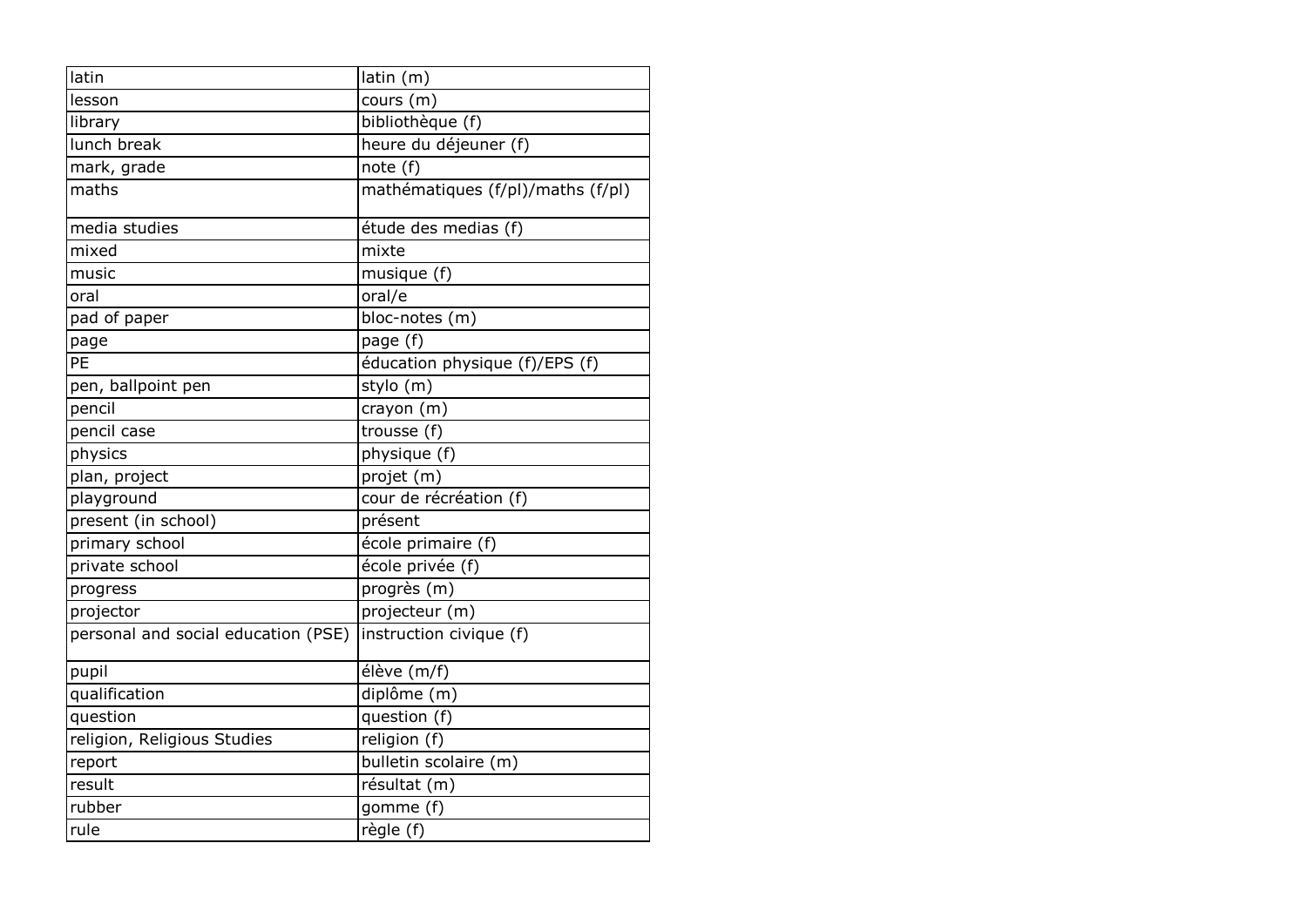| latin                               | latin (m)                         |
|-------------------------------------|-----------------------------------|
| lesson                              | cours $(m)$                       |
| library                             | bibliothèque (f)                  |
| lunch break                         | heure du déjeuner (f)             |
| mark, grade                         | note (f)                          |
| maths                               | mathématiques (f/pl)/maths (f/pl) |
| media studies                       | étude des medias (f)              |
| mixed                               | mixte                             |
| music                               | musique (f)                       |
| oral                                | oral/e                            |
| pad of paper                        | bloc-notes (m)                    |
| page                                | page (f)                          |
| $\overline{PE}$                     | éducation physique (f)/EPS (f)    |
| pen, ballpoint pen                  | stylo (m)                         |
| pencil                              | crayon (m)                        |
| pencil case                         | trousse (f)                       |
| physics                             | physique (f)                      |
| plan, project                       | projet (m)                        |
| playground                          | cour de récréation (f)            |
| present (in school)                 | présent                           |
| primary school                      | école primaire (f)                |
| private school                      | école privée (f)                  |
| progress                            | progrès (m)                       |
| projector                           | projecteur (m)                    |
| personal and social education (PSE) | instruction civique (f)           |
| pupil                               | élève (m/f)                       |
| qualification                       | diplôme (m)                       |
| question                            | question (f)                      |
| religion, Religious Studies         | religion (f)                      |
| report                              | bulletin scolaire (m)             |
| result                              | résultat (m)                      |
| rubber                              | gomme (f)                         |
| rule                                | règle (f)                         |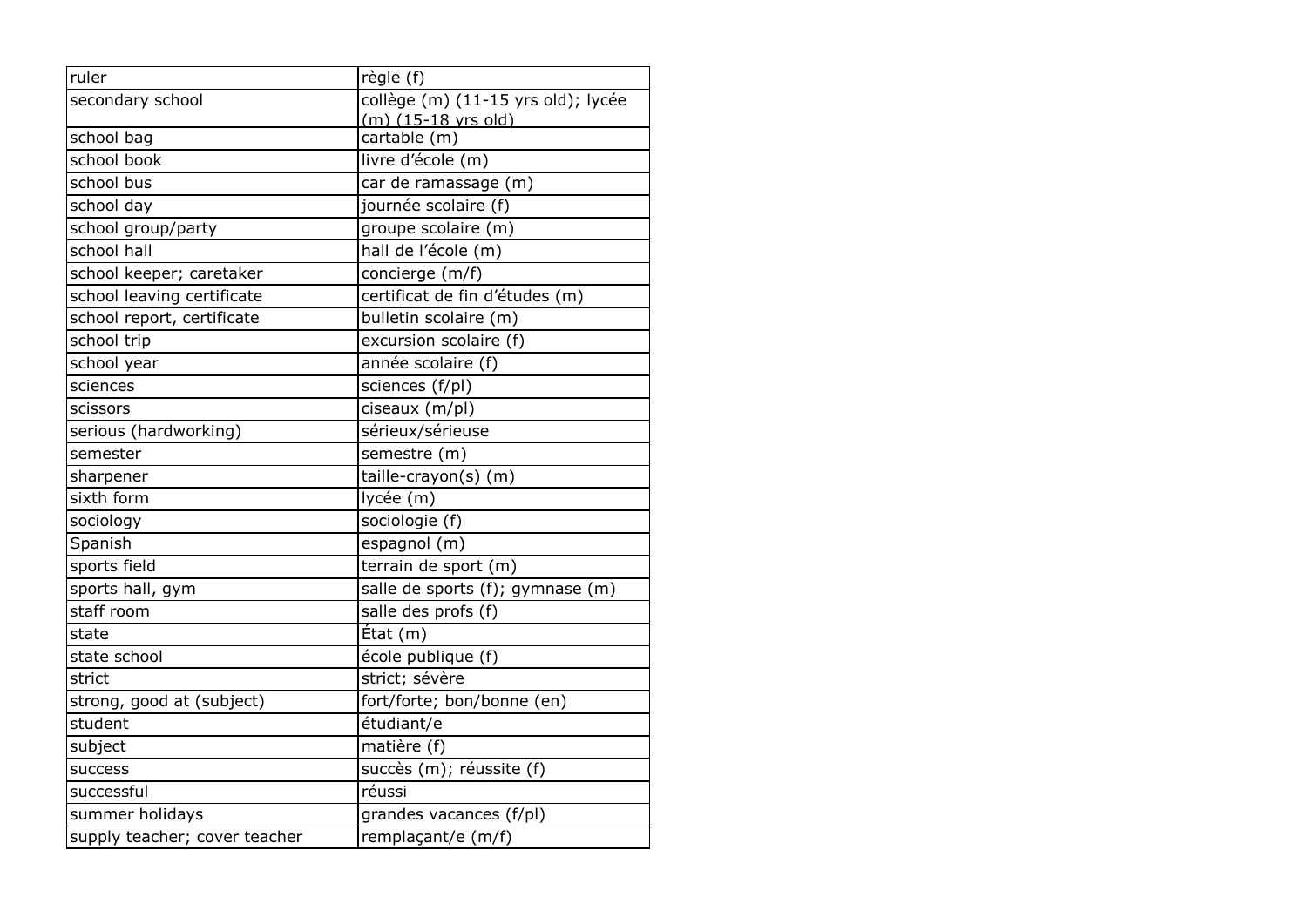| ruler                         | règle (f)                          |
|-------------------------------|------------------------------------|
| secondary school              | collège (m) (11-15 yrs old); lycée |
|                               | (m) (15-18 yrs old)                |
| school bag                    | cartable (m)                       |
| school book                   | livre d'école (m)                  |
| school bus                    | car de ramassage (m)               |
| school day                    | journée scolaire (f)               |
| school group/party            | groupe scolaire (m)                |
| school hall                   | hall de l'école (m)                |
| school keeper; caretaker      | concierge (m/f)                    |
| school leaving certificate    | certificat de fin d'études (m)     |
| school report, certificate    | bulletin scolaire (m)              |
| school trip                   | excursion scolaire (f)             |
| school year                   | année scolaire (f)                 |
| sciences                      | sciences (f/pl)                    |
| scissors                      | ciseaux (m/pl)                     |
| serious (hardworking)         | sérieux/sérieuse                   |
| semester                      | semestre (m)                       |
| sharpener                     | taille-crayon(s) (m)               |
| sixth form                    | lycée (m)                          |
| sociology                     | sociologie (f)                     |
| Spanish                       | espagnol (m)                       |
| sports field                  | terrain de sport (m)               |
| sports hall, gym              | salle de sports (f); gymnase (m)   |
| staff room                    | salle des profs (f)                |
| state                         | État (m)                           |
| state school                  | école publique (f)                 |
| strict                        | strict; sévère                     |
| strong, good at (subject)     | fort/forte; bon/bonne (en)         |
| student                       | étudiant/e                         |
| subject                       | matière (f)                        |
| success                       | succès (m); réussite (f)           |
| successful                    | réussi                             |
| summer holidays               | grandes vacances (f/pl)            |
| supply teacher; cover teacher | remplaçant/e (m/f)                 |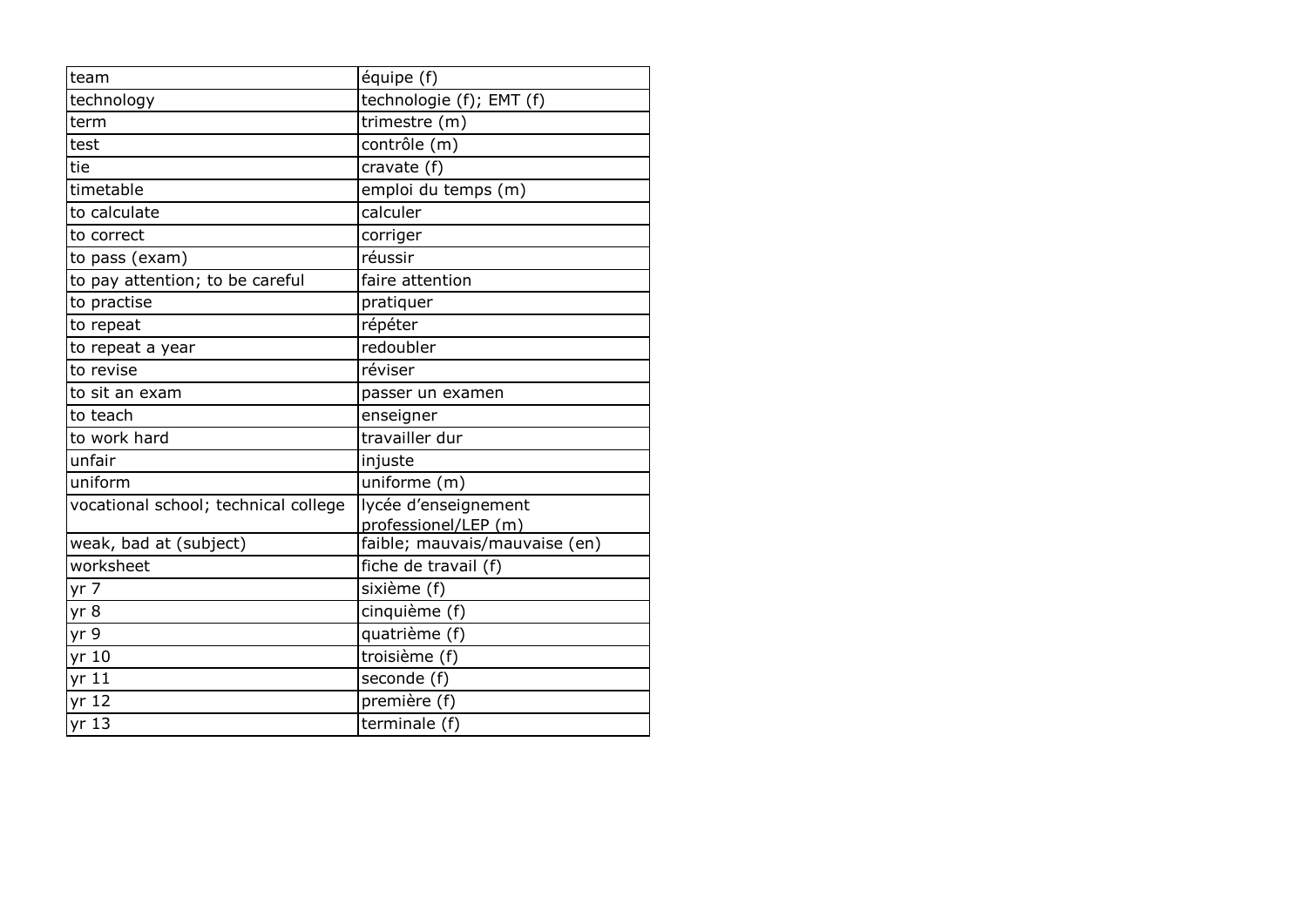| team                                 | équipe (f)                                   |
|--------------------------------------|----------------------------------------------|
| technology                           | technologie (f); EMT (f)                     |
| term                                 | trimestre (m)                                |
| test                                 | contrôle (m)                                 |
| tie                                  | cravate (f)                                  |
| timetable                            | emploi du temps (m)                          |
| to calculate                         | calculer                                     |
| to correct                           | corriger                                     |
| to pass (exam)                       | réussir                                      |
| to pay attention; to be careful      | faire attention                              |
| to practise                          | pratiquer                                    |
| to repeat                            | répéter                                      |
| to repeat a year                     | redoubler                                    |
| to revise                            | réviser                                      |
| to sit an exam                       | passer un examen                             |
| to teach                             | enseigner                                    |
| to work hard                         | travailler dur                               |
| unfair                               | injuste                                      |
| uniform                              | uniforme (m)                                 |
| vocational school; technical college | lycée d'enseignement<br>professionel/LEP (m) |
| weak, bad at (subject)               | faible; mauvais/mauvaise (en)                |
| worksheet                            | fiche de travail (f)                         |
| yr 7                                 | sixième (f)                                  |
| yr 8                                 | cinquième (f)                                |
| yr 9                                 | quatrième (f)                                |
| yr 10                                | troisième (f)                                |
| yr 11                                | seconde (f)                                  |
| yr 12                                | première (f)                                 |
| yr 13                                | terminale (f)                                |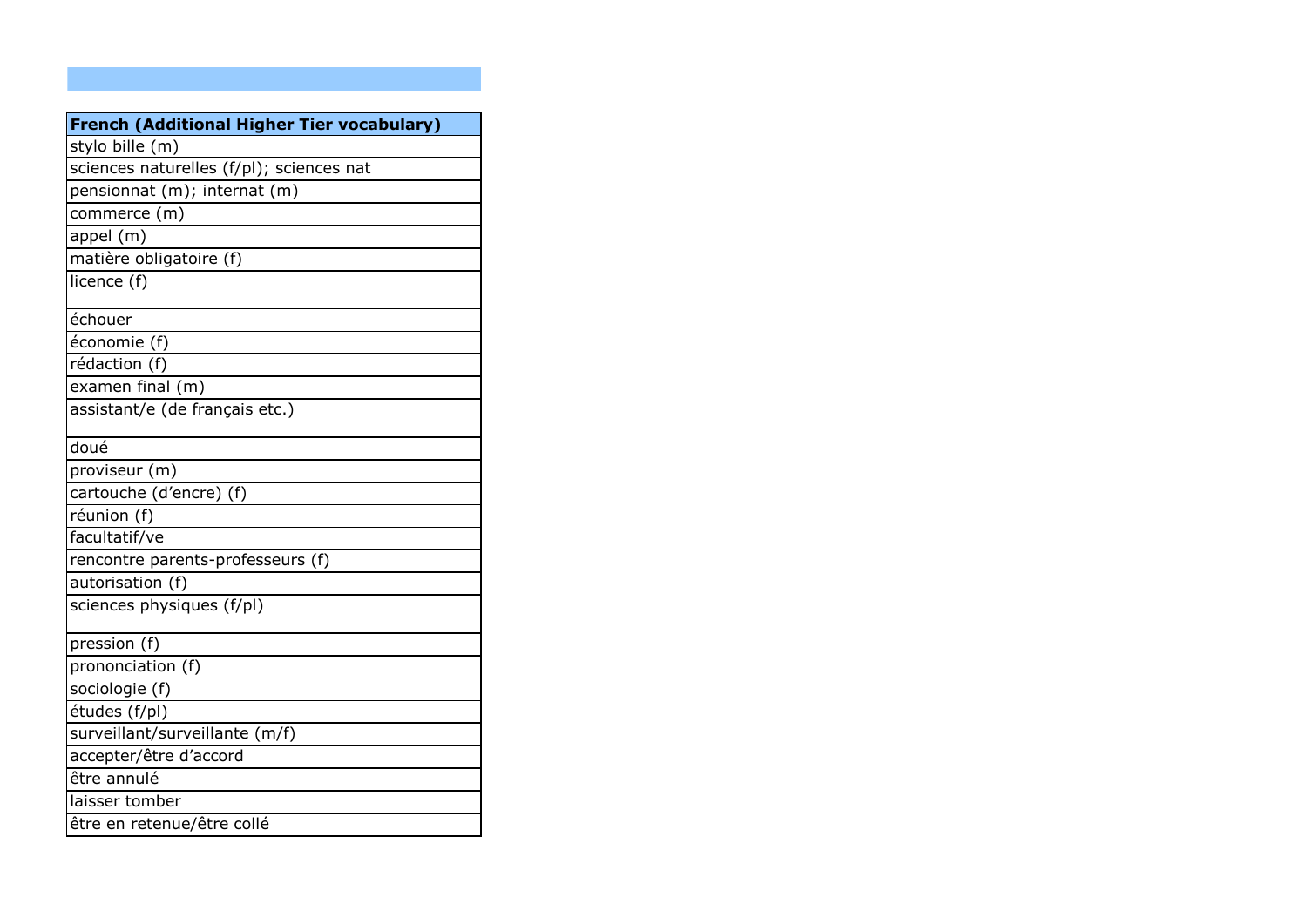| réunion (f)<br>facultatif/ve<br>sciences physiques (f/pl) | <b>French (Additional Higher Tier vocabulary)</b> |
|-----------------------------------------------------------|---------------------------------------------------|
|                                                           | stylo bille (m)                                   |
|                                                           | sciences naturelles (f/pl); sciences nat          |
|                                                           | pensionnat (m); internat (m)                      |
|                                                           | commerce (m)                                      |
|                                                           | appel (m)                                         |
|                                                           | matière obligatoire (f)                           |
|                                                           | licence (f)                                       |
|                                                           | échouer                                           |
|                                                           | économie (f)                                      |
|                                                           | rédaction (f)                                     |
|                                                           | examen final (m)                                  |
|                                                           | assistant/e (de français etc.)                    |
|                                                           | doué                                              |
|                                                           | proviseur (m)                                     |
|                                                           | cartouche (d'encre) (f)                           |
|                                                           |                                                   |
|                                                           |                                                   |
|                                                           | rencontre parents-professeurs (f)                 |
|                                                           | autorisation (f)                                  |
|                                                           |                                                   |
|                                                           | pression (f)                                      |
|                                                           | prononciation (f)                                 |
|                                                           | sociologie (f)                                    |
|                                                           | études (f/pl)                                     |
|                                                           | surveillant/surveillante (m/f)                    |
|                                                           | accepter/être d'accord                            |
|                                                           | être annulé                                       |
|                                                           | laisser tomber                                    |
|                                                           | être en retenue/être collé                        |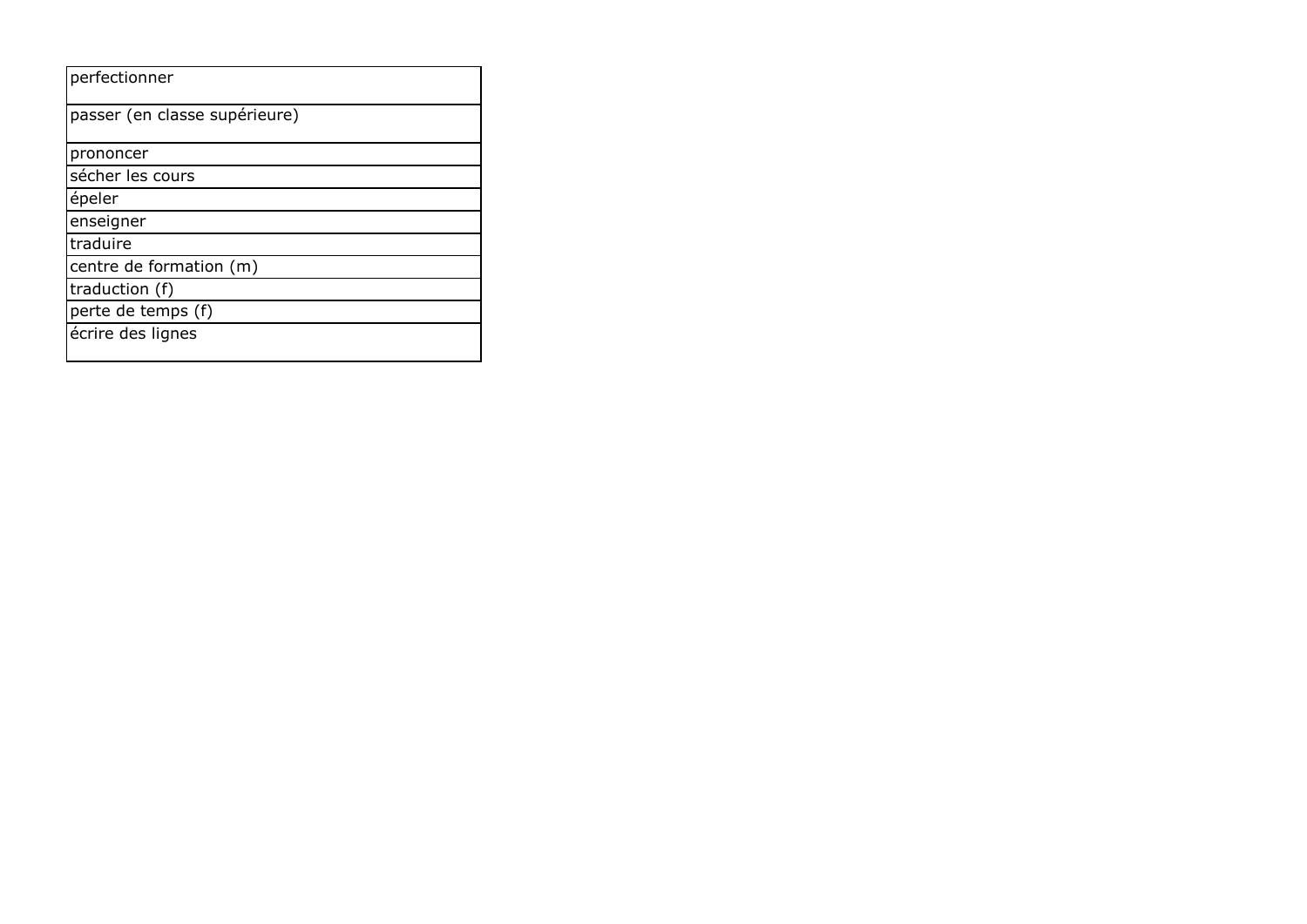| perfectionner                 |
|-------------------------------|
| passer (en classe supérieure) |
| prononcer                     |
| sécher les cours              |
| épeler                        |
| enseigner                     |
| traduire                      |
| centre de formation (m)       |
| traduction (f)                |
| perte de temps (f)            |
| écrire des lignes             |
|                               |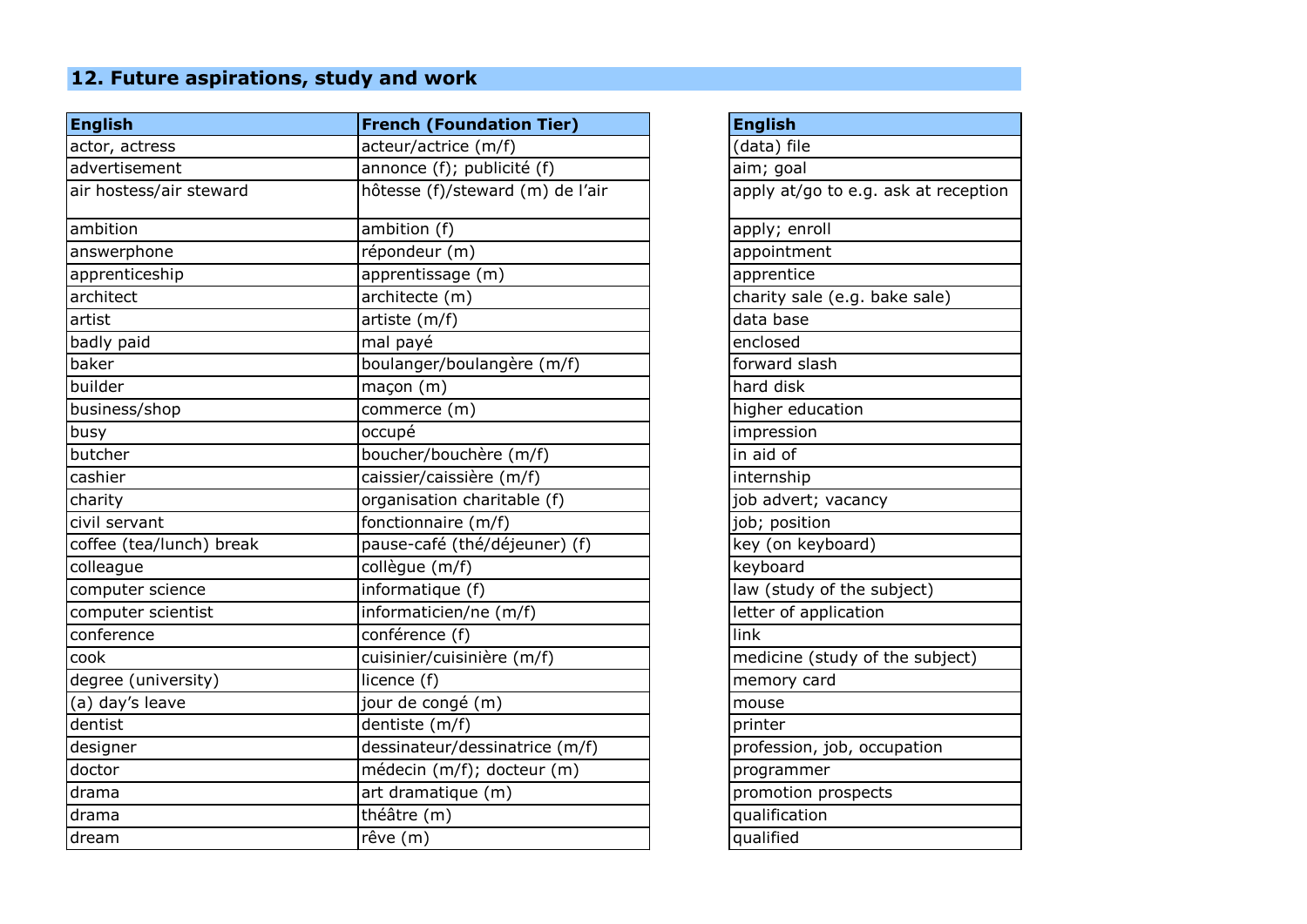# **12. Future aspirations, study and work**

| <b>English</b>           | <b>French (Foundation Tier)</b>  | <b>English</b>                       |
|--------------------------|----------------------------------|--------------------------------------|
| actor, actress           | acteur/actrice (m/f)             | (data) file                          |
| advertisement            | annonce (f); publicité (f)       | aim; goal                            |
| air hostess/air steward  | hôtesse (f)/steward (m) de l'air | apply at/go to e.g. ask at reception |
| ambition                 | ambition (f)                     | apply; enroll                        |
| answerphone              | répondeur (m)                    | appointment                          |
| apprenticeship           | apprentissage (m)                | apprentice                           |
| architect                | architecte (m)                   | charity sale (e.g. bake sale)        |
| artist                   | artiste (m/f)                    | data base                            |
| badly paid               | mal payé                         | enclosed                             |
| baker                    | boulanger/boulangère (m/f)       | forward slash                        |
| builder                  | maçon (m)                        | hard disk                            |
| business/shop            | commerce (m)                     | higher education                     |
| busy                     | occupé                           | impression                           |
| butcher                  | boucher/bouchère (m/f)           | in aid of                            |
| cashier                  | caissier/caissière (m/f)         | internship                           |
| charity                  | organisation charitable (f)      | job advert; vacancy                  |
| civil servant            | fonctionnaire (m/f)              | job; position                        |
| coffee (tea/lunch) break | pause-café (thé/déjeuner) (f)    | key (on keyboard)                    |
| colleague                | collègue (m/f)                   | keyboard                             |
| computer science         | informatique (f)                 | law (study of the subject)           |
| computer scientist       | informaticien/ne (m/f)           | letter of application                |
| conference               | conférence (f)                   | link                                 |
| cook                     | cuisinier/cuisinière (m/f)       | medicine (study of the subject)      |
| degree (university)      | licence (f)                      | memory card                          |
| (a) day's leave          | jour de congé (m)                | mouse                                |
| dentist                  | dentiste (m/f)                   | printer                              |
| designer                 | dessinateur/dessinatrice (m/f)   | profession, job, occupation          |
| doctor                   | médecin (m/f); docteur (m)       | programmer                           |
| drama                    | art dramatique (m)               | promotion prospects                  |
| drama                    | théâtre (m)                      | qualification                        |
| dream                    | rêve (m)                         | qualified                            |

| <b>English</b>                       |
|--------------------------------------|
| (data) file                          |
| aim; goal                            |
| apply at/go to e.g. ask at reception |
| apply; enroll                        |
| appointment                          |
| apprentice                           |
| charity sale (e.g. bake sale)        |
| data base                            |
| enclosed                             |
| forward slash                        |
| hard disk                            |
| higher education                     |
| impression                           |
| in aid of                            |
| internship                           |
| job advert; vacancy                  |
| job; position                        |
| key (on keyboard)                    |
| keyboard                             |
| law (study of the subject)           |
| letter of application                |
| link                                 |
| medicine (study of the subject)      |
| memory card                          |
| mouse                                |
| printer                              |
| profession, job, occupation          |
| programmer                           |
| promotion prospects                  |
| qualification                        |
| qualified                            |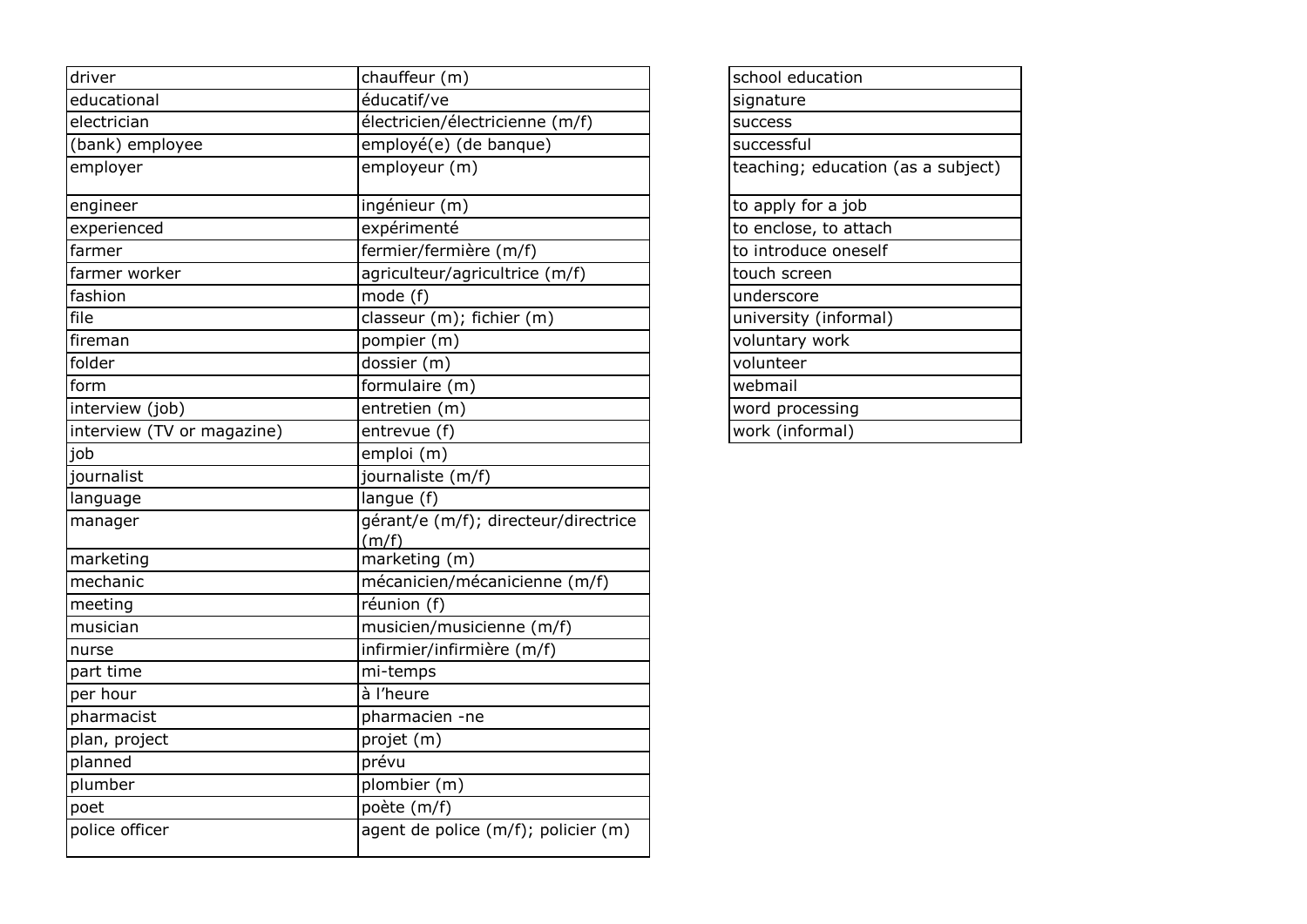| driver                     | chauffeur (m)                                 | school education                   |
|----------------------------|-----------------------------------------------|------------------------------------|
| educational                | éducatif/ve                                   | signature                          |
| electrician                | électricien/électricienne (m/f)               | success                            |
| (bank) employee            | employé(e) (de banque)                        | successful                         |
| employer                   | employeur (m)                                 | teaching; education (as a subject) |
| engineer                   | ingénieur (m)                                 | to apply for a job                 |
| experienced                | expérimenté                                   | to enclose, to attach              |
| farmer                     | fermier/fermière (m/f)                        | to introduce oneself               |
| farmer worker              | agriculteur/agricultrice (m/f)                | touch screen                       |
| fashion                    | mode (f)                                      | underscore                         |
| file                       | classeur (m); fichier (m)                     | university (informal)              |
| fireman                    | pompier (m)                                   | voluntary work                     |
| folder                     | dossier (m)                                   | volunteer                          |
| form                       | formulaire (m)                                | webmail                            |
| interview (job)            | entretien (m)                                 | word processing                    |
| interview (TV or magazine) | entrevue (f)                                  | work (informal)                    |
| job                        | emploi (m)                                    |                                    |
| journalist                 | journaliste (m/f)                             |                                    |
| language                   | langue (f)                                    |                                    |
| manager                    | gérant/e (m/f); directeur/directrice<br>(m/f) |                                    |
| marketing                  | marketing (m)                                 |                                    |
| mechanic                   | mécanicien/mécanicienne (m/f)                 |                                    |
| meeting                    | réunion (f)                                   |                                    |
| musician                   | musicien/musicienne (m/f)                     |                                    |
| nurse                      | infirmier/infirmière (m/f)                    |                                    |
| part time                  | mi-temps                                      |                                    |
| per hour                   | à l'heure                                     |                                    |
| pharmacist                 | pharmacien -ne                                |                                    |
| plan, project              | projet (m)                                    |                                    |
| planned                    | prévu                                         |                                    |
| plumber                    | plombier (m)                                  |                                    |
| poet                       | poète (m/f)                                   |                                    |
| police officer             | agent de police (m/f); policier (m)           |                                    |

| school education                   |
|------------------------------------|
| signature                          |
| <b>SUCCESS</b>                     |
| successful                         |
| teaching; education (as a subject) |
| to apply for a job                 |
| to enclose, to attach              |
| to introduce oneself               |
| touch screen                       |
| underscore                         |
| university (informal)              |
| voluntary work                     |
| volunteer                          |
| webmail                            |
| word processing                    |
| work (informal)                    |
|                                    |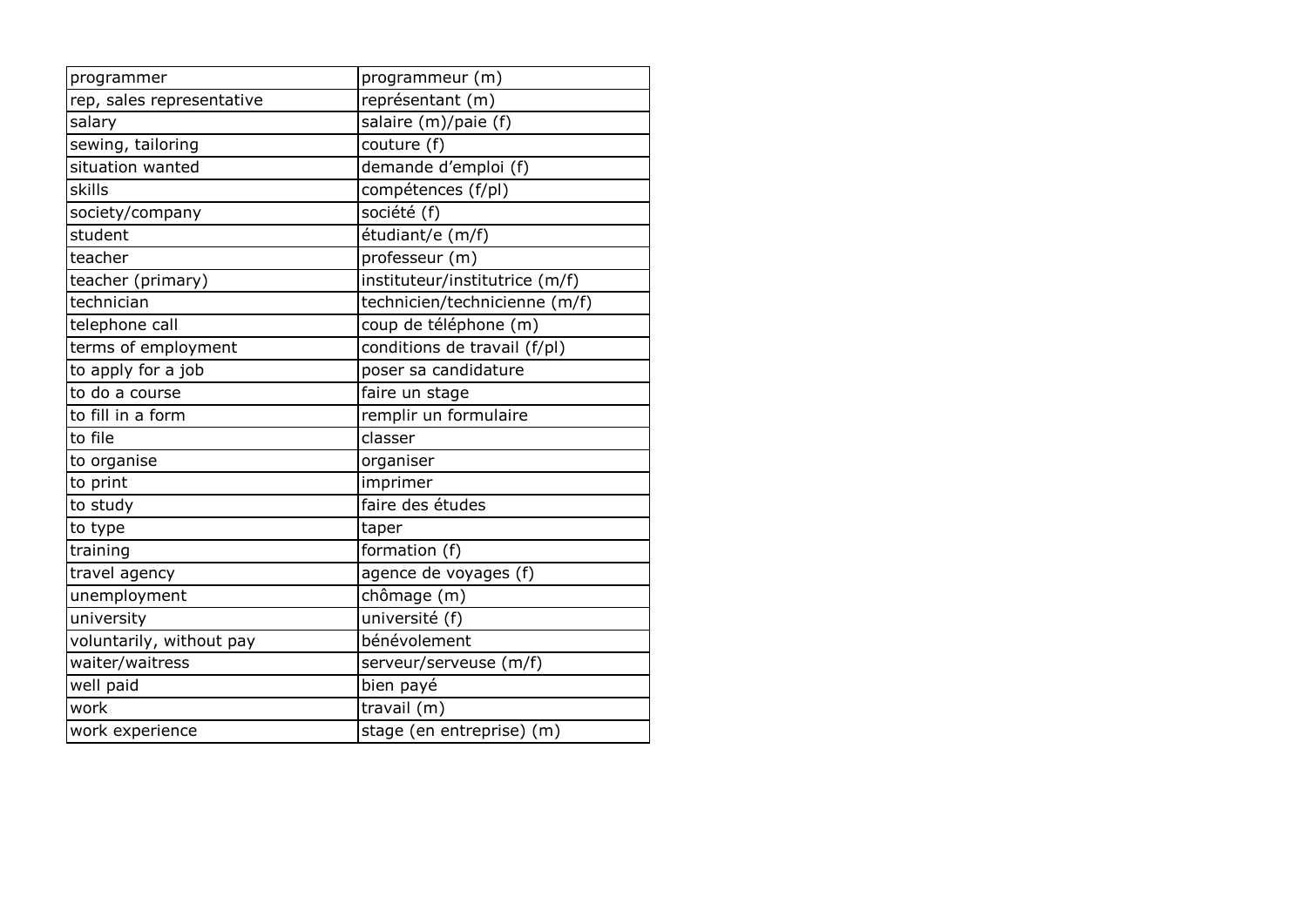| programmer                | programmeur (m)                |  |
|---------------------------|--------------------------------|--|
| rep, sales representative | représentant (m)               |  |
| salary                    | salaire (m)/paie (f)           |  |
| sewing, tailoring         | couture (f)                    |  |
| situation wanted          | demande d'emploi (f)           |  |
| skills                    | compétences (f/pl)             |  |
| society/company           | société (f)                    |  |
| student                   | étudiant/e (m/f)               |  |
| teacher                   | professeur (m)                 |  |
| teacher (primary)         | instituteur/institutrice (m/f) |  |
| technician                | technicien/technicienne (m/f)  |  |
| telephone call            | coup de téléphone (m)          |  |
| terms of employment       | conditions de travail (f/pl)   |  |
| to apply for a job        | poser sa candidature           |  |
| to do a course            | faire un stage                 |  |
| to fill in a form         | remplir un formulaire          |  |
| to file                   | classer                        |  |
| to organise               | organiser                      |  |
| to print                  | imprimer                       |  |
| to study                  | faire des études               |  |
| to type                   | taper                          |  |
| training                  | formation (f)                  |  |
| travel agency             | agence de voyages (f)          |  |
| unemployment              | chômage (m)                    |  |
| university                | université (f)                 |  |
| voluntarily, without pay  | bénévolement                   |  |
| waiter/waitress           | serveur/serveuse (m/f)         |  |
| well paid                 | bien payé                      |  |
| work                      | travail (m)                    |  |
| work experience           | stage (en entreprise) (m)      |  |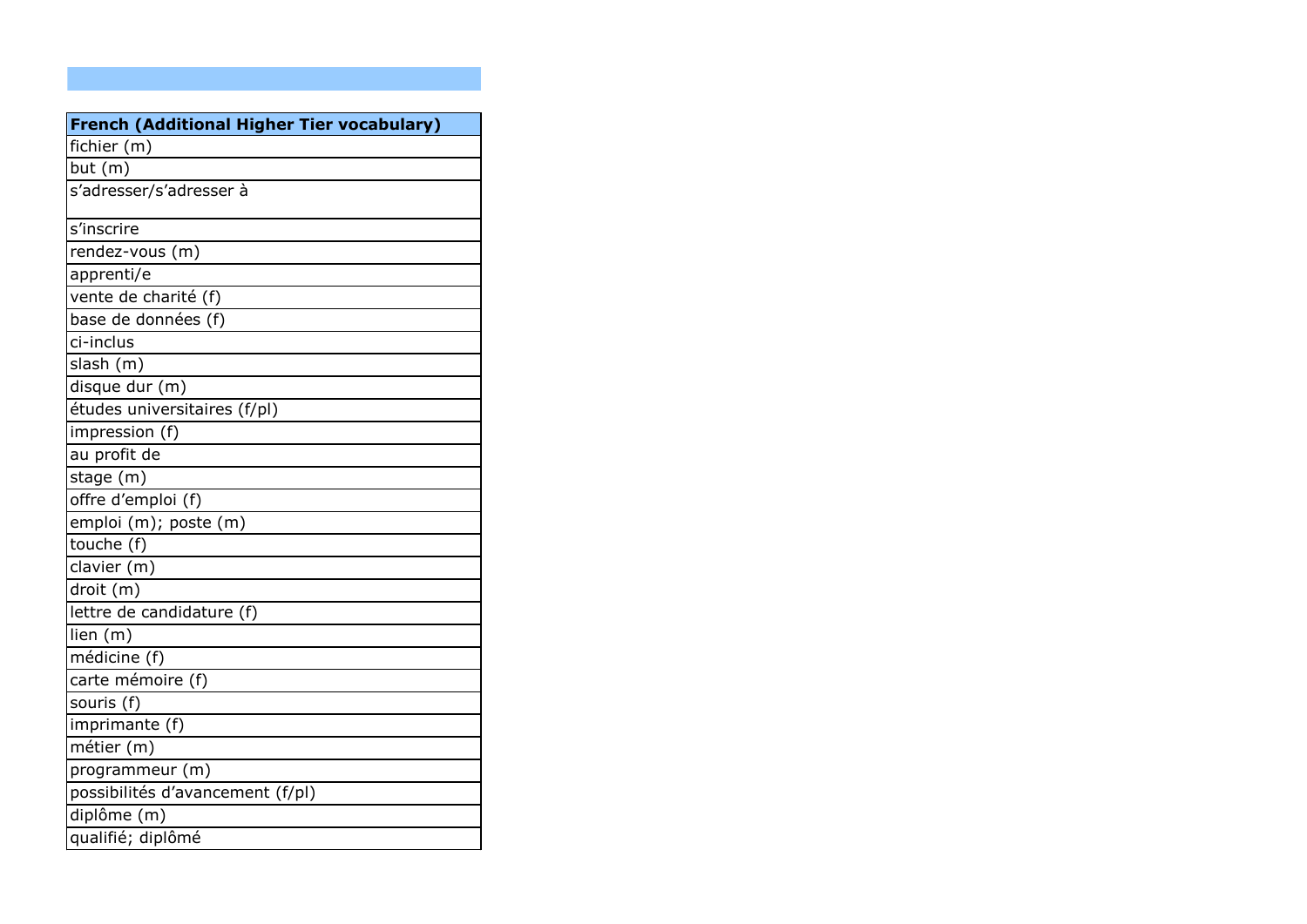| <b>French (Additional Higher Tier vocabulary)</b> |
|---------------------------------------------------|
| fichier (m)                                       |
| but (m)                                           |
| s'adresser/s'adresser à                           |
| s'inscrire                                        |
| rendez-vous (m)                                   |
| apprenti/e                                        |
| vente de charité (f)                              |
| base de données $(f)$                             |
| ci-inclus                                         |
| slash (m)                                         |
| disque dur (m)                                    |
| études universitaires (f/pl)                      |
| impression (f)                                    |
| au profit de                                      |
| stage (m)                                         |
| offre d'emploi (f)                                |
| emploi (m); poste (m)                             |
| touche (f)                                        |
| clavier (m)                                       |
| droit (m)                                         |
| lettre de candidature (f)                         |
| lien (m)                                          |
| médicine (f)                                      |
| carte mémoire (f)                                 |
| souris (f)                                        |
| imprimante (f)                                    |
| métier (m)                                        |
| programmeur (m)                                   |
| possibilités d'avancement (f/pl)                  |
| diplôme (m)                                       |
| qualifié; diplômé                                 |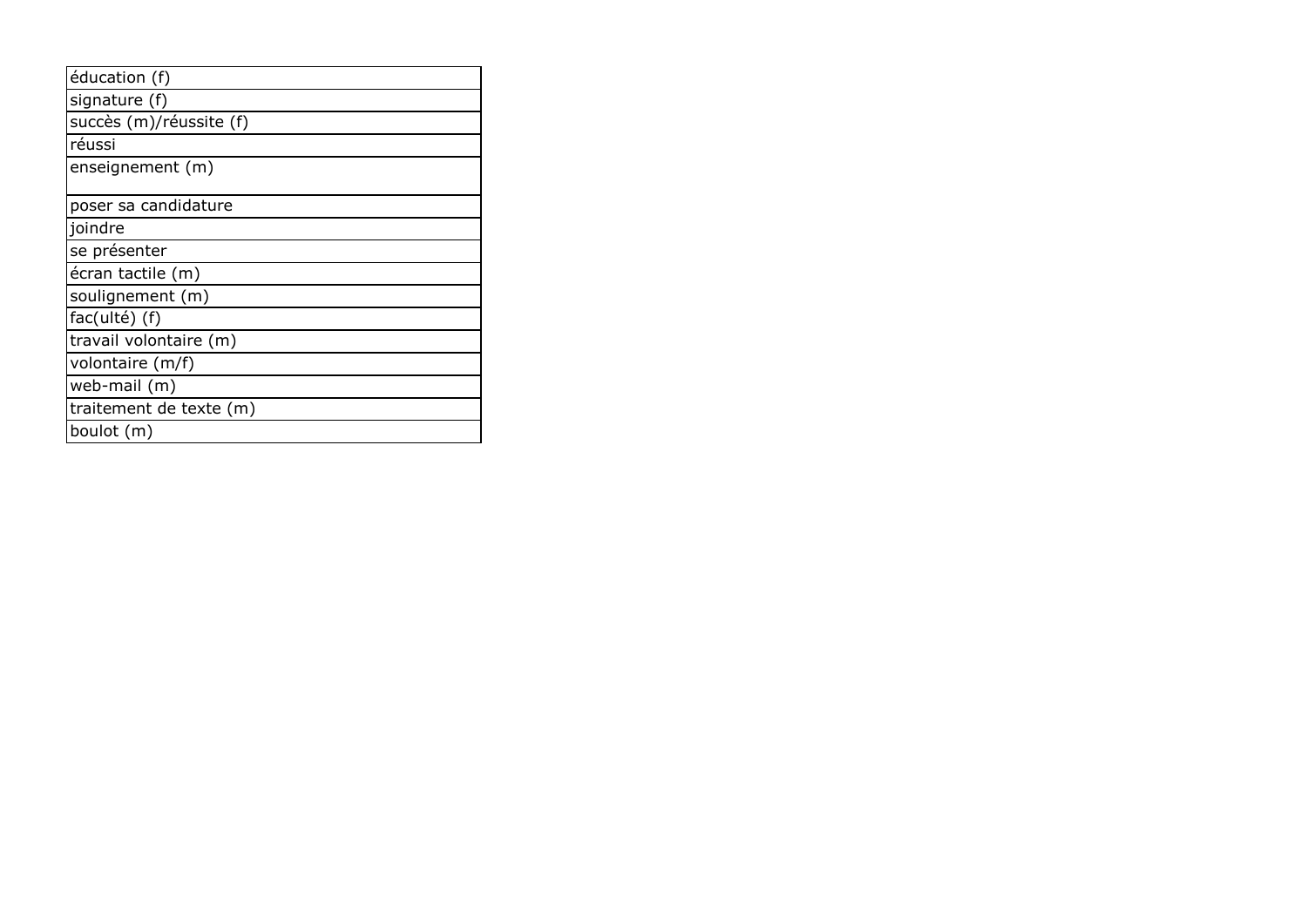| éducation (f)           |
|-------------------------|
| signature (f)           |
| succès (m)/réussite (f) |
| réussi                  |
| enseignement (m)        |
| poser sa candidature    |
| joindre                 |
| se présenter            |
| écran tactile (m)       |
| soulignement (m)        |
| fac(ulté) (f)           |
| travail volontaire (m)  |
| volontaire (m/f)        |
| web-mail (m)            |
| traitement de texte (m) |
| boulot (m)              |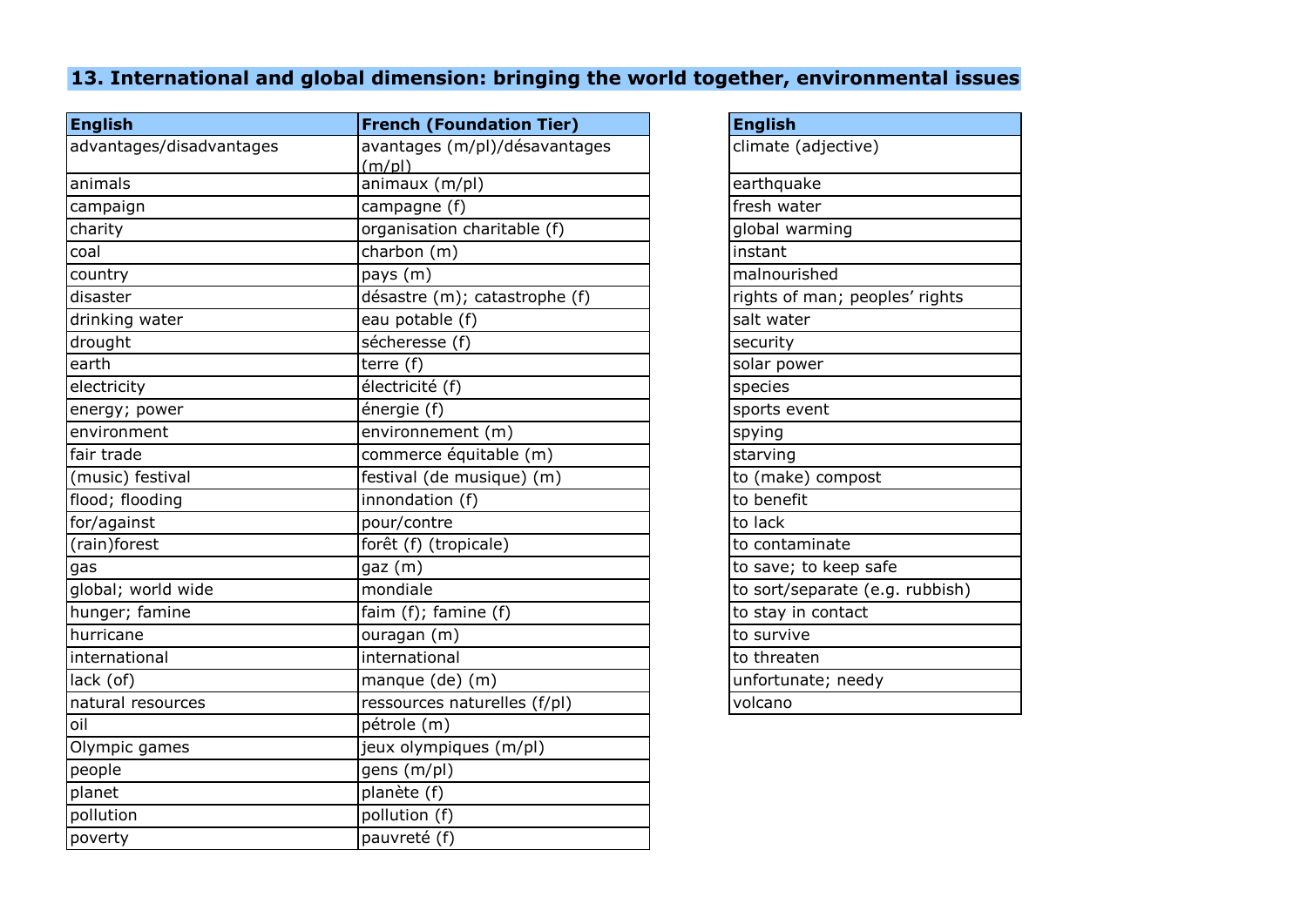### **13. International and global dimension: bringing the world together, environmental issues**

| <b>English</b>           | <b>French (Foundation Tier)</b>         | <b>English</b>                  |
|--------------------------|-----------------------------------------|---------------------------------|
| advantages/disadvantages | avantages (m/pl)/désavantages<br>(m/pl) | climate (adjective)             |
| animals                  | animaux (m/pl)                          | earthquake                      |
| campaign                 | campagne (f)                            | fresh water                     |
| charity                  | organisation charitable (f)             | global warming                  |
| coal                     | charbon (m)                             | instant                         |
| country                  | pays (m)                                | malnourished                    |
| disaster                 | désastre (m); catastrophe (f)           | rights of man; peoples' rights  |
| drinking water           | eau potable (f)                         | salt water                      |
| drought                  | sécheresse (f)                          | security                        |
| earth                    | terre (f)                               | solar power                     |
| electricity              | électricité (f)                         | species                         |
| energy; power            | énergie (f)                             | sports event                    |
| environment              | environnement (m)                       | spying                          |
| fair trade               | commerce équitable (m)                  | starving                        |
| (music) festival         | $f$ estival (de musique) (m)            | to (make) compost               |
| flood; flooding          | innondation (f)                         | to benefit                      |
| for/against              | pour/contre                             | to lack                         |
| (rain)forest             | forêt (f) (tropicale)                   | to contaminate                  |
| gas                      | gaz(m)                                  | to save; to keep safe           |
| global; world wide       | mondiale                                | to sort/separate (e.g. rubbish) |
| hunger; famine           | faim (f); famine (f)                    | to stay in contact              |
| hurricane                | ouragan (m)                             | to survive                      |
| international            | international                           | to threaten                     |
| lack (of)                | manque (de) (m)                         | unfortunate; needy              |
| natural resources        | ressources naturelles (f/pl)            | volcano                         |
| oil                      | pétrole (m)                             |                                 |
| Olympic games            | jeux olympiques (m/pl)                  |                                 |
| people                   | gens (m/pl)                             |                                 |
| planet                   | planète (f)                             |                                 |
| pollution                | pollution (f)                           |                                 |
| poverty                  | pauvreté (f)                            |                                 |

| <b>English</b>                  |
|---------------------------------|
| climate (adjective)             |
| earthquake                      |
| fresh water                     |
| global warming                  |
| instant                         |
| malnourished                    |
| rights of man; peoples' rights  |
| salt water                      |
| security                        |
| solar power                     |
| species                         |
| sports event                    |
| spying                          |
| starving                        |
| to (make) compost               |
| to benefit                      |
| to lack                         |
| to contaminate                  |
| to save; to keep safe           |
| to sort/separate (e.g. rubbish) |
| to stay in contact              |
| to survive                      |
| to threaten                     |
| unfortunate; needy              |
| volcano                         |
|                                 |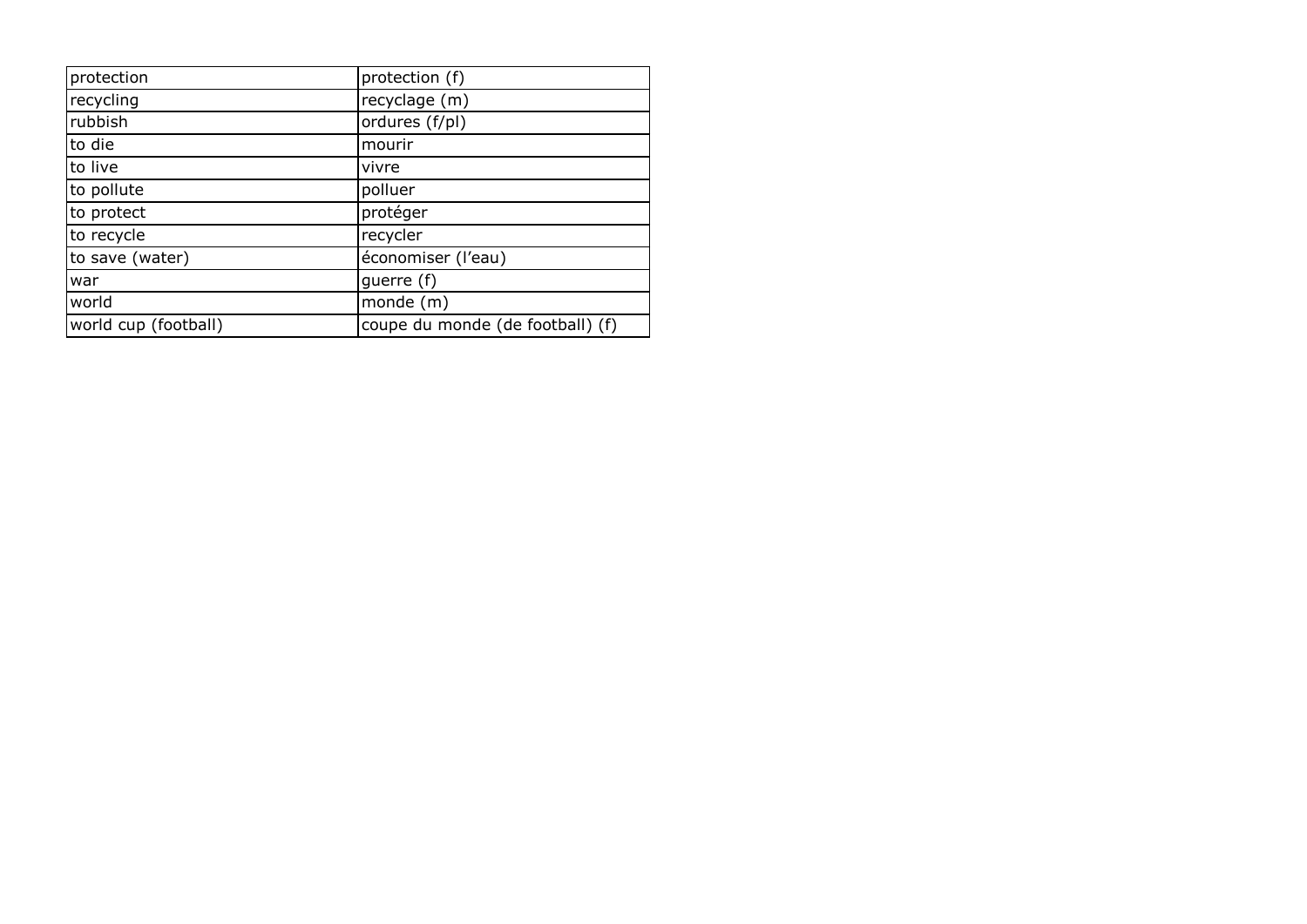| protection           | protection (f)                   |
|----------------------|----------------------------------|
| recycling            | recyclage (m)                    |
| rubbish              | ordures (f/pl)                   |
| to die               | mourir                           |
| to live              | vivre                            |
| to pollute           | polluer                          |
| to protect           | protéger                         |
| to recycle           | recycler                         |
| to save (water)      | économiser (l'eau)               |
| war                  | guerre (f)                       |
| world                | monde (m)                        |
| world cup (football) | coupe du monde (de football) (f) |